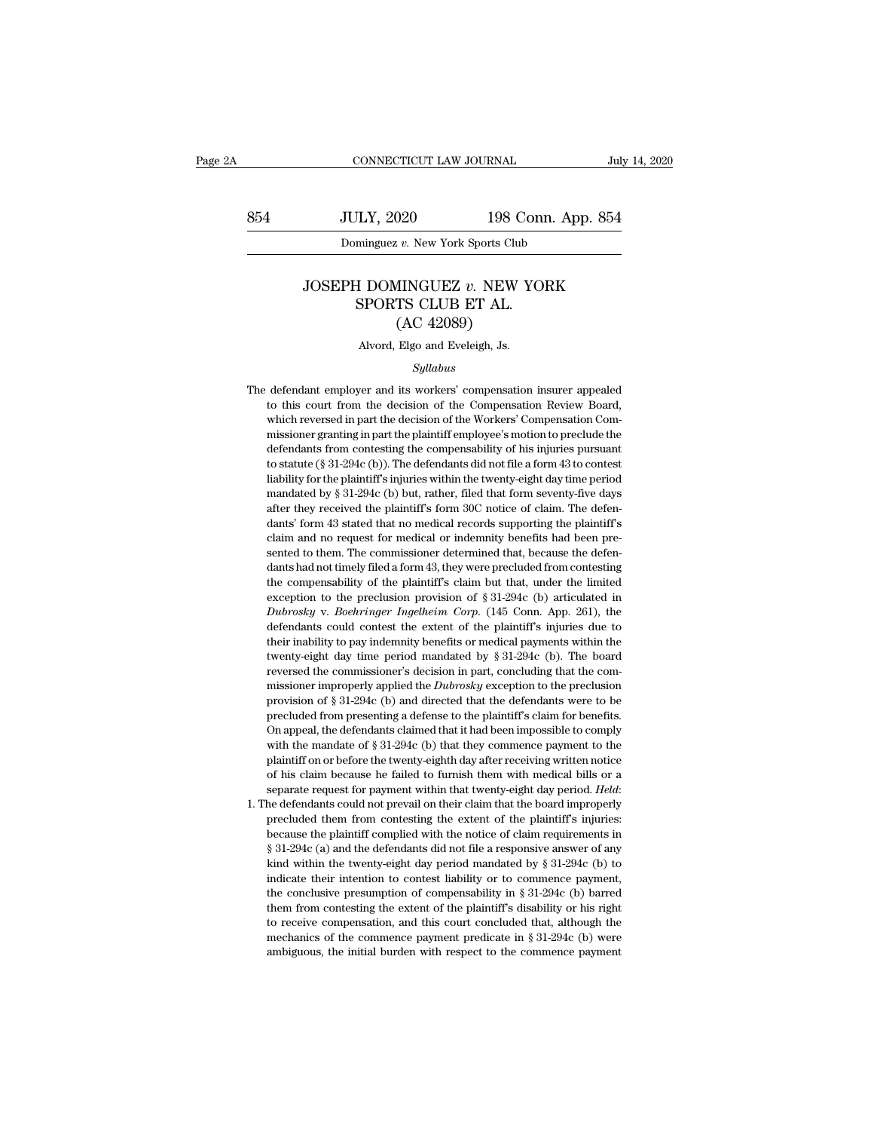EXECUTE CONNECTICUT LAW JOURNAL July 14, 2020<br>854 JULY, 2020 198 Conn. App. 854<br>Dominguez v. New York Sports Club CONNECTICUT LAW JOURNAL<br>JULY, 2020 198 Conn. App<br>Dominguez *v.* New York Sports Club

# JULY, 2020 198 Conn. App. 854<br>
Dominguez *v.* New York Sports Club<br>
JOSEPH DOMINGUEZ *v.* NEW YORK<br>
SPORTS CLUB ET AL. VEY, 2020<br>
ISBORT COMES CONTINGUES<br>
SPORTS CLUB ET AL.<br>
(AC 42089) (according 198 C)<br>
(b) 198 C)<br>
(according View York Sports Club)<br>
(AC 42089)<br>
(AC 42089)<br>
Elgo and Eveleigh, Js. JOSEPH DOMINGUEZ *v*. NEW YORK<br>SPORTS CLUB ET AL.<br>(AC 42089)<br>Alvord, Elgo and Eveleigh, Js.

### *Syllabus*

SPORTS CLUB ET AL.<br>
(AC 42089)<br>
Alvord, Elgo and Eveleigh, Js.<br>
Syllabus<br>
The defendant employer and its workers' compensation insurer appealed<br>
to this court from the decision of the Compensation Review Board,  $(AC 42089)$ <br>Alvord, Elgo and Eveleigh, Js.<br> $Syllabus$ <br>defendant employer and its workers' compensation insurer appealed<br>to this court from the decision of the Compensation Review Board,<br>which reversed in part the decision of Alvord, Elgo and Eveleigh, Js.<br>
Syllabus<br>
defendant employer and its workers' compensation insurer appealed<br>
to this court from the decision of the Compensation Review Board,<br>
which reversed in part the decision of the Wor missioner granting in part the plaintiff employee's more appealed to this court from the decision of the Compensation Review Board, which reversed in part the decision of the Workers' Compensation Commissioner granting in Syllabus<br>defendant employer and its workers' compensation insurer appealed<br>to this court from the decision of the Compensation Review Board,<br>which reversed in part the decision of the Workers' Compensation Com-<br>missioner g defendant employer and its workers' compensation insurer appealed<br>to this court from the decision of the Compensation Review Board,<br>which reversed in part the decision of the Workers' Compensation Com-<br>missioner granting i discussion in the decision of the Compensation insular appeared to this court from the decision of the Workers' Compensation Commissioner granting in part the plaintiff employee's motion to preclude the defendants from con which reversed in part the decision of the Workers' Compensation Commissioner granting in part the decision of the Workers' Compensation Commissioner granting in part the plaintiff employee's motion to preclude the defend missioner granting in part the plaintiff employee's motion to preclude the defendants from contesting the compensability of his injuries pursuant to statute ( $\$ 31-294c (b)). The defendants did not file a form 43 to conte defendants from contesting the compensability of his injuries pursuant to statute ( $\S$  31-294c (b)). The defendants did not file a form 43 to contest liability for the plaintiff's injuries within the twenty-eight day time determined ( $\S$  31-294c (b)). The defendants did not file a form 43 to contest<br>liability for the plaintiff's injuries within the twenty-eight day time period<br>mandated by  $\S$  31-294c (b) but, rather, filed that form sevent liability for the plaintiff's injuries within the twenty-eight day time period mandated by § 31-294c (b) but, rather, filed that form seventy-five days after they received the plaintiff's form 30C notice of claim. The def mandated by § 31-294c (b) but, rather, filed that form seventy-five days<br>after they received the plaintiff's form 30C notice of claim. The defen-<br>dants' form 43 stated that no medical records supporting the plaintiff's<br>cla manuated by solution, that, the competition after they received the plaintiff's form 30C notice of claim. The defendants' form 43 stated that no medical records supporting the plaintiff's claim and no request for medical data and it are preceived are plainting of our observator of claim. The defect<br>dants' form 43 stated that no medical records supporting the plaintiff's<br>claim and no request for medical or indemnity benefits had been pre-<br>s dants form as stated diat no included records supporting the patitions claim and no request for medical or indemnity benefits had been presented to them. The commissioner determined that, because the defendants had not tim clear and the extendant of intention, because the defendants had not timely filed a form 43, they were precluded from contesting the compensability of the plaintiff's claim but that, under the limited exception to the pre dants had not timely filed a form 43, they were precluded from contesting<br>the compensability of the plaintiff's claim but that, under the limited<br>exception to the preclusion provision of § 31-294c (b) articulated in<br>*Dubr* the compensability of the plaintiff's claim but that, under the limited exception to the preclusion provision of § 31-294c (b) articulated in *Dubrosky* v. *Boehringer Ingelheim Corp.* (145 Conn. App. 261), the defendants exception to the preclusion provision of § 31-294c (b) articulated in *Dubrosky* v. *Boehringer Ingelheim Corp.* (145 Conn. App. 261), the defendants could contest the extent of the plaintiff's injuries due to their inabi *Dubrosky* v. *Boehringer Ingelheim Corp.* (145 Conn. App. 261), the defendants could contest the extent of the plaintiff's injuries due to their inability to pay indemnity benefits or medical payments within the twenty-e Let  $\alpha$  and  $\alpha$  and  $\alpha$  and  $\alpha$  and  $\alpha$  and  $\alpha$  and  $\alpha$  and  $\alpha$  and  $\alpha$  and  $\alpha$  and  $\alpha$  and  $\alpha$  and  $\alpha$  because their inability to pay indemnity benefits or medical payments within the twenty-eight day time p determinist collected from presenting a defense to the plaintiff's medical payments within the twenty-eight day time period mandated by § 31-294c (b). The board reversed the commissioner's decision in part, concluding that the defendant of the defendant of the defendant of the defendant of twenty-eight day time period mandated by § 31-294c (b). The board reversed the commissioner's decision in part, concluding that the commissioner improper when  $\sigma$  commissioner's decision in part, concluding that the commissioner improperly applied the *Dubrosky* exception to the preclusion provision of § 31-294c (b) and directed that the defendants were to be precluded fr provised are commissioner 3 decision in part, concluding diat are commissioner improperly applied the *Dubrosky* exception to the preclusion provision of § 31-294c (b) and directed that the defendants were to be precluded massion may apply the difference of  $\frac{1}{2}$  applied that the defendants were to be precluded from presenting a defense to the plaintiff's claim for benefits.<br>On appeal, the defendants claimed that it had been impossible provision or *s* or *20* te (*b*) and directed and the detendants were to be precluded from presenting a defense to the plaintiff's claim for benefits. On appeal, the defendants claimed that it had been impossible to compl between the mandate of § 31-294c (b) that they commence payment to the plaintiff on or before the twenty-eighth day after receiving written notice of his claim because he failed to furnish them with medical bills or a sep

what the mandate or  $\frac{1}{3}$  of 25 to (b) that any conducted payment to the plaintiff on or before the twenty-eighth day after receiving written notice of his claim because he failed to furnish them with medical bills or frame of this claim because he failed to furnish them with medical bills or a separate request for payment within that twenty-eight day period. *Held*: the defendants could not prevail on their claim that the board improp or no calculate the transformation what means of the separate request for payment within that twenty-eight day period. Held:<br>he defendants could not prevail on their claim that the board improperly<br>precluded them from cont indicate their intention to contest liability in § 31-294c (b) bared and contesting the extent of the plaintiff's injuries:<br>because the plaintiff complied with the notice of claim requirements in § 31-294c (a) and the def the conclusive presumption of compensability in § 31-294c (b) barred them from contesting the extent of the plaintiff's injuries:<br>
§ 31-294c (a) and the defendants did not file a responsive answer of any<br>
kind within the t because the plaintiff completed with the notice of claim requirements in  $\S$  31-294c (a) and the defendants did not file a responsive answer of any kind within the twenty-eight day period mandated by  $\S$  31-294c (b) to in station, and the defendants of the area responsive answer of any station, and the defendants did not file a responsive answer of any kind within the twenty-eight day period mandated by § 31-294c (b) to indicate their inte s of 25 ct (a) and are determined and not are a receptative distribution within the twenty-eight day period mandated by § 31-294c (b) to indicate their intention to contest liability or to commence payment, the conclusive kind within the twenty-eight day period mandated by § 31-294c (b) to indicate their intention to contest liability or to commence payment, the conclusive presumption of compensability in § 31-294c (b) barred them from con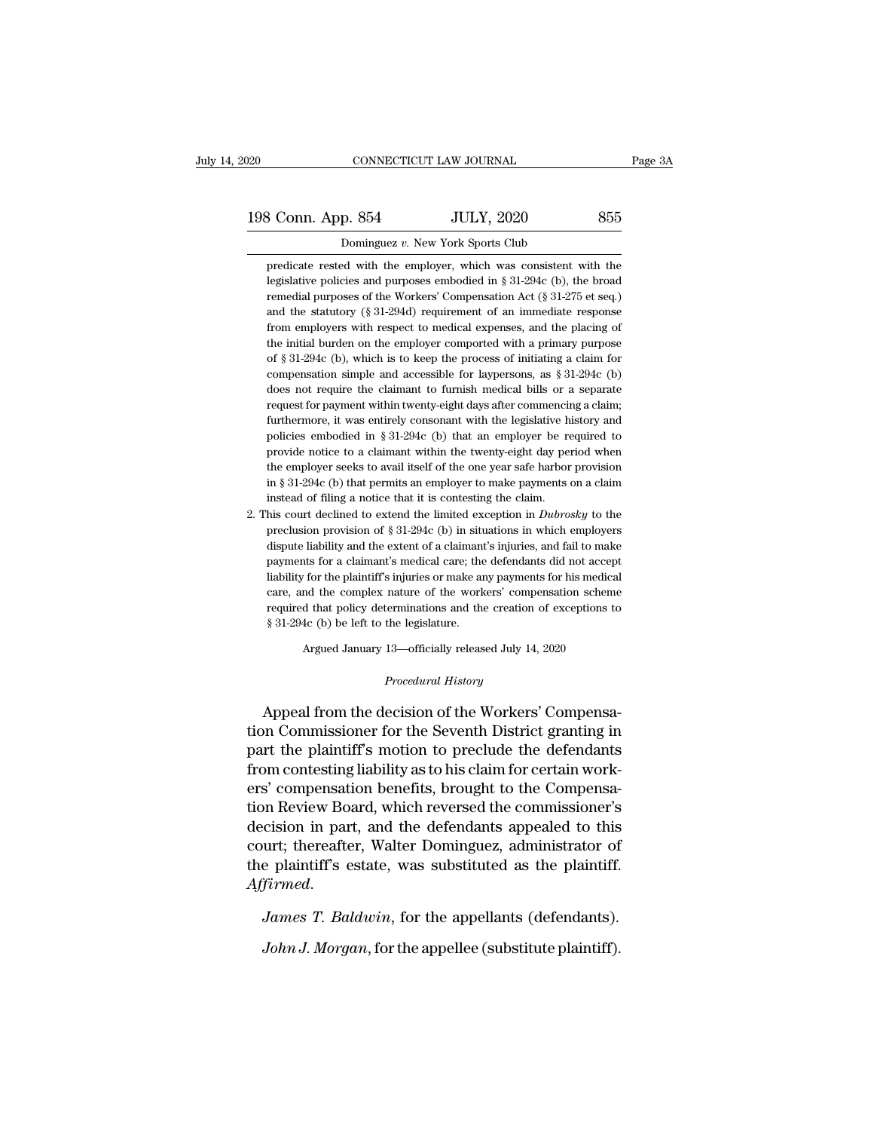| 020                | CONNECTICUT LAW JOURNAL                                           | Page 3A |
|--------------------|-------------------------------------------------------------------|---------|
| 198 Conn. App. 854 | <b>JULY, 2020</b>                                                 | 855     |
|                    | Dominguez v. New York Sports Club                                 |         |
|                    | predicate rested with the employer, which was consistent with the |         |

 $\begin{array}{ccc}\n\text{3 Conn. App. 854} & \text{JULY, } 2020 & \text{855} \\
\hline\n\text{ Dominquez } v. \text{ New York Sports Club} \\
\text{predicate reset with the employer, which was consistent with the\nlegislative policies and purposes embodied in § 31-294c (b), the broad\n}\n\end{array}$ legislative policies and purposes embodied in § 31-294c (b), the broad predicate rested with the employer, which was consistent with the legislative policies and purposes embodied in § 31-294c (b), the broad remedial purpo From Mapp. 854 JULY, 2020 855<br>Dominguez v. New York Sports Club<br>predicate rested with the employer, which was consistent with the<br>legislative policies and purposes embodied in § 31-294c (b), the broad<br>remedial purposes of Dominguez v. New York Sports Club<br>predicate rested with the employer, which was consistent with the<br>legislative policies and purposes embodied in § 31-294c (b), the broad<br>remedial purposes of the Workers' Compensation Act Dominguez v. New York Sports Club<br>predicate rested with the employer, which was consistent with the<br>legislative policies and purposes embodied in § 31-294c (b), the broad<br>remedial purposes of the Workers' Compensation Act predicate rested with the employer, which was consistent with the legislative policies and purposes embodied in  $\S 31-294c$  (b), the broad remedial purposes of the Workers' Compensation Act ( $\S 31-275$  et seq.) and the st legislative policies and purposes embodied in § 31-294c (b), the broad<br>remedial purposes of the Workers' Compensation Act (§ 31-275 et seq.)<br>and the statutory (§ 31-294d) requirement of an immediate response<br>from employer remedial purposes of the Workers' Compensation Act (§ 31-275 et seq.) and the statutory (§ 31-294d) requirement of an immediate response from employers with respect to medical expenses, and the placing of the initial burd and the statutory (§ 31-294d) requirement of an immediate response<br>from employers with respect to medical expenses, and the placing of<br>the initial burden on the employer comported with a primary purpose<br>of § 31-294c (b), from employers with respect to medical expenses, and the placing of the initial burden on the employer comported with a primary purpose of § 31-294c (b), which is to keep the process of initiating a claim for compensation the initial burden on the employer comported with a primary purpose<br>of  $\S 31-294c$  (b), which is to keep the process of initiating a claim for<br>compensation simple and accessible for laypersons, as  $\S 31-294c$  (b)<br>does not of § 31-294c (b), which is to keep the process of initiating a claim for compensation simple and accessible for laypersons, as § 31-294c (b) does not require the claimant to furnish medical bills or a separate request for compensation simple and accessible for laypersons, as  $\S 31-294c$  (b) does not require the claimant to furnish medical bills or a separate request for payment within twenty-eight days after commencing a claim; furthermore does not require the claimant to furnish medical bills or a separate request for payment within twenty-eight days after commencing a claim; furthermore, it was entirely consonant with the legislative history and policies e request for payment within twenty-eight days after commencing a claim;<br>furthermore, it was entirely consonant with the legislative history and<br>policies embodied in § 31-294c (b) that an employer be required to<br>provide noti furthermore, it was entirely consonant with the legislative history and<br>policies embodied in § 31-294c (b) that an employer be required to<br>provide notice to a claimant within the twenty-eight day period when<br>the employer policies embodied in § 31-294c (b) that an employer be required to provide notice to a claimant within the twenty-eight day period when the employer seeks to avail itself of the one year safe harbor provision in § 31-294c provide notice to a claimant within the twenty-eight day period when<br>the employer seeks to avail itself of the one year safe harbor provision<br>in § 31-294c (b) that permits an employer to make payments on a claim<br>instead o

the employer seeks to avail itself of the one year safe harbor provision<br>in § 31-294c (b) that permits an employer to make payments on a claim<br>instead of filing a notice that it is contesting the claim.<br>his court declined in § 31-294c (b) that permits an employer to make payments on a claim<br>instead of filing a notice that it is contesting the claim.<br>his court declined to extend the limited exception in *Dubrosky* to the<br>preclusion provisio instead of filing a notice that it is contesting the claim.<br>
his court declined to extend the limited exception in *Dubrosky* to the<br>
preclusion provision of § 31-294c (b) in situations in which employers<br>
dispute liabili his court declined to extend the limited exception in *Dubrosky* to the preclusion provision of  $\S 31-294c$  (b) in situations in which employers dispute liability and the extent of a claimant's injuries, and fail to make preclusion provision of  $\S$  31-294c (b) in situations in which employers dispute liability and the extent of a claimant's injuries, and fail to make payments for a claimant's medical care; the defendants did not accept li dispute liability and the extent of a claimant's injuries, and fail to make<br>payments for a claimant's medical care; the defendants did not accept<br>liability for the plaintiff's injuries or make any payments for his medical Argued January 13—officially released July 14, 2020<br>Argued January 13—officially released July 14, 2020<br>Argued January 13—officially released July 14, 2020 *Procedural History*<br> *Procedural History*<br> **Procedural History**<br> **Procedural History** 

East, and the complex haddle of the Workers' Compensation scheme<br>required that policy determinations and the creation of exceptions to<br>\$31-294c (b) be left to the legislature.<br>Argued January 13—officially released July 14, Sales 31-294c (b) be left to the legislature.<br>
Argued January 13—officially released July 14, 2020<br>
Procedural History<br>
Appeal from the decision of the Workers' Compensa-<br>
tion Commissioner for the Seventh District grantin Argued January 13—officially released July 14, 2020<br> *Procedural History*<br>
Appeal from the decision of the Workers' Compensa-<br>
tion Commissioner for the Seventh District granting in<br>
part the plaintiff's motion to preclude Frocedural History<br>
Procedural History<br>
Appeal from the decision of the Workers' Compensa-<br>
tion Commissioner for the Seventh District granting in<br>
part the plaintiff's motion to preclude the defendants<br>
from contesting li *Procedural History*<br>Appeal from the decision of the Workers' Compensa-<br>tion Commissioner for the Seventh District granting in<br>part the plaintiff's motion to preclude the defendants<br>from contesting liability as to his clai Appeal from the decision of the Workers' Compensation Commissioner for the Seventh District granting in part the plaintiff's motion to preclude the defendants from contesting liability as to his claim for certain workers' Appeal from the decision of the Workers' Compensa-<br>tion Commissioner for the Seventh District granting in<br>part the plaintiff's motion to preclude the defendants<br>from contesting liability as to his claim for certain work-<br>e tion Commissioner for the Seventh District granting in<br>part the plaintiff's motion to preclude the defendants<br>from contesting liability as to his claim for certain work-<br>ers' compensation benefits, brought to the Compensapart the plaintiff's motion to preclude the defendants<br>from contesting liability as to his claim for certain work-<br>ers' compensation benefits, brought to the Compensa-<br>tion Review Board, which reversed the commissioner's<br>d *Affirmed. James T. Baldwin*, for the appellants appealed to this court; thereafter, Walter Dominguez, administrator of the plaintiff's estate, was substituted as the plaintiff.<br>Affirmed. James T. Baldwin, for the appell Lession in part, and the detendants appeared to this<br>urt; thereafter, Walter Dominguez, administrator of<br>e plaintiff's estate, was substituted as the plaintiff.<br>*James T. Baldwin*, for the appellants (defendants).<br>John J.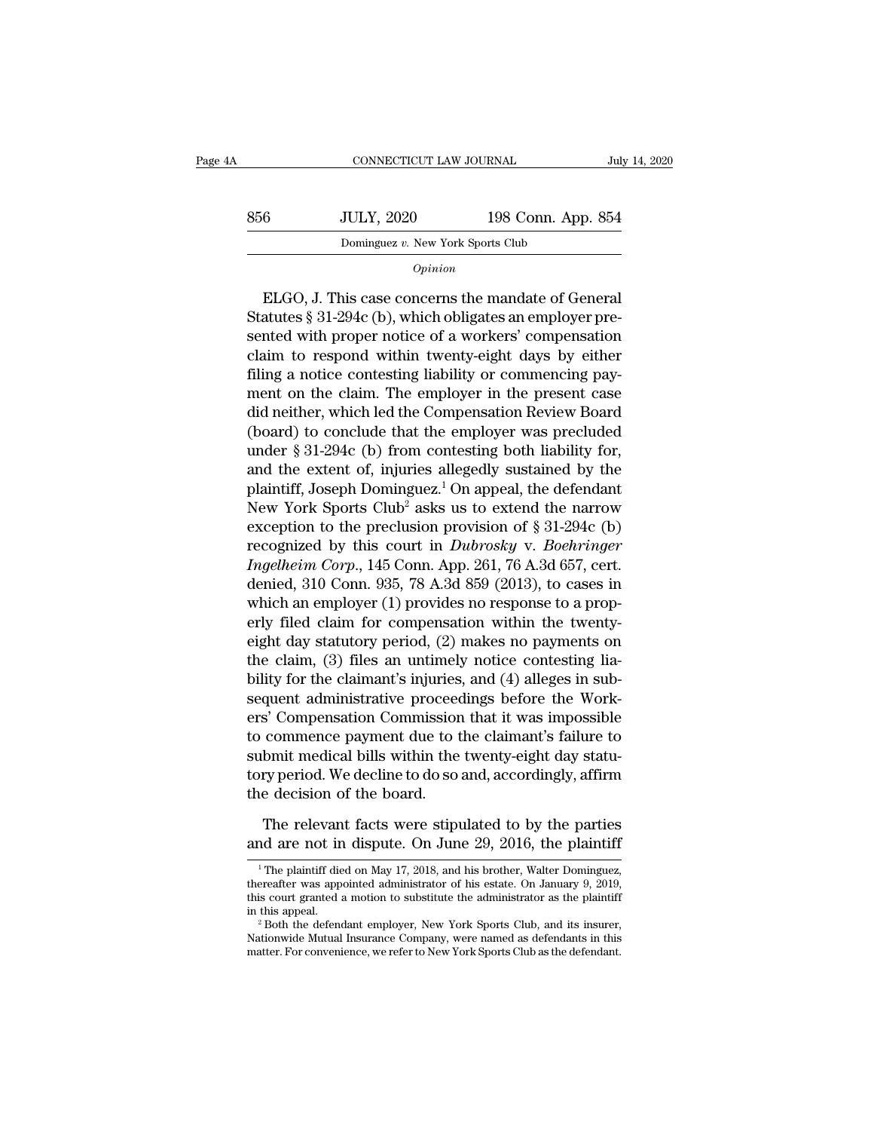|     |                                   | CONNECTICUT LAW JOURNAL | July 14, 2020 |
|-----|-----------------------------------|-------------------------|---------------|
| 856 | <b>JULY, 2020</b>                 | 198 Conn. App. 854      |               |
|     | Dominguez v. New York Sports Club |                         |               |
|     | Opinion                           |                         |               |

Statutes § 31-294c (b), which obligates an employer pre-<br>
Statutes § 31-294c (b), which obligates an employer pre-<br>
Statutes § 31-294c (b), which obligates an employer pre-<br>
Statutes § 31-294c (b), which obligates an emplo Send  $\overline{JUL1}$ , 2020 198 Coffli. App. 894<br>
Dominguez v. New York Sports Club<br>  $\overline{Opinion}$ <br>
ELGO, J. This case concerns the mandate of General<br>
Statutes § 31-294c (b), which obligates an employer pre-<br>
sented with proper n Dominguez v. New York Sports Club<br> *Opinion*<br>
ELGO, J. This case concerns the mandate of General<br>
Statutes § 31-294c (b), which obligates an employer pre-<br>
sented with proper notice of a workers' compensation<br>
claim to res *Opinion*<br>ELGO, J. This case concerns the mandate of General<br>Statutes § 31-294c (b), which obligates an employer pre-<br>sented with proper notice of a workers' compensation<br>claim to respond within twenty-eight days by either ELGO, J. This case concerns the mandate of General<br>Statutes § 31-294c (b), which obligates an employer pre-<br>sented with proper notice of a workers' compensation<br>claim to respond within twenty-eight days by either<br>filing a ELGO, J. This case concerns the mandate of General<br>Statutes § 31-294c (b), which obligates an employer pre-<br>sented with proper notice of a workers' compensation<br>claim to respond within twenty-eight days by either<br>filing a Statutes § 31-294c (b), which obligates an employer presented with proper notice of a workers' compensation<br>claim to respond within twenty-eight days by either<br>filing a notice contesting liability or commencing pay-<br>ment sented with proper notice of a workers' compensation<br>claim to respond within twenty-eight days by either<br>filing a notice contesting liability or commencing pay-<br>ment on the claim. The employer in the present case<br>did neith claim to respond within twenty-eight days by either<br>filing a notice contesting liability or commencing pay-<br>ment on the claim. The employer in the present case<br>did neither, which led the Compensation Review Board<br>(board) filing a notice contesting liability or commencing pay-<br>ment on the claim. The employer in the present case<br>did neither, which led the Compensation Review Board<br>(board) to conclude that the employer was precluded<br>under § ment on the claim. The employer in the present case<br>did neither, which led the Compensation Review Board<br>(board) to conclude that the employer was precluded<br>under § 31-294c (b) from contesting both liability for,<br>and the did neither, which led the Compensation Review Board<br>(board) to conclude that the employer was precluded<br>under § 31-294c (b) from contesting both liability for,<br>and the extent of, injuries allegedly sustained by the<br>plain (board) to conclude that the employer was precluded<br>under § 31-294c (b) from contesting both liability for,<br>and the extent of, injuries allegedly sustained by the<br>plaintiff, Joseph Dominguez.<sup>1</sup> On appeal, the defendant<br>N under § 31-294c (b) from contesting both liability for,<br>and the extent of, injuries allegedly sustained by the<br>plaintiff, Joseph Dominguez.<sup>1</sup> On appeal, the defendant<br>New York Sports Club<sup>2</sup> asks us to extend the narrow<br>e and the extent of, injuries allegedly sustained by the<br>plaintiff, Joseph Dominguez.<sup>1</sup> On appeal, the defendant<br>New York Sports Club<sup>2</sup> asks us to extend the narrow<br>exception to the preclusion provision of § 31-294c (b)<br>r plaintiff, Joseph Dominguez.<sup>1</sup> On appeal, the defendant<br>New York Sports Club<sup>2</sup> asks us to extend the narrow<br>exception to the preclusion provision of § 31-294c (b)<br>recognized by this court in *Dubrosky* v. *Boehringer*<br> New York Sports Club<sup>2</sup> asks us to extend the narrow<br>exception to the preclusion provision of § 31-294c (b)<br>recognized by this court in *Dubrosky* v. *Boehringer*<br>*Ingelheim Corp.*, 145 Conn. App. 261, 76 A.3d 657, cert.<br> exception to the preclusion provision of § 31-294c (b)<br>recognized by this court in *Dubrosky* v. *Boehringer*<br>*Ingelheim Corp.*, 145 Conn. App. 261, 76 A.3d 657, cert.<br>denied, 310 Conn. 935, 78 A.3d 859 (2013), to cases i recognized by this court in *Dubrosky* v. *Boehringer*<br>*Ingelheim Corp.*, 145 Conn. App. 261, 76 A.3d 657, cert.<br>denied, 310 Conn. 935, 78 A.3d 859 (2013), to cases in<br>which an employer (1) provides no response to a prop-Ingelheim Corp., 145 Conn. App. 261, 76 A.3d 657, cert.<br>denied, 310 Conn. 935, 78 A.3d 859 (2013), to cases in<br>which an employer (1) provides no response to a prop-<br>erly filed claim for compensation within the twenty-<br>eigh denied, 310 Conn. 935, 78 A.3d 859 (2013), to cases in<br>which an employer (1) provides no response to a prop-<br>erly filed claim for compensation within the twenty-<br>eight day statutory period, (2) makes no payments on<br>the cla which an employer (1) provides no response to a prop-<br>erly filed claim for compensation within the twenty-<br>eight day statutory period, (2) makes no payments on<br>the claim, (3) files an untimely notice contesting lia-<br>bility erly filed claim for compensation within the twenty-<br>eight day statutory period, (2) makes no payments on<br>the claim, (3) files an untimely notice contesting lia-<br>bility for the claimant's injuries, and (4) alleges in sub-<br> eight day statutory period, (2) makes no payments on<br>the claim, (3) files an untimely notice contesting lia-<br>bility for the claimant's injuries, and (4) alleges in sub-<br>sequent administrative proceedings before the Work-<br>e the claim, (3) files an untimely notice contesting liability for the claimant's injuries, and (4) alleges in subsequent administrative proceedings before the Workers' Compensation Commission that it was impossible to comme bility for the claimant's injuries<br>sequent administrative proceed<br>ers' Compensation Commissior<br>to commence payment due to t<br>submit medical bills within the<br>tory period. We decline to do so<br>the decision of the board.<br>The re The relevant facts were stipulated to by the plaintiff<br>data are not medical bills within the twenty-eight day statu-<br>ry period. We decline to do so and, accordingly, affirm<br>e decision of the board.<br>The relevant facts were to commence payment due to the claimant's failure to<br>submit medical bills within the twenty-eight day statu-<br>tory period. We decline to do so and, accordingly, affirm<br>the decision of the board.<br>The relevant facts were sti

1 The relevant facts were stipulated to by the parties<br>
20 are not in dispute. On June 29, 2016, the plaintiff<br>
1<sup>1</sup> The plaintiff died on May 17, 2018, and his brother, Walter Dominguez,<br>
2019, erecater was appointed adm

The relevant facts were stipulated to by the parties<br>and are not in dispute. On June 29, 2016, the plaintiff<br><sup>1</sup>The plaintiff died on May 17, 2018, and his brother, Walter Dominguez,<br>thereafter was appointed administrator The relevant facts were stipulated to by the parties<br>and are not in dispute. On June 29, 2016, the plaintiff<br> $\frac{1}{1}$  The plaintiff died on May 17, 2018, and his brother, Walter Dominguez,<br>thereafter was appointed admini The refevant racts were supulated to by the parties<br>and are not in dispute. On June 29, 2016, the plaintiff<br> $\frac{1}{1}$  The plaintiff died on May 17, 2018, and his brother, Walter Dominguez,<br>thereafter was appointed adminis <sup>1</sup> The plaintiff died on May 17, 2018, and his brother, Walter Dominguez, thereafter was appointed administrator of his estate. On January 9, 2019, this court granted a motion to substitute the administrator as the plain  $^1$  The plaintiff died on May 17, 2018, and his brother, Walter Dominguez, thereafter was appointed administrator of his estate. On January 9, 2019, this court granted a motion to substitute the administrator as the plai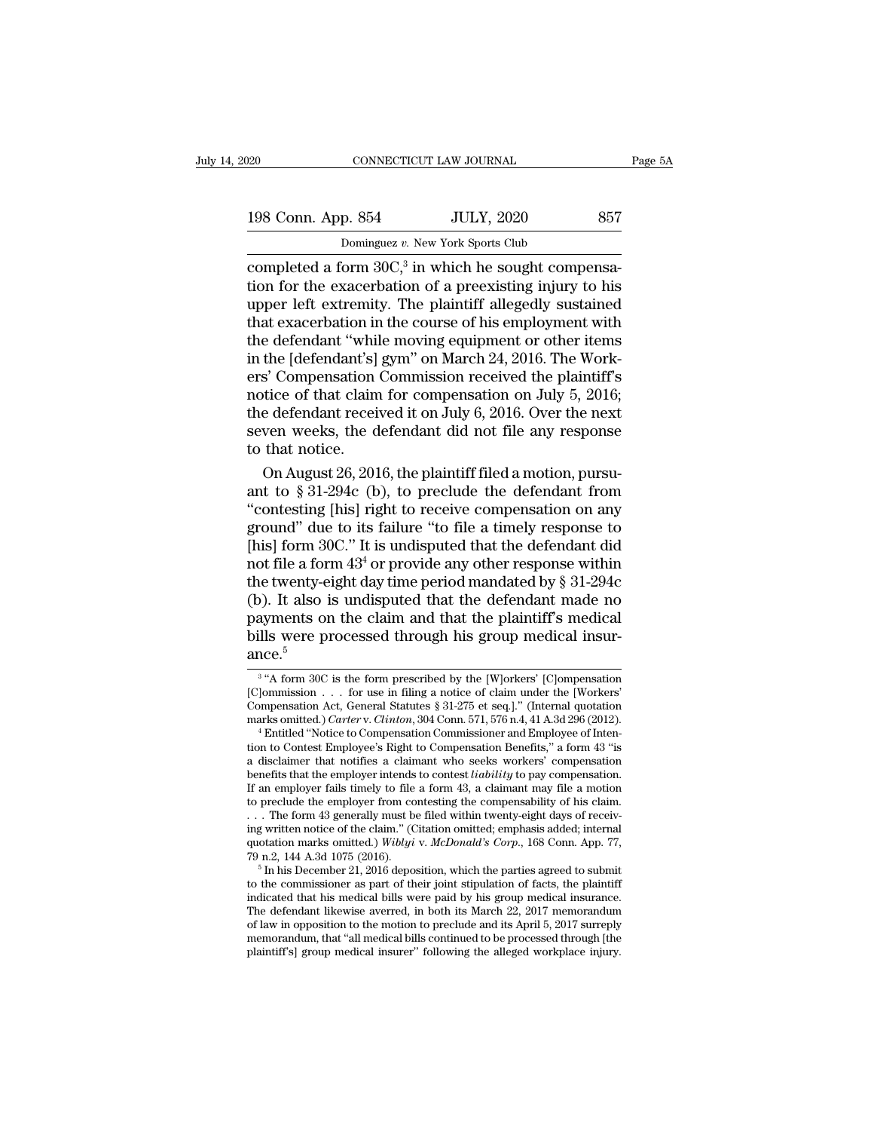| 020                | CONNECTICUT LAW JOURNAL                               | Page 5A |
|--------------------|-------------------------------------------------------|---------|
| 198 Conn. App. 854 | <b>JULY, 2020</b>                                     | 857     |
|                    | Dominguez v. New York Sports Club                     |         |
|                    | completed a form $30C13$ in which he sought compensa- |         |

 $\frac{198}{20}$  CONNECTICUT LA<br>  $\frac{198}{20}$  Conn. App. 854<br>  $\frac{198}{20}$  Cominguez v. New Youthous Completed a form  $30C$ ,<sup>3</sup> in wh<br>
tion for the exacerbation of a<br>
upper left extremity. The pla FRI CUT LAW JOURNAL<br>
IULY, 2020<br>
New York Sports Club<br>
in which he sought compensa-<br>
in of a preexisting injury to his<br>
he plaintiff allogodly sustained 198 Conn. App. 854 JULY, 2020 857<br>
Dominguez v. New York Sports Club<br>
completed a form  $30C$ ,<sup>3</sup> in which he sought compensa-<br>
tion for the exacerbation of a preexisting injury to his<br>
upper left extremity. The plaintiff 198 Conn. App. 854 JULY, 2020 857<br>
Dominguez v. New York Sports Club<br>
completed a form  $30C$ ,<sup>3</sup> in which he sought compensa-<br>
tion for the exacerbation of a preexisting injury to his<br>
upper left extremity. The plaintiff 198 Conn. App. 854 JULY, 2020 857<br>
Dominguez v. New York Sports Club<br>
completed a form 30C,<sup>3</sup> in which he sought compensa-<br>
tion for the exacerbation of a preexisting injury to his<br>
upper left extremity. The plaintiff al  $\frac{1}{\text{Dominguez } v. \text{ New York Sports Club}}$ <br>
completed a form 30C,<sup>3</sup> in which he sought compensa-<br>
tion for the exacerbation of a preexisting injury to his<br>
upper left extremity. The plaintiff allegedly sustained<br>
that exacerbation in the Dominguez v. New York Sports Club<br>
completed a form  $30C<sub>1</sub><sup>3</sup>$  in which he sought compensa-<br>
tion for the exacerbation of a preexisting injury to his<br>
upper left extremity. The plaintiff allegedly sustained<br>
that completed a form  $30C$ ,<sup>3</sup> in which he sought compensation for the exacerbation of a preexisting injury to his upper left extremity. The plaintiff allegedly sustained that exacerbation in the course of his employment with tion for the exacerbation of a preexisting injury to his<br>upper left extremity. The plaintiff allegedly sustained<br>that exacerbation in the course of his employment with<br>the defendant "while moving equipment or other items<br>i upper left extremity. The plaintiff allegedly sustained<br>that exacerbation in the course of his employment with<br>the defendant "while moving equipment or other items<br>in the [defendant's] gym" on March 24, 2016. The Work-<br>ers that exacerbation in the course of his employment with<br>the defendant "while moving equipment or other items<br>in the [defendant's] gym" on March 24, 2016. The Work-<br>ers' Compensation Commission received the plaintiff's<br>notic the defendant "while"<br>in the [defendant's]<br>ers' Compensation<br>notice of that claim<br>the defendant recei<br>seven weeks, the d<br>to that notice.<br>On August 26, 201 the [defendant's] gym" on March 24, 2016. The Work-<br>
S' Compensation Commission received the plaintiff's<br>
tice of that claim for compensation on July 5, 2016;<br>
e defendant received it on July 6, 2016. Over the next<br>
ven we ers' Compensation Commission received the plaintiff's<br>notice of that claim for compensation on July 5, 2016;<br>the defendant received it on July 6, 2016. Over the next<br>seven weeks, the defendant did not file any response<br>to

notice of that claim for compensation on July 5, 2016;<br>the defendant received it on July 6, 2016. Over the next<br>seven weeks, the defendant did not file any response<br>to that notice.<br>On August 26, 2016, the plaintiff filed a the defendant received it on July 6, 2016. Over the next<br>seven weeks, the defendant did not file any response<br>to that notice.<br>On August 26, 2016, the plaintiff filed a motion, pursu-<br>ant to § 31-294c (b), to preclude the seven weeks, the defendant did not file any response<br>to that notice.<br>On August 26, 2016, the plaintiff filed a motion, pursu-<br>ant to § 31-294c (b), to preclude the defendant from<br>"contesting [his] right to receive compens to that notice.<br>
On August 26, 2016, the plaintiff filed a motion, pursu-<br>
ant to § 31-294c (b), to preclude the defendant from<br>
"contesting [his] right to receive compensation on any<br>
ground" due to its failure "to file On August 26, 2016, the plaintiff filed a motion, pursu-<br>ant to § 31-294c (b), to preclude the defendant from<br>"contesting [his] right to receive compensation on any<br>ground" due to its failure "to file a timely response to ant to  $\S 31-294c$  (b), to preclude the defendant from<br>"contesting [his] right to receive compensation on any<br>ground" due to its failure "to file a timely response to<br>[his] form 30C." It is undisputed that the defendant d "contesting [his] right to receive compensation on any<br>ground" due to its failure "to file a timely response to<br>[his] form 30C." It is undisputed that the defendant did<br>not file a form  $43^4$  or provide any other response ground" due to its failure "to file a timely response to<br>[his] form 30C." It is undisputed that the defendant did<br>not file a form  $43^4$  or provide any other response within<br>the twenty-eight day time period mandated by  $\S$ ance.<sup>5</sup> bills were processed through his group medical insur-<br>ance.<sup>5</sup><br> $\frac{3 \text{ u} \cdot \text{A form 30C is the form prescribed by the [W]orkers' [C]ompensation [C]ommission . . . for use in filing a notice of claim under the [Workers']\n\n
$$
[W] = \frac{1}{2} \sum_{n=0}^{\infty} \frac{1}{n^2} \sum_{n=0}^{\infty} \frac{1}{n^2} \sum_{n=0}^{\infty} \frac{1}{n^2} \sum_{n=0}^{\infty} \
$$$ payments on the claim and that the plaintiff's medical<br>bills were processed through his group medical insur-<br>ance.<sup>5</sup><br> $\frac{3}{10}$  "A form 30C is the form prescribed by the [W]orkers' [C]ompensation<br>[C]ommission . . . for u

<sup>&</sup>lt;sup>3</sup> "A form 30C is the form prescribed by the [W]orkers' [C]ompensation payments of the etail and that the plaintiff 5 includes<br>bills were processed through his group medical insur-<br>ance.<sup>5</sup><br> $\frac{3}{4}$  A form 30C is the form prescribed by the [W]orkers' [C]ompensation<br>[C]ommission . . . for us bills were processed through his group medical insur-<br>ance.<sup>5</sup><br><sup>3</sup> "A form 30C is the form prescribed by the [W]orkers' [C]ompensation<br>[C]ommission . . . for use in filing a notice of claim under the [Workers'<br>Compensation <sup>3</sup> "A form 30C is the form prescribed by the [W]orkers' [C]ompensation [C]ommission . . . for use in filing a notice of claim under the [Workers' Compensation Act, General Statutes § 31-275 et seq.]." (Internal quotation

<sup>&</sup>lt;sup>3</sup> "A form 30C is the form prescribed by the [W]orkers' [C]ompensation [C]ommission . . . for use in filing a notice of claim under the [Workers' Compensation Act, General Statutes § 31-275 et seq.]." (Internal quotation [C]ommission . . . for use in filing a notice of claim under the [Workers'<br>Compensation Act, General Statutes § 31-275 et seq.]." (Internal quotation<br>marks omitted.) *Carter* v. *Clinton*, 304 Conn. 571, 576 n.4, 41 A.3d 2 Compensation Act, General Statutes § 31-275 et seq.]." (Internal quotation marks omitted.) *Carter* v. *Clinton*, 304 Conn. 571, 576 n.4, 41 A.3d 296 (2012).<br>
<sup>4</sup> Entitled "Notice to Compensation Commissioner and Employee marks omitted.) *Carter* v. *Clinton*, 304 Conn. 571, 576 n.4, 41 A.3d 296 (2012).<br>
<sup>4</sup> Entitled "Notice to Compensation Commissioner and Employee of Intention to Contest Employee's Right to Compensation Benefits," a form <sup>4</sup> Entitled "Notice to Compensation Commissioner and Employee of Intention to Contest Employee's Right to Compensation Benefits," a form 43 "is a disclaimer that notifies a claimant who seeks workers' compensation benefi tion to Contest Employee's Right to Compensation Benefits," a form 43 "is<br>a disclaimer that notifies a claimant who seeks workers' compensation<br>benefits that the employer intends to contest *liability* to pay compensation a disclaimer that notifies a claimant who seeks workers' compensation<br>benefits that the employer intends to contest *liability* to pay compensation.<br>If an employer fails timely to file a form 43, a claimant may file a moti benefits that the employer intends to contest *liability* to pay compensation.<br>If an employer fails timely to file a form 43, a claimant may file a motion<br>to preclude the employer from contesting the compensability of his to preclude the employer from contesting the compensability of his claim.<br>
... The form 43 generally must be filed within twenty-eight days of receiving written notice of the claim." (Citation omitted; emphasis added; int

ing written notice of the claim." (Citation omitted; emphasis added; internal quotation marks omitted.) Wiblyi v. McDonald's Corp., 168 Conn. App. 77, 79 n.2, 144 A.3d 1075 (2016).<br>
<sup>5</sup> In his December 21, 2016 deposition ing written notice of the claim." (Citation omitted; emphasis added; internal quotation marks omitted.) Wiblyi v. McDonald's Corp., 168 Conn. App. 77, 79 n.2, 144 A.3d 1075 (2016).<br>
<sup>5</sup> In his December 21, 2016 deposition quotation marks omitted.) Wiblyi v. McDonald's Corp., 168 Conn. App. 77,<br>
79 n.2, 144 A.3d 1075 (2016).<br>
<sup>5</sup> In his December 21, 2016 deposition, which the parties agreed to submit<br>
to the commissioner as part of their jo 79 n.2, 144 A.3d 1075 (2016).<br>
<sup>5</sup> In his December 21, 2016 deposition, which the parties agreed to submit<br>
to the commissioner as part of their joint stipulation of facts, the plaintiff<br>
indicated that his medical bills to the commissioner as part of their joint stipulation of facts, the plaintiff indicated that his medical bills were paid by his group medical insurance. The defendant likewise averred, in both its March 22, 2017 memorandu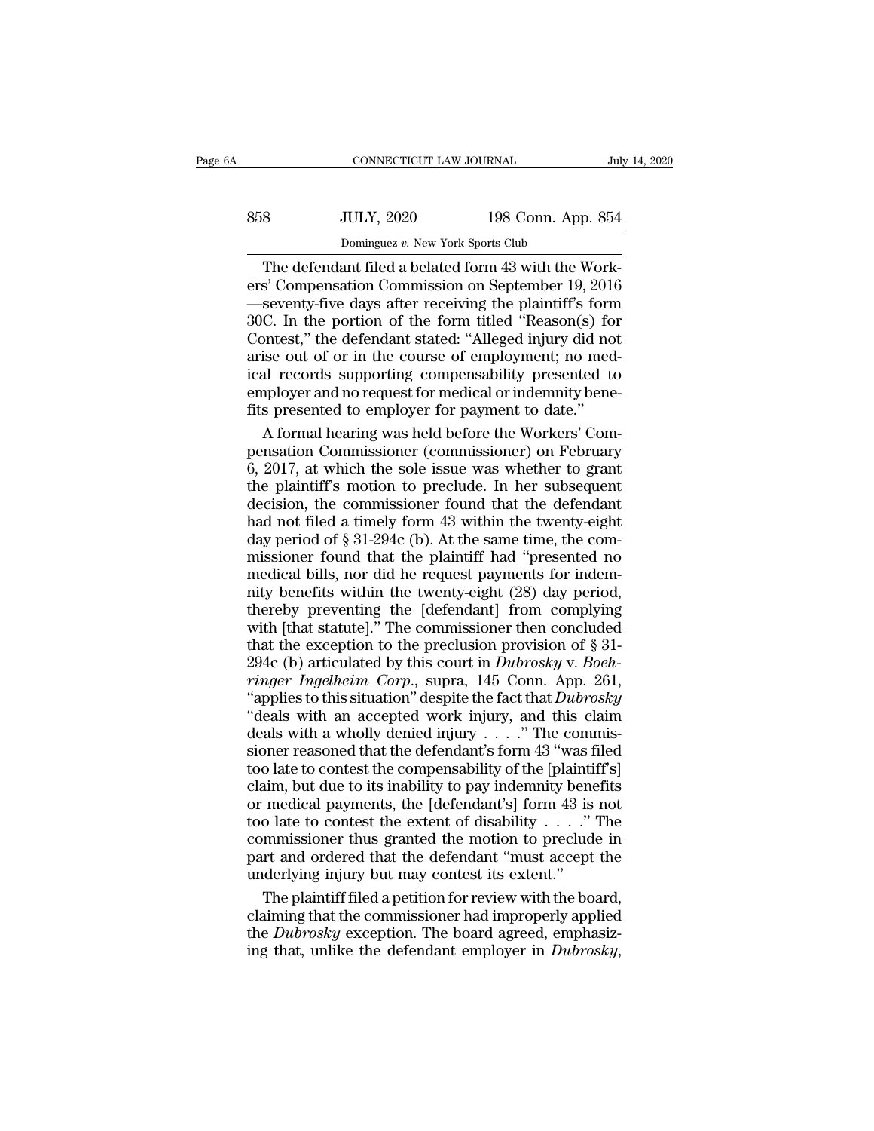| jΑ  | CONNECTICUT LAW JOURNAL                              |                    | July 14, 2020 |
|-----|------------------------------------------------------|--------------------|---------------|
| 858 | <b>JULY, 2020</b>                                    | 198 Conn. App. 854 |               |
|     | Dominguez v. New York Sports Club                    |                    |               |
|     | The defendant filed a belated form 43 with the Work- |                    |               |

CONNECTICUT LAW JOURNAL<br>
30 JULY, 2020 198 Conn. App. 854<br>
Dominguez v. New York Sports Club<br>
The defendant filed a belated form 43 with the Work-<br>
S' Compensation Commission on September 19, 2016<br>
Seventy-five days after erstep March 2020<br>
Elementary 2020<br>
Compensation Commission on September 19, 2016<br>
Seventy-five days after receiving the plaintiff's form<br>
Seventy-five days after receiving the plaintiff's form<br>
The nortion of the form tit  $\frac{\text{358}}{\text{Dominguez } v. \text{ New York Sports Club}}$ <br>
The defendant filed a belated form 43 with the Work-<br>
ers' Compensation Commission on September 19, 2016<br>
—seventy-five days after receiving the plaintiff's form<br>
30C. In the portion of the f 358 JULY, 2020 198 Conn. App. 854<br>
Dominguez v. New York Sports Club<br>
The defendant filed a belated form 43 with the Work-<br>
ers' Compensation Commission on September 19, 2016<br>
—seventy-five days after receiving the plaint Dominguez v. New York Sports Club<br>
The defendant filed a belated form 43 with the Work-<br>
ers' Compensation Commission on September 19, 2016<br>
—seventy-five days after receiving the plaintiff's form<br>
30C. In the portion of Dominguez v. New York Sports Club<br>The defendant filed a belated form 43 with the Work-<br>ers' Compensation Commission on September 19, 2016<br>—seventy-five days after receiving the plaintiff's form<br>30C. In the portion of the The defendant filed a belated form 43 with the Work-<br>ers' Compensation Commission on September 19, 2016<br>—seventy-five days after receiving the plaintiff's form<br>30C. In the portion of the form titled "Reason(s) for<br>Contest, ers' Compensation Commission on September 19, 2016<br>—seventy-five days after receiving the plaintiff's form<br>30C. In the portion of the form titled "Reason(s) for<br>Contest," the defendant stated: "Alleged injury did not<br>arise —seventy-five days after receiving the plaintiff's form 30C. In the portion of the form titled "Reason(s) fo Contest," the defendant stated: "Alleged injury did no arise out of or in the course of employment; no medical re C. In the portion of the form titled "Reason(s) for<br>ontest," the defendant stated: "Alleged injury did not<br>ise out of or in the course of employment; no med-<br>al records supporting compensability presented to<br>pployer and no Contest," the defendant stated: "Alleged injury did not<br>arise out of or in the course of employment; no med-<br>ical records supporting compensability presented to<br>employer and no request for medical or indemnity bene-<br>fits p

arise out of or in the course of employment; no medical records supporting compensability presented to employer and no request for medical or indemnity bene-<br>fits presented to employer for payment to date."<br>A formal hearin ical records supporting compensability presented to<br>employer and no request for medical or indemnity bene-<br>fits presented to employer for payment to date."<br>A formal hearing was held before the Workers' Com-<br>pensation Commi employer and no request for medical or indemnity bene-<br>fits presented to employer for payment to date."<br>A formal hearing was held before the Workers' Com-<br>pensation Commissioner (commissioner) on February<br>6, 2017, at which fits presented to employer for payment to date."<br>A formal hearing was held before the Workers' Compensation Commissioner (commissioner) on February<br>6, 2017, at which the sole issue was whether to grant<br>the plaintiff's moti A formal hearing was held before the Workers' Compensation Commissioner (commissioner) on February 6, 2017, at which the sole issue was whether to grant the plaintiff's motion to preclude. In her subsequent decision, the c pensation Commissioner (commissioner) on February<br>6, 2017, at which the sole issue was whether to grant<br>the plaintiff's motion to preclude. In her subsequent<br>decision, the commissioner found that the defendant<br>had not file 6, 2017, at which the sole issue was whether to grant<br>the plaintiff's motion to preclude. In her subsequent<br>decision, the commissioner found that the defendant<br>had not filed a timely form 43 within the twenty-eight<br>day pe be plaintiff's motion to preclude. In her subsequent<br>decision, the commissioner found that the defendant<br>had not filed a timely form 43 within the twenty-eight<br>day period of  $\S 31-294c$  (b). At the same time, the com-<br>mis the presence of previous that the defendant<br>decision, the commissioner found that the defendant<br>had not filed a timely form 43 within the twenty-eight<br>day period of § 31-294c (b). At the same time, the com-<br>missioner foun had not filed a timely form 43 within the twenty-eight<br>day period of § 31-294c (b). At the same time, the com-<br>missioner found that the plaintiff had "presented no<br>medical bills, nor did he request payments for indem-<br>nit that the exception of § 31-294c (b). At the same time, the commissioner found that the plaintiff had "presented no medical bills, nor did he request payments for indemnity benefits within the twenty-eight (28) day period, missioner found that the plaintiff had "presented no<br>medical bills, nor did he request payments for indem-<br>nity benefits within the twenty-eight (28) day period,<br>thereby preventing the [defendant] from complying<br>with [that *ringer Ingelheim Corp.*, supra, 145 Conn. App. 261, "applies to this situation" despite the fact that the exception to the preclusion provision of § 31-<br>294c (b) articulated by this court in *Dubrosky* v. *Boeh-<br>ringer In* moty benefits within the twenty-eight (28) day period,<br>thereby preventing the [defendant] from complying<br>with [that statute]." The commissioner then concluded<br>that the exception to the preclusion provision of § 31-<br>294c (b thereby preventing the [defendant] from complying<br>
with [that statute]." The commissioner then concluded<br>
that the exception to the preclusion provision of § 31-<br>
294c (b) articulated by this court in *Dubrosky* v. *Boeh*thereby preventing the [defendant] from complying<br>with [that statute]." The commissioner then concluded<br>that the exception to the preclusion provision of § 31-<br>294c (b) articulated by this court in *Dubrosky* v. *Boeh-*<br> that the exception to the preclusion provision of  $\S$  31-<br>294c (b) articulated by this court in *Dubrosky* v. *Boeh-<br>ringer Ingelheim Corp.*, supra, 145 Conn. App. 261,<br>"applies to this situation" despite the fact that *D* 294c (b) articulated by this court in *Dubrosky* v. *Boeh-<br>ringer Ingelheim Corp.*, supra, 145 Conn. App. 261,<br>"applies to this situation" despite the fact that *Dubrosky*<br>"deals with an accepted work injury, and this cla *Tinger Ingelheim Corp.*, supra, 145 Conn. App. 261,<br>
"applies to this situation" despite the fact that *Dubrosky*<br>
"deals with an accepted work injury, and this claim<br>
deals with a wholly denied injury . . . ." The commi Complete the fact that *Dubrosky*<br>
"applies to this situation" despite the fact that *Dubrosky*<br>
"deals with an accepted work injury, and this claim<br>
deals with a wholly denied injury . . . ." The commis-<br>
sioner reasoned "deals with an accepted work injury, and this claim<br>deals with a wholly denied injury . . . ." The commissioner reasoned that the defendant's form 43 "was filed<br>too late to contest the compensability of the [plaintiff's]<br> deals with a wholly denied injury . . . . " The commissioner reasoned that the defendant's form 43 "was filed too late to contest the compensability of the [plaintiff's] claim, but due to its inability to pay indemnity be sioner reasoned that the defendant's form 43 "was filed<br>too late to contest the compensability of the [plaintiff's]<br>claim, but due to its inability to pay indemnity benefits<br>or medical payments, the [defendant's] form 43 Example 12 and to contest the compensability of the [plaintin claim, but due to its inability to pay indemnity bend or medical payments, the [defendant's] form 43 is too late to contest the extent of disability . . . ."<br>co im, but due to its inability to pay indemnity benefits<br>medical payments, the [defendant's] form 43 is not<br>o late to contest the extent of disability  $\ldots$ ." The<br>mmissioner thus granted the motion to preclude in<br>rt and ord or medical payments, the [defendant's] form 43 is not<br>too late to contest the extent of disability . . . ." The<br>commissioner thus granted the motion to preclude in<br>part and ordered that the defendant "must accept the<br>unde

too late to contest the extent of disability . . . . ." The commissioner thus granted the motion to preclude in part and ordered that the defendant "must accept the underlying injury but may contest its extent." The plain commissioner thus granted the motion to preclude in part and ordered that the defendant "must accept the underlying injury but may contest its extent."<br>The plaintiff filed a petition for review with the board, claiming tha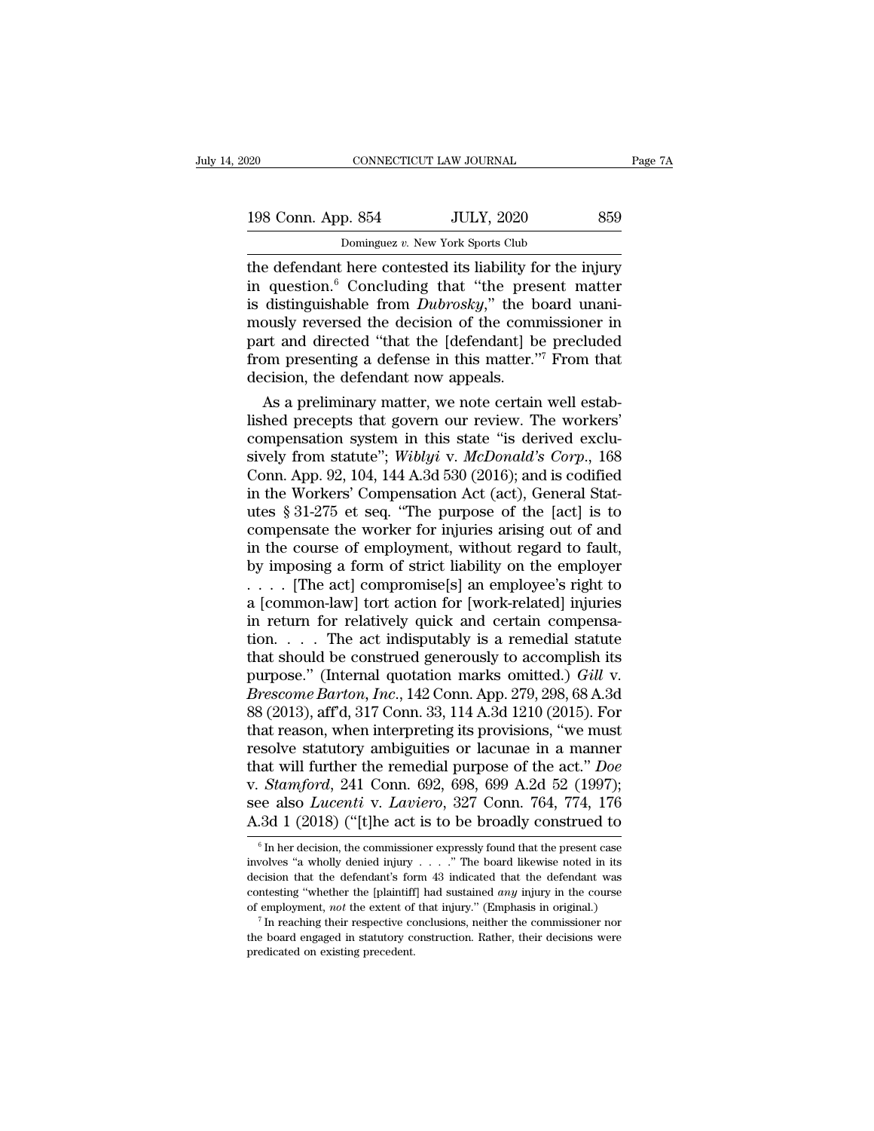| 020                | CONNECTICUT LAW JOURNAL                                                                                                                                                          | Page 7A |
|--------------------|----------------------------------------------------------------------------------------------------------------------------------------------------------------------------------|---------|
| 198 Conn. App. 854 | <b>JULY, 2020</b>                                                                                                                                                                | 859     |
|                    | Dominguez v. New York Sports Club                                                                                                                                                |         |
|                    | the defendant here contested its liability for the injury<br>in question. <sup>6</sup> Concluding that "the present matter"<br>is distinguishable from Dubrosku" the board uponi |         |

198 Conn. App. 854 JULY, 2020 859<br>
Dominguez v. New York Sports Club<br>
the defendant here contested its liability for the injury<br>
in question.<sup>6</sup> Concluding that "the present matter<br>
is distinguishable from *Dubrosky*," the 198 Conn. App. 854 JULY, 2020 859<br>
Dominguez v. New York Sports Club<br>
the defendant here contested its liability for the injury<br>
in question.<sup>6</sup> Concluding that "the present matter<br>
is distinguishable from *Dubrosky*," the 198 Conn. App. 854 JULY, 2020 859<br>
Dominguez v. New York Sports Club<br>
the defendant here contested its liability for the injury<br>
in question.<sup>6</sup> Concluding that "the present matter<br>
is distinguishable from *Dubrosky*," th Dominguez v. New York Sports Club<br>the defendant here contested its liability for the injury<br>in question.<sup>6</sup> Concluding that "the present matter<br>is distinguishable from *Dubrosky*," the board unani-<br>mously reversed the dec Dominguez v. New York Sports Club<br>the defendant here contested its liability for the injury<br>in question.<sup>6</sup> Concluding that "the present matter<br>is distinguishable from *Dubrosky*," the board unani-<br>mously reversed the dec the defendant here contested its liability for in question.<sup>6</sup> Concluding that "the press is distinguishable from *Dubrosky*," the b mously reversed the decision of the comment and directed "that the [defendant] b from pr question.<sup>9</sup> Concluding that "the present matter<br>distinguishable from *Dubrosky*," the board unani-<br>ously reversed the decision of the commissioner in<br>rt and directed "that the [defendant] be precluded<br>om presenting a def Is distinguishable from *Dubrosky*," the board unan-<br>mously reversed the decision of the commissioner in<br>part and directed "that the [defendant] be precluded<br>from presenting a defense in this matter."<sup>7</sup> From that<br>decisio

mously reversed the decision of the commissioner in<br>part and directed "that the [defendant] be precluded<br>from presenting a defense in this matter."<sup>7</sup> From that<br>decision, the defendant now appeals.<br>As a preliminary matter part and directed "that the [defendant] be precluded<br>from presenting a defense in this matter."<sup>7</sup> From that<br>decision, the defendant now appeals.<br>As a preliminary matter, we note certain well estab-<br>lished precepts that go from presenting a defense in this matter."<sup>7</sup> From that<br>decision, the defendant now appeals.<br>As a preliminary matter, we note certain well estab-<br>lished precepts that govern our review. The workers'<br>compensation system in decision, the detendant now appeals.<br>
As a preliminary matter, we note certain well estab-<br>
lished precepts that govern our review. The workers'<br>
compensation system in this state "is derived exclu-<br>
sively from statute"; As a preliminary matter, we note certain well established precepts that govern our review. The workers'<br>compensation system in this state "is derived exclu-<br>sively from statute"; *Wiblyi v. McDonald's Corp.*, 168<br>Conn. Ap lished precepts that govern our review. The workers'<br>compensation system in this state "is derived exclu-<br>sively from statute"; *Wiblyi v. McDonald's Corp.*, 168<br>Conn. App. 92, 104, 144 A.3d 530 (2016); and is codified<br>in compensation system in this state "is derived exclusively from statute"; *Wiblyi v. McDonald's Corp.*, 168<br>Conn. App. 92, 104, 144 A.3d 530 (2016); and is codified<br>in the Workers' Compensation Act (act), General Stat-<br>ute sively from statute"; *Wiblyi v. McDonald's Corp.*, 168<br>Conn. App. 92, 104, 144 A.3d 530 (2016); and is codified<br>in the Workers' Compensation Act (act), General Stat-<br>utes § 31-275 et seq. "The purpose of the [act] is to<br> Conn. App. 92, 104, 144 A.3d 530 (2016); and is codified<br>in the Workers' Compensation Act (act), General Stat-<br>utes § 31-275 et seq. "The purpose of the [act] is to<br>compensate the worker for injuries arising out of and<br>in in the Workers' Compensation Act (act), General Stat-<br>utes § 31-275 et seq. "The purpose of the [act] is to<br>compensate the worker for injuries arising out of and<br>in the course of employment, without regard to fault,<br>by im utes  $\S 31-275$  et seq. "The purpose of the [act] is to compensate the worker for injuries arising out of and in the course of employment, without regard to fault, by imposing a form of strict liability on the employer . compensate the worker for injuries arising out of and<br>in the course of employment, without regard to fault,<br>by imposing a form of strict liability on the employer<br> $\ldots$ . [The act] compromise[s] an employee's right to<br>a [c in the course of employment, without regard to fault,<br>by imposing a form of strict liability on the employer<br>.... [The act] compromise[s] an employee's right to<br>a [common-law] tort action for [work-related] injuries<br>in re by imposing a form of strict liability on the employer<br>
..... [The act] compromise[s] an employee's right to<br>
a [common-law] tort action for [work-related] injuries<br>
in return for relatively quick and certain compensa-<br>
ti *Breach* Compromise[s] an employee's right to<br>
a [common-law] tort action for [work-related] injuries<br>
in return for relatively quick and certain compensa-<br>
tion. . . . The act indisputably is a remedial statute<br>
that shou a [common-law] tort action for [work-related] injuries<br>in return for relatively quick and certain compensa-<br>tion. . . . The act indisputably is a remedial statute<br>that should be construed generously to accomplish its<br>purp in return for relatively quick and certain compensa-<br>tion. . . . The act indisputably is a remedial statute<br>that should be construed generously to accomplish its<br>purpose." (Internal quotation marks omitted.) *Gill v.*<br>*Br* tion. . . . The act indisputably is a remedial statute<br>that should be construed generously to accomplish its<br>purpose." (Internal quotation marks omitted.) *Gill v.*<br>*Brescome Barton, Inc.,* 142 Conn. App. 279, 298, 68 A.3 that should be construed generously to accomplish its<br>purpose." (Internal quotation marks omitted.) *Gill v.*<br>*Brescome Barton, Inc.*, 142 Conn. App. 279, 298, 68 A.3d<br>88 (2013), aff'd, 317 Conn. 33, 114 A.3d 1210 (2015). purpose." (Internal quotation marks omitted.) *Gill v.*<br>*Brescome Barton, Inc.,* 142 Conn. App. 279, 298, 68 A.3d<br>88 (2013), aff'd, 317 Conn. 33, 114 A.3d 1210 (2015). For<br>that reason, when interpreting its provisions, "we Brescome Barton, *Inc.*, 142 Conn. App. 279, 298, 68 A.3d<br>88 (2013), aff'd, 317 Conn. 33, 114 A.3d 1210 (2015). For<br>that reason, when interpreting its provisions, "we must<br>resolve statutory ambiguities or lacunae in a mann 88 (2013), aff'd, 317 Conn. 33, 114 A.3d 1210 (2015). For<br>that reason, when interpreting its provisions, "we must<br>resolve statutory ambiguities or lacunae in a manner<br>that will further the remedial purpose of the act." *D* at will further the remedial purpose of the act." *Doe*<br> *Stamford*, 241 Conn. 692, 698, 699 A.2d 52 (1997);<br>
ee also *Lucenti* v. *Laviero*, 327 Conn. 764, 774, 176<br>  $-3d$  1 (2018) ("[t]he act is to be broadly construed v. *Stamford*, 241 Conn. 692, 698, 699 A.2d 52 (1997);<br>see also *Lucenti* v. *Laviero*, 327 Conn. 764, 774, 176<br>A.3d 1 (2018) ("[t]he act is to be broadly construed to<br> $\frac{1}{6}$  In her decision, the commissioner expressly

see also *Lucenti* v. *Laviero*, 327 Conn. 764, 774, 176<br>A.3d 1 (2018) ("[t]he act is to be broadly construed to<br> $\frac{1}{6}$  In her decision, the commissioner expressly found that the present case<br>involves "a wholly denied A.3d 1 (2018) ("[t]he act is to be broadly construed to<br>  $\overline{\phantom{a}}$  on her decision, the commissioner expressly found that the present case<br>
involves "a wholly denied injury . . . . . " The board likewise noted in its<br>
d involves "a wholly denied injury . . . . . " The board likewise noted in its decision that the defendant's form 43 indicated that the defendant was contesting "whether the [plaintiff] had sustained *any* injury in the cou <sup>6</sup> In her decision, the commissioner expressly found that the present case involves "a wholly denied injury . . . ." The board likewise noted in its decision that the defendant's form 43 indicated that the defendant was involves "a wholly denied injury . . . ." The board likewise noted in its decision that the defendant's form 43 indicated that the defendant was contesting "whether the [plaintiff] had sustained *any* injury in the course contesting "whether the [plaintiff] had sustained any injury in the course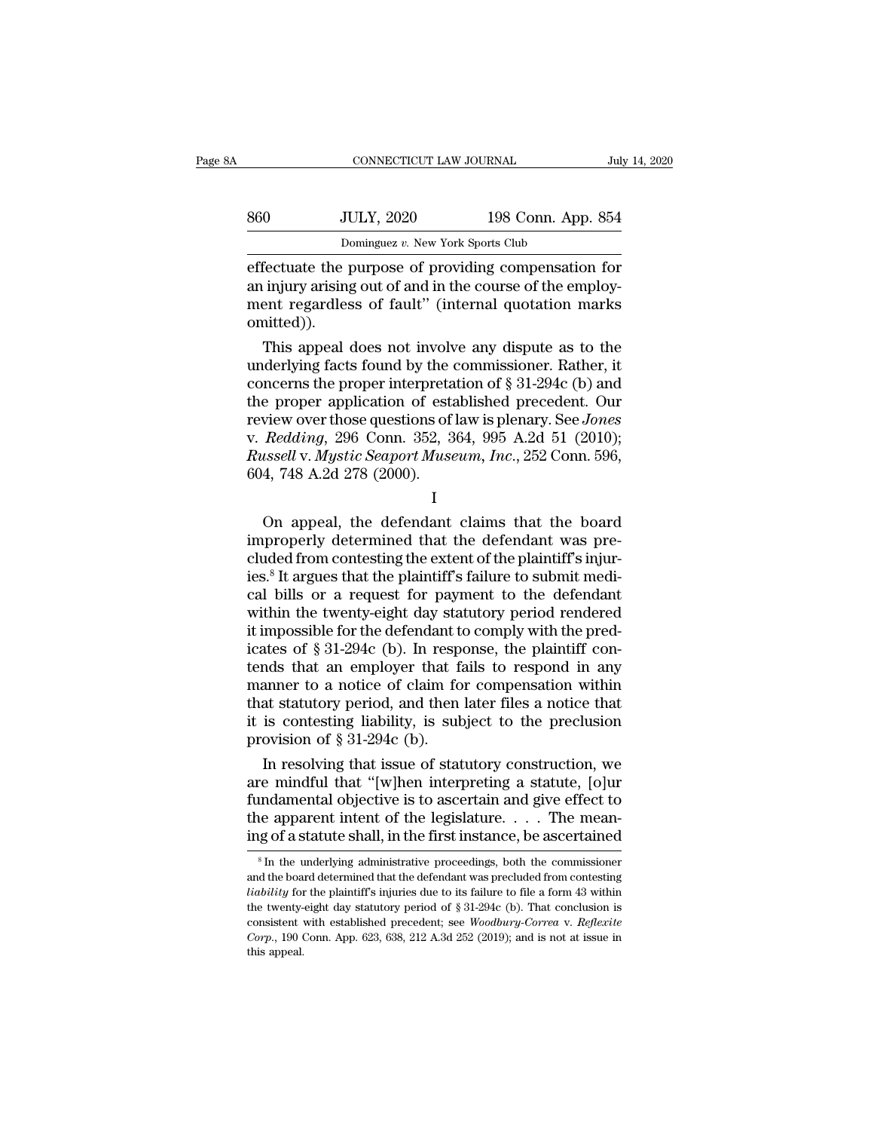|     | CONNECTICUT LAW JOURNAL                              |                    | July 14, 2020 |
|-----|------------------------------------------------------|--------------------|---------------|
| 860 | <b>JULY, 2020</b>                                    | 198 Conn. App. 854 |               |
|     | Dominguez v. New York Sports Club                    |                    |               |
|     | effectuate the nurnose of providing compensation for |                    |               |

EXECUTE CONNECTICUT LAW JOURNAL July 14, 2020<br>
S60 JULY, 2020 198 Conn. App. 854<br>
Dominguez v. New York Sports Club<br>
Effectuate the purpose of providing compensation for<br>
an injury arising out of and in the course of the e an injury arising out of and in the course of providing compensation for an injury arising out of and in the course of the employ-<br>and in the course of the employ-<br>ment regardless of fault" (internal quotation marks omitte  $\frac{\text{560}}{\text{Dominguez } v. \text{ New York Sports Club}}$ <br>Dominguez v. New York Sports Club<br>effectuate the purpose of providing compensation for<br>an injury arising out of and in the course of the employ-<br>ment regardless of fault'' (internal quotation omitted)). Dominguez v. New York Sports Club<br>
fectuate the purpose of providing compensation for<br>
injury arising out of and in the course of the employ-<br>
ent regardless of fault" (internal quotation marks<br>
inited)).<br>
This appeal doe Estate of providing compensation for<br>an injury arising out of and in the course of the employ-<br>ment regardless of fault" (internal quotation marks<br>omitted)).<br>This appeal does not involve any dispute as to the<br>underlying fa

effectuate the purpose of providing compensation for<br>an injury arising out of and in the course of the employ-<br>ment regardless of fault" (internal quotation marks<br>omitted)).<br>This appeal does not involve any dispute as to t an injury arising out of and in the course of the employ-<br>ment regardless of fault" (internal quotation marks<br>omitted)).<br>This appeal does not involve any dispute as to the<br>underlying facts found by the commissioner. Rathe ment regardless of fault" (internal quotation marks<br>omitted)).<br>This appeal does not involve any dispute as to the<br>underlying facts found by the commissioner. Rather, it<br>concerns the proper interpretation of § 31-294c (b) a omitted)).<br>
This appeal does not involve any dispute as to the<br>
underlying facts found by the commissioner. Rather, it<br>
concerns the proper interpretation of § 31-294c (b) and<br>
the proper application of established precede This appeal does not involve any dispute as to the<br>underlying facts found by the commissioner. Rather, it<br>concerns the proper interpretation of § 31-294c (b) and<br>the proper application of established precedent. Our<br>review underlying facts found by the<br>concerns the proper interpreta<br>the proper application of esta<br>review over those questions of<br>v. Redding, 296 Conn. 352, 3<br>Russell v. Mystic Seaport Muse<br>604, 748 A.2d 278 (2000). re proper application of established precedent. On<br>view over those questions of law is plenary. See *Jones*<br>Redding, 296 Conn. 352, 364, 995 A.2d 51 (2010);<br>ussell v. Mystic Seaport Museum, Inc., 252 Conn. 596,<br>4, 748 A.2

I and the set of  $\mathbf I$ 

improperly determined that the defendant was pre-<br>club apple of the defendant clump. The defendant of the defendant clump of the defendant clump of the defendant was pre-<br>cluded from contesting the extent of the plaintiff cluded from contesting the extent of the defendant<br>cluster of the plaintiff's contesting the extent of the plaintiff's injur-<br>cluded from contesting the extent of the plaintiff's injur-<br>ies.<sup>8</sup> It argues that the plaintif Frassea v. *Hyste Beapon Maseum*, *The.*, 252 Cold. 350, 604, 748 A.2d 278 (2000).<br>
I<br>
On appeal, the defendant claims that the board<br>
improperly determined that the defendant was pre-<br>
cluded from contesting the extent of I<br>
On appeal, the defendant claims that the board<br>
improperly determined that the defendant was pre-<br>
cluded from contesting the extent of the plaintiff's injur-<br>
ies.<sup>8</sup> It argues that the plaintiff's failure to submit me I<br>
On appeal, the defendant claims that the board<br>
improperly determined that the defendant was pre-<br>
cluded from contesting the extent of the plaintiff's injur-<br>
ies.<sup>8</sup> It argues that the plaintiff's failure to submit m On appeal, the defendant claims that the board<br>improperly determined that the defendant was pre-<br>cluded from contesting the extent of the plaintiff's injur-<br>ies.<sup>8</sup> It argues that the plaintiff's failure to submit medi-<br>c improperly determined that the defendant was pre-<br>cluded from contesting the extent of the plaintiff's injur-<br>ies.<sup>8</sup> It argues that the plaintiff's failure to submit medi-<br>cal bills or a request for payment to the defenda cluded from contesting the extent of the plaintiff's injuries.<sup>8</sup> It argues that the plaintiff's failure to submit medical bills or a request for payment to the defendant within the twenty-eight day statutory period render ies.<sup>8</sup> It argues that the plaintiff's failure to submit medical bills or a request for payment to the defendant<br>within the twenty-eight day statutory period rendered<br>it impossible for the defendant to comply with the pred cal bills or a request for payment to the defendant<br>within the twenty-eight day statutory period rendered<br>it impossible for the defendant to comply with the pred-<br>icates of  $\S 31-294c$  (b). In response, the plaintiff conwithin the twenty-eight day statutory period rendered<br>it impossible for the defendant to comply with the pred-<br>icates of  $\S 31-294c$  (b). In response, the plaintiff con-<br>tends that an employer that fails to respond in any it impossible for the defendant to<br>icates of § 31-294c (b). In resp<br>tends that an employer that fi<br>manner to a notice of claim fo<br>that statutory period, and then<br>it is contesting liability, is sul<br>provision of § 31-294c ( ates of § 31-294c (b). In response, the plaintiff con-<br>nds that an employer that fails to respond in any<br>anner to a notice of claim for compensation within<br>at statutory period, and then later files a notice that<br>is contest tends that an employer that fails to respond in any<br>manner to a notice of claim for compensation within<br>that statutory period, and then later files a notice that<br>it is contesting liability, is subject to the preclusion<br>pr

manner to a notice of claim for compensation within<br>that statutory period, and then later files a notice that<br>it is contesting liability, is subject to the preclusion<br>provision of § 31-294c (b).<br>In resolving that issue of that statutory period, and then later files a notice that<br>it is contesting liability, is subject to the preclusion<br>provision of § 31-294c (b).<br>In resolving that issue of statutory construction, we<br>are mindful that "[w]hen it is contesting liability, is subject to the preclusion<br>provision of § 31-294c (b).<br>In resolving that issue of statutory construction, we<br>are mindful that "[w]hen interpreting a statute, [o]ur<br>fundamental objective is to The mindful that "[w]hen interpreting a statute, [o]ur undamental objective is to ascertain and give effect to the apparent intent of the legislature. . . . The mean-<br>ig of a statute shall, in the first instance, be ascer fundamental objective is to ascertain and give effect to<br>the apparent intent of the legislature. . . . The mean-<br>ing of a statute shall, in the first instance, be ascertained<br> $s$  in the underlying administrative proceedin

the apparent intent of the legislature. . . . . The meaning of a statute shall, in the first instance, be ascertained  $\frac{1}{s}$  In the underlying administrative proceedings, both the commissioner and the board determined ing of a statute shall, in the first instance, be ascertained<br>
<sup>8</sup> In the underlying administrative proceedings, both the commissioner<br>
and the board determined that the defendant was precluded from contesting<br> *liability* Ing Or a statute shall, in the first instance, be ascertained<br><sup>8</sup> In the underlying administrative proceedings, both the commissioner<br>and the board determined that the defendant was precluded from contesting<br>*liability* fo <sup>8</sup> In the underlying administrative proceedings, both the commissioner and the board determined that the defendant was precluded from contesting *liability* for the plaintiff's injuries due to its failure to file a form and the board determined that the defendant was precluded from contesting *liability* for the plaintiff's injuries due to its failure to file a form 43 within the twenty-eight day statutory period of  $\S 31-294c$  (b). That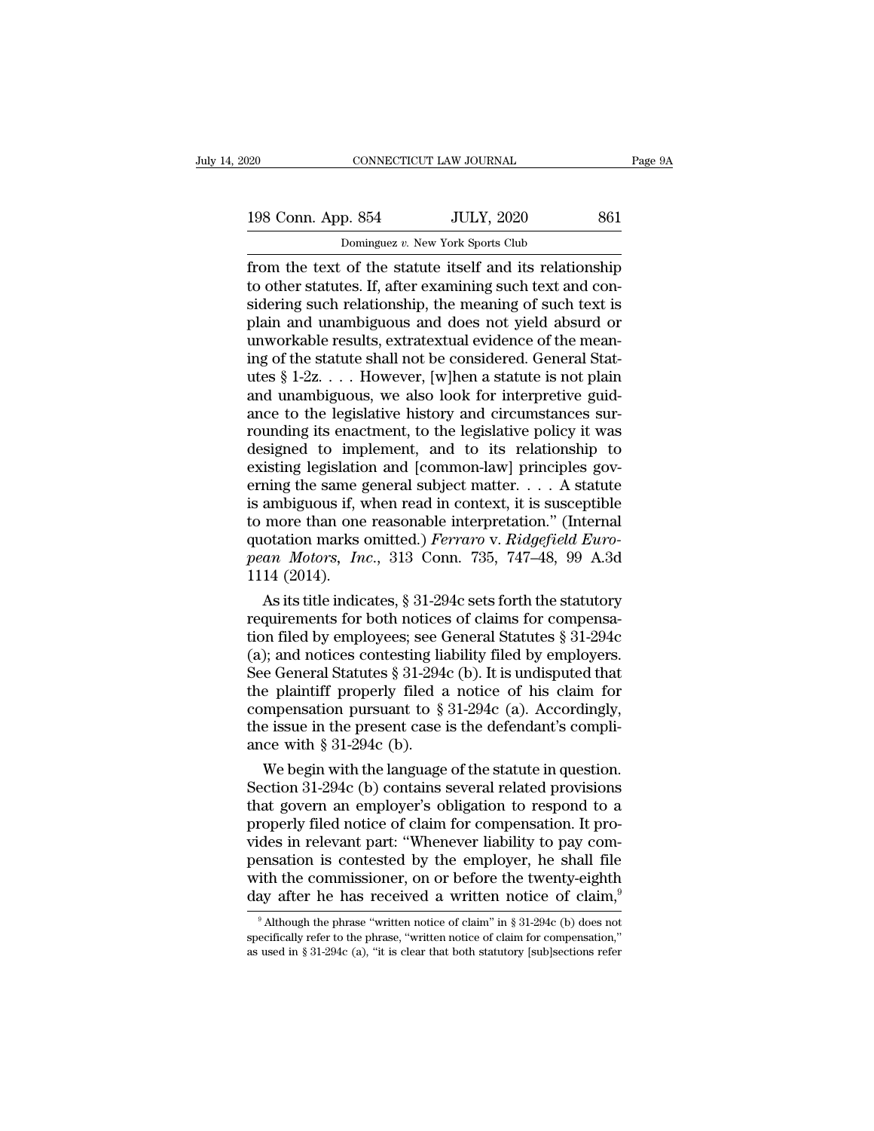198 Conn. App. 854 JULY, 2020 861<br>Dominguez v. New York Sports Club Dominguez *v.* New York Sports Club

From the text of the statute itself and its relationship<br>to other statutes. If, after examining such text and considering such relationship<br>to other statutes. If, after examining such text and considering such relationshi 198 Conn. App. 854 JULY, 2020 861<br>Dominguez v. New York Sports Club<br>from the text of the statute itself and its relationship<br>to other statutes. If, after examining such text and con-<br>sidering such relationship, the meaning 198 Conn. App. 854 JULY, 2020 861<br>
Dominguez v. New York Sports Club<br>
from the text of the statute itself and its relationship<br>
to other statutes. If, after examining such text and con-<br>
sidering such relationship, the me 198 Conn. App. 854 JULY, 2020 861<br>
Dominguez v. New York Sports Club<br>
from the text of the statute itself and its relationship<br>
to other statutes. If, after examining such text and con-<br>
sidering such relationship, the me Dominguez v. New York Sports Club<br>from the text of the statute itself and its relationship<br>to other statutes. If, after examining such text and con-<br>sidering such relationship, the meaning of such text is<br>plain and unambi Dominguez v. New York Sports Club<br>from the text of the statute itself and its relationship<br>to other statutes. If, after examining such text and con-<br>sidering such relationship, the meaning of such text is<br>plain and unambi from the text of the statute itself and its relationship<br>to other statutes. If, after examining such text and con-<br>sidering such relationship, the meaning of such text is<br>plain and unambiguous and does not yield absurd or<br> to other statutes. If, after examining such text and considering such relationship, the meaning of such text is plain and unambiguous and does not yield absurd or unworkable results, extratextual evidence of the meaning of sidering such relationship, the meaning of such text is<br>plain and unambiguous and does not yield absurd or<br>unworkable results, extratextual evidence of the mean-<br>ing of the statute shall not be considered. General Stat-<br>u plain and unambiguous and does not yield absurd or<br>unworkable results, extratextual evidence of the mean-<br>ing of the statute shall not be considered. General Stat-<br>utes § 1-2z. . . . However, [w]hen a statute is not plain<br> unworkable results, extratextual evidence of the meaning of the statute shall not be considered. General Statutes  $\S 1-2z$ .... However, [w]hen a statute is not plain and unambiguous, we also look for interpretive guidance ing of the statute shall not be considered. General Statutes § 1-2z. . . . However, [w]hen a statute is not plain and unambiguous, we also look for interpretive guidance to the legislative history and circumstances surrou utes § 1-2z. . . . However, [w]hen a statute is not plain<br>and unambiguous, we also look for interpretive guid-<br>ance to the legislative history and circumstances sur-<br>rounding its enactment, to the legislative policy it was and unambiguous, we also look for interpretive guidance to the legislative history and circumstances surrounding its enactment, to the legislative policy it was designed to implement, and to its relationship to existing l ance to the legislative history and circumstances sur-<br>rounding its enactment, to the legislative policy it was<br>designed to implement, and to its relationship to<br>existing legislation and [common-law] principles gov-<br>ernin rounding its enactment, to the legislative policy it was<br>designed to implement, and to its relationship to<br>existing legislation and [common-law] principles gov-<br>erning the same general subject matter. . . . A statute<br>is am designed to implement, and to its relationship to<br>existing legislation and [common-law] principles gov-<br>erning the same general subject matter. . . . A statute<br>is ambiguous if, when read in context, it is susceptible<br>to mo existing legislatic<br>erning the same g<br>is ambiguous if, v<br>to more than one<br>quotation marks (pean Motors, In<br>1114 (2014).<br>As its title indic ming the same general subject matter.  $\ldots$  A statute<br>ambiguous if, when read in context, it is susceptible<br>more than one reasonable interpretation." (Internal<br>otation marks omitted.) *Ferraro* v. *Ridgefield Euro-<br>an Mot* is ambiguous if, when read in context, it is susceptible<br>to more than one reasonable interpretation." (Internal<br>quotation marks omitted.) *Ferraro* v. *Ridgefield Euro-<br>pean Motors, Inc.*, 313 Conn. 735, 747–48, 99 A.3d<br>1

to more than one reasonable interpretation." (Internal<br>quotation marks omitted.) *Ferraro* v. *Ridgefield Euro-<br>pean Motors, Inc.*, 313 Conn. 735, 747–48, 99 A.3d<br>1114 (2014).<br>As its title indicates, § 31-294c sets forth quotation marks omitted.) Ferraro v. Ridgefield Euro-<br>pean Motors, Inc., 313 Conn. 735, 747–48, 99 A.3d<br>1114 (2014).<br>As its title indicates, § 31-294c sets forth the statutory<br>requirements for both notices of claims for c pean Motors, Inc., 313 Conn. 735, 747–48, 99 A.3d<br>1114 (2014).<br>As its title indicates, § 31-294c sets forth the statutory<br>requirements for both notices of claims for compensa-<br>tion filed by employees; see General Statutes 1114 (2014).<br>
As its title indicates, § 31-294c sets forth the statutory<br>
requirements for both notices of claims for compensa-<br>
tion filed by employees; see General Statutes § 31-294c<br>
(a); and notices contesting liabili As its title indicates, § 31-294c sets forth the statutory<br>requirements for both notices of claims for compensa-<br>tion filed by employees; see General Statutes § 31-294c<br>(a); and notices contesting liability filed by emplo requirements for both notices of claims for compensation filed by employees; see General Statutes  $\S 31-294c$  (a); and notices contesting liability filed by employers.<br>See General Statutes  $\S 31-294c$  (b). It is undispute tion filed by employees; see  $\left( a \right)$ ; and notices contesting lia<br>See General Statutes § 31-294<br>the plaintiff properly filed a<br>compensation pursuant to §<br>the issue in the present case i<br>ance with § 31-294c (b).<br>We begin ); and notices contesting liability filed by employers.<br>
e General Statutes § 31-294c (b). It is undisputed that<br>
e plaintiff properly filed a notice of his claim for<br>
mpensation pursuant to § 31-294c (a). Accordingly,<br>
e See General Statutes § 31-294c (b). It is undisputed that<br>the plaintiff properly filed a notice of his claim for<br>compensation pursuant to § 31-294c (a). Accordingly,<br>the issue in the present case is the defendant's compli

the plaintiff properly filed a notice of his claim for<br>compensation pursuant to  $\S 31-294c$  (a). Accordingly,<br>the issue in the present case is the defendant's compli-<br>ance with  $\S 31-294c$  (b).<br>We begin with the language compensation pursuant to § 31-294c (a). Accordingly,<br>the issue in the present case is the defendant's compli-<br>ance with § 31-294c (b).<br>We begin with the language of the statute in question.<br>Section 31-294c (b) contains sev the issue in the present case is the defendant's compli-<br>ance with § 31-294c (b).<br>We begin with the language of the statute in question.<br>Section 31-294c (b) contains several related provisions<br>that govern an employer's obl ance with § 31-294c (b).<br>
We begin with the language of the statute in question.<br>
Section 31-294c (b) contains several related provisions<br>
that govern an employer's obligation to respond to a<br>
properly filed notice of cla We begin with the language of the statute in question.<br>Section 31-294c (b) contains several related provisions<br>that govern an employer's obligation to respond to a<br>properly filed notice of claim for compensation. It pro-<br> Section 31-294c (b) contains several related provisions<br>that govern an employer's obligation to respond to a<br>properly filed notice of claim for compensation. It pro-<br>vides in relevant part: "Whenever liability to pay comdes in relevant part: "Whenever liability to pay com-<br>ensation is contested by the employer, he shall file<br>ith the commissioner, on or before the twenty-eighth<br>ay after he has received a written notice of claim,<sup>9</sup><br>Althou pensation is contested by the employer, he shall file<br>with the commissioner, on or before the twenty-eighth<br>day after he has received a written notice of claim,<sup>9</sup><br> $\frac{9}{100}$  Although the phrase "written notice of claim" with the commissioner, on or before the twenty-eighth day after he has received a written notice of claim,<sup>9</sup> Although the phrase "written notice of claim" in § 31-294c (b) does not specifically refer to the phrase, "writ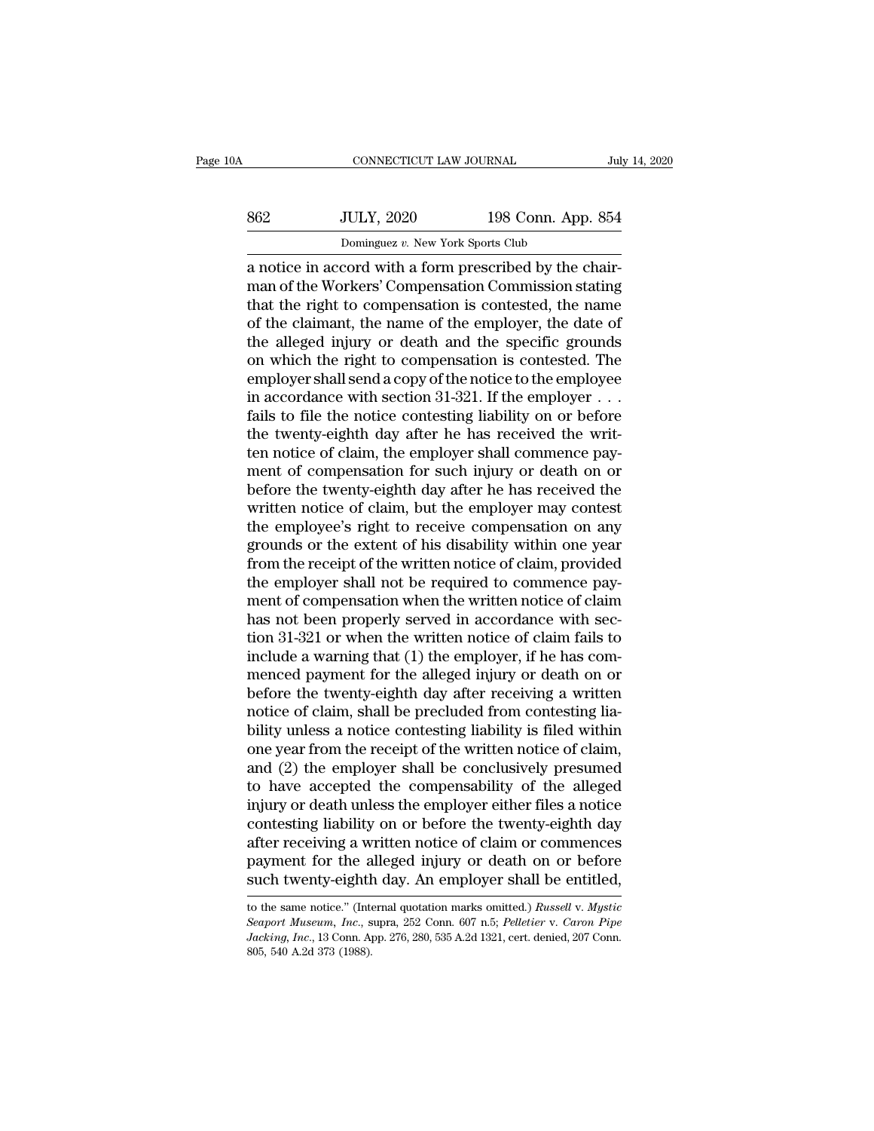| .0A | CONNECTICUT LAW JOURNAL                                                                                                                                                |                    | July 14, 2020 |
|-----|------------------------------------------------------------------------------------------------------------------------------------------------------------------------|--------------------|---------------|
| 862 | <b>JULY, 2020</b>                                                                                                                                                      | 198 Conn. App. 854 |               |
|     | Dominguez v. New York Sports Club                                                                                                                                      |                    |               |
|     | a notice in accord with a form prescribed by the chair-<br>man of the Workers' Compensation Commission stating<br>that the right to componention is contested the name |                    |               |

MULY, 2020 198 Conn. App. 854<br>
Dominguez v. New York Sports Club<br>
a notice in accord with a form prescribed by the chair-<br>
man of the Workers' Compensation Commission stating<br>
that the right to compensation is contested, t  $t = \frac{198 \text{ Conn. App. 854}}{\text{Domain} \cdot \text{Form: New York Sports Club}}$ <br>a notice in accord with a form prescribed by the chair-<br>man of the Workers' Compensation Commission stating<br>that the right to compensation is contested, the name<br>of the claimant, th  $\frac{\text{562}}{\text{Dominguez } v. \text{ New York Sports Club}}$ <br>
Dominguez v. New York Sports Club<br>
a notice in accord with a form prescribed by the chair-<br>
man of the Workers' Compensation Commission stating<br>
that the right to compensation is contested, Dominguez v. New York Sports Club<br>a notice in accord with a form prescribed by the chair-<br>man of the Workers' Compensation Commission stating<br>that the right to compensation is contested, the name<br>of the claimant, the name Dominguez v. New York Sports Club<br>
a notice in accord with a form prescribed by the chair-<br>
man of the Workers' Compensation Commission stating<br>
that the right to compensation is contested, the name<br>
of the claimant, the a notice in accord with a form prescribed by the chair-<br>man of the Workers' Compensation Commission stating<br>that the right to compensation is contested, the name<br>of the claimant, the name of the employer, the date of<br>the a man of the Workers' Compensation Commission stating<br>that the right to compensation is contested, the name<br>of the claimant, the name of the employer, the date of<br>the alleged injury or death and the specific grounds<br>on whic that the right to compensation is contested, the name<br>of the claimant, the name of the employer, the date of<br>the alleged injury or death and the specific grounds<br>on which the right to compensation is contested. The<br>employe of the claimant, the name of the employer, the date of<br>the alleged injury or death and the specific grounds<br>on which the right to compensation is contested. The<br>employer shall send a copy of the notice to the employee<br>in a the alleged injury or death and the specific grounds<br>on which the right to compensation is contested. The<br>employer shall send a copy of the notice to the employee<br>in accordance with section 31-321. If the employer . . .<br>fa on which the right to compensation is contested. The<br>employer shall send a copy of the notice to the employee<br>in accordance with section 31-321. If the employer . . .<br>fails to file the notice contesting liability on or bef employer shall send a copy of the notice to the employee<br>in accordance with section 31-321. If the employer  $\ldots$ <br>fails to file the notice contesting liability on or before<br>the twenty-eighth day after he has received the in accordance with section 31-321. If the employer  $\ldots$  fails to file the notice contesting liability on or before the twenty-eighth day after he has received the written notice of claim, the employer shall commence paym fails to file the notice contesting liability on or before<br>the twenty-eighth day after he has received the writ-<br>ten notice of claim, the employer shall commence pay-<br>ment of compensation for such injury or death on or<br>bef the twenty-eighth day after he has received the writ-<br>ten notice of claim, the employer shall commence pay-<br>ment of compensation for such injury or death on or<br>before the twenty-eighth day after he has received the<br>written ten notice of claim, the employer shall commence payment of compensation for such injury or death on or before the twenty-eighth day after he has received the written notice of claim, but the employer may contest the emplo ment of compensation for such injury or death on or<br>before the twenty-eighth day after he has received the<br>written notice of claim, but the employer may contest<br>the employee's right to receive compensation on any<br>grounds o before the twenty-eighth day after he has received the<br>written notice of claim, but the employer may contest<br>the employee's right to receive compensation on any<br>grounds or the extent of his disability within one year<br>from written notice of claim, but the employer may contest<br>the employee's right to receive compensation on any<br>grounds or the extent of his disability within one year<br>from the receipt of the written notice of claim, provided<br>th the employee's right to receive compensation on any<br>grounds or the extent of his disability within one year<br>from the receipt of the written notice of claim, provided<br>the employer shall not be required to commence pay-<br>ment grounds or the extent of his disability within one year<br>from the receipt of the written notice of claim, provided<br>the employer shall not be required to commence pay-<br>ment of compensation when the written notice of claim<br>ha from the receipt of the written notice of claim, provided<br>the employer shall not be required to commence pay-<br>ment of compensation when the written notice of claim<br>has not been properly served in accordance with sec-<br>tion the employer shall not be required to commence pay-<br>ment of compensation when the written notice of claim<br>has not been properly served in accordance with sec-<br>tion 31-321 or when the written notice of claim fails to<br>includ ment of compensation when the written notice of claim<br>has not been properly served in accordance with sec-<br>tion 31-321 or when the written notice of claim fails to<br>include a warning that (1) the employer, if he has com-<br>me has not been properly served in accordance with section 31-321 or when the written notice of claim fails to include a warning that (1) the employer, if he has commenced payment for the alleged injury or death on or before tion 31-321 or when the written notice of claim fails to<br>include a warning that (1) the employer, if he has com-<br>menced payment for the alleged injury or death on or<br>before the twenty-eighth day after receiving a written<br>n include a warning that (1) the employer, if he has commenced payment for the alleged injury or death on or before the twenty-eighth day after receiving a written notice of claim, shall be precluded from contesting liabilit menced payment for the alleged injury or death on or<br>before the twenty-eighth day after receiving a written<br>notice of claim, shall be precluded from contesting lia-<br>bility unless a notice contesting liability is filed with before the twenty-eighth day after receiving a written<br>notice of claim, shall be precluded from contesting lia-<br>bility unless a notice contesting liability is filed within<br>one year from the receipt of the written notice of notice of claim, shall be precluded from contesting liability unless a notice contesting liability is filed within<br>one year from the receipt of the written notice of claim,<br>and (2) the employer shall be conclusively presum bility unless a notice contesting liability is filed within<br>one year from the receipt of the written notice of claim,<br>and (2) the employer shall be conclusively presumed<br>to have accepted the compensability of the alleged<br>i one year from the receipt of the written notice of claim,<br>and (2) the employer shall be conclusively presumed<br>to have accepted the compensability of the alleged<br>injury or death unless the employer either files a notice<br>con and (2) the employer shall be conclusively presumed<br>to have accepted the compensability of the alleged<br>injury or death unless the employer either files a notice<br>contesting liability on or before the twenty-eighth day<br>afte contesting liability on or before the twenty-eighth day<br>after receiving a written notice of claim or commences<br>payment for the alleged injury or death on or before<br>such twenty-eighth day. An employer shall be entitled,<br>to after receiving a written notice of claim or commences<br>payment for the alleged injury or death on or before<br>such twenty-eighth day. An employer shall be entitled,<br>to the same notice." (Internal quotation marks omitted.) *R* 

payment for the alleged injury or death on or before<br>such twenty-eighth day. An employer shall be entitled,<br>to the same notice." (Internal quotation marks omitted.) *Russell* v. *Mystic*<br>*Seaport Museum, Inc.*, supra, 252 Such twenty-eighthermetries and twenty-eighthermetries." (Interface, 2015)<br>Secure of Museum, Inc., 8<br>Backing, Inc., 13 Conn. Alexandermetries and 2015, 540 A.2d 373 (1988).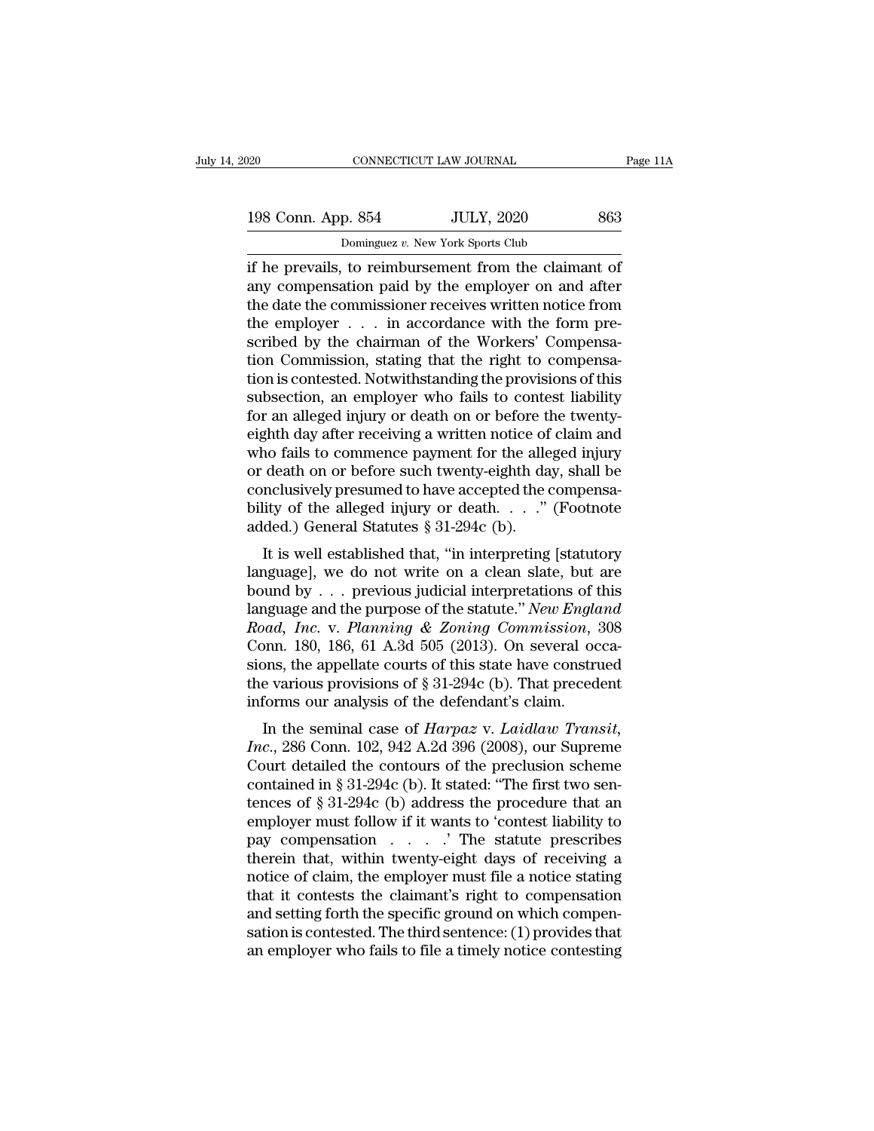| 120 |                    | CONNECTICUT LAW JOURNAL                              | Page 11A |
|-----|--------------------|------------------------------------------------------|----------|
|     |                    |                                                      |          |
|     | 198 Conn. App. 854 | <b>JULY, 2020</b>                                    | 863      |
|     |                    | Dominguez v. New York Sports Club                    |          |
|     |                    | if he prevails to reimbursement from the claimant of |          |

 $\begin{array}{|l|l|} \hline \text{198 Conn. App. 854} \hline \text{IULY, 2020} \hline \text{Domain} & \text{198 Conn. App. 854} \hline \text{IULY, 2020} \hline \text{I.} \hline \text{I.} \hline \text{I.} \hline \text{I.} \hline \text{I.} \hline \text{I.} \hline \text{I.} \hline \text{I.} \hline \text{I.} \hline \text{I.} \hline \text{I.} \hline \text{I.} \hline \text{I.} \hline \text{I.} \hline \text{I.}$ 198 Conn. App. 854 JULY, 2020 863<br>
Dominguez v. New York Sports Club<br>
if he prevails, to reimbursement from the claimant of<br>
any compensation paid by the employer on and after<br>
the date the commissioner receives written no 198 Conn. App. 854 JULY, 2020 863<br>
Dominguez v. New York Sports Club<br>
if he prevails, to reimbursement from the claimant of<br>
any compensation paid by the employer on and after<br>
the date the commissioner receives written n 198 Conn. App. 854 JULY, 2020 863<br>
Dominguez v. New York Sports Club<br>
if he prevails, to reimbursement from the claimant of<br>
any compensation paid by the employer on and after<br>
the date the commissioner receives written n Dominguez v. New York Sports Club<br>
if he prevails, to reimbursement from the claimant of<br>
any compensation paid by the employer on and after<br>
the date the commissioner receives written notice from<br>
the employer  $\dots$  in ac Dominguez v. New York Sports Club<br>
if he prevails, to reimbursement from the claimant of<br>
any compensation paid by the employer on and after<br>
the date the commissioner receives written notice from<br>
the employer  $\dots$  in ac if he prevails, to reimbursement from the claimant of<br>any compensation paid by the employer on and after<br>the date the commissioner receives written notice from<br>the employer . . . in accordance with the form pre-<br>scribed by any compensation paid by the employer on and after<br>the date the commissioner receives written notice from<br>the employer  $\ldots$  in accordance with the form pre-<br>scribed by the chairman of the Workers' Compensa-<br>tion Commissi the date the commissioner receives written notice from<br>the employer  $\ldots$  in accordance with the form pre-<br>scribed by the chairman of the Workers' Compensa-<br>tion Commission, stating that the right to compensa-<br>tion is con the employer . . . in accordance with the form pre-<br>scribed by the chairman of the Workers' Compensa-<br>tion Commission, stating that the right to compensa-<br>tion is contested. Notwithstanding the provisions of this<br>subsectio scribed by the chairman of the Workers' Compensation Commission, stating that the right to compensation is contested. Notwithstanding the provisions of this subsection, an employer who fails to contest liability for an all tion Commission, stating that the right to compensa-<br>tion is contested. Notwithstanding the provisions of this<br>subsection, an employer who fails to contest liability<br>for an alleged injury or death on or before the twenty-<br> tion is contested. Notwithstanding the provisions of this<br>subsection, an employer who fails to contest liability<br>for an alleged injury or death on or before the twenty-<br>eighth day after receiving a written notice of claim subsection, an employer who fails to contest liability<br>for an alleged injury or death on or before the twenty-<br>eighth day after receiving a written notice of claim and<br>who fails to commence payment for the alleged injury<br>o for an alleged injury or death on or before the<br>eighth day after receiving a written notice of<br>who fails to commence payment for the alle<br>or death on or before such twenty-eighth da<br>conclusively presumed to have accepted giuti day after receiving a written notice of claim and<br>no fails to commence payment for the alleged injury<br>death on or before such twenty-eighth day, shall be<br>nclusively presumed to have accepted the compensa-<br>ity of the who rans to commence payment for the aneged figure<br>or death on or before such twenty-eighth day, shall be<br>conclusively presumed to have accepted the compensa-<br>bility of the alleged injury or death. . . . " (Footnote<br>added

bound by the alleged injury or death. . . ." (Footnote added.) General Statutes § 31-294c (b).<br>
It is well established that, "in interpreting [statutory language], we do not write on a clean slate, but are bound by . . . conclusively presumed to have accepted the compensa-<br>bility of the alleged injury or death. . . ." (Footnote<br>added.) General Statutes § 31-294c (b).<br>It is well established that, "in interpreting [statutory<br>language], we do *Roadded.*) General Statutes § 31-294c (b).<br> *Roadded.*) General Statutes § 31-294c (b).<br> *Road, We do not write on a clean slate, but are bound by ... previous judicial interpretations of this language and the purpose of* It is well established that, "in interpreting [statutory language], we do not write on a clean slate, but are bound by . . . previous judicial interpretations of this language and the purpose of the statute." *New England* It is well established that, "in interpreting [statutory language], we do not write on a clean slate, but are bound by . . . previous judicial interpretations of this language and the purpose of the statute." *New England* language], we do not write on a clean slate, but are<br>bound by . . . previous judicial interpretations of this<br>language and the purpose of the statute." New England<br>Road, Inc. v. Planning & Zoning Commission, 308<br>Conn. 180 bound by . . . previous judicial interpretations of the stanguage and the purpose of the statute." *New Engla Road, Inc.* v. *Planning & Zoning Commission*, : Conn. 180, 186, 61 A.3d 505 (2013). On several ocsions, the ap Iguage and the purpose of the statute. *New England*<br> *Madd, Inc.* v. *Planning & Zoning Commission*, 308<br>
John. 180, 186, 61 A.3d 505 (2013). On several occa-<br>
oca-<br>
Ins, the appellate courts of this state have construed<br> *Inclus, 1nc.* v. *I tumming* & *20thing* Commission, 500<br> *Conn.* 180, 186, 61 A.3d 505 (2013). On several occa-<br>
sions, the appellate courts of this state have construed<br>
the various provisions of § 31-294c (b). That pre

Court. 150, 150, 01 A.5d 505 (2015). On several occasions, the appellate courts of this state have construed<br>the various provisions of § 31-294c (b). That precedent<br>informs our analysis of the defendant's claim.<br>In the se sions, the appenate courts of this state have construed<br>the various provisions of § 31-294c (b). That precedent<br>informs our analysis of the defendant's claim.<br>In the seminal case of *Harpaz* v. *Laidlaw Transit,*<br> $Inc$ , 286 the various provisions of § 31-294c (b). That precedent<br>informs our analysis of the defendant's claim.<br>In the seminal case of *Harpaz* v. *Laidlaw Transit,*<br>*Inc.*, 286 Conn. 102, 942 A.2d 396 (2008), our Supreme<br>Court de Informs our analysis of the detendant s-claim.<br>
In the seminal case of *Harpaz* v. *Laidlaw Transit,*<br> *Inc.*, 286 Conn. 102, 942 A.2d 396 (2008), our Supreme<br>
Court detailed the contours of the preclusion scheme<br>
contain In the seminal case of *Harpaz* v. *Laidlaw Transit,*<br>*Inc.*, 286 Conn. 102, 942 A.2d 396 (2008), our Supreme<br>Court detailed the contours of the preclusion scheme<br>contained in § 31-294c (b). It stated: "The first two sen-Inc., 286 Conn. 102, 942 A.2d 396 (2008), our Supreme<br>Court detailed the contours of the preclusion scheme<br>contained in § 31-294c (b). It stated: "The first two sen-<br>tences of § 31-294c (b) address the procedure that an<br>e Court detailed the contours of the preclusion scheme<br>contained in § 31-294c (b). It stated: "The first two sen-<br>tences of § 31-294c (b) address the procedure that an<br>employer must follow if it wants to 'contest liability contained in § 31-294c (b). It stated: "The first two sentences of § 31-294c (b) address the procedure that an employer must follow if it wants to 'contest liability to pay compensation  $\ldots$  . . . . . The statute prescri tences of § 31-294c (b) address the procedure that an employer must follow if it wants to 'contest liability to pay compensation  $\ldots$ .  $\ldots$ .' The statute prescribes therein that, within twenty-eight days of receiving a employer must follow if it wants to 'contest liability to<br>pay compensation  $\ldots$ ... "The statute prescribes<br>therein that, within twenty-eight days of receiving a<br>notice of claim, the employer must file a notice stating<br>th pay compensation . . . . . . . The statute prescribes<br>therein that, within twenty-eight days of receiving a<br>notice of claim, the employer must file a notice stating<br>that it contests the claimant's right to compensation<br>and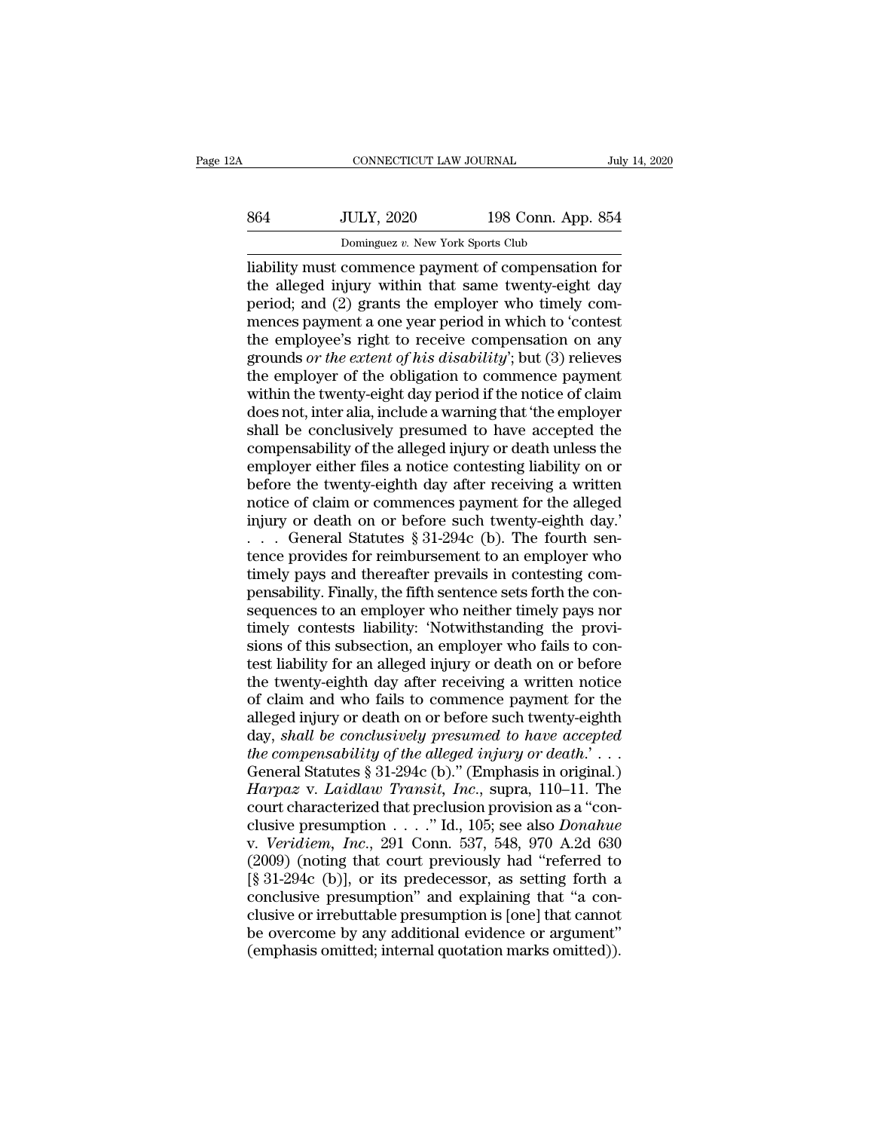# EXECUTE CONNECTICUT LAW JOURNAL July 14, 2020<br>
864 JULY, 2020 198 Conn. App. 854<br>
Dominguez v. New York Sports Club CONNECTICUT LAW JOURNAL<br>JULY, 2020 198 Conn. App<br>Dominguez *v.* New York Sports Club<br>Commence payment of compensatio

CONNECTICUT LAW JOURNAL July 14, 2020<br>
S64 JULY, 2020 198 Conn. App. 854<br>
Dominguez v. New York Sports Club<br>
liability must commence payment of compensation for<br>
the alleged injury within that same twenty-eight day<br>
pariod S64 JULY, 2020 198 Conn. App. 854<br>Dominguez v. New York Sports Club<br>
liability must commence payment of compensation for<br>
the alleged injury within that same twenty-eight day<br>
period; and (2) grants the employer who timely  $\frac{364}{\text{Dominguez } v. \text{ New York Sports Club}}$ <br>Dominguez v. New York Sports Club<br>liability must commence payment of compensation for<br>the alleged injury within that same twenty-eight day<br>period; and (2) grants the employer who timely com-<br>men MULY, 2020 198 Conn. App. 854<br>
Dominguez v. New York Sports Club<br>
liability must commence payment of compensation for<br>
the alleged injury within that same twenty-eight day<br>
period; and (2) grants the employer who timely c Dominguez v. New York Sports Club<br>
liability must commence payment of compensation for<br>
the alleged injury within that same twenty-eight day<br>
period; and (2) grants the employer who timely com-<br>
mences payment a one year Dominguez *v*. New York Sports Club<br>liability must commence payment of compensation for<br>the alleged injury within that same twenty-eight day<br>period; and (2) grants the employer who timely com-<br>mences payment a one year per liability must commence payment of compensation for<br>the alleged injury within that same twenty-eight day<br>period; and (2) grants the employer who timely com-<br>mences payment a one year period in which to 'contest<br>the employe the alleged injury within that same twenty-eight day<br>period; and (2) grants the employer who timely com-<br>mences payment a one year period in which to 'contest<br>the employee's right to receive compensation on any<br>grounds *or* period; and (2) grants the employer who timely com-<br>mences payment a one year period in which to 'contest<br>the employee's right to receive compensation on any<br>grounds *or the extent of his disability*'; but (3) relieves<br>the mences payment a one year period in which to 'contest<br>the employee's right to receive compensation on any<br>grounds *or the extent of his disability*'; but (3) relieves<br>the employer of the obligation to commence payment<br>with the employee's right to receive compensation on any<br>grounds *or the extent of his disability*'; but (3) relieves<br>the employer of the obligation to commence payment<br>within the twenty-eight day period if the notice of claim<br> grounds *or the extent of his disability*'; but (3) relieves<br>the employer of the obligation to commence payment<br>within the twenty-eight day period if the notice of claim<br>does not, inter alia, include a warning that 'the em the employer of the obligation to commence payment<br>within the twenty-eight day period if the notice of claim<br>does not, inter alia, include a warning that 'the employer<br>shall be conclusively presumed to have accepted the<br>co within the twenty-eight day period if the notice of claim<br>does not, inter alia, include a warning that 'the employer<br>shall be conclusively presumed to have accepted the<br>compensability of the alleged injury or death unless does not, inter alia, include a warning that 'the employer<br>shall be conclusively presumed to have accepted the<br>compensability of the alleged injury or death unless the<br>employer either files a notice contesting liability on shall be conclusively presumed to have accepted the compensability of the alleged injury or death unless the employer either files a notice contesting liability on or before the twenty-eighth day after receiving a written compensability of the alleged injury or death unless the<br>employer either files a notice contesting liability on or<br>before the twenty-eighth day after receiving a written<br>notice of claim or commences payment for the alleged

employer either files a notice contesting liability on or<br>before the twenty-eighth day after receiving a written<br>notice of claim or commences payment for the alleged<br>injury or death on or before such twenty-eighth day.<br> $\$ before the twenty-eighth day after receiving a written<br>notice of claim or commences payment for the alleged<br>injury or death on or before such twenty-eighth day.'<br>. . . General Statutes § 31-294c (b). The fourth sen-<br>tence notice of claim or commences payment for the alleged<br>injury or death on or before such twenty-eighth day.'<br>... General Statutes § 31-294c (b). The fourth sen-<br>tence provides for reimbursement to an employer who<br>timely pays injury or death on or before such twenty-eighth day.'<br>  $\ldots$  General Statutes § 31-294c (b). The fourth sentence provides for reimbursement to an employer who<br>
timely pays and thereafter prevails in contesting compensabil Similar Similar Similar Similar to the fourth sentance provides for reimbursement to an employer who timely pays and thereafter prevails in contesting compensability. Finally, the fifth sentence sets forth the con-<br>sequen tence provides for reimbursement to an employer who<br>timely pays and thereafter prevails in contesting com-<br>pensability. Finally, the fifth sentence sets forth the con-<br>sequences to an employer who neither timely pays nor<br>t timely pays and thereafter prevails in contesting compensability. Finally, the fifth sentence sets forth the consequences to an employer who neither timely pays nor timely contests liability: 'Notwithstanding the provision pensability. Finally, the fifth sentence sets forth the con-<br>sequences to an employer who neither timely pays nor<br>timely contests liability: 'Notwithstanding the provi-<br>sions of this subsection, an employer who fails to co sequences to an employer who neither timely pays nor<br>timely contests liability: 'Notwithstanding the provi-<br>sions of this subsection, an employer who fails to con-<br>test liability for an alleged injury or death on or before timely contests liability: 'Notwithstanding the provisions of this subsection, an employer who fails to contest liability for an alleged injury or death on or before the twenty-eighth day after receiving a written notice o sions of this subsection, an employer who fails to contest liability for an alleged injury or death on or before<br>the twenty-eighth day after receiving a written notice<br>of claim and who fails to commence payment for the<br>all test liability for an alleged injury or death on or before<br>the twenty-eighth day after receiving a written notice<br>of claim and who fails to commence payment for the<br>alleged injury or death on or before such twenty-eighth<br>d the twenty-eighth day after receiving a written notice<br>of claim and who fails to commence payment for the<br>alleged injury or death on or before such twenty-eighth<br>day, *shall be conclusively presumed to have accepted*<br>*the* of claim and who fails to commence payment for the alleged injury or death on or before such twenty-eighth day, *shall be conclusively presumed to have accepted* the compensability of the alleged injury or death.'... Gene alleged injury or death on or before such twenty-eighth<br>day, *shall be conclusively presumed to have accepted*<br>the compensability of the alleged injury or death.'...<br>General Statutes § 31-294c (b)." (Emphasis in original.) day, *shall be conclusively presumed to have accepted*<br>*the compensability of the alleged injury or death.'.*...<br>General Statutes § 31-294c (b)." (Emphasis in original.)<br>*Harpaz v. Laidlaw Transit, Inc.*, supra, 110–11. Th the compensability of the alleged injury or death.'...<br>
General Statutes § 31-294c (b)." (Emphasis in original.)<br> *Harpaz* v. *Laidlaw Transit, Inc.*, supra, 110–11. The<br>
court characterized that preclusion provision as a General Statutes § 31-294c (b)." (Emphasis in original.)<br> *Harpaz* v. *Laidlaw Transit, Inc.*, supra, 110–11. The<br>
court characterized that preclusion provision as a "con-<br>
clusive presumption . . . . ." Id., 105; see als Harpaz v. Laidlaw Transit, Inc., supra, 110–11. The<br>court characterized that preclusion provision as a "con-<br>clusive presumption  $\ldots$ ." Id., 105; see also *Donahue*<br>v. Veridiem, Inc., 291 Conn. 537, 548, 970 A.2d 630<br>(20 court characterized that preclusion provision as a "conclusive presumption  $\ldots$ ." Id., 105; see also *Donahue*<br>v. *Veridiem, Inc.*, 291 Conn. 537, 548, 970 A.2d 630<br>(2009) (noting that court previously had "referred to<br>[ clusive presumption  $\ldots$  " Id., 105; see also *Donahue*<br>v. *Veridiem, Inc.*, 291 Conn. 537, 548, 970 A.2d 630<br>(2009) (noting that court previously had "referred to<br>[§ 31-294c (b)], or its predecessor, as setting forth a<br> v. *Veridiem, Inc.*, 291 Conn. 537, 548, 970 A.2d 630 (2009) (noting that court previously had "referred to [§ 31-294c (b)], or its predecessor, as setting forth a conclusive presumption" and explaining that "a conclusive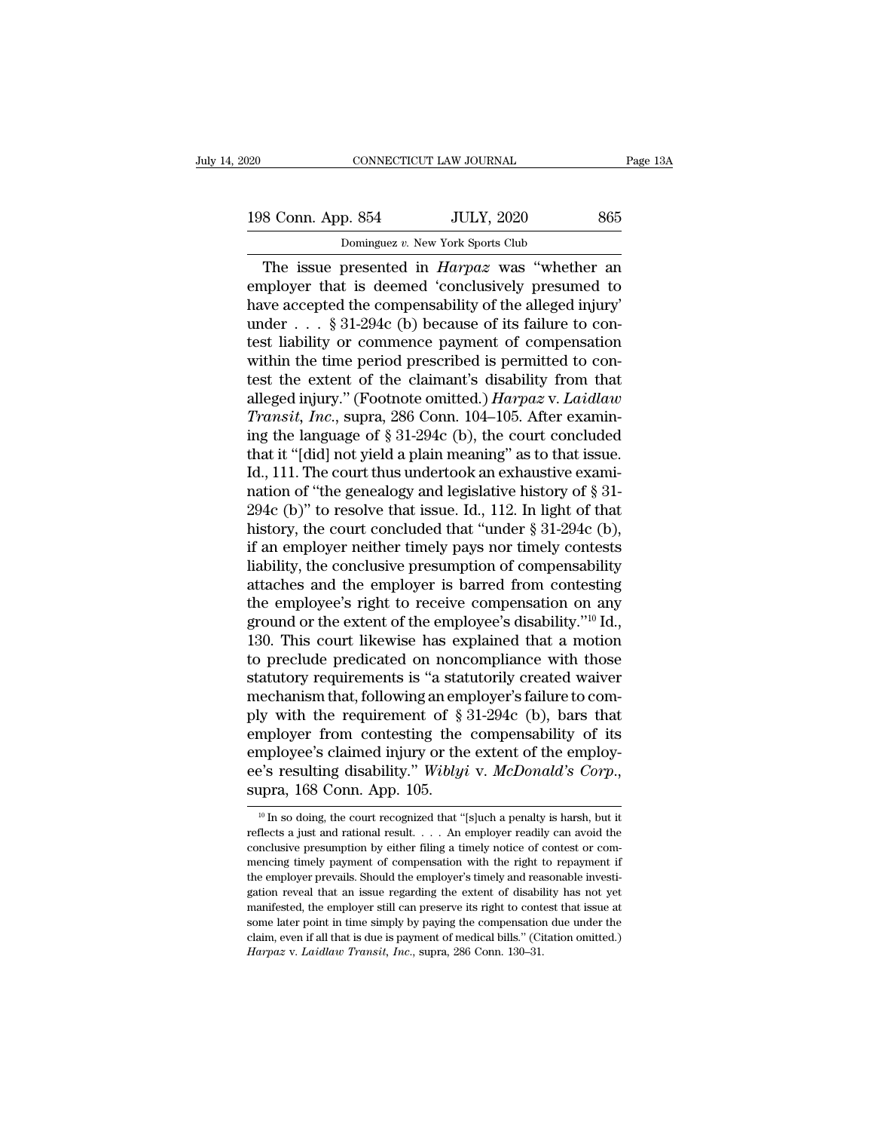| )20                | CONNECTICUT LAW JOURNAL                              | Page 13A |
|--------------------|------------------------------------------------------|----------|
| 198 Conn. App. 854 | <b>JULY, 2020</b>                                    | 865      |
|                    | Dominguez v. New York Sports Club                    |          |
|                    | The issue presented in <i>Harnaz</i> was "whether an |          |

CONNECTICUT LAW JOURNAL Page 13A<br>
8 Conn. App. 854 JULY, 2020 865<br>
Dominguez v. New York Sports Club<br>
The issue presented in *Harpaz* was "whether an<br>
uployer that is deemed 'conclusively presumed to<br>
the accord the compon 198 Conn. App. 854 JULY, 2020 865<br>
Dominguez v. New York Sports Club<br>
The issue presented in *Harpaz* was "whether an<br>
employer that is deemed 'conclusively presumed to<br>
have accepted the compensability of the alleged inj 198 Conn. App. 854 JULY, 2020 865<br>
Dominguez v. New York Sports Club<br>
The issue presented in *Harpaz* was "whether an<br>
employer that is deemed 'conclusively presumed to<br>
have accepted the compensability of the alleged inj 198 Conn. App. 854 JULY, 2020 865<br>
Dominguez v. New York Sports Club<br>
The issue presented in *Harpaz* was "whether an<br>
employer that is deemed 'conclusively presumed to<br>
have accepted the compensability of the alleged inj Dominguez v. New York Sports Club<br>The issue presented in *Harpaz* was "whether an<br>employer that is deemed 'conclusively presumed to<br>have accepted the compensability of the alleged injury'<br>under . . . § 31-294c (b) because Dominguez v. New York Sports Club<br>
The issue presented in *Harpaz* was "whether an<br>
employer that is deemed 'conclusively presumed to<br>
have accepted the compensability of the alleged injury<br>
under . . . § 31-294c (b) beca The issue presented in *Harpaz* was "whether an<br>employer that is deemed 'conclusively presumed to<br>have accepted the compensability of the alleged injury'<br>under . . . § 31-294c (b) because of its failure to con-<br>test liabi employer that is deemed 'conclusively presumed to<br>have accepted the compensability of the alleged injury'<br>under . . . § 31-294c (b) because of its failure to con-<br>test liability or commence payment of compensation<br>within t have accepted the compensability of the alleged injury'<br>
under . . . § 31-294c (b) because of its failure to con-<br>
test liability or commence payment of compensation<br>
within the time period prescribed is permitted to con-<br> under . . . § 31-294c (b) because of its failure to contest liability or commence payment of compensation<br>within the time period prescribed is permitted to con-<br>test the extent of the claimant's disability from that<br>alleg test liability or commence payment of compensation<br>within the time period prescribed is permitted to con-<br>test the extent of the claimant's disability from that<br>alleged injury." (Footnote omitted.)  $Harpaz v$ . Laidlaw<br>Transit within the time period prescribed is permitted to contest the extent of the claimant's disability from that alleged injury." (Footnote omitted.) *Harpaz v. Laidlaw Transit, Inc.*, supra, 286 Conn. 104–105. After examining test the extent of the claimant's disability from that<br>alleged injury." (Footnote omitted.) *Harpaz* v. *Laidlaw*<br>*Transit, Inc.*, supra, 286 Conn. 104–105. After examin-<br>ing the language of § 31-294c (b), the court concl alleged injury." (Footnote omitted.) Harpaz v. Laidlaw<br>Transit, Inc., supra, 286 Conn. 104–105. After examin-<br>ing the language of § 31-294c (b), the court concluded<br>that it "[did] not yield a plain meaning" as to that iss Transit, Inc., supra, 286 Conn. 104–105. After examining the language of § 31-294c (b), the court concluded that it "[did] not yield a plain meaning" as to that issue.<br>Id., 111. The court thus undertook an exhaustive exam ing the language of § 31-294c (b), the court concluded<br>that it "[did] not yield a plain meaning" as to that issue.<br>Id., 111. The court thus undertook an exhaustive exami-<br>nation of "the genealogy and legislative history o that it "[did] not yield a plain meaning" as to that issue.<br>Id., 111. The court thus undertook an exhaustive exami-<br>nation of "the genealogy and legislative history of § 31-<br>294c (b)" to resolve that issue. Id., 112. In li Id., 111. The court thus undertook an exhaustive examination of "the genealogy and legislative history of § 31-294c (b)" to resolve that issue. Id., 112. In light of that history, the court concluded that "under § 31-294c nation of "the genealogy and legislative history of § 31-<br>294c (b)" to resolve that issue. Id., 112. In light of that<br>history, the court concluded that "under § 31-294c (b),<br>if an employer neither timely pays nor timely c 294c (b)" to resolve that issue. Id., 112. In light of that<br>history, the court concluded that "under  $\S$  31-294c (b),<br>if an employer neither timely pays nor timely contests<br>liability, the conclusive presumption of compens history, the court concluded that "under  $\S 31-294c$  (b),<br>if an employer neither timely pays nor timely contests<br>liability, the conclusive presumption of compensability<br>attaches and the employer is barred from contesting<br> if an employer neither timely pays nor timely contests<br>liability, the conclusive presumption of compensability<br>attaches and the employer is barred from contesting<br>the employee's right to receive compensation on any<br>ground liability, the conclusive presumption of compensability<br>attaches and the employer is barred from contesting<br>the employee's right to receive compensation on any<br>ground or the extent of the employee's disability."<sup>10</sup> Id.,<br> attaches and the employer is barred from contesting<br>the employee's right to receive compensation on any<br>ground or the extent of the employee's disability."<sup>10</sup> Id.,<br>130. This court likewise has explained that a motion<br>to p the employee's right to receive compensation on any<br>ground or the extent of the employee's disability."<sup>10</sup> Id.,<br>130. This court likewise has explained that a motion<br>to preclude predicated on noncompliance with those<br>stat ground or the extent of the employee's disability."<sup>10</sup> Id.,<br>130. This court likewise has explained that a motion<br>to preclude predicated on noncompliance with those<br>statutory requirements is "a statutorily created waiver<br> 130. This court likewise has explained that a motion<br>to preclude predicated on noncompliance with those<br>statutory requirements is "a statutorily created waiver<br>mechanism that, following an employer's failure to com-<br>ply w to preclude predicated on noncompliance with those<br>statutory requirements is "a statutorily created waiver<br>mechanism that, following an employer's failure to com-<br>ply with the requirement of § 31-294c (b), bars that<br>employ employer from contesting the compensability of its<br>employee's claimed injury or the extent of the employ-<br>ee's resulting disability." Wiblyi v. McDonald's Corp.,<br>supra, 168 Conn. App. 105.<br> $\frac{10 \text{ In so doing, the court recognized that "[s]uch a penalty is harsh, but it  
reflect$ ere is resulting disability." Wiblyi v. McDonald's Corp.,<br>ee's resulting disability." Wiblyi v. McDonald's Corp.,<br>supra, 168 Conn. App. 105.<br> $\frac{10 \text{ In so doing, the court recognized that "[s]uch a penalty is harsh, but it  
reflects a just and rational result. . . . An employer readily can avoid the  
conclusive presentation by either filing a timely notice of contest or com-$ 

ee's resulting disability." Wiblyi v. McDonald's Corp.,<br>supra, 168 Conn. App. 105.<br> $\frac{10 \text{ In so doing, the court recognized that "[s]uch a penalty is harsh, but it  
reflects a just and rational result. . . . An employer readily can avoid the  
conculsive presumably payment of compensation with the right to repayment if$ supra, 168 Conn. App. 105.<br>
<sup>10</sup> In so doing, the court recognized that "[s]uch a penalty is harsh, but it reflects a just and rational result. . . . An employer readily can avoid the conclusive presumption by either fili  $\frac{10}{10}$  In so doing, the court recognized that "[s]uch a penalty is harsh, but it reflects a just and rational result. . . . An employer readily can avoid the conclusive presumption by either filing a timely notice of <sup>10</sup> In so doing, the court recognized that "[s]uch a penalty is harsh, but it reflects a just and rational result. . . . An employer readily can avoid the conclusive presumption by either filing a timely notice of contes reflects a just and rational result.  $\ldots$  An employer readily can avoid the conclusive presumption by either filing a timely notice of contest or commencing timely payment of compensation with the right to repayment if t conclusive presumption by either filing a timely notice of contest or com-<br>mencing timely payment of compensation with the right to repayment if<br>the employer prevails. Should the employer's timely and reasonable investi-<br>g mencing timely payment of compensation with the right to repayment if the employer prevails. Should the employer's timely and reasonable investigation reveal that an issue regarding the extent of disability has not yet ma the employer prevails. Should the employer's timely and reasonable investi-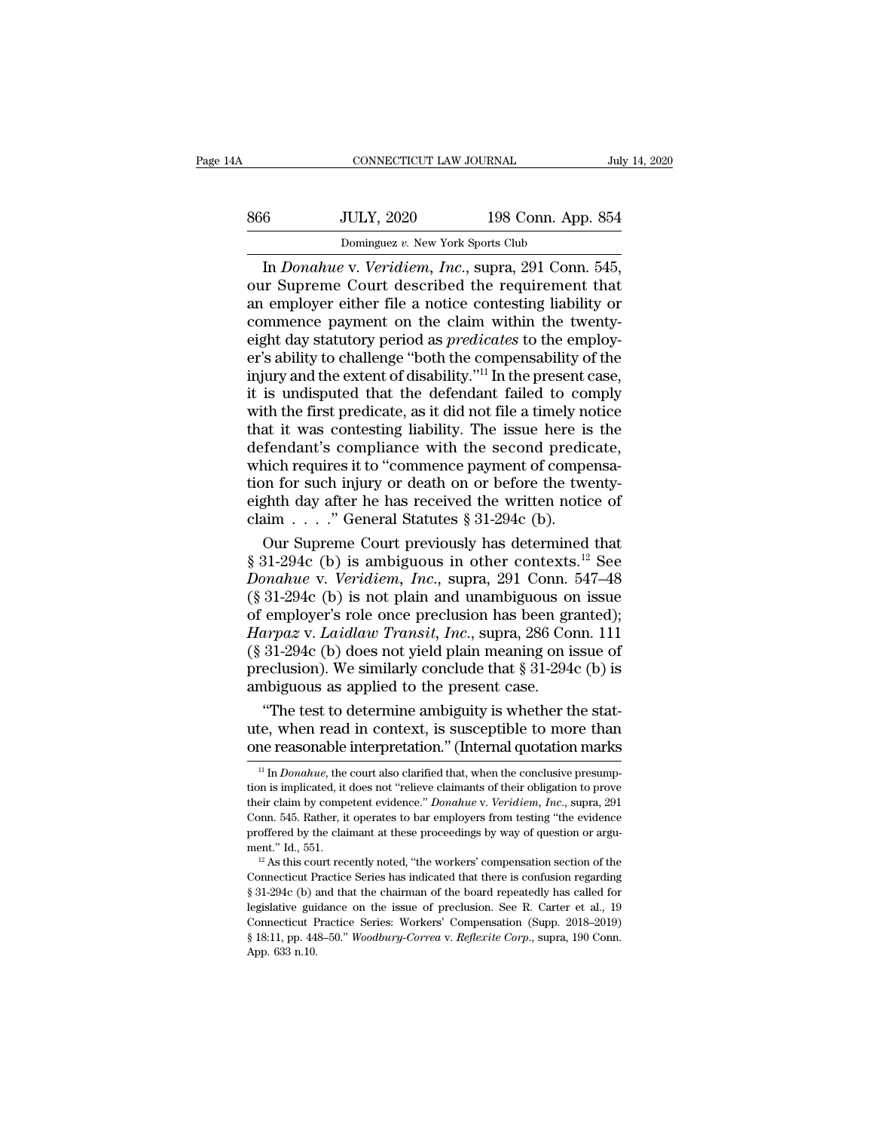| 4A  | CONNECTICUT LAW JOURNAL                       |                    | July 14, 2020 |
|-----|-----------------------------------------------|--------------------|---------------|
| 866 | <b>JULY, 2020</b>                             | 198 Conn. App. 854 |               |
|     | Dominguez v. New York Sports Club             |                    |               |
|     | In Donabue y Veridiem Inc. supra 291 Conn 545 |                    |               |

CONNECTICUT LAW JOURNAL<br>
<u>July 14, 2010</u><br>
BULLY, 2020<br>
Dominguez v. New York Sports Club<br>
In *Donahue* v. *Veridiem, Inc.*, supra, 291 Conn. 545,<br>
In Supreme Court described the requirement that<br>
employer either file a not S66 JULY, 2020 198 Conn. App. 854<br>Dominguez v. New York Sports Club<br>In Donahue v. Veridiem, Inc., supra, 291 Conn. 545,<br>our Supreme Court described the requirement that<br>an employer either file a notice contesting liability an employer either file a notice contesting liability or<br>
an employer either file a notice contesting liability or<br>
the maple of the requirement that<br>
an employer either file a notice contesting liability or<br>
commence pay 866 JULY, 2020 198 Conn. App. 854<br>
Dominguez v. New York Sports Club<br>
In Donahue v. Veridiem, Inc., supra, 291 Conn. 545,<br>
our Supreme Court described the requirement that<br>
an employer either file a notice contesting liab boothicates to the Control of the predict of the predict of the extent of disability of the extent of disability of the employer's ability to confluence payment on the claim within the twenty-<br>eight day statutory period as Dominguez v. New York Sports Club<br>
In *Donahue* v. Veridiem, *Inc.*, supra, 291 Conn. 545,<br>
our Supreme Court described the requirement that<br>
an employer either file a notice contesting liability or<br>
commence payment on t In *Donahue* v. *Veridiem, Inc.*, supra, 291 Conn. 545,<br>our Supreme Court described the requirement that<br>an employer either file a notice contesting liability or<br>commence payment on the claim within the twenty-<br>eight day s our Supreme Court described the requirement that<br>an employer either file a notice contesting liability or<br>commence payment on the claim within the twenty-<br>eight day statutory period as *predicates* to the employ-<br>er's abil an employer either file a notice contesting liability or<br>commence payment on the claim within the twenty-<br>eight day statutory period as *predicates* to the employ-<br>er's ability to challenge "both the compensability of the<br> commence payment on the claim within the twenty-<br>eight day statutory period as *predicates* to the employ-<br>er's ability to challenge "both the compensability of the<br>injury and the extent of disability."<sup>11</sup> In the present eight day statutory period as *predicates* to the employ-<br>er's ability to challenge "both the compensability of the<br>injury and the extent of disability."<sup>11</sup> In the present case,<br>it is undisputed that the defendant failed er's ability to challenge "both the compensability of the<br>injury and the extent of disability."<sup>11</sup> In the present case,<br>it is undisputed that the defendant failed to comply<br>with the first predicate, as it did not file a t injury and the extent of disability."<sup>11</sup> In the present case, it is undisputed that the defendant failed to comply with the first predicate, as it did not file a timely notice that it was contesting liability. The issue it is undisputed that the defendant failed to comply<br>with the first predicate, as it did not file a timely notice<br>that it was contesting liability. The issue here is the<br>defendant's compliance with the second predicate,<br>w it is undisputed that the defendant failed to comply<br>with the first predicate, as it did not file a timely notice<br>that it was contesting liability. The issue here is the<br>defendant's compliance with the second predicate,<br>w at it was contesting liability. The issue here is the<br>fendant's compliance with the second predicate,<br>nich requires it to "commence payment of compensa-<br>nn for such injury or death on or before the twenty-<br>ghth day after defendant's compliance with the second predicate,<br>which requires it to "commence payment of compensa-<br>tion for such injury or death on or before the twenty-<br>eighth day after he has received the written notice of<br>claim . .

which requires it to "commence payment of compensa-<br>tion for such injury or death on or before the twenty-<br>eighth day after he has received the written notice of<br>claim . . . . " General Statutes § 31-294c (b).<br>Our Supreme tion for such injury or death on or before the twenty-<br>eighth day after he has received the written notice of<br>claim . . . . " General Statutes § 31-294c (b).<br>Our Supreme Court previously has determined that<br>§ 31-294c (b) eighth day after he has received the written notice of<br>claim . . . ." General Statutes § 31-294c (b).<br>Our Supreme Court previously has determined that<br>§ 31-294c (b) is ambiguous in other contexts.<sup>12</sup> See<br>*Donahue* v. *Ve* claim . . . . " General Statutes § 31-294c (b).<br>
Our Supreme Court previously has determined that<br>
§ 31-294c (b) is ambiguous in other contexts.<sup>12</sup> See<br> *Donahue* v. *Veridiem*, *Inc.*, supra, 291 Conn. 547–48<br>
(§ 31-294c Our Supreme Court previously has determined that  $\S 31-294c$  (b) is ambiguous in other contexts.<sup>12</sup> See *Donahue v. Veridiem, Inc.*, supra, 291 Conn. 547–48 ( $\S 31-294c$  (b) is not plain and unambiguous on issue of emplo § 31-294c (b) is ambiguous in other contexts.<sup>12</sup> See<br>Donahue v. Veridiem, Inc., supra, 291 Conn. 547–48<br>(§ 31-294c (b) is not plain and unambiguous on issue<br>of employer's role once preclusion has been granted);<br>Harpaz v. Donahue v. Veridiem, Inc., supra, 291 Conn.<br>
(§ 31-294c (b) is not plain and unambiguous on<br>
of employer's role once preclusion has been gr<br>
Harpaz v. Laidlaw Transit, Inc., supra, 286 Co<br>
(§ 31-294c (b) does not yield pl 31-294c (b) is not plain and unambiguous on issue<br>
employer's role once preclusion has been granted);<br>  $\arg z$  v. *Laidlaw Transit*, *Inc.*, supra, 286 Conn. 111<br>
31-294c (b) does not yield plain meaning on issue of<br>
eclusi of employer's role once preclusion has been granted);<br> *Harpaz* v. *Laidlaw Transit, Inc.*, supra, 286 Conn. 111<br>
(§ 31-294c (b) does not yield plain meaning on issue of<br>
preclusion). We similarly conclude that § 31-294c Harpaz v. Laidlaw Transit, Inc., supra, 286 Conn. 111 (§ 31-294c (b) does not yield plain meaning on issue of preclusion). We similarly conclude that § 31-294c (b) is ambiguous as applied to the present case.<br>
"The test t

<sup>11</sup> In *Donahue*, the court also clarified that, when the conclusive presump-<br><sup>11</sup> In *Donahue*, the court also clarified that, when the conclusive presump-<br><sup>11</sup> In *Donahue*, the court also clarified that, when the concl "The test to determine ambiguity is whether the stat-<br>ute, when read in context, is susceptible to more than<br>one reasonable interpretation." (Internal quotation marks<br> $\frac{1}{1}$  In *Donahue*, the court also clarified that,

ute, when read in context, is susceptible to more than<br>one reasonable interpretation." (Internal quotation marks<br><sup>11</sup> In *Donahue*, the court also clarified that, when the conclusive presump-<br>tion is implicated, it does no One reasonable interpretation." (Internal quotation marks  $\frac{1}{1}$  In *Donahue*, the court also clarified that, when the conclusive presumption is implicated, it does not "relieve claimants of their obligation to prove t their claim by competent evidence." Donahue v. Veridiem, Inc., supra, 291 <sup>11</sup> In *Donahue*, the court also clarified that, when the conclusive presumption is implicated, it does not "relieve claimants of their obligation to prove their claim by competent evidence." *Donahue* v. Veridiem, Inc., their claim by competent evidence." *Donahue* v. Veridiem, Inc., supra, 291 Conn. 545. Rather, it operates to bar employers from testing "the evidence proffered by the claimant at these proceedings by way of question or a

Conn. 545. Rather, it operates to bar employers from testing "the evidence proffered by the claimant at these proceedings by way of question or argument." Id., 551.<br><sup>12</sup> As this court recently noted, "the workers" compens proffered by the claimant at these proceedings by way of question or argument." Id., 551.<br><sup>12</sup> As this court recently noted, "the workers' compensation section of the Connecticut Practice Series has indicated that there is ment." Id., 551.<br>
<sup>12</sup> As this court recently noted, "the workers' compensation section of the Connecticut Practice Series has indicated that there is confusion regarding § 31-294c (b) and that the chairman of the board r <sup>12</sup> As this court recently noted, "the workers' compensation section of the Connecticut Practice Series has indicated that there is confusion regarding § 31-294c (b) and that the chairman of the board repeatedly has call Connecticut Practice Series has indicated that there is confusion regarding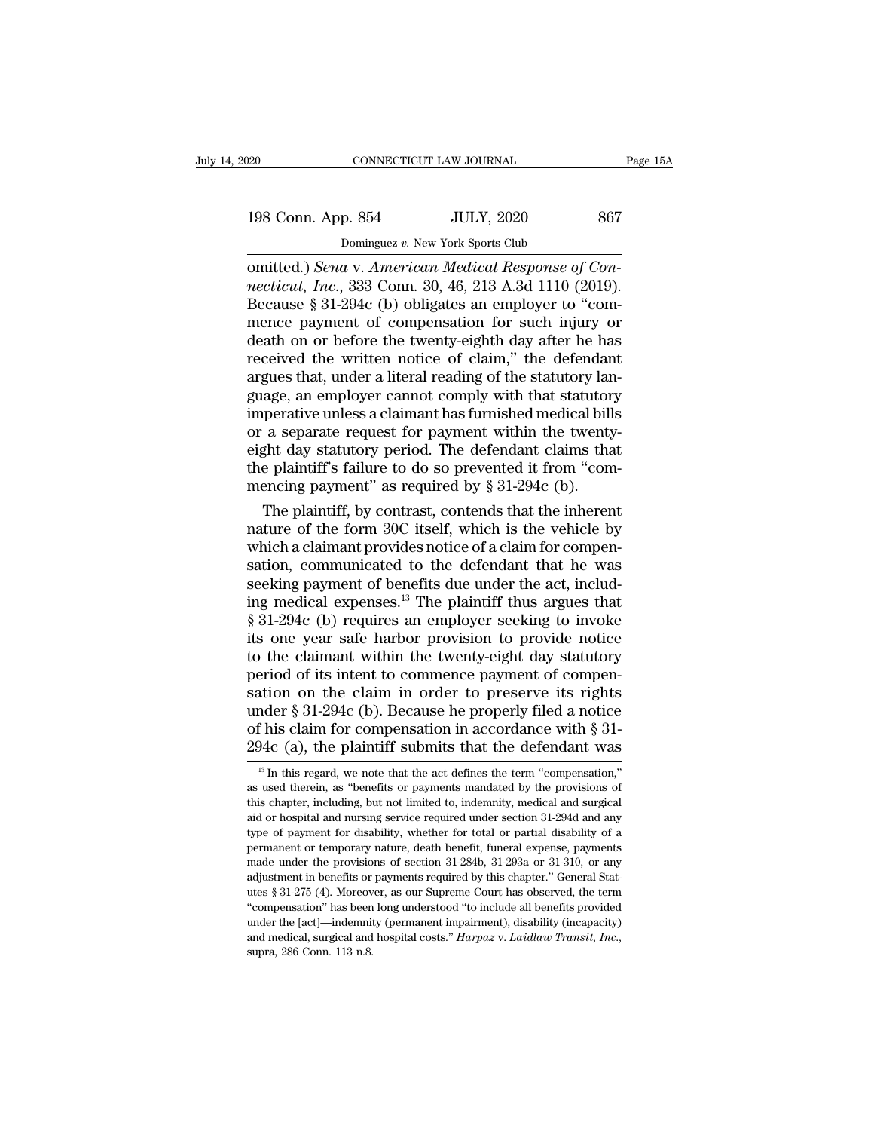| )20                | CONNECTICUT LAW JOURNAL                           | Page 15A |
|--------------------|---------------------------------------------------|----------|
| 198 Conn. App. 854 | <b>JULY, 2020</b>                                 | 867      |
|                    | Dominguez v. New York Sports Club                 |          |
|                    | omitted) Sena y American Medical Response of Con- |          |

CONNECTICUT LAW JOURNAL<br>
198 Conn. App. 854 JULY, 2020 867<br>
Dominguez v. New York Sports Club<br>
omitted.) *Sena* v. *American Medical Response of Con-*<br> *necticut, Inc.*, 333 Conn. 30, 46, 213 A.3d 1110 (2019).<br>
Because 8 3 **198 Conn. App. 854 JULY, 2020** 867<br>
Dominguez v. New York Sports Club<br>
comitted.) *Sena* v. American Medical Response of Con-<br> *necticut, Inc.*, 333 Conn. 30, 46, 213 A.3d 1110 (2019).<br>
Because § 31-294c (b) obligates a 198 Conn. App. 854 JULY, 2020 867<br>
Dominguez v. New York Sports Club<br>
omitted.) *Sena* v. *American Medical Response of Con-*<br> *necticut, Inc.*, 333 Conn. 30, 46, 213 A.3d 1110 (2019).<br>
Because § 31-294c (b) obligates an 198 Conn. App. 854 JULY, 2020 867<br>
Dominguez v. New York Sports Club<br>
comitted.) *Sena* v. *American Medical Response of Con-*<br> *necticut, Inc.*, 333 Conn. 30, 46, 213 A.3d 1110 (2019).<br>
Because § 31-294c (b) obligates an Dominguez v. New York Sports Club<br>
omitted.) Sena v. American Medical Response of Con-<br>
necticut, Inc., 333 Conn. 30, 46, 213 A.3d 1110 (2019).<br>
Because § 31-294c (b) obligates an employer to "com-<br>
mence payment of compe Dominguez v. New York Sports Club<br>
comitted.) Sena v. American Medical Response of Con-<br>
necticut, Inc., 333 Conn. 30, 46, 213 A.3d 1110 (2019).<br>
Because § 31-294c (b) obligates an employer to "com-<br>
mence payment of comp omitted.) *Sena* v. American Medical Response of Connecticut, Inc., 333 Conn. 30, 46, 213 A.3d 1110 (2019). Because § 31-294c (b) obligates an employer to "commence payment of compensation for such injury or death on or be mecticut, Inc., 333 Conn. 30, 46, 213 A.3d 1110 (2019).<br>Because § 31-294c (b) obligates an employer to "com-<br>mence payment of compensation for such injury or<br>death on or before the twenty-eighth day after he has<br>received Because § 31-294c (b) obligates an employer to "com-<br>mence payment of compensation for such injury or<br>death on or before the twenty-eighth day after he has<br>received the written notice of claim," the defendant<br>argues that, mence payment of compensation for such injury or<br>death on or before the twenty-eighth day after he has<br>received the written notice of claim," the defendant<br>argues that, under a literal reading of the statutory lan-<br>guage, death on or before the twenty-eighth day after he has<br>received the written notice of claim," the defendant<br>argues that, under a literal reading of the statutory lan-<br>guage, an employer cannot comply with that statutory<br>im received the written notice of claim," the defendant<br>argues that, under a literal reading of the statutory language, an employer cannot comply with that statutory<br>imperative unless a claimant has furnished medical bills<br>or argues that, under a literal reading of the statutory larguage, an employer cannot comply with that statutor imperative unless a claimant has furnished medical bill or a separate request for payment within the twenty eight age, an employer cannot comply with that statutory<br>perative unless a claimant has furnished medical bills<br>a separate request for payment within the twenty-<br>ght day statutory period. The defendant claims that<br>e plaintiff's imperative unless a claimant has furnished medical bills<br>or a separate request for payment within the twenty-<br>eight day statutory period. The defendant claims that<br>the plaintiff's failure to do so prevented it from "com-<br>m

or a separate request for payment within the twenty-<br>eight day statutory period. The defendant claims that<br>the plaintiff's failure to do so prevented it from "com-<br>mencing payment" as required by § 31-294c (b).<br>The plainti eight day statutory period. The defendant claims that<br>the plaintiff's failure to do so prevented it from "com-<br>mencing payment" as required by  $\S 31-294c$  (b).<br>The plaintiff, by contrast, contends that the inherent<br>nature the plaintiff's failure to do so prevented it from "com-<br>mencing payment" as required by § 31-294c (b).<br>The plaintiff, by contrast, contends that the inherent<br>nature of the form 30C itself, which is the vehicle by<br>which a mencing payment" as required by  $\S 31-294c$  (b).<br>
The plaintiff, by contrast, contends that the inherent<br>
nature of the form 30C itself, which is the vehicle by<br>
which a claimant provides notice of a claim for compen-<br>
sa The plaintiff, by contrast, contends that the inherent<br>nature of the form 30C itself, which is the vehicle by<br>which a claimant provides notice of a claim for compen-<br>sation, communicated to the defendant that he was<br>seekin nature of the form 30C itself, which is the vehicle by<br>which a claimant provides notice of a claim for compen-<br>sation, communicated to the defendant that he was<br>seeking payment of benefits due under the act, includ-<br>ing me which a claimant provides notice of a claim for compensation, communicated to the defendant that he was<br>seeking payment of benefits due under the act, includ-<br>ing medical expenses.<sup>13</sup> The plaintiff thus argues that<br>§ 31-2 sation, communicated to the defendant that he was<br>seeking payment of benefits due under the act, includ-<br>ing medical expenses.<sup>13</sup> The plaintiff thus argues that<br> $\S 31-294c$  (b) requires an employer seeking to invoke<br>its seeking payment of benefits due under the act, includ-<br>ing medical expenses.<sup>13</sup> The plaintiff thus argues that<br>§ 31-294c (b) requires an employer seeking to invoke<br>its one year safe harbor provision to provide notice<br>to t ing medical expenses.<sup>13</sup> The plaintiff thus argues that  $\S 31-294c$  (b) requires an employer seeking to invoke<br>its one year safe harbor provision to provide notice<br>to the claimant within the twenty-eight day statutory<br>pe  $\S$  31-294c (b) requires an employer seeking to invoke its one year safe harbor provision to provide notice to the claim<br>ant within the twenty-eight day statutory period of its intent to commence payment of compensation o its one year safe harbor provision to provide notice<br>to the claimant within the twenty-eight day statutory<br>period of its intent to commence payment of compen-<br>sation on the claim in order to preserve its rights<br>under § 31 13 In this regard, we note that the act defines the term ''compensation', "<br>
13 In this regard, we note that the act defines the term ''compensation,"<br>
13 In this regard, we note that the act defines the term ''compensati under § 31-294c (b). Because he properly filed a notice<br>of his claim for compensation in accordance with § 31-<br>294c (a), the plaintiff submits that the defendant was<br> $\frac{1}{13}$  In this regard, we note that the act defines

of his claim for compensation in accordance with § 31-<br>294c (a), the plaintiff submits that the defendant was<br> $\frac{18 \text{ In this regard, we note that the act defines the term "compression,"}$  as used therein, as "benefits or payments mandated by the provisions of this chapter 294 $c$  (a), the plaintiff submits that the defendant was  $\frac{1}{a}$  In this regard, we note that the act defines the term "compensation," as used therein, as "benefits or payments mandated by the provisions of this chapter  $294C$  (*a*), the plainting subfilits that the defericant was<br><sup>13</sup> In this regard, we note that the act defines the term "compensation,"<br>as used therein, as "benefits or payments mandated by the provisions of<br>this chapter <sup>13</sup> In this regard, we note that the act defines the term "compensation," as used therein, as "benefits or payments mandated by the provisions of this chapter, including, but not limited to, indemnity, medical and surgic as used therein, as "benefits or payments mandated by the provisions of this chapter, including, but not limited to, indemnity, medical and surgical aid or hospital and nursing service required under section 31-294d and an type of payment for disability, whether for total or partial disability of a<br>permanent or temporary nature, death benefit, funeral expense, payments<br>made under the provisions of section 31-284b, 31-293a or 31-310, or any<br>a and or hospital and nursing service required under section 31-294d and any type of payment for disability, whether for total or partial disability of a permanent or temporary nature, death benefit, funeral expense, payment type of payment for disability, whether for total or partial disability of a<br>permanent or temporary nature, death benefit, funeral expense, payments<br>made under the provisions of section 31-284b, 31-293a or 31-310, or any<br>a permanent or temporary nature, death benefit, funeral expense, payments made under the provisions of section 31-284b, 31-293a or 31-310, or any adjustment in benefits or payments required by this chapter." General Statute made under the provisions of section 31-284b, 31-293a or 31-310, or any<br>adjustment in benefits or payments required by this chapter." General Stat-<br>utes § 31-275 (4). Moreover, as our Supreme Court has observed, the term<br>"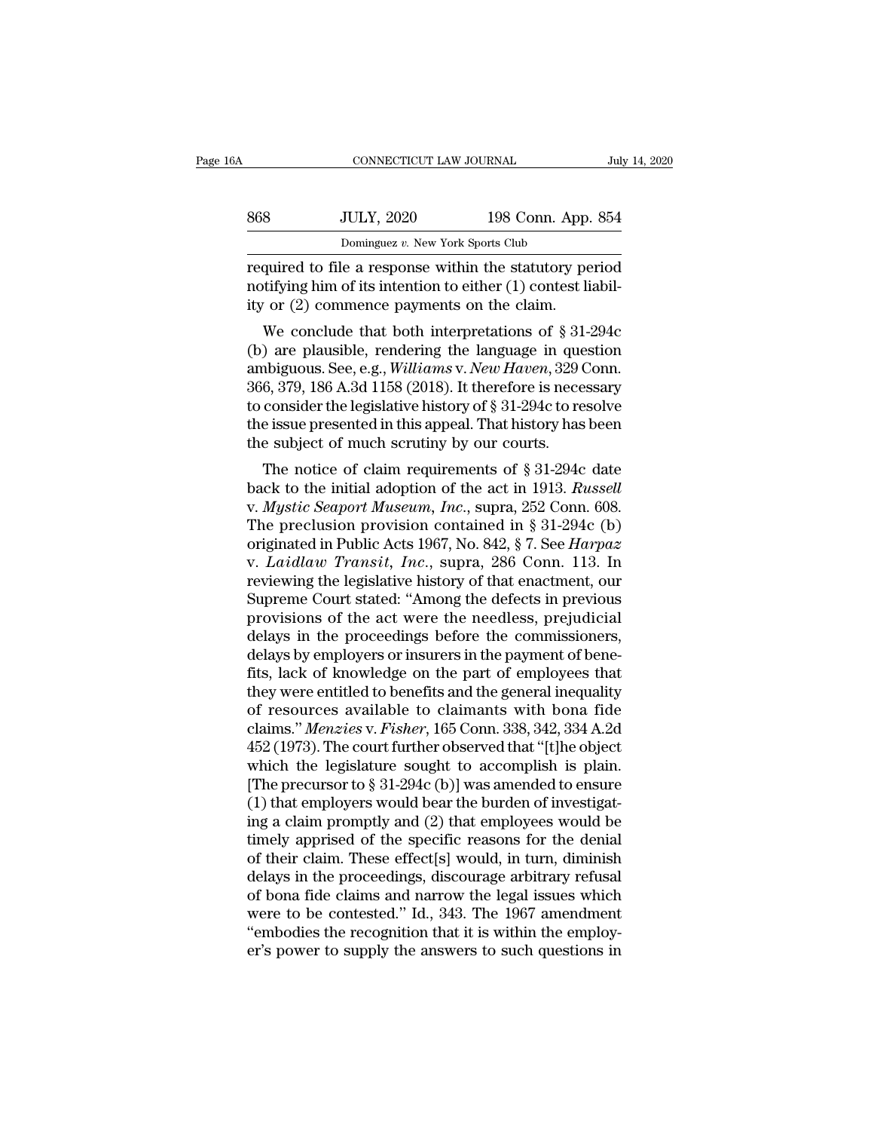| 16A | CONNECTICUT LAW JOURNAL           |                    | July 14, 2020 |
|-----|-----------------------------------|--------------------|---------------|
| 868 | <b>JULY, 2020</b>                 | 198 Conn. App. 854 |               |
|     | Dominguez v. New York Sports Club |                    |               |

notifying the set of the set of the set of the set of the set of the set of its intention to either (1) contest liability or (2) commence payments on the claim. 368 JULY, 2020 198 Conn. App.<br>
Dominguez v. New York Sports Club<br>
required to file a response within the statutory pe<br>
notifying him of its intention to either (1) contest lifty or (2) commence payments on the claim.<br>
We  $\n \text{JULY, } 2020$  198 Conn. App. 854<br>
Dominguez v. New York Sports Club<br>
quired to file a response within the statutory period<br>
tifying him of its intention to either (1) contest liabil-<br>
y or (2) commence payments on the

Dominguez v. New York Sports Club<br>
required to file a response within the statutory period<br>
notifying him of its intention to either (1) contest liabil-<br>
ity or (2) commence payments on the claim.<br>
We conclude that both i required to file a response within the statutory period<br>notifying him of its intention to either (1) contest liabil-<br>ity or (2) commence payments on the claim.<br>We conclude that both interpretations of § 31-294c<br>(b) are pla required to the a response within the statutory period<br>notifying him of its intention to either (1) contest liabil-<br>ity or (2) commence payments on the claim.<br>We conclude that both interpretations of § 31-294c<br>(b) are pla to consider the lagislative history of § 31-294c<br>to conclude that both interpretations of § 31-294c<br>(b) are plausible, rendering the language in question<br>ambiguous. See, e.g., *Williams v. New Haven*, 329 Conn.<br>366, 379, the interpretations of  $\S$  31-294c<br>(b) are plausible, rendering the language in question<br>ambiguous. See, e.g., *Williams v. New Haven*, 329 Conn.<br>366, 379, 186 A.3d 1158 (2018). It therefore is necessary<br>to consider the l We conclude that both interpretations of § 31 (b) are plausible, rendering the language in que ambiguous. See, e.g., *Williams v. New Haven*, 329 (366, 379, 186 A.3d 1158 (2018). It therefore is nece to consider the legis The plausible, rendering the language in question<br>hbiguous. See, e.g., *Williams v. New Haven*, 329 Conn.<br>6, 379, 186 A.3d 1158 (2018). It therefore is necessary<br>consider the legislative history of § 31-294c to resolve<br>e anonguous. See, e.g., *watams v. New Haten*, 525 Confi.<br>366, 379, 186 A.3d 1158 (2018). It therefore is necessary<br>to consider the legislative history of § 31-294c to resolve<br>the issue presented in this appeal. That history

300, 379, 100 A.30 1136 (2016). It therefore is necessary<br>to consider the legislative history of § 31-294c to resolve<br>the issue presented in this appeal. That history has been<br>the subject of much scrutiny by our courts.<br>Th the issue presented in this appeal. That history has been<br>the subject of much scrutiny by our courts.<br>The notice of claim requirements of § 31-294c date<br>back to the initial adoption of the act in 1913. Russell<br>v. Mystic S the subject of much scrutiny by our courts.<br>
The notice of claim requirements of § 31-294c date<br>
back to the initial adoption of the act in 1913. *Russell*<br>
v. *Mystic Seaport Museum, Inc.*, supra, 252 Conn. 608.<br>
The prec the subject of intich scrutify by our courts.<br>
The notice of claim requirements of § 31-294c date<br>
back to the initial adoption of the act in 1913. *Russell*<br>
v. *Mystic Seaport Museum, Inc.*, supra, 252 Conn. 608.<br>
The pr The notice of claim requirements of § 31-294c date<br>back to the initial adoption of the act in 1913. Russell<br>v. Mystic Seaport Museum, Inc., supra, 252 Conn. 608.<br>The preclusion provision contained in § 31-294c (b)<br>origina back to the initial adoption of the act in 1913. *Russell*<br>v. *Mystic Seaport Museum, Inc.*, supra, 252 Conn. 608.<br>The preclusion provision contained in § 31-294c (b)<br>originated in Public Acts 1967, No. 842, § 7. See *Har* v. *Mystic Seaport Museum, Inc.*, supra, 252 Conn. 608.<br>The preclusion provision contained in § 31-294c (b) originated in Public Acts 1967, No. 842, § 7. See *Harpaz* v. *Laidlaw Transit, Inc.*, supra, 286 Conn. 113. In r The preclusion provision contained in § 31-294c (b) originated in Public Acts 1967, No. 842, § 7. See *Harpaz* v. *Laidlaw Transit, Inc.*, supra, 286 Conn. 113. In reviewing the legislative history of that enactment, our originated in Public Acts 1967, No. 842, § 7. See *Harpaz* v. *Laidlaw Transit, Inc.*, supra, 286 Conn. 113. In reviewing the legislative history of that enactment, our Supreme Court stated: "Among the defects in previous v. *Laidlaw Transit, Inc.*, supra, 286 Conn. 113. In<br>reviewing the legislative history of that enactment, our<br>Supreme Court stated: "Among the defects in previous<br>provisions of the act were the needless, prejudicial<br>delays reviewing the legislative history of that enactment, our<br>Supreme Court stated: "Among the defects in previous<br>provisions of the act were the needless, prejudicial<br>delays in the proceedings before the commissioners,<br>delays Supreme Court stated: "Among the defects in previous<br>provisions of the act were the needless, prejudicial<br>delays in the proceedings before the commissioners,<br>delays by employers or insurers in the payment of bene-<br>fits, la provisions of the act were the needless, prejudicial<br>delays in the proceedings before the commissioners,<br>delays by employers or insurers in the payment of bene-<br>fits, lack of knowledge on the part of employees that<br>they we delays in the proceedings before the commissioners,<br>delays by employers or insurers in the payment of bene-<br>fits, lack of knowledge on the part of employees that<br>they were entitled to benefits and the general inequality<br>o delays by employers or insurers in the payment of bene-<br>fits, lack of knowledge on the part of employees that<br>they were entitled to benefits and the general inequality<br>of resources available to claimants with bona fide<br>cla fits, lack of knowledge on the part of employees that<br>they were entitled to benefits and the general inequality<br>of resources available to claimants with bona fide<br>claims." *Menzies* v. *Fisher*, 165 Conn. 338, 342, 334 A. they were entitled to benefits and the general inequality<br>of resources available to claimants with bona fide<br>claims." *Menzies* v. *Fisher*, 165 Conn. 338, 342, 334 A.2d<br>452 (1973). The court further observed that "[t]he o of resources available to claimants with bona fide<br>claims." *Menzies* v. *Fisher*, 165 Conn. 338, 342, 334 A.2d<br>452 (1973). The court further observed that "[t]he object<br>which the legislature sought to accomplish is plain claims." *Menzies* v. *Fisher*, 165 Conn. 338, 342, 334 A.2d<br>452 (1973). The court further observed that "[t]he object<br>which the legislature sought to accomplish is plain.<br>[The precursor to § 31-294c (b)] was amended to en 452 (1973). The court further observed that "[t]he object<br>which the legislature sought to accomplish is plain.<br>[The precursor to  $\S 31-294c$  (b)] was amended to ensure<br>(1) that employers would bear the burden of investiga which the legislature sought to accomplish is plain.<br>[The precursor to  $\S 31-294c$  (b)] was amended to ensure<br>(1) that employers would bear the burden of investigat-<br>ing a claim promptly and (2) that employees would be<br>ti [The precursor to  $\S 31-294c$  (b)] was amended to ensure<br>(1) that employers would bear the burden of investigat-<br>ing a claim promptly and (2) that employees would be<br>timely apprised of the specific reasons for the denial<br> (1) that employers would bear the burden of investigating a claim promptly and (2) that employees would be<br>timely apprised of the specific reasons for the denial<br>of their claim. These effect[s] would, in turn, diminish<br>de ing a claim promptly and (2) that employees would be<br>timely apprised of the specific reasons for the denial<br>of their claim. These effect[s] would, in turn, diminish<br>delays in the proceedings, discourage arbitrary refusal<br>o timely apprised of the specific reasons for the denial<br>of their claim. These effect[s] would, in turn, diminish<br>delays in the proceedings, discourage arbitrary refusal<br>of bona fide claims and narrow the legal issues which<br>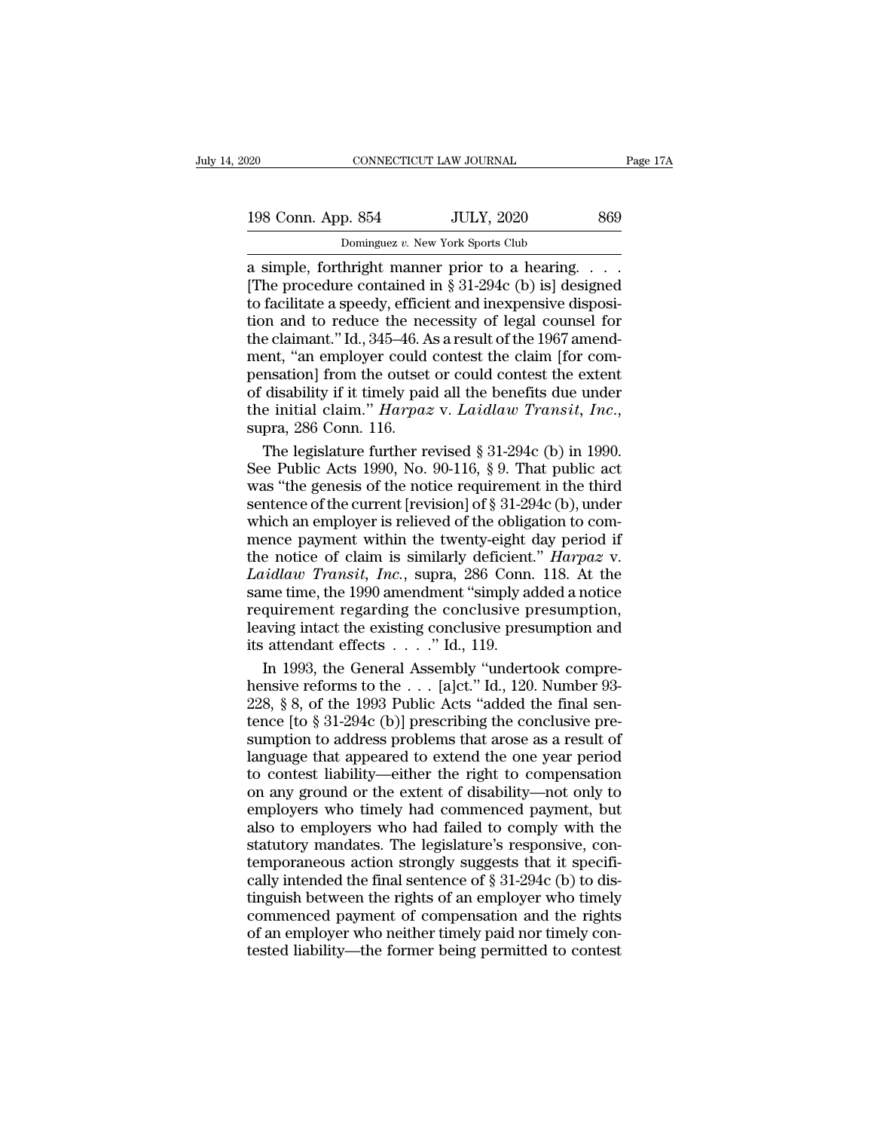| 120 |                    | CONNECTICUT LAW JOURNAL                        | Page 17A |
|-----|--------------------|------------------------------------------------|----------|
|     |                    |                                                |          |
|     | 198 Conn. App. 854 | <b>JULY, 2020</b>                              | 869      |
|     |                    | Dominguez v. New York Sports Club              |          |
|     |                    | a simple, forthright manner prior to a hearing |          |

a simple, forthright manner prior to a hearing. . . . 198 Conn. App. 854 JULY, 2020 869<br>
Dominguez v. New York Sports Club<br>
a simple, forthright manner prior to a hearing. . . .<br>
The procedure contained in § 31-294c (b) is] designed<br>
to facilitate a speedy, efficient and inex 198 Conn. App. 854 JULY, 2020 869<br>
Dominguez v. New York Sports Club<br>
a simple, forthright manner prior to a hearing....<br>
The procedure contained in § 31-294c (b) is] designed<br>
to facilitate a speedy, efficient and inexpe 198 Conn. App. 854 JULY, 2020 869<br>
Dominguez v. New York Sports Club<br>
a simple, forthright manner prior to a hearing....<br>
[The procedure contained in § 31-294c (b) is] designed<br>
to facilitate a speedy, efficient and inexp **Example colum.** App. 004 BOLT, 2020 BODT<br>
Dominguez v. New York Sports Club<br>
a simple, forthright manner prior to a hearing....<br>
[The procedure contained in § 31-294c (b) is] designed<br>
to facilitate a speedy, efficient a Dominguez v. New York Sports Club<br>
a simple, forthright manner prior to a hearing. . . . .<br>
[The procedure contained in § 31-294c (b) is] designed<br>
to facilitate a speedy, efficient and inexpensive disposi-<br>
tion and to r pensation] from the outset or could contest the extent [The procedure contained in § 31-294c (b) is] designed<br>to facilitate a speedy, efficient and inexpensive disposi-<br>tion and to reduce the necessity of legal counsel for<br>the claimant." Id., 345–46. As a result of the 1967 a to facilitate a speedy, efficient and inexpensive disposition and to reduce the necessity of legal counsel for the claimant." Id., 345–46. As a result of the 1967 amendment, "an employer could contest the claim [for compen e claimant." Id., 345–46. As a result of the 1967 amendent, "an employer could contest the claim [for commation] from the outset or could contest the extent disability if it timely paid all the benefits due under<br>e initia ment, "an employer could contest the claim [for compensation] from the outset or could contest the extent<br>of disability if it timely paid all the benefits due under<br>the initial claim." *Harpaz* v. *Laidlaw Transit*, *Inc.* 

pensation] from the outset or could contest the extent<br>of disability if it timely paid all the benefits due under<br>the initial claim." *Harpaz* v. *Laidlaw Transit, Inc.*,<br>supra, 286 Conn. 116.<br>The legislature further revi of disability if it timely paid all the benefits due under<br>the initial claim."  $Harpaz$  v. Laidlaw Transit, Inc.,<br>supra, 286 Conn. 116.<br>The legislature further revised § 31-294c (b) in 1990.<br>See Public Acts 1990, No. 90-116, the initial claim." *Harpaz* v. *Laidlaw Transit, Inc.*, supra, 286 Conn. 116.<br>The legislature further revised § 31-294c (b) in 1990.<br>See Public Acts 1990, No. 90-116, § 9. That public act was "the genesis of the notice r supra, 286 Conn. 116.<br>
The legislature further revised § 31-294c (b) in 1990.<br>
See Public Acts 1990, No. 90-116, § 9. That public act<br>
was "the genesis of the notice requirement in the third<br>
sentence of the current [revi The legislature further revised § 31-294c (b) in 1990.<br>See Public Acts 1990, No. 90-116, § 9. That public act<br>was "the genesis of the notice requirement in the third<br>sentence of the current [revision] of § 31-294c (b), und *Laidlaw Transit, Inc.*, supra, 286 Conn. 118. At the same time, the applicant of the current [revision] of § 31-294c (b), under which an employer is relieved of the obligation to commence payment within the twenty-eight d such the genesis of the notice requirement in the third<br>sentence of the current [revision] of § 31-294c (b), under<br>which an employer is relieved of the obligation to com-<br>mence payment within the twenty-eight day period i requirement in the conclusive presumption<br>sentence of the current [revision] of § 31-294c (b), under<br>which an employer is relieved of the obligation to com-<br>mence payment within the twenty-eight day period if<br>the notice o which an employer is relieved of the obligation to com-<br>mence payment within the twenty-eight day period if<br>the notice of claim is similarly deficient." *Harpaz* v.<br>Laidlaw Transit, Inc., supra, 286 Conn. 118. At the<br>same mence payment within the twenty-eight of<br>the notice of claim is similarly deficient<br>*Laidlaw Transit, Inc.*, supra, 286 Conn.<br>same time, the 1990 amendment "simply a<br>requirement regarding the conclusive p<br>leaving intact t in to the General Assemble." Harpaz v.<br> *Rarpaz v.*<br> *Rarpaz v.*<br> *Rarpaz V.*<br> *Rarpaz V.*<br> *Rarpay Transit, Inc., supra, 286 Conn. 118. At the*<br> *Remement regarding the conclusive presumption and*<br> *Rarpay intertook comp Laidlaw Transit, Inc.*, supra, 286 Conn. 118. At the same time, the 1990 amendment "simply added a notice requirement regarding the conclusive presumption, leaving intact the existing conclusive presumption and its atten

same time, the 1990 amendment "simply added a notice<br>requirement regarding the conclusive presumption,<br>leaving intact the existing conclusive presumption and<br>its attendant effects  $\ldots$ ." Id., 119.<br>In 1993, the General As requirement regarding the conclusive presumption,<br>leaving intact the existing conclusive presumption and<br>its attendant effects  $\ldots$ ." Id., 119.<br>In 1993, the General Assembly "undertook compre-<br>hensive reforms to the  $\ldots$ leaving intact the existing conclusive presumption and<br>its attendant effects  $\ldots$ ." Id., 119.<br>In 1993, the General Assembly "undertook compre-<br>hensive reforms to the  $\ldots$  [a]ct." Id., 120. Number 93-<br>228, § 8, of the 19 its attendant effects  $\ldots$  ." Id., 119.<br>
In 1993, the General Assembly "undertook comprehensive reforms to the  $\ldots$  [a]ct." Id., 120. Number 93-<br>
228, § 8, of the 1993 Public Acts "added the final sen-<br>
tence [to § 31-2 In 1993, the General Assembly "undertook comprehensive reforms to the  $\ldots$  [a]ct." Id., 120. Number 93-<br>228, § 8, of the 1993 Public Acts "added the final sen-<br>tence [to § 31-294c (b)] prescribing the conclusive pre-<br>sum The sive reforms to the . . . [a]ct." Id., 120. Number 93-<br>228, § 8, of the 1993 Public Acts "added the final sen-<br>tence [to § 31-294c (b)] prescribing the conclusive pre-<br>sumption to address problems that arose as a resu 228, § 8, of the 1993 Public Acts "aa", and conclusive pre-<br>tence [to § 31-294c (b)] prescribing the conclusive pre-<br>sumption to address problems that arose as a result of<br>language that appeared to extend the one year per Frace (to § 31-294c (b)] prescribing the conclusive pre-<br>sumption to address problems that arose as a result of<br>language that appeared to extend the one year period<br>to contest liability—either the right to compensation<br>on sumption to address problems that arose as a result of language that appeared to extend the one year period to contest liability—either the right to compensation on any ground or the extent of disability—not only to emplo Language that appeared to extend the one year period<br>to contest liability—either the right to compensation<br>on any ground or the extent of disability—not only to<br>employers who timely had commenced payment, but<br>also to empl cally contest liability—either the right to compensation<br>to contest liability—either the right to compensation<br>on any ground or the extent of disability—not only to<br>employers who timely had commenced payment, but<br>also to e the right of disability—not only to<br>on any ground or the extent of disability—not only to<br>employers who timely had commenced payment, but<br>also to employers who had failed to comply with the<br>statutory mandates. The legisla employers who timely had commenced payment, but<br>also to employers who had failed to comply with the<br>statutory mandates. The legislature's responsive, con-<br>temporaneous action strongly suggests that it specifi-<br>cally inten chapter who lines, and failed to comply with the statutory mandates. The legislature's responsive, contemporaneous action strongly suggests that it specifically intended the final sentence of  $\S 31-294c$  (b) to distinguis Example in Fig. 2.1 and the legislature's responsive, contemporaneous action strongly suggests that it specifically intended the final sentence of  $\S 31-294c$  (b) to distinguish between the rights of an employer who timel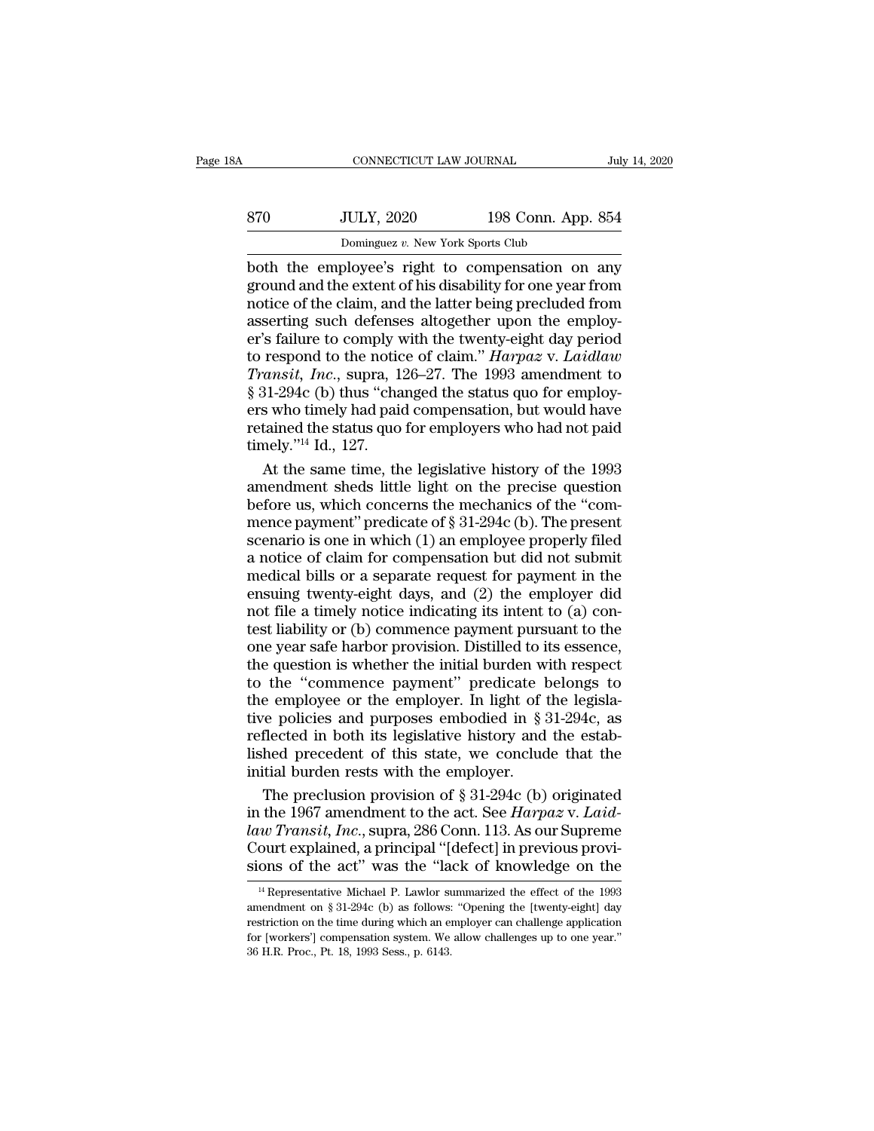| ŝΑ  | CONNECTICUT LAW JOURNAL                          |                    | July 14, 2020 |
|-----|--------------------------------------------------|--------------------|---------------|
| 870 | <b>JULY, 2020</b>                                | 198 Conn. App. 854 |               |
|     | Dominguez v. New York Sports Club                |                    |               |
|     | hoth the employee's right to compensation on any |                    |               |

CONNECTICUT LAW JOURNAL July 14, 2020<br>
Both JULY, 2020 198 Conn. App. 854<br>
Dominguez v. New York Sports Club<br>
both the employee's right to compensation on any<br>
ground and the extent of his disability for one year from<br>
not ground and the extent of his disability for one year from<br>a ground and the extent of his disability for one year from<br>a ground and the extent of his disability for one year from<br>a sserting such defenses altogether upon the 870 JULY, 2020 198 Conn. App. 854<br>
Dominguez v. New York Sports Club<br>
both the employee's right to compensation on any<br>
ground and the extent of his disability for one year from<br>
notice of the claim, and the latter being  $\frac{354}{\text{Dominguez } v. \text{ New York Sports Club}}$ <br>Dominguez v. New York Sports Club<br>both the employee's right to compensation on any<br>ground and the extent of his disability for one year from<br>notice of the claim, and the latter being precluded f Dominguez v. New York Sports Club<br>
both the employee's right to compensation on any<br>
ground and the extent of his disability for one year from<br>
notice of the claim, and the latter being precluded from<br>
asserting such defe Dominguez *v.* New York Sports Club<br>both the employee's right to compensation on any<br>ground and the extent of his disability for one year from<br>notice of the claim, and the latter being precluded from<br>asserting such defense both the employee's right to compensation on any<br>ground and the extent of his disability for one year from<br>notice of the claim, and the latter being precluded from<br>asserting such defenses altogether upon the employ-<br>er's f ground and the extent of his disability for one year from<br>notice of the claim, and the latter being precluded from<br>asserting such defenses altogether upon the employ-<br>er's failure to comply with the twenty-eight day perio notice of the claim, and the latter being precluded from<br>asserting such defenses altogether upon the employ-<br>er's failure to comply with the twenty-eight day period<br>to respond to the notice of claim." *Harpaz* v. *Laidlaw* asserting such defenses altogether upon the employ-<br>er's failure to comply with the twenty-eight day period<br>to respond to the notice of claim." *Harpaz* v. *Laidlaw*<br>*Transit, Inc.*, supra, 126–27. The 1993 amendment to<br>§ er's failure to comply v<br>to respond to the notic<br>Transit, Inc., supra, 1<br> $\S 31-294c$  (b) thus "cha<br>ers who timely had paid<br>retained the status quo<br>timely."<sup>14</sup> Id., 127.<br>At the same time, th respond to the notice of claim." Harpaz v. Laidlaw<br>
ransit, Inc., supra, 126–27. The 1993 amendment to<br>
31-294c (b) thus "changed the status quo for employ-<br>
s who timely had paid compensation, but would have<br>
tained the Transit, Inc., supra, 126–27. The 1993 amendment to<br>
§ 31-294c (b) thus "changed the status quo for employ-<br>
ers who timely had paid compensation, but would have<br>
retained the status quo for employers who had not paid<br>
ti

 $\S$  31-294c (b) thus "changed the status quo for employers who timely had paid compensation, but would have<br>retained the status quo for employers who had not paid<br>timely."<sup>14</sup> Id., 127.<br>At the same time, the legislative h ers who timely had paid compensation, but would have<br>retained the status quo for employers who had not paid<br>timely."<sup>14</sup> Id., 127.<br>At the same time, the legislative history of the 1993<br>amendment sheds little light on the retained the status quo for employers who had not paid<br>timely."<sup>14</sup> Id., 127.<br>At the same time, the legislative history of the 1993<br>amendment sheds little light on the precise question<br>before us, which concerns the mechani timely."<sup>14</sup> Id., 127.<br>At the same time, the legislative history of the 1993<br>amendment sheds little light on the precise question<br>before us, which concerns the mechanics of the "com-<br>mence payment" predicate of § 31-294c At the same time, the legislative history of the 1993<br>amendment sheds little light on the precise question<br>before us, which concerns the mechanics of the "com-<br>mence payment" predicate of  $\S 31-294c$  (b). The present<br>scen amendment sheds little light on the precise question<br>before us, which concerns the mechanics of the "com-<br>mence payment" predicate of  $\S 31-294c$  (b). The present<br>scenario is one in which (1) an employee properly filed<br>a before us, which concerns the mechanics of the "com-<br>mence payment" predicate of § 31-294c (b). The present<br>scenario is one in which (1) an employee properly filed<br>a notice of claim for compensation but did not submit<br>medi mence payment" predicate of  $\S$  31-294c (b). The present<br>scenario is one in which (1) an employee properly filed<br>a notice of claim for compensation but did not submit<br>medical bills or a separate request for payment in the scenario is one in which  $(1)$  an employee properly filed<br>a notice of claim for compensation but did not submit<br>medical bills or a separate request for payment in the<br>ensuing twenty-eight days, and  $(2)$  the employer did<br> a notice of claim for compensation but did not submit<br>medical bills or a separate request for payment in the<br>ensuing twenty-eight days, and (2) the employer did<br>not file a timely notice indicating its intent to (a) con-<br>te medical bills or a separate request for payment in the<br>ensuing twenty-eight days, and  $(2)$  the employer did<br>not file a timely notice indicating its intent to  $(a)$  con-<br>test liability or  $(b)$  commence payment pursuant to ensuing twenty-eight days, and  $(2)$  the employer did<br>not file a timely notice indicating its intent to  $(a)$  con-<br>test liability or  $(b)$  commence payment pursuant to the<br>one year safe harbor provision. Distilled to its es not file a timely notice indicating its intent to (a) contest liability or (b) commence payment pursuant to the one year safe harbor provision. Distilled to its essence, the question is whether the initial burden with res test liability or (b) commence payment pursuant to the<br>one year safe harbor provision. Distilled to its essence,<br>the question is whether the initial burden with respect<br>to the "commence payment" predicate belongs to<br>the em one year safe harbor provision. Distilled to its essence,<br>the question is whether the initial burden with respect<br>to the "commence payment" predicate belongs to<br>the employee or the employer. In light of the legisla-<br>tive p the question is whether the initial burden w.<br>to the "commence payment" predicate  $k$ <br>the employee or the employer. In light of t<br>tive policies and purposes embodied in  $\S$ ?<br>reflected in both its legislative history and<br>l the "commence payment" predicate belongs to<br>e employee or the employer. In light of the legisla-<br>re policies and purposes embodied in § 31-294c, as<br>flected in both its legislative history and the estab-<br>hed precedent of t the employee or the employer. In light of the legislative policies and purposes embodied in  $\S 31-294c$ , as reflected in both its legislative history and the established precedent of this state, we conclude that the initi

tive policies and purposes embodied in § 31-294c, as<br>reflected in both its legislative history and the estab-<br>lished precedent of this state, we conclude that the<br>initial burden rests with the employer.<br>The preclusion prov reflected in both its legislative history and the established precedent of this state, we conclude that the initial burden rests with the employer.<br>The preclusion provision of § 31-294c (b) originated in the 1967 amendmen lished precedent of this state, we conclude that the<br>
initial burden rests with the employer.<br>
The preclusion provision of § 31-294c (b) originated<br>
in the 1967 amendment to the act. See *Harpaz* v. *Laid-*<br>
law Transit, 1 the 1967 amendment to the act. See *Harpaz* v. *Laid-*<br>
20 Transit, Inc., supra, 286 Conn. 113. As our Supreme<br>
ourt explained, a principal "[defect] in previous provious<br>
ons of the act" was the "lack of knowledge on t daw Transit, Inc., supra, 286 Conn. 113. As our Supreme<br>Court explained, a principal "[defect] in previous provi-<br>sions of the act" was the "lack of knowledge on the<br><sup>14</sup> Representative Michael P. Lawlor summarized the eff

restriction on the time during which an employer can challenge application sions of the act" was the "lack of knowledge on the  $\frac{10}{14}$  Representative Michael P. Lawlor summarized the effect of the 1993 amendment on § 31-294c (b) as follows: "Opening the [twenty-eight] day restriction on the  $\frac{14}{14}$  Representative Michael P. Lawlor sumendment on § 31-294c (b) as follows:<br>amendment on § 31-294c (b) as follows:<br>restriction on the time during which an electron (workers') compensation system. We<br>36 H.R. Proc.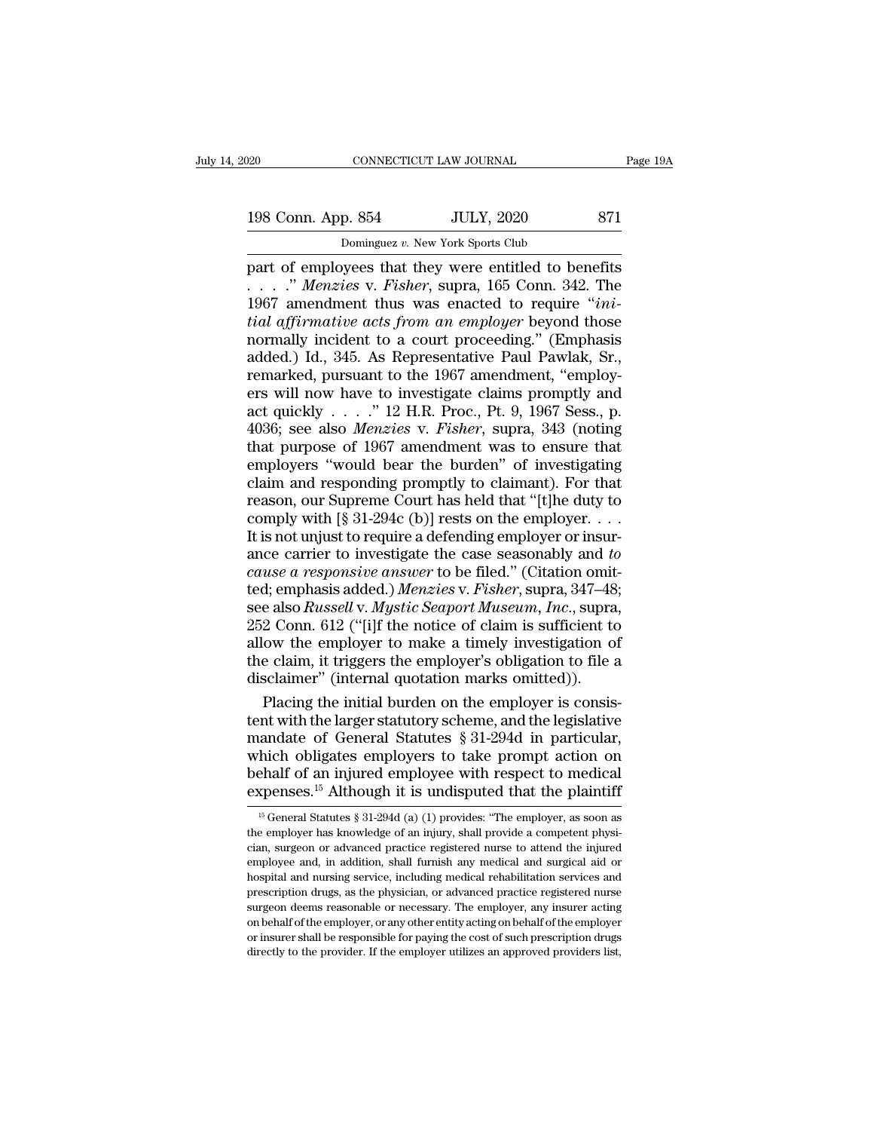198 Conn. App. 854 JULY, 2020 871<br>
Dominguez v. New York Sports Club Dominguez *v.* New York Sports Club

part of employees that they were entitled to benefits<br>
198 Conn. App. 854 JULY, 2020 871<br>
Dominguez v. New York Sports Club<br>
part of employees that they were entitled to benefits<br>
....." *Menzies* v. *Fisher*, supra, 165 198 Conn. App. 854 JULY, 2020 871<br>
Dominguez v. New York Sports Club<br>
part of employees that they were entitled to benefits<br>
....." *Menzies* v. *Fisher*, supra, 165 Conn. 342. The<br>
1967 amendment thus was enacted to requi 198 Conn. App. 854 JULY, 2020 871<br>
Dominguez v. New York Sports Club<br>
part of employees that they were entitled to benefits<br>
....." *Menzies* v. *Fisher*, supra, 165 Conn. 342. The<br>
1967 amendment thus was enacted to requi 198 Conn. App. 854 JULY, 2020 871<br> **bominguez v. New York Sports Club**<br>
part of employees that they were entitled to benefits<br>
. . . . . " *Menzies* v. *Fisher*, supra, 165 Conn. 342. The<br>
1967 amendment thus was enacted t Dominguez v. New York Sports Club<br>part of employees that they were entitled to benefits<br> $\ldots$ .'' *Menzies* v. *Fisher*, supra, 165 Conn. 342. The<br>1967 amendment thus was enacted to require "*ini-*<br>tial affirmative acts fr Dominguez v. New York Sports Club<br>part of employees that they were entitled to benefits<br>...." *Menzies* v. *Fisher*, supra, 165 Conn. 342. The<br>1967 amendment thus was enacted to require "*ini-*<br>tial affirmative acts from part of employees that they were entitled to benefits<br>
...." *Menzies* v. *Fisher*, supra, 165 Conn. 342. The<br>
1967 amendment thus was enacted to require "*ini-*<br> *tial affirmative acts from an employer* beyond those<br>
nor ers will now the interacted to require  $\frac{1}{2}$ . The<br>
1967 amendment thus was enacted to require "*initial affirmative acts from an employer* beyond those<br>
normally incident to a court proceeding." (Emphasis<br>
added.) Id. 1967 amendment thus was enacted to require "*initial affirmative acts from an employer* beyond those<br>normally incident to a court proceeding." (Emphasis<br>added.) Id., 345. As Representative Paul Pawlak, Sr.,<br>remarked, purs tial affirmative acts from an employer beyond those<br>normally incident to a court proceeding." (Emphasis<br>added.) Id., 345. As Representative Paul Pawlak, Sr.,<br>remarked, pursuant to the 1967 amendment, "employ-<br>ers will now normally incident to a court proceeding." (Emphasis added.) Id., 345. As Representative Paul Pawlak, Sr., remarked, pursuant to the 1967 amendment, "employers will now have to investigate claims promptly and act quickly added.) Id., 345. As Representative Paul Pawlak, Sr.,<br>remarked, pursuant to the 1967 amendment, "employ-<br>ers will now have to investigate claims promptly and<br>act quickly . . . . ." 12 H.R. Proc., Pt. 9, 1967 Sess., p.<br>403 remarked, pursuant to the 1967 amendment, "employ-<br>ers will now have to investigate claims promptly and<br>act quickly . . . . " 12 H.R. Proc., Pt. 9, 1967 Sess., p.<br>4036; see also *Menzies* v. *Fisher*, supra, 343 (noting<br>t ers will now have to investigate claims promptly and<br>act quickly . . . ." 12 H.R. Proc., Pt. 9, 1967 Sess., p.<br>4036; see also *Menzies* v. *Fisher*, supra, 343 (noting<br>that purpose of 1967 amendment was to ensure that<br>emp act quickly  $\ldots$  ." 12 H.R. Proc., Pt. 9, 1967 Sess., p.<br>4036; see also *Menzies v. Fisher*, supra, 343 (noting<br>that purpose of 1967 amendment was to ensure that<br>employers "would bear the burden" of investigating<br>claim a 4036; see also *Menzies* v. *Fisher*, supra, 343 (noting<br>that purpose of 1967 amendment was to ensure that<br>employers "would bear the burden" of investigating<br>claim and responding promptly to claimant). For that<br>reason, ou that purpose of 1967 amendment was to ensure that<br>employers "would bear the burden" of investigating<br>claim and responding promptly to claimant). For that<br>reason, our Supreme Court has held that "[t]he duty to<br>comply with employers "would bear the burden" of investigating<br>claim and responding promptly to claimant). For that<br>reason, our Supreme Court has held that "[t]he duty to<br>comply with [§ 31-294c (b)] rests on the employer or insur-<br>It claim and responding promptly to claimant). For that<br>reason, our Supreme Court has held that "[t]he duty to<br>comply with [§ 31-294c (b)] rests on the employer. . . .<br>It is not unjust to require a defending employer or insur reason, our Supreme Court has held that "[t]he duty to<br>comply with [§ 31-294c (b)] rests on the employer....<br>It is not unjust to require a defending employer or insur-<br>ance carrier to investigate the case seasonably and to comply with  $[\S 31-294c (b)]$  rests on the employer. . . . .<br>It is not unjust to require a defending employer or insur-<br>ance carrier to investigate the case seasonably and to<br>cause a responsive answer to be filed." (Citatio It is not unjust to require a defending employer or insurance carrier to investigate the case seasonably and to cause a responsive answer to be filed." (Citation omitted; emphasis added.) Menzies v. Fisher, supra, 347–48; ance carrier to investigate the case seasonably and to<br>cause a responsive answer to be filed." (Citation omit-<br>ted; emphasis added.) Menzies v. Fisher, supra, 347–48;<br>see also Russell v. Mystic Seaport Museum, Inc., supra, cause a responsive answer to be filed." (Citation omit<br>ted; emphasis added.) Menzies v. Fisher, supra, 347–48<br>see also Russell v. Mystic Seaport Museum, Inc., supra<br>252 Conn. 612 ("[i]f the notice of claim is sufficient to d; emphasis added.) *Menzies* v. *Fisher*, supra, 347–48;<br>e also *Russell* v. *Mystic Seaport Museum, Inc.*, supra,<br>2 Conn. 612 ("[i]f the notice of claim is sufficient to<br>ow the employer to make a timely investigation of<br> see also *Russell* v. *Mystic Seaport Museum, Inc.*, supra,<br>252 Conn. 612 ("[i]f the notice of claim is sufficient to<br>allow the employer to make a timely investigation of<br>the claim, it triggers the employer's obligation t

252 Conn. 612 ("[i]f the notice of claim is sufficient to<br>allow the employer to make a timely investigation of<br>the claim, it triggers the employer's obligation to file a<br>disclaimer" (internal quotation marks omitted)).<br>Pla allow the employer to make a timely investigation of<br>the claim, it triggers the employer's obligation to file a<br>disclaimer" (internal quotation marks omitted)).<br>Placing the initial burden on the employer is consis-<br>tent wi the claim, it triggers the employer's obligation to file a<br>disclaimer" (internal quotation marks omitted)).<br>Placing the initial burden on the employer is consis-<br>tent with the larger statutory scheme, and the legislative<br> disclaimer" (internal quotation marks omitted)).<br>
Placing the initial burden on the employer is consistent with the larger statutory scheme, and the legislative<br>
mandate of General Statutes § 31-294d in particular,<br>
which andate of General Statutes § 31-294d in particular,<br>hich obligates employers to take prompt action on<br>ehalf of an injured employee with respect to medical<br>xpenses.<sup>15</sup> Although it is undisputed that the plaintiff<br> $^{15}$ Ge which obligates employers to take prompt action on behalf of an injured employee with respect to medical expenses.<sup>15</sup> Although it is undisputed that the plaintiff  $\frac{15}{15}$  General Statutes § 31-294d (a) (1) provides:

behalf of an injured employee with respect to medical expenses.<sup>15</sup> Although it is undisputed that the plaintiff  $\frac{15}{15}$  General Statutes § 31-294d (a) (1) provides: "The employer, as soon as the employer has knowledg expenses.<sup>15</sup> Although it is undisputed that the plaintiff  $\frac{15}{15}$  General Statutes § 31-294d (a) (1) provides: "The employer, as soon as the employer has knowledge of an injury, shall provide a competent physician, s experises.<sup>23</sup> Although It is undisputed that the plaintiff if  $\frac{15}{5}$  General Statutes § 31-294d (a) (1) provides: "The employer, as soon as the employer has knowledge of an injury, shall provide a competent physician <sup>15</sup> General Statutes  $\S$  31-294d (a) (1) provides: "The employer, as soon as the employer has knowledge of an injury, shall provide a competent physician, surgeon or advanced practice registered nurse to attend the injur the employer has knowledge of an injury, shall provide a competent physician, surgeon or advanced practice registered nurse to attend the injured employee and, in addition, shall furnish any medical and surgical aid or hos cian, surgeon or advanced practice registered nurse to attend the injured<br>employee and, in addition, shall furnish any medical and surgical aid or<br>hospital and nursing service, including medical rehabilitation services and employee and, in addition, shall furnish any medical and surgical aid or hospital and nursing service, including medical rehabilitation services and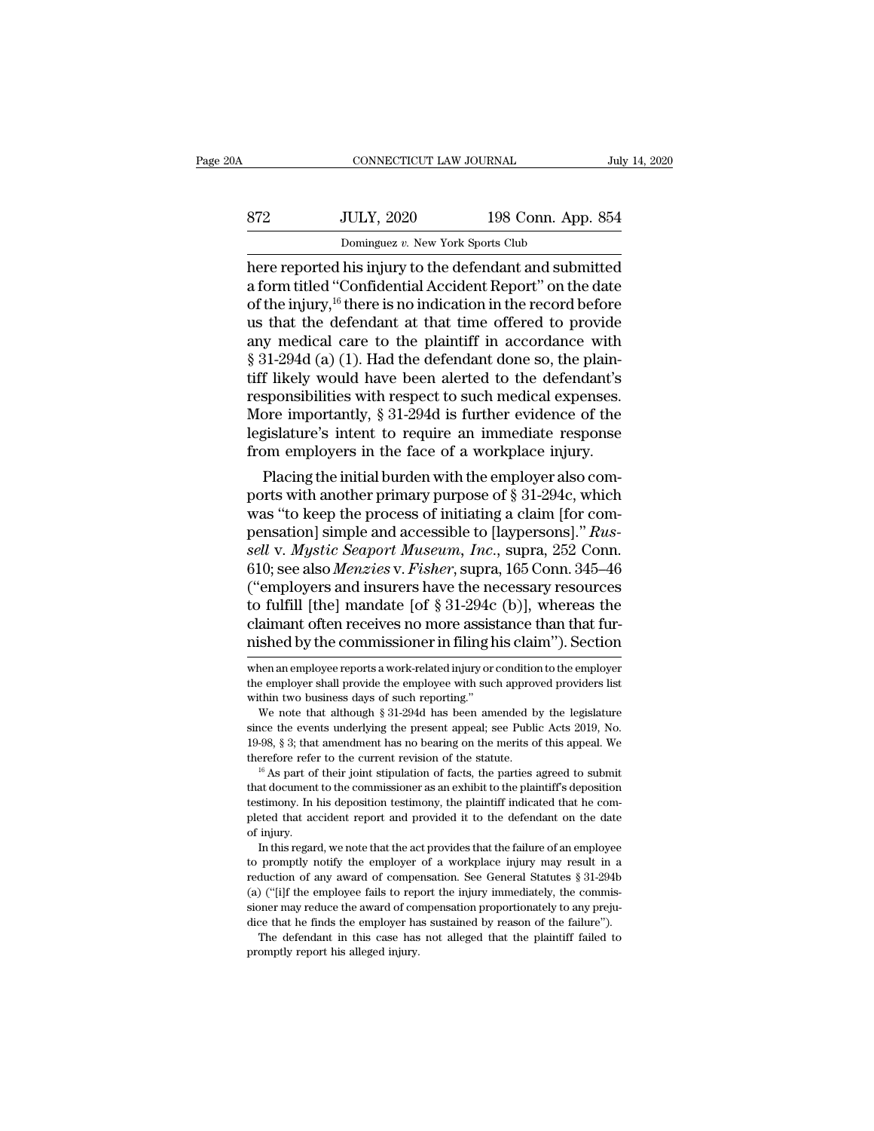| July 14, 2020                                           |
|---------------------------------------------------------|
|                                                         |
| 198 Conn. App. 854                                      |
| Dominguez v. New York Sports Club                       |
| here reported his injury to the defendant and submitted |

CONNECTICUT LAW JOURNAL July 14, 2020<br>
ST2 JULY, 2020 198 Conn. App. 854<br>
Dominguez v. New York Sports Club<br>
here reported his injury to the defendant and submitted<br>
a form titled "Confidential Accident Report" on the date 872 JULY, 2020 198 Conn. App. 854<br>Dominguez v. New York Sports Club<br>here reported his injury to the defendant and submitted<br>a form titled "Confidential Accident Report" on the date<br>of the injury, <sup>16</sup> there is no indicati  $\begin{array}{r} \n 372 \text{ } \text{JULY, 2020} \quad 198 \text{ Conn. App. 854} \ \hline \text{Dominguez } v. \text{ New York Sports Club} \n \end{array}$ <br>
here reported his injury to the defendant and submitted a form titled "Confidential Accident Report" on the date of the injury, <sup>16</sup> there is S72 JULY, 2020 198 Conn. App. 854<br>
Dominguez v. New York Sports Club<br>
here reported his injury to the defendant and submitted<br>
a form titled "Confidential Accident Report" on the date<br>
of the injury, <sup>16</sup> there is no indi Dominguez v. New York Sports Club<br>
here reported his injury to the defendant and submitted<br>
a form titled "Confidential Accident Report" on the date<br>
of the injury,<sup>16</sup> there is no indication in the record before<br>
us that bominguez v. New York Sports Club<br>here reported his injury to the defendant and submitted<br>a form titled "Confidential Accident Report" on the date<br>of the injury,<sup>16</sup> there is no indication in the record before<br>us that the here reported his injury to the defendant and submitted<br>a form titled "Confidential Accident Report" on the date<br>of the injury,<sup>16</sup> there is no indication in the record before<br>us that the defendant at that time offered to a form titled "Confidential Accident Report" on the date<br>of the injury,<sup>16</sup> there is no indication in the record before<br>us that the defendant at that time offered to provide<br>any medical care to the plaintiff in accordance of the injury, <sup>16</sup> there is no indication in the record before<br>us that the defendant at that time offered to provide<br>any medical care to the plaintiff in accordance with<br> $\S 31-294d$  (a) (1). Had the defendant done so, th us that the defendant at that time offered to provide<br>any medical care to the plaintiff in accordance with<br>§ 31-294d (a) (1). Had the defendant done so, the plain-<br>tiff likely would have been alerted to the defendant's<br>res any medical care to the plaintiff in accordance with  $\S$  31-294d (a) (1). Had the defendant done so, the plaintiff likely would have been alerted to the defendant's responsibilities with respect to such medical expenses.<br>  $51$ -2940 (a) (1). Had the defendant done so, the plain-<br>f likely would have been alerted to the defendant's<br>sponsibilities with respect to such medical expenses.<br>pore importantly, § 31-294d is further evidence of the<br>gis UIT IKely would have been alerted to the defendant s<br>responsibilities with respect to such medical expenses.<br>More importantly, § 31-294d is further evidence of the<br>legislature's intent to require an immediate response<br>fro

responsibilities with respect to such medical expenses.<br>More importantly, § 31-294d is further evidence of the<br>legislature's intent to require an immediate response<br>from employers in the face of a workplace injury.<br>Placin more importantly, § 31-294d is further evidence of the<br>legislature's intent to require an immediate response<br>from employers in the face of a workplace injury.<br>Placing the initial burden with the employer also com-<br>ports wi *segislature s* intent to require an immediate response<br>from employers in the face of a workplace injury.<br>Placing the initial burden with the employer also com-<br>ports with another primary purpose of § 31-294c, which<br>was "t From employers in the race of a workplace injury.<br>
Placing the initial burden with the employer also comports with another primary purpose of § 31-294c, which<br>
was "to keep the process of initiating a claim [for com-<br>
pens Placing the initial burden with the employer also comports with another primary purpose of  $\S 31-294c$ , which<br>was "to keep the process of initiating a claim [for com-<br>pensation] simple and accessible to [laypersons]." Rus ports with another primary purpose of § 31-294c, which<br>was "to keep the process of initiating a claim [for com-<br>pensation] simple and accessible to [laypersons]." Rus-<br>sell v. Mystic Seaport Museum, Inc., supra, 252 Conn. was "to keep the process of initiating a claim [for compensation] simple and accessible to [laypersons]." Russell v. Mystic Seaport Museum, Inc., supra, 252 Conn. 610; see also Menzies v. Fisher, supra, 165 Conn. 345–46 ( pensation] simple and accessible to [laypersons]." *Russell v. Mystic Seaport Museum, Inc.*, supra, 252 Conn.<br>610; see also *Menzies v. Fisher*, supra, 165 Conn. 345–46<br>("employers and insurers have the necessary resources ("employers and insurers have the necessary resources<br>to fulfill [the] mandate [of  $\S 31-294c$  (b)], whereas the<br>claimant often receives no more assistance than that fur-<br>nished by the commissioner in filing his claim"). to fulfill [the] mandate [of  $\S$  31-294c (b)], whereas the claimant often receives no more assistance than that furnished by the commissioner in filing his claim"). Section when an employee reports a work-related injury o

claimant often receives no more assis<br>mished by the commissioner in filing h<br>when an employee reports a work-related injury or<br>the employer shall provide the employee with suc<br>within two business days of such reporting."<br>W Shed by the commissioner in filing his claim"). Section<br>nen an employee reports a work-related injury or condition to the employer<br>e employer shall provide the employee with such approved providers list<br>thin two business d

since the events underlying the present appeal; see Public Acts 2019, No.<br>19-98, § 3; that amendment has no bearing on the merits of this appeal. We<br>therefore refer to the current revision of the statute.<br><sup>16</sup> As part of 19-98, § 3; that amendment has no bearing on the merits of this appeal. We therefore refer to the current revision of the statute.<br><sup>16</sup> As part of their joint stipulation of facts, the parties agreed to submit that docume therefore reference the space of that document<br>testimony. In 1<br>pleted that according to the space of the space of the space of the space of the space of the space of the space of the space of the space of the space of the If As part of their joint stipulation of facts, the parties agreed to submit<br>at document to the commissioner as an exhibit to the plaintiff's deposition<br>stimony. In his deposition testimony, the plaintiff indicated that h that document to the commissioner as an exhibit to the plaintiff's deposition testimony. In his deposition testimony, the plaintiff indicated that he completed that accident report and provided it to the defendant on the

reduction of any award of compensation. See General Statutes § 31-294b (a) ("ilf the employee fails to the defendant on the date of minity.<br>In this regard, we note that the act provides that the failure of an employee to p pleted that accident report and provided it to the defendant on the date of injury.<br>In this regard, we note that the act provides that the failure of an employee to promptly notify the employer of a workplace injury may r since the may reduce that the actordate to the distribution of injury.<br>In this regard, we note that the act provides that the failure of an employee<br>to promptly notify the employer of a workplace injury may result in a<br>red In this regard, we note that the act provides that the failure of an employee to promptly notify the employer of a workplace injury may result in a reduction of any award of compensation. See General Statutes  $\S 31-294b$  In computy notify the employer of a workplace injury may result in a duction of any award of compensation. See General Statutes § 31-294b ("[i]f the employee fails to report the injury immediately, the commissioner may red reduction of any award of compensation. See General Statutes  $\S 31-294b$ <br>(a) ("[i]f the employee fails to report the injury immediately, the commissioner may reduce the award of compensation proportionately to any prejudi

nustied by the commussioner in ming his claim *)*. Section<br>when an employee reports a work-related injury or condition to the employer<br>the employer shall provide the employee with such approved providers list<br>within two bu when an employee reports a work-related injury or condition to the employer<br>the employer shall provide the employee with such approved providers list<br>within two business days of such reporting."<br>We note that although  $\S 3$ the employer shall provide the employee with such approved providers list<br>within two business days of such reporting."<br>We note that although § 31-294d has been amended by the legislature<br>since the events underlying the pr We note that although § 31-294d has been amended by the legislature<br>since the events underlying the present appeal; see Public Acts 2019, No.<br>19-98, § 3; that amendment has no bearing on the merits of this appeal. We<br>ther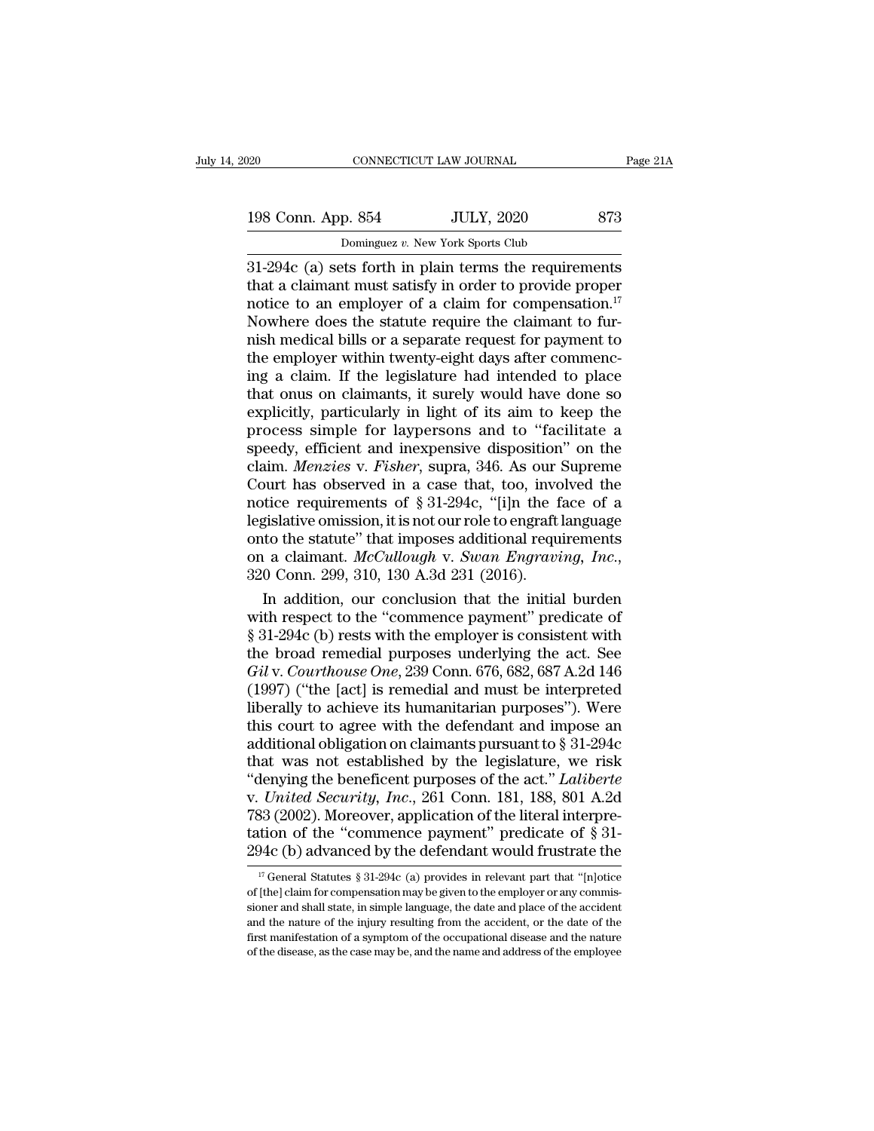| )20                | CONNECTICUT LAW JOURNAL                                  | Page 21A |
|--------------------|----------------------------------------------------------|----------|
| 198 Conn. App. 854 | <b>JULY, 2020</b>                                        | 873      |
|                    | Dominguez v. New York Sports Club                        |          |
|                    | $31-294c$ (a) sets forth in plain terms the requirements |          |

320 CONNECTICUT LAW JOURNAL Page 21A<br>
31-294c (a) sets forth in plain terms the requirements<br>
31-294c (a) sets forth in plain terms the requirements<br>
31-294c (a) sets forth in plain terms the requirements<br>
2011 that a cla 198 Conn. App. 854 JULY, 2020 873<br>
Dominguez v. New York Sports Club<br>
31-294c (a) sets forth in plain terms the requirements<br>
that a claimant must satisfy in order to provide proper<br>
notice to an employer of a claim for c 198 Conn. App. 854 JULY, 2020 873<br>
Dominguez v. New York Sports Club<br>
31-294c (a) sets forth in plain terms the requirements<br>
that a claim ant must satisfy in order to provide proper<br>
notice to an employer of a claim for 198 Conn. App. 854 JULY, 2020 873<br>
Dominguez v. New York Sports Club<br>
31-294c (a) sets forth in plain terms the requirements<br>
that a claimant must satisfy in order to provide proper<br>
notice to an employer of a claim for c Dominguez v. New York Sports Club<br>
31-294c (a) sets forth in plain terms the requirements<br>
that a claimant must satisfy in order to provide proper<br>
notice to an employer of a claim for compensation.<sup>17</sup><br>
Nowhere does the Dominguez v. New York Sports Club<br>31-294c (a) sets forth in plain terms the requirements<br>that a claimant must satisfy in order to provide proper<br>notice to an employer of a claim for compensation.<sup>17</sup><br>Nowhere does the stat 31-294 $c$  (a) sets forth in plain terms the requirements<br>that a claimant must satisfy in order to provide proper<br>notice to an employer of a claim for compensation.<sup>17</sup><br>Nowhere does the statute require the claimant to furthat a claimant must satisfy in order to provide proper<br>notice to an employer of a claim for compensation.<sup>17</sup><br>Nowhere does the statute require the claimant to fur-<br>nish medical bills or a separate request for payment to<br>t notice to an employer of a claim for compensation.<sup>17</sup><br>Nowhere does the statute require the claimant to fur-<br>nish medical bills or a separate request for payment to<br>the employer within twenty-eight days after commenc-<br>ing Nowhere does the statute require the claimant to fur-<br>nish medical bills or a separate request for payment to<br>the employer within twenty-eight days after commenc-<br>ing a claim. If the legislature had intended to place<br>that nish medical bills or a separate request for payment to<br>the employer within twenty-eight days after commenc-<br>ing a claim. If the legislature had intended to place<br>that onus on claimants, it surely would have done so<br>explic the employer within twenty-eight days after commencing a claim. If the legislature had intended to place that onus on claimants, it surely would have done so explicitly, particularly in light of its aim to keep the process ing a claim. If the legislature had intended to place<br>that onus on claimants, it surely would have done so<br>explicitly, particularly in light of its aim to keep the<br>process simple for laypersons and to "facilitate a<br>speedy that onus on claimants, it surely would have done so<br>explicitly, particularly in light of its aim to keep the<br>process simple for laypersons and to "facilitate a<br>speedy, efficient and inexpensive disposition" on the<br>claim. explicitly, particularly in light of its aim to keep the<br>process simple for laypersons and to "facilitate a<br>speedy, efficient and inexpensive disposition" on the<br>claim. *Menzies* v. *Fisher*, supra, 346. As our Supreme<br>Co process simple for laypersons and to "facilitate a<br>speedy, efficient and inexpensive disposition" on the<br>claim. *Menzies* v. *Fisher*, supra, 346. As our Supreme<br>Court has observed in a case that, too, involved the<br>notice speedy, efficient and inexpensive disposition" on the claim. *Menzies* v. *Fisher*, supra, 346. As our Supreme Court has observed in a case that, too, involved the notice requirements of § 31-294c, "[i]n the face of a legi burt has observed in a case that, too, involved the<br>tice requirements of § 31-294c, "[i]n the face of a<br>gislative omission, it is not our role to engraft language<br>to the statute" that imposes additional requirements<br>a cla notice requirements of § 31-294c, "[i]n the face of a<br>legislative omission, it is not our role to engraft language<br>onto the statute" that imposes additional requirements<br>on a claimant. McCullough v. Swan Engraving, Inc.,<br>

legislative omission, it is not our role to engraft language<br>
onto the statute" that imposes additional requirements<br>
on a claimant. McCullough v. Swan Engraving, Inc.,<br>
320 Conn. 299, 310, 130 A.3d 231 (2016).<br>
In additi onto the statute" that imposes additional requirements<br>on a claimant. McCullough v. Swan Engraving, Inc.,<br>320 Conn. 299, 310, 130 A.3d 231 (2016).<br>In addition, our conclusion that the initial burden<br>with respect to the "c on a claimant. *McCullough v. Swan Engraving, Inc.*, 320 Conn. 299, 310, 130 A.3d 231 (2016).<br>
In addition, our conclusion that the initial burden<br>
with respect to the "commence payment" predicate of<br>
§ 31-294c (b) rests w 320 Conn. 299, 310, 130 A.3d 231 (2016).<br>
In addition, our conclusion that the initial burden<br>
with respect to the "commence payment" predicate of<br>
§ 31-294c (b) rests with the employer is consistent with<br>
the broad remed In addition, our conclusion that the initial burden<br>with respect to the "commence payment" predicate of<br> $\S 31-294c$  (b) rests with the employer is consistent with<br>the broad remedial purposes underlying the act. See<br>Gil v. with respect to the "commence payment" predicate of  $\S$  31-294c (b) rests with the employer is consistent with<br>the broad remedial purposes underlying the act. See<br>Gil v. Courthouse One, 239 Conn. 676, 682, 687 A.2d 146<br>(1 § 31-294c (b) rests with the employer is consistent with<br>the broad remedial purposes underlying the act. See<br>Gil v. Courthouse One, 239 Conn. 676, 682, 687 A.2d 146<br>(1997) ("the [act] is remedial and must be interpreted<br>l the broad remedial purposes underlying the act. See<br>  $Gi$  v. Courthouse One, 239 Conn. 676, 682, 687 A.2d 146<br>
(1997) ("the [act] is remedial and must be interpreted<br>
liberally to achieve its humanitarian purposes"). Were<br> Gil v. Courthouse One, 239 Conn. 676, 682, 687 A.2d 146<br>(1997) ("the [act] is remedial and must be interpreted<br>liberally to achieve its humanitarian purposes"). Were<br>this court to agree with the defendant and impose an<br>add (1997) ("the [act] is remedial and must be interpreted<br>liberally to achieve its humanitarian purposes"). Were<br>this court to agree with the defendant and impose an<br>additional obligation on claimants pursuant to  $\S 31-294c$ liberally to achieve its humanitarian purposes"). Were<br>this court to agree with the defendant and impose an<br>additional obligation on claimants pursuant to  $\S 31-294c$ <br>that was not established by the legislature, we risk<br>" this court to agree with the defendant and impose an additional obligation on claimants pursuant to  $\S 31-294c$  that was not established by the legislature, we risk "denying the beneficent purposes of the act." *Laliberte* additional obligation on claimants pursuant to  $\S$  31-294c<br>that was not established by the legislature, we risk<br>"denying the beneficent purposes of the act." *Laliberte*<br>v. *United Security, Inc.*, 261 Conn. 181, 188, 801 United Security, Inc., 261 Conn. 181, 188, 801 A.2d<br>33 (2002). Moreover, application of the literal interpre-<br>tion of the "commence payment" predicate of § 31-<br>94c (b) advanced by the defendant would frustrate the<br><sup>17</sup> Ge 783 (2002). Moreover, application of the literal interpretation of the "commence payment" predicate of § 31-294c (b) advanced by the defendant would frustrate the  $\frac{17}{17}$  General Statutes § 31-294c (a) provides in rel

tation of the "commence payment" predicate of  $\S$  31-294c (b) advanced by the defendant would frustrate the  $\frac{17}{17}$  General Statutes  $\S$  31-294c (a) provides in relevant part that "[n]otice of [the] claim for compensa 294c (b) advanced by the defendant would frustrate the<br>
<sup>17</sup> General Statutes § 31-294c (a) provides in relevant part that "[n]otice<br>
of [the] claim for compensation may be given to the employer or any commis-<br>
sioner and  $^{17}$  General Statutes § 31-294c (a) provides in relevant part that "[n]otice of [the] claim for compensation may be given to the employer or any commissioner and shall state, in simple language, the date and place of th <sup>17</sup> General Statutes § 31-294c (a) provides in relevant part that "[n]otice of [the] claim for compensation may be given to the employer or any commissioner and shall state, in simple language, the date and place of the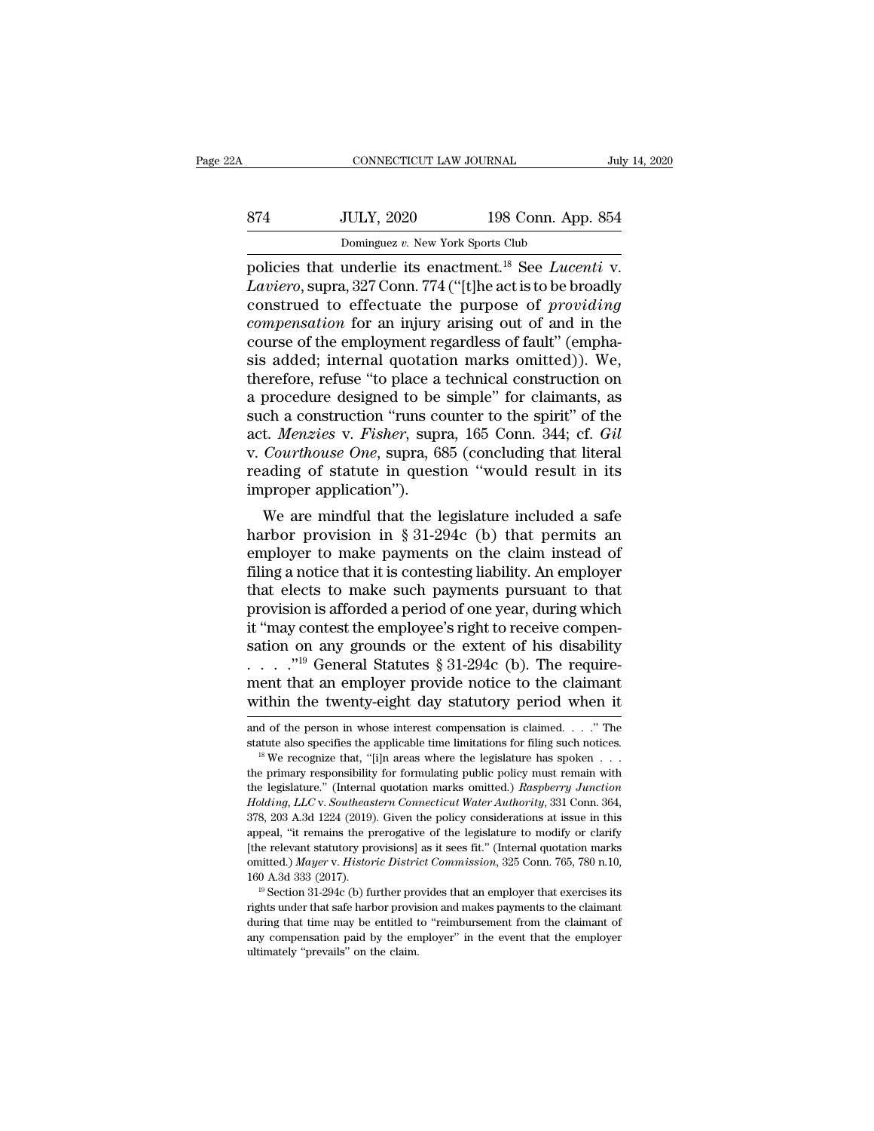|     | CONNECTICUT LAW JOURNAL                                                   |                    | July 14, 2020 |
|-----|---------------------------------------------------------------------------|--------------------|---------------|
| 874 | <b>JULY, 2020</b>                                                         | 198 Conn. App. 854 |               |
|     | Dominguez v. New York Sports Club                                         |                    |               |
|     | policies that underlie its enactment. <sup>18</sup> See <i>Lucenti</i> v. |                    |               |

CONNECTICUT LAW JOURNAL July 14, 20<br> **198 Conn. App. 854**<br>
Dominguez v. New York Sports Club<br>
policies that underlie its enactment.<sup>18</sup> See *Lucenti* v.<br> *Laviero*, supra, 327 Conn. 774 ("[t]he act is to be broadly *LAVERER BOS CONN.* App. 854<br> *LAVERER 198 Conn. App. 854*<br> *LAVERER 18* Connect *LAVER Sports* Club<br> *LAVERER 197 Conn. 774* ("[t]he act is to be broadly<br> *CONSTUED* to effectuate the purpose of *providing*<br> *CONSTUED* fo 874 JULY, 2020 198 Conn. App. 854<br>
Dominguez v. New York Sports Club<br>
policies that underlie its enactment.<sup>18</sup> See *Lucenti* v.<br> *Laviero*, supra, 327 Conn. 774 ("[t]he act is to be broadly<br>
construed to effectuate the pu *Compensation compensation compensation compensation compensation compensation compensation compensation for an injury arising out of and in the course of the employment regardless of fault" (emphatical and* 874 JULY, 2020 198 Conn. App. 854<br>
Dominguez v. New York Sports Club<br>
policies that underlie its enactment.<sup>18</sup> See *Lucenti* v.<br> *Laviero*, supra, 327 Conn. 774 ("[t]he act is to be broadly<br>
construed to effectuate the p Dominguez v. New York Sports Club<br>policies that underlie its enactment.<sup>18</sup> See *Lucenti* v.<br>*Laviero*, supra, 327 Conn. 774 ("[t]he act is to be broadly<br>construed to effectuate the purpose of *providing*<br>*compensation* f policies that underlie its enactment.<sup>18</sup> See *Lucenti* v.<br>*Laviero*, supra, 327 Conn. 774 ("[t]he act is to be broadly<br>construed to effectuate the purpose of *providing*<br>*compensation* for an injury arising out of and in Laviero, supra, 327 Conn. 774 ("[t]he act is to be broadly<br>construed to effectuate the purpose of *providing*<br>compensation for an injury arising out of and in the<br>course of the employment regardless of fault" (empha-<br>sis construed to effectuate the purpose of *providing*<br>compensation for an injury arising out of and in the<br>course of the employment regardless of fault" (empha-<br>sis added; internal quotation marks omitted)). We,<br>therefore, re compensation for an injury arising out of and in the course of the employment regardless of fault" (emphasis added; internal quotation marks omitted)). We, therefore, refuse "to place a technical construction on a procedur course of the employment regardless of fault" (emphasis added; internal quotation marks omitted)). We, therefore, refuse "to place a technical construction on a procedure designed to be simple" for claimants, as such a con sis added; internal quotation marks omitted)). We,<br>therefore, refuse "to place a technical construction on<br>a procedure designed to be simple" for claimants, as<br>such a construction "runs counter to the spirit" of the<br>act. therefore, refuse "to place a<br>a procedure designed to be<br>such a construction "runs co<br>act. *Menzies* v. *Fisher*, supr<br>v. *Courthouse One*, supra, 68<br>reading of statute in quest<br>improper application").<br>We are mindful that procedure designed to be simple for claimants, as<br>ch a construction "runs counter to the spirit" of the<br>t. *Menzies v. Fisher*, supra, 165 Conn. 344; cf. *Gil*<br>*Courthouse One*, supra, 685 (concluding that literal<br>ading o such a construction runs counter to the spirit of the<br>act. *Menzies v. Fisher*, supra, 165 Conn. 344; cf. *Gil*<br>v. *Courthouse One*, supra, 685 (concluding that literal<br>reading of statute in question "would result in its<br>

act. *menzies* v. *Fisher*, supra, 105 Collif. 544, Cf. *Gu*<br>v. *Courthouse One*, supra, 685 (concluding that literal<br>reading of statute in question "would result in its<br>improper application").<br>We are mindful that the legi Filing a notice that it is content in publication in the improper application").<br>We are mindful that the legislature included a safe<br>harbor provision in § 31-294c (b) that permits an<br>employer to make payments on the claim Treading of statute in question would result in its<br>improper application").<br>We are mindful that the legislature included a safe<br>harbor provision in § 31-294c (b) that permits an<br>employer to make payments on the claim inst miproper application j.<br>
We are mindful that the legislature included a safe<br>
harbor provision in § 31-294c (b) that permits an<br>
employer to make payments on the claim instead of<br>
filing a notice that it is contesting lia We are mindful that the legislature included a safe<br>harbor provision in § 31-294c (b) that permits an<br>employer to make payments on the claim instead of<br>filing a notice that it is contesting liability. An employer<br>that ele harbor provision in § 31-294c (b) that permits an employer to make payments on the claim instead of filing a notice that it is contesting liability. An employer that elects to make such payments pursuant to that provision employer to make payments on the claim instead of<br>filing a notice that it is contesting liability. An employer<br>that elects to make such payments pursuant to that<br>provision is afforded a period of one year, during which<br>it filing a notice that it is contesting liability. An employer<br>that elects to make such payments pursuant to that<br>provision is afforded a period of one year, during which<br>it "may contest the employee's right to receive comp that elects to make such payments pursuant to that<br>provision is afforded a period of one year, during which<br>it "may contest the employee's right to receive compen-<br>sation on any grounds or the extent of his disability<br> $\dots$ sation on any grounds or the extent of his disability<br>
. . . . .''<sup>19</sup> General Statutes § 31-294c (b). The require-<br>
ment that an employer provide notice to the claimant<br>
within the twenty-eight day statutory period when statute also specifies the applicable time limitations for filing such notices. <sup>18</sup> We recognize that, ''[i]n areas where the legislature has spoken . . .

within the twenty-eight day statutory period when it<br>and of the person in whose interest compensation is claimed. . . ." The<br>statute also specifies the applicable time limitations for filing such notices.<br><sup>18</sup> We recogniz withing the twenty-eight day statutory period when it<br>and of the person in whose interest compensation is claimed. . . ." The<br>statute also specifies the applicable time limitations for filing such notices.<br><sup>18</sup> We recogniz and of the person in whose interest compensation is claimed. . . . " The statute also specifies the applicable time limitations for filing such notices. <sup>18</sup> We recognize that, "[i]n areas where the legislature has spoken statute also specifies the applicable time limitations for filing such notices.<br><sup>18</sup> We recognize that, "[i]n areas where the legislature has spoken  $\ldots$  the primary responsibility for formulating public policy must rema <sup>18</sup> We recognize that, "[i]n areas where the legislature has spoken  $\ldots$  the primary responsibility for formulating public policy must remain with the legislature." (Internal quotation marks omitted.) *Raspberry Junctio* the primary responsibility for formulating public policy must remain with<br>the legislature." (Internal quotation marks omitted.) Raspberry Junction<br>Holding, LLC v. Southeastern Connecticut Water Authority, 331 Conn. 364,<br>37 the legislature." (Internal quotation marks omitted.) *Raspberry Junction*<br>*Holding, LLC* v. *Southeastern Connecticut Water Authority*, 331 Conn. 364,<br>378, 203 A.3d 1224 (2019). Given the policy considerations at issue in Holding, LLC v. Southeastern Connecticut Water Authority, 331 Conn. 364, 378, 203 A.3d 1224 (2019). Given the policy considerations at issue in this appeal, "it remains the prerogative of the legislature to modify or clari 378, 203 A.3d 1224 (2019). Given the policy considerations at issue in this appeal, "it remains the prerogative of the legislature to modify or clarify [the relevant statutory provisions] as it sees fit." (Internal quotat omitted.) Mayer v. Historic District Commission, 325 Conn. 765, 780 n.10,

<sup>[</sup>the relevant statutory provisions] as it sees fit." (Internal quotation marks omitted.) *Mayer v. Historic District Commission*, 325 Conn. 765, 780 n.10, 160 A.3d 333 (2017).<br><sup>19</sup> Section 31-294c (b) further provides tha  $19$  Section 31-294c (b) further provides that an employer that exercises its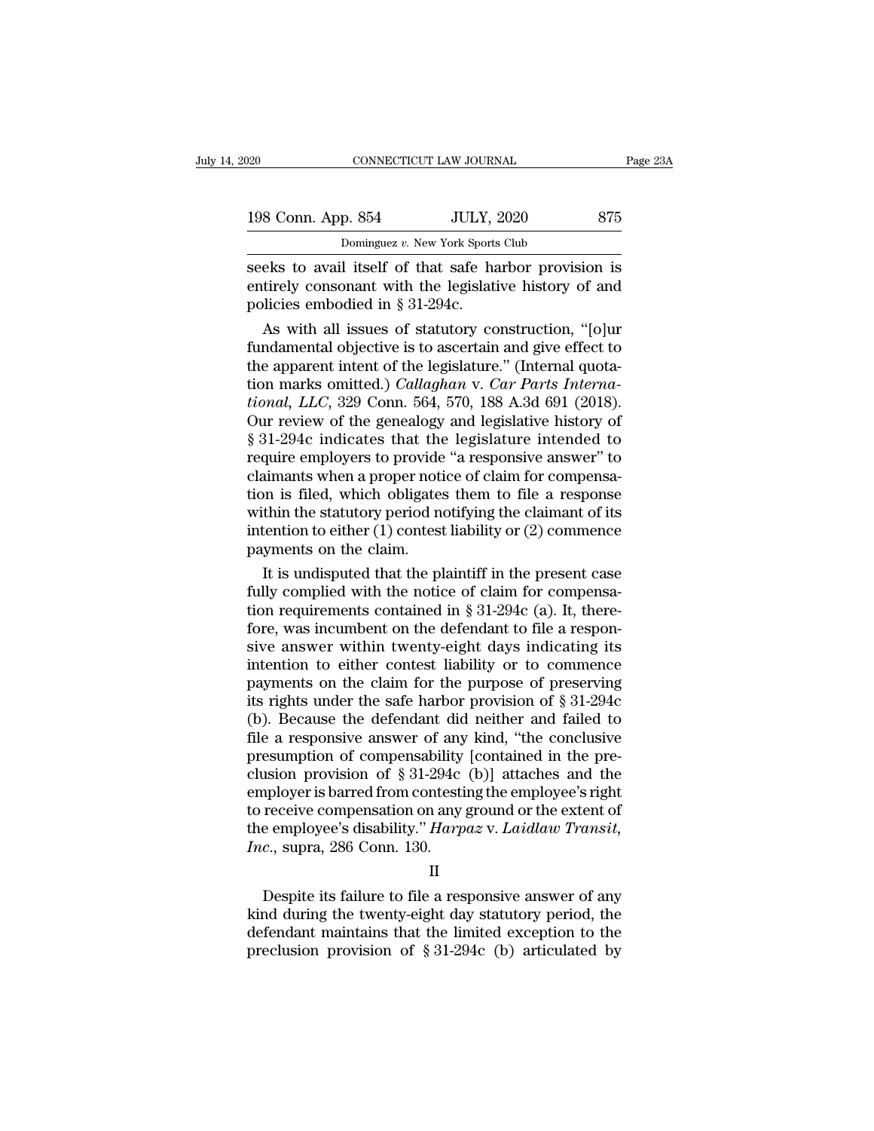| 020                            | CONNECTICUT LAW JOURNAL                                                                                          | Page 23A |
|--------------------------------|------------------------------------------------------------------------------------------------------------------|----------|
| 198 Conn. App. 854             | <b>JULY, 2020</b>                                                                                                | 875      |
|                                | Dominguez v. New York Sports Club                                                                                |          |
| policies embodied in 8.31.2010 | seeks to avail itself of that safe harbor provision is<br>entirely consonant with the legislative history of and |          |

198 Conn. App. 854 JULY, 2020 875<br>
Dominguez v. New York Sports Club<br>
seeks to avail itself of that safe harbor provision is<br>
entirely consonant with the legislative history of and<br>
policies embodied in § 31-294c. 198 Conn. App. 854 JULY, 198 Conn. App. 854 JULY, 1<br>
Dominguez v. New York Sports<br>
seeks to avail itself of that safe has<br>
entirely consonant with the legislati<br>
policies embodied in § 31-294c.<br>
As with all issues of stat  $\frac{1}{2}$   $\frac{1}{2}$   $\frac{1}{2}$   $\frac{1}{2}$   $\frac{1}{2}$   $\frac{1}{2}$   $\frac{1}{2}$   $\frac{1}{2}$   $\frac{1}{2}$   $\frac{1}{2}$   $\frac{1}{2}$   $\frac{1}{2}$   $\frac{1}{2}$   $\frac{1}{2}$   $\frac{1}{2}$   $\frac{1}{2}$   $\frac{1}{2}$   $\frac{1}{2}$   $\frac{1}{2}$   $\frac{1}{2}$   $\frac{1}{2}$   $\frac{1}{2}$ 

**Example 12** Exceptional objects of that safe harbor provision is<br>seeks to avail itself of that safe harbor provision is<br>entirely consonant with the legislative history of and<br>policies embodied in § 31-294c.<br>As with all i seeks to avail itself of that safe harbor provision is<br>entirely consonant with the legislative history of and<br>policies embodied in § 31-294c.<br>As with all issues of statutory construction, "[o]ur<br>fundamental objective is t seeks to avail itself of that safe harbor provision is<br>entirely consonant with the legislative history of and<br>policies embodied in § 31-294c.<br>As with all issues of statutory construction, "[o]ur<br>fundamental objective is to entirely consonant with the legislative history of and<br>policies embodied in § 31-294c.<br>As with all issues of statutory construction, "[o]ur<br>fundamental objective is to ascertain and give effect to<br>the apparent intent of th policies embodied in § 31-294c.<br>
As with all issues of statutory construction, "[o]ur<br>
fundamental objective is to ascertain and give effect to<br>
the apparent intent of the legislature." (Internal quota-<br>
tion marks omitte As with all issues of statutory construction, "[o]ur<br>fundamental objective is to ascertain and give effect to<br>the apparent intent of the legislature." (Internal quota-<br>tional, LLC, 329 Conn. 564, 570, 188 A.3d 691 (2018). fundamental objective is to ascertain and give effect to<br>the apparent intent of the legislature." (Internal quota-<br>tional, *LLC*, 329 Conn. 564, 570, 188 A.3d 691 (2018).<br>Our review of the genealogy and legislative history the apparent intent of the legislature." (Internal quotation marks omitted.) *Callaghan v. Car Parts International, LLC*, 329 Conn. 564, 570, 188 A.3d 691 (2018). Our review of the genealogy and legislative history of § 31 tion marks omitted.) *Callaghan* v. *Car Parts Interna-<br>tional, LLC*, 329 Conn. 564, 570, 188 A.3d 691 (2018).<br>Our review of the genealogy and legislative history of<br>§ 31-294c indicates that the legislature intended to<br>re *tional, LLC*, 329 Conn. 564, 570, 188 A.3d 691 (2018).<br>Our review of the genealogy and legislative history of  $\S 31-294c$  indicates that the legislature intended to<br>require employers to provide "a responsive answer" to<br>c Our review of the genealogy and legislative history of  $\S$  31-294c indicates that the legislature intended to require employers to provide "a responsive answer" to claimants when a proper notice of claim for compensation § 31-294c indicates that the<br>require employers to provide<br>claimants when a proper noti<br>tion is filed, which obligates<br>within the statutory period no<br>intention to either (1) contest<br>payments on the claim.<br>It is undisputed t quire employers to provide "a responsive answer" to<br>aimants when a proper notice of claim for compensa-<br>on is filed, which obligates them to file a response<br>thin the statutory period notifying the claimant of its<br>tention claimants when a proper notice of claim for compensation is filed, which obligates them to file a response within the statutory period notifying the claimant of its intention to either (1) contest liability or (2) commenc

tion is filed, which obligates them to file a response<br>within the statutory period notifying the claimant of its<br>intention to either (1) contest liability or (2) commence<br>payments on the claim.<br>It is undisputed that the p within the statutory period notifying the claimant of its<br>intention to either (1) contest liability or (2) commence<br>payments on the claim.<br>It is undisputed that the plaintiff in the present case<br>fully complied with the no mention to either (1) contest hability or (2) commence<br>payments on the claim.<br>It is undisputed that the plaintiff in the present case<br>fully complied with the notice of claim for compensa-<br>tion requirements contained in § payments on the claim.<br>
It is undisputed that the plaintiff in the present case<br>
fully complied with the notice of claim for compensa-<br>
tion requirements contained in § 31-294c (a). It, there-<br>
fore, was incumbent on the It is undisputed that the plaintiff in the present case<br>fully complied with the notice of claim for compensa-<br>tion requirements contained in § 31-294c (a). It, there-<br>fore, was incumbent on the defendant to file a responfully complied with the notice of claim for compensa-<br>tion requirements contained in  $\S 31-294c$  (a). It, there-<br>fore, was incumbent on the defendant to file a respon-<br>sive answer within twenty-eight days indicating its<br>i tion requirements contained in  $\S 31-294c$  (a). It, there-<br>fore, was incumbent on the defendant to file a respon-<br>sive answer within twenty-eight days indicating its<br>intention to either contest liability or to commence<br>pa fore, was incumbent on the defendant to file a responsive answer within twenty-eight days indicating its<br>intention to either contest liability or to commence<br>payments on the claim for the purpose of preserving<br>its rights sive answer within twenty-eight days indicating its<br>intention to either contest liability or to commence<br>payments on the claim for the purpose of preserving<br>its rights under the safe harbor provision of  $\S 31-294c$ <br>(b). B intention to either contest liability or to commence<br>payments on the claim for the purpose of preserving<br>its rights under the safe harbor provision of  $\S 31-294c$ <br>(b). Because the defendant did neither and failed to<br>file payments on the claim for the purpose of preserving<br>its rights under the safe harbor provision of  $\S 31-294c$ <br>(b). Because the defendant did neither and failed to<br>file a responsive answer of any kind, "the conclusive<br>pres its rights under the safe harbor provision of  $\S 31-294c$ <br>(b). Because the defendant did neither and failed to<br>file a responsive answer of any kind, "the conclusive<br>presumption of compensability [contained in the pre-<br>clu (b). Because the defendant did neither and failed to file a responsive answer of any kind, "the conclusive presumption of compensability [contained in the preclusion provision of  $\S 31-294c$  (b)] attaches and the employer file a responsive answer of any<br>presumption of compensability<br>clusion provision of § 31-294c<br>employer is barred from contesti<br>to receive compensation on any<br>the employee's disability." *Harp*<br>Inc., supra, 286 Conn. 130. provision of  $\frac{1}{3}$  of  $\frac{1}{2}$  are  $\frac{1}{2}$  (b)<sub>1</sub> and the analogue dependence in a reployee is barred from contesting the employee's right receive compensation on any ground or the extent of e-employee's disability

II

to receive compensation on any ground or the extent of<br>the employee's disability." *Harpaz* v. *Laidlaw Transit*,<br> $Inc$ , supra, 286 Conn. 130.<br>II<br>Despite its failure to file a responsive answer of any<br>kind during the twenty defined to the employee's disability." Harpaz v. Laidlaw Transit,<br>the employee's disability." Harpaz v. Laidlaw Transit,<br> $Inc$ , supra, 286 Conn. 130.<br>II<br>Despite its failure to file a responsive answer of any<br>kind during the *Inc.*, supra, 286 Conn. 130.<br>
II<br>
Despite its failure to file a responsive answer of any<br>
kind during the twenty-eight day statutory period, the<br>
defendant maintains that the limited exception to the<br>
preclusion provisio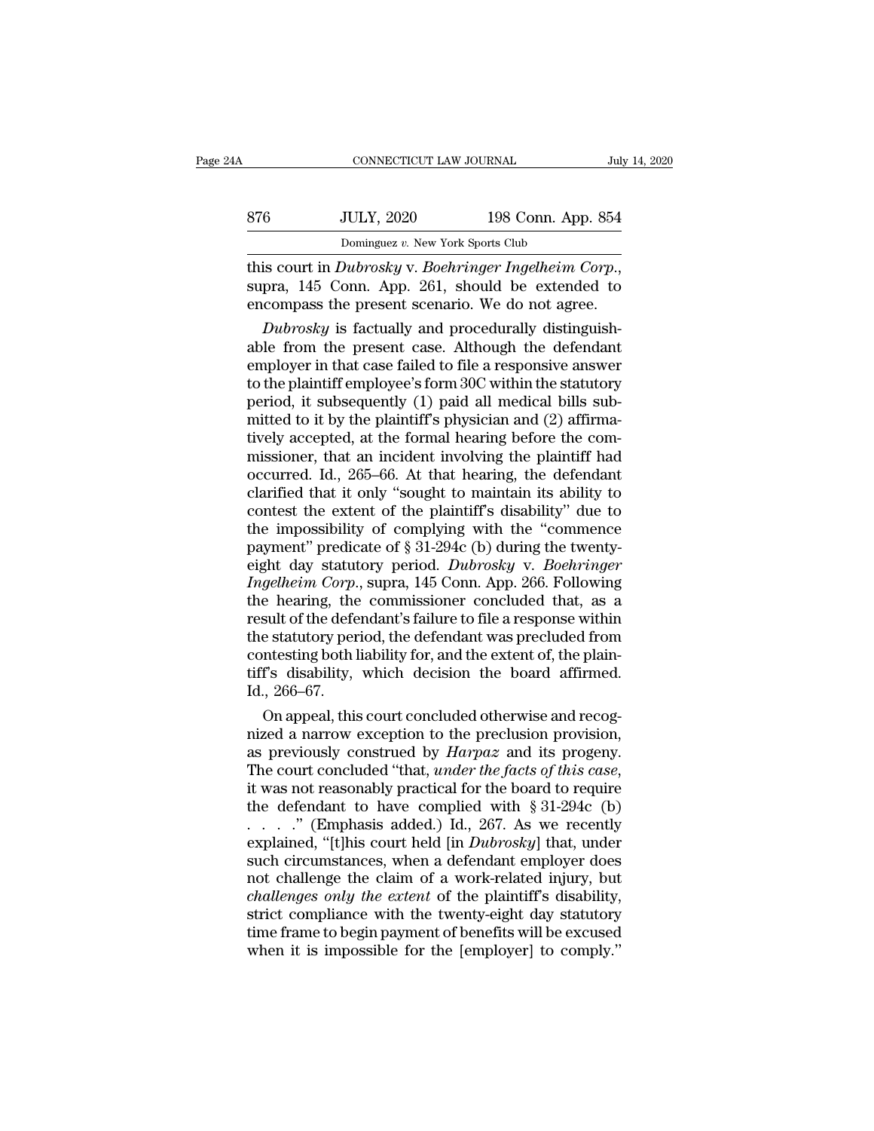| 876 | <b>JULY, 2020</b>       | 198 Conn. App. 854 |               |
|-----|-------------------------|--------------------|---------------|
| 24A | CONNECTICUT LAW JOURNAL |                    | July 14, 2020 |

this court in *Dubrosky* v. *Boehringer Ingelheim Corp*.,<br>
supra, 145 Conn. App. 864<br>
this court in *Dubrosky* v. *Boehringer Ingelheim Corp*.,<br>
supra, 145 Conn. App. 261, should be extended to<br>
encompass the present scena 876 JULY, 2020 198 Conn. App. 854<br>Dominguez v. New York Sports Club<br>this court in *Dubrosky* v. *Boehringer Ingelheim Corp.*,<br>supra, 145 Conn. App. 261, should be extended to<br>encompass the present scenario. We do not agree *Bubrosky* v. Boehringer Ingelheim Corp.,<br> *Dominguez v. New York Sports Club*<br> *Bubrosky* v. *Boehringer Ingelheim Corp.*,<br>
pra, 145 Conn. App. 261, should be extended to<br>
compass the present scenario. We do not agree.<br>

Dominguez v. New York Sports Club<br>
this court in *Dubrosky* v. *Boehringer Ingelheim Corp.*,<br>
supra, 145 Conn. App. 261, should be extended to<br>
encompass the present scenario. We do not agree.<br> *Dubrosky* is factually and **EMPLOYERT CONSUMBENT CONSUMBENT (THE FIREFORM SIGNARY SIGNARY SIGNARY SIGNARY SIGNARY SIGNARY ASSUMPTION** and procedurally distinguishable from the present case. Although the defendant employer in that case failed to fil this court in *Dubrosky* v. *Boehringer Ingelheim Corp.*,<br>supra, 145 Conn. App. 261, should be extended to<br>encompass the present scenario. We do not agree.<br>*Dubrosky* is factually and procedurally distinguish-<br>able from t supra, 145 Conn. App. 261, should be extended to<br>encompass the present scenario. We do not agree.<br>*Dubrosky* is factually and procedurally distinguish-<br>able from the present case. Although the defendant<br>employer in that c encompass the present scenario. We do not agree.<br> *Dubrosky* is factually and procedurally distinguishable from the present case. Although the defendant<br>
employer in that case failed to file a responsive answer<br>
to the pl Dubrosky is factually and procedurally distinguishable from the present case. Although the defendant employer in that case failed to file a responsive answer to the plaintiff employee's form 30C within the statutory perio able from the present case. Although the defendant<br>employer in that case failed to file a responsive answer<br>to the plaintiff employee's form 30C within the statutory<br>period, it subsequently (1) paid all medical bills sub-<br> employer in that case failed to file a responsive answer<br>to the plaintiff employee's form 30C within the statutory<br>period, it subsequently (1) paid all medical bills sub-<br>mitted to it by the plaintiff's physician and (2) a to the plaintiff employee's form 30C within the statutory<br>period, it subsequently (1) paid all medical bills sub-<br>mitted to it by the plaintiff's physician and (2) affirma-<br>tively accepted, at the formal hearing before the period, it subsequently (1) paid all medical bills sub-<br>mitted to it by the plaintiff's physician and (2) affirma-<br>tively accepted, at the formal hearing before the com-<br>missioner, that an incident involving the plaintiff mitted to it by the plaintiff's physician and (2) affirmatively accepted, at the formal hearing before the commissioner, that an incident involving the plaintiff had occurred. Id., 265–66. At that hearing, the defendant c tively accepted, at the formal hearing before the commissioner, that an incident involving the plaintiff had occurred. Id., 265–66. At that hearing, the defendant clarified that it only "sought to maintain its ability to c missioner, that an incident involving the plaintiff had<br>occurred. Id., 265–66. At that hearing, the defendant<br>clarified that it only "sought to maintain its ability to<br>contest the extent of the plaintiff's disability" due occurred. Id., 265–66. At that hearing, the defendant<br>clarified that it only "sought to maintain its ability to<br>contest the extent of the plaintiff's disability" due to<br>the impossibility of complying with the "commence<br>pay clarified that it only "sought to maintain its ability to<br>contest the extent of the plaintiff's disability" due to<br>the impossibility of complying with the "commence<br>payment" predicate of § 31-294c (b) during the twenty-<br>ei contest the extent of the plaintiff's disability" due to<br>the impossibility of complying with the "commence<br>payment" predicate of § 31-294c (b) during the twenty-<br>eight day statutory period. *Dubrosky* v. *Boehringer*<br>*Ing* the impossibility of complying with the "commence<br>payment" predicate of § 31-294c (b) during the twenty-<br>eight day statutory period. *Dubrosky* v. *Boehringer*<br>*Ingelheim Corp.*, supra, 145 Conn. App. 266. Following<br>the he payment" predicate of § 31-294c (b) during the twenty-<br>eight day statutory period. *Dubrosky* v. *Boehringer*<br>*Ingelheim Corp.*, supra, 145 Conn. App. 266. Following<br>the hearing, the commissioner concluded that, as a<br>resul eight day statutory period. *Dubrosky* v. *Boehringer*<br>*Ingelheim Corp.*, supra, 145 Conn. App. 266. Following<br>the hearing, the commissioner concluded that, as a<br>result of the defendant's failure to file a response within<br> Ingelheim Corp.<br>the hearing, the<br>result of the defe<br>the statutory per<br>contesting both l<br>tiff's disability,<br>Id., 266–67.<br>On appeal, this e hearing, the commissioner concluded that, as a<br>sult of the defendant's failure to file a response within<br>e statutory period, the defendant was precluded from<br>metsting both liability for, and the extent of, the plain-<br>f's result of the defendant's failure to file a response within<br>the statutory period, the defendant was precluded from<br>contesting both liability for, and the extent of, the plain-<br>tiff's disability, which decision the board af

the statutory period, the defendant was precluded from<br>contesting both liability for, and the extent of, the plain-<br>tiff's disability, which decision the board affirmed.<br>Id., 266–67.<br>On appeal, this court concluded otherwi contesting both liability for, and the extent of, the plain-<br>tiff's disability, which decision the board affirmed.<br>Id., 266–67.<br>On appeal, this court concluded otherwise and recog-<br>nized a narrow exception to the preclusio 1d., 266–67.<br>
On appeal, this court concluded otherwise and recog-<br>
nized a narrow exception to the preclusion provision,<br>
as previously construed by *Harpaz* and its progeny.<br>
The court concluded "that, *under the facts* On appeal, this court concluded otherwise and recognized a narrow exception to the preclusion provision,<br>as previously construed by *Harpaz* and its progeny.<br>The court concluded "that, *under the facts of this case*,<br>it w nized a narrow exception to the preclusion provision,<br>as previously construed by *Harpaz* and its progeny.<br>The court concluded "that, *under the facts of this case*,<br>it was not reasonably practical for the board to require as previously construed by *Harpaz* and its progeny.<br>The court concluded "that, *under the facts of this case*,<br>it was not reasonably practical for the board to require<br>the defendant to have complied with § 31-294c (b)<br> $\d$ The court concluded "that, *under the facts of this case*,<br>it was not reasonably practical for the board to require<br>the defendant to have complied with § 31-294c (b)<br> $\dots$  ." (Emphasis added.) Id., 267. As we recently<br>expl it was not reasonably practical for the board to require<br>the defendant to have complied with  $\S 31-294c$  (b)<br> $\ldots$  ... (Emphasis added.) Id., 267. As we recently<br>explained, "[t]his court held [in *Dubrosky*] that, under<br>s the defendant to have complied with  $\S 31-294c$  (b)<br>......" (Emphasis added.) Id., 267. As we recently<br>explained, "[t]his court held [in *Dubrosky*] that, under<br>such circumstances, when a defendant employer does<br>not chall time frame to begin payment of benefits will be excused explained, "[t]his court held [in *Dubrosky*] that, under<br>such circumstances, when a defendant employer does<br>not challenge the claim of a work-related injury, but<br>*challenges only the extent* of the plaintiff's disability,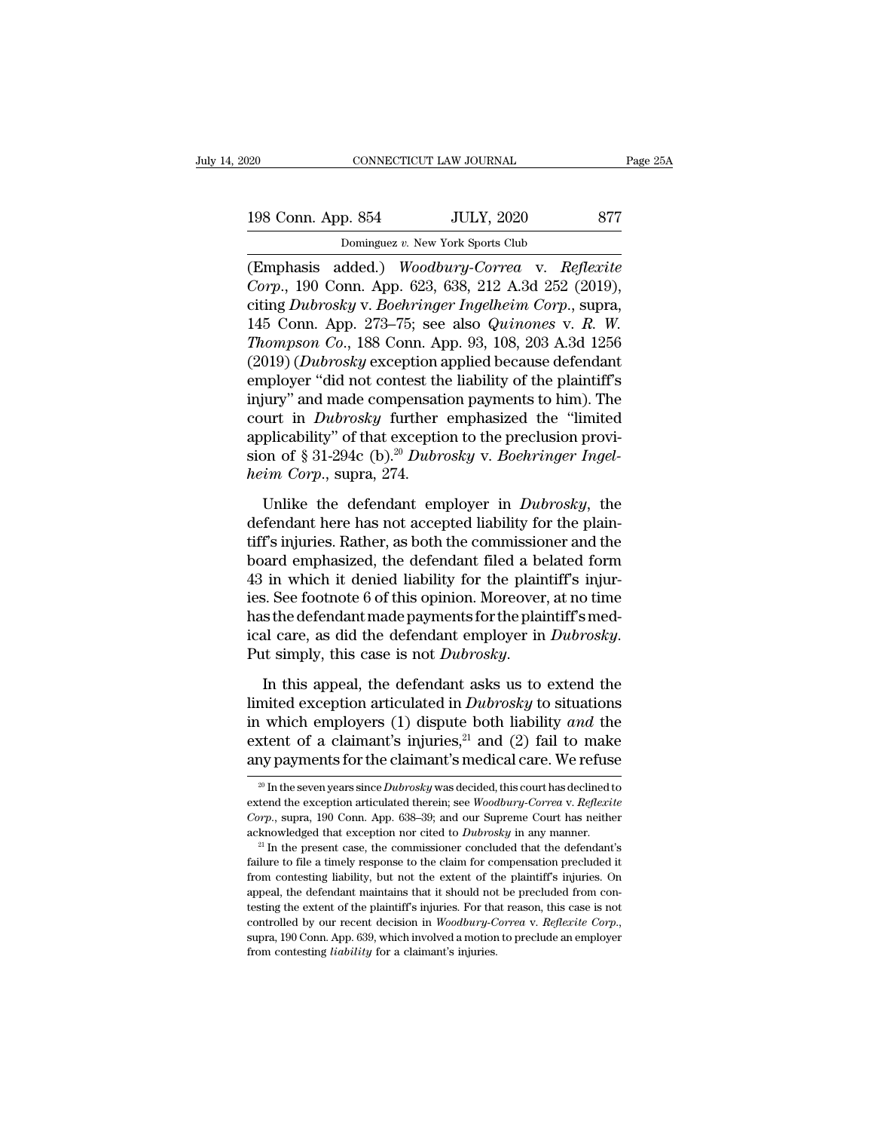| )20                | CONNECTICUT LAW JOURNAL           | Page 25A         |
|--------------------|-----------------------------------|------------------|
| 198 Conn. App. 854 | <b>JULY, 2020</b>                 | 877              |
|                    | Dominguez v. New York Sports Club |                  |
| (Emphasis added) - | Woodburu-Correa y                 | <i>Reflexite</i> |

| Dominguez v. New York Sports Club |  |  |  |  |
|-----------------------------------|--|--|--|--|
|-----------------------------------|--|--|--|--|

(Emphasis added.) *Woodbury-Correa* v. *Reflexite*<br>
(Emphasis added.) *Woodbury-Correa* v. *Reflexite*<br>
Corp., 190 Conn. App. 623, 638, 212 A.3d 252 (2019),<br>
eiting Dubrooku v. *Reflexite* Corp., and Corp. **198 Conn. App. 854 JULY, 2020** 877<br>
Dominguez v. New York Sports Club<br> **Corp., 190 Conn. App. 623, 638, 212 A.3d 252 (2019),**<br>
citing *Dubrosky* v. *Boehringer Ingelheim Corp.*, supra,<br>
145 Conn. App. 373, 75, 599, also 198 Conn. App. 854 JULY, 2020 877<br>
Dominguez v. New York Sports Club<br>
(Emphasis added.) *Woodbury-Correa* v. *Reflexite*<br>
Corp., 190 Conn. App. 623, 638, 212 A.3d 252 (2019),<br>
citing *Dubrosky* v. *Boehringer Ingelheim Cor* 198 Conn. App. 854 JULY, 2020 877<br>
Dominguez v. New York Sports Club<br>
(Emphasis added.) *Woodbury-Correa* v. *Reflexite*<br>
Corp., 190 Conn. App. 623, 638, 212 A.3d 252 (2019),<br>
citing *Dubrosky* v. *Boehringer Ingelheim Cor Thompson Co.*, 188 Conn. App. 93, 108, 203 A.3d 1256<br> *Thompson Co.*, 188 Conn. App. 623, 638, 212 A.3d 252 (2019),<br> *Thompson Co.*, 188 Conn. App. 93, 108, 203 A.3d 1256<br> *Thompson Co.*, 188 Conn. App. 93, 108, 203 A.3d **Emphasis added.)** Woodbury-Correa v. Reflexite<br>Corp., 190 Conn. App. 623, 638, 212 A.3d 252 (2019),<br>citing Dubrosky v. Boehringer Ingelheim Corp., supra,<br>145 Conn. App. 273–75; see also Quinones v. R. W.<br>Thompson Co., 188 (Emphasis added.) Woodbury-Correa v. Reflexite<br>Corp., 190 Conn. App. 623, 638, 212 A.3d 252 (2019),<br>citing *Dubrosky* v. Boehringer Ingelheim Corp., supra,<br>145 Conn. App. 273–75; see also *Quinones* v. R. W.<br>Thompson Co., Corp., 190 Conn. App. 623, 638, 212 A.3d 252 (2019),<br>citing *Dubrosky* v. *Boehringer Ingelheim Corp.*, supra,<br>145 Conn. App. 273–75; see also *Quinones* v. *R. W.*<br>Thompson Co., 188 Conn. App. 93, 108, 203 A.3d 1256<br>(2019 citing *Dubrosky* v. *Boehringer Ingelheim Corp.*, supra,<br>145 Conn. App. 273–75; see also *Quinones* v. *R. W.*<br>*Thompson Co.*, 188 Conn. App. 93, 108, 203 A.3d 1256<br>(2019) (*Dubrosky* exception applied because defendant<br> 145 Conn. App. 273–75; see also *Quinones* v. *R. W.*<br>Thompson Co., 188 Conn. App. 93, 108, 203 A.3d 1256<br>(2019) (*Dubrosky* exception applied because defendant<br>employer "did not contest the liability of the plaintiff's<br>i Thompson Co., 188 Conn. App. 93, 108, 203 A.3d 1256<br>(2019) (*Dubrosky* exception applied because defendant<br>employer "did not contest the liability of the plaintiff's<br>injury" and made compensation payments to him). The<br>cour (2019) (*Dubrosky* exception a<br>employer "did not contest the<br>injury" and made compensati<br>court in *Dubrosky* further<br>applicability" of that exceptic<br>sion of § 31-294c (b).<sup>20</sup> *Dubr<br>heim Corp.*, supra, 274.<br>Unlike the def The definition of the defendant emphasized the "limited"<br>plicability" of that exception to the preclusion provi-<br>on of § 31-294c (b).<sup>20</sup> *Dubrosky* v. *Boehringer Ingel-*<br>*im Corp.*, supra, 274.<br>Unlike the defendant emplo definite the "limited" court in *Dubrosky* further emphasized the "limited applicability" of that exception to the preclusion provision of  $\S 31-294c$  (b).<sup>20</sup> *Dubrosky* v. *Boehringer Ingel-*<br>heim Corp., supra, 274.<br>Unl

applicability" of that exception to the preclusion provision of § 31-294c (b).<sup>20</sup> *Dubrosky v. Boehringer Ingel-*<br>*heim Corp.*, supra, 274.<br>Unlike the defendant employer in *Dubrosky*, the<br>defendant here has not accepted  $\sum_{k=1}^{\infty}$  and  $\sum_{k=1}^{\infty}$  31-294c (b).<sup>20</sup> *Dubrosky* v. *Boehringer Ingel-<br>heim Corp.*, supra, 274.<br>Unlike the defendant employer in *Dubrosky*, the<br>defendant here has not accepted liability for the plain-<br>tiff's  $\vec{e}$  is a matrice of the matrice of the matrice of the plaintiff's injuries. Rather, as both the commissioner and the board emphasized, the defendant filed a belated form 43 in which it denied liability for the plainti Unlike the defendant employer in *Dubrosky*, the<br>defendant here has not accepted liability for the plain-<br>tiff's injuries. Rather, as both the commissioner and the<br>board emphasized, the defendant filed a belated form<br>43 i Unlike the defendant employer in *Dubrosky*, the defendant here has not accepted liability for the plaintiff's injuries. Rather, as both the commissioner and the board emphasized, the defendant filed a belated form 43 in defendant here has not accepted liability for the plain-<br>tiff's injuries. Rather, as both the commissioner and the<br>board emphasized, the defendant filed a belated form<br>43 in which it denied liability for the plaintiff's in ies. See footnote 6 of this opinion. Moreover, at no time<br>has the defendant made payments for the plaintiff's med-<br>ical care, as did the defendant employer in *Dubrosky*.<br>Put simply, this case is not *Dubrosky*.<br>In this a

has the defendant made payments for the plaintiff's medical care, as did the defendant employer in *Dubrosky*.<br>Put simply, this case is not *Dubrosky*.<br>In this appeal, the defendant asks us to extend the<br>limited exception ical care, as did the defendant employer in *Dubrosky*.<br>Put simply, this case is not *Dubrosky*.<br>In this appeal, the defendant asks us to extend the<br>limited exception articulated in *Dubrosky* to situations<br>in which emplo Put simply, this case is not *Dubrosky*.<br>In this appeal, the defendant asks us to extend the<br>limited exception articulated in *Dubrosky* to situations<br>in which employers (1) dispute both liability *and* the<br>extent of a cl limited exception articulated in *Dubrosky* to situations<br>in which employers (1) dispute both liability and the<br>extent of a claimant's injuries,<sup>21</sup> and (2) fail to make<br>any payments for the claimant's medical care. We re in which employers (1) dispute both liability *and* the extent of a claimant's injuries,<sup>21</sup> and (2) fail to make any payments for the claimant's medical care. We refuse  $\frac{1}{20}$  In the seven years since *Dubrosky* was

extent of a claimant's injuries,<sup>21</sup> and (2) fail to make<br>any payments for the claimant's medical care. We refuse<br> $\frac{20 \text{ In the seven years since *Dubrosky* was decided, this court has declined to  
extend the exception articulated therein; see *Woodbury-Correa v. Reflexite*  
*Corp.*, supra, 190 Conn. App. 638–39; and our Supreme Court has neither  
acknowledged that exception nor cited to *Dubrosky*$ any payments for the claimant's medical care. We refuse<br>
<sup>20</sup> In the seven years since *Dubrosky* was decided, this court has declined to<br>
extend the exception articulated therein; see *Woodbury-Correa* v. *Reflexite*<br> *Co* <sup>20</sup> In the seven years since *Dubrosky* was decided, this court has declined to extend the exception articulated therein; see *Woodbury-Correa* v. *Reflexite Corp.*, supra, 190 Conn. App. 638–39; and our Supreme Court ha

extend the exception articulated therein; see *Woodbury-Correa* v. *Reflexite Corp.*, supra, 190 Conn. App. 638–39; and our Supreme Court has neither acknowledged that exception nor cited to *Dubrosky* in any manner. <sup>2</sup> Corp., supra, 190 Conn. App. 638–39; and our Supreme Court has neither acknowledged that exception nor cited to *Dubrosky* in any manner.<br><sup>21</sup> In the present case, the commissioner concluded that the defendant's failure t failure to file a timely response to the claim for compensation precluded it from contesting liability, but not the extent of the plaintiff's injuries. On appeal, the defendant maintains that it should not be precluded fr <sup>21</sup> In the present case, the commissioner concluded that the defendant's failure to file a timely response to the claim for compensation precluded it from contesting liability, but not the extent of the plaintiff's injuri from contesting liability, but not the extent of the plaintiff's injuries. On appeal, the defendant maintains that it should not be precluded from contesting the extent of the plaintiff's injuries. For that reason, this c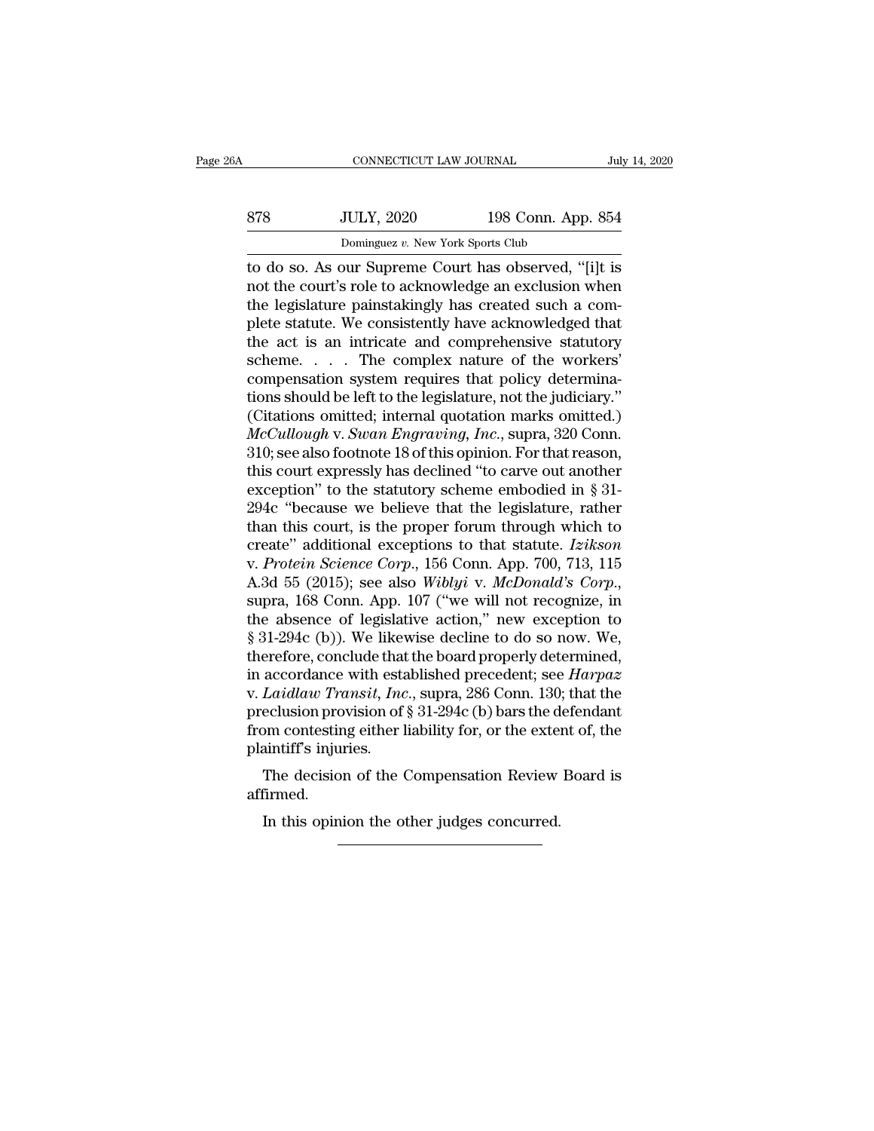| 6A  | CONNECTICUT LAW JOURNAL                                                                                                                                                 |                    | July 14, 2020 |
|-----|-------------------------------------------------------------------------------------------------------------------------------------------------------------------------|--------------------|---------------|
| 878 | <b>JULY, 2020</b>                                                                                                                                                       | 198 Conn. App. 854 |               |
|     | Dominguez v. New York Sports Club                                                                                                                                       |                    |               |
|     | to do so. As our Supreme Court has observed, "[i]t is<br>not the court's role to acknowledge an exclusion when<br>the legislature painstakingly has exected such a com- |                    |               |

ST8 JULY, 2020 198 Conn. App. 854<br>Dominguez v. New York Sports Club<br>to do so. As our Supreme Court has observed, "[i]t is<br>not the court's role to acknowledge an exclusion when<br>the legislature painstakingly has created such 878 JULY, 2020 198 Conn. App. 854<br>Dominguez v. New York Sports Club<br>to do so. As our Supreme Court has observed, "[i]t is<br>not the court's role to acknowledge an exclusion when<br>the legislature painstakingly has created suc  $\frac{378}{\text{Dominguez } v. \text{ New York Sports Club}}$ <br>
Lominguez v. New York Sports Club<br>
to do so. As our Supreme Court has observed, "[i]t is<br>
not the court's role to acknowledge an exclusion when<br>
the legislature painstakingly has created such Dominguez v. New York Sports Club<br>to do so. As our Supreme Court has observed, "[i]t is<br>not the court's role to acknowledge an exclusion when<br>the legislature painstakingly has created such a com-<br>plete statute. We consist Dominguez v. New York Sports Club<br>to do so. As our Supreme Court has observed, "[i]t is<br>mot the court's role to acknowledge an exclusion when<br>the legislature painstakingly has created such a com-<br>plete statute. We consist to do so. As our Supreme Court has observed, "[i]t is<br>not the court's role to acknowledge an exclusion when<br>the legislature painstakingly has created such a com-<br>plete statute. We consistently have acknowledged that<br>the ac not the court's role to acknowledge an exclusion when<br>the legislature painstakingly has created such a com-<br>plete statute. We consistently have acknowledged that<br>the act is an intricate and comprehensive statutory<br>scheme.. the legislature painstakingly has created such a complete statute. We consistently have acknowledged that<br>the act is an intricate and comprehensive statutory<br>scheme.... The complex nature of the workers'<br>compensation syste plete statute. We consistently have acknowledged that<br>the act is an intricate and comprehensive statutory<br>scheme. . . . . The complex nature of the workers'<br>compensation system requires that policy determina-<br>tions should the act is an intricate and comprehensive statutory<br>scheme. . . . . The complex nature of the workers'<br>compensation system requires that policy determina-<br>tions should be left to the legislature, not the judiciary."<br>(Cita scheme. . . . . The complex nature of the workers'<br>compensation system requires that policy determina-<br>tions should be left to the legislature, not the judiciary."<br>(Citations omitted; internal quotation marks omitted.)<br> $Mc$ compensation system requires that policy determinations should be left to the legislature, not the judiciary."<br>(Citations omitted; internal quotation marks omitted.)<br> $McCullough$  v.  $Swan Engraving, Inc., \text{supra}, 320 \text{ Conn.}$ <br>310; see also foot tions should be left to the legislature, not the judiciary."<br>(Citations omitted; internal quotation marks omitted.)<br> $McCullough$  v.  $Swan Engraving, Inc., supra, 320$  Conn.<br>310; see also footnote 18 of this opinion. For that reason,<br>this court e (Citations omitted; internal quotation marks omitted.)<br> *McCullough v. Swan Engraving, Inc.*, supra, 320 Conn.<br>
310; see also footnote 18 of this opinion. For that reason,<br>
this court expressly has declined "to carve out McCullough v. Swan Engraving, Inc., supra, 320 Conn.<br>310; see also footnote 18 of this opinion. For that reason,<br>this court expressly has declined "to carve out another<br>exception" to the statutory scheme embodied in § 31-<br> 310; see also footnote 18 of this opinion. For that reason,<br>this court expressly has declined "to carve out another<br>exception" to the statutory scheme embodied in § 31-<br>294c "because we believe that the legislature, rathe this court expressly has declined "to carve out another<br>exception" to the statutory scheme embodied in § 31-<br>294c "because we believe that the legislature, rather<br>than this court, is the proper forum through which to<br>creat 294c "because we believe that the legislature, rather<br>than this court, is the proper forum through which to<br>create" additional exceptions to that statute. *Izikson*<br>v. Protein Science Corp., 156 Conn. App. 700, 713, 115<br>A than this court, is the proper forum through which to create" additional exceptions to that statute. *Izikson* v. *Protein Science Corp.*, 156 Conn. App. 700, 713, 115 A.3d 55 (2015); see also *Wiblyi v. McDonald's Corp.* create" additional exceptions to that statute. *Izikson*<br>v. Protein Science Corp., 156 Conn. App. 700, 713, 115<br>A.3d 55 (2015); see also *Wiblyi v. McDonald's Corp.*,<br>supra, 168 Conn. App. 107 ("we will not recognize, in<br> v. *Protein Science Corp.*, 156 Conn. App. 700, 713, 115<br>A.3d 55 (2015); see also *Wiblyi v. McDonald's Corp.*,<br>supra, 168 Conn. App. 107 ("we will not recognize, in<br>the absence of legislative action," new exception to<br>§ 3 A.3d 55 (2015); see also *Wiblyi v. McDonald's Corp.*,<br>supra, 168 Conn. App. 107 ("we will not recognize, in<br>the absence of legislative action," new exception to<br>§ 31-294c (b)). We likewise decline to do so now. We,<br>theref supra, 168 Conn. App. 107 ("we will not recognize, in<br>the absence of legislative action," new exception to<br>§ 31-294c (b)). We likewise decline to do so now. We,<br>therefore, conclude that the board properly determined,<br>in a the absence of legislative action," new exception to  $\S$  31-294c (b)). We likewise decline to do so now. We, therefore, conclude that the board properly determined, in accordance with established precedent; see *Harpaz* v § 31-294c (b)). We like<br>therefore, conclude that<br>in accordance with esta<br>v. *Laidlaw Transit, Inc*<br>preclusion provision of<br>from contesting either l<br>plaintiff's injuries.<br>The decision of the ( ererore, conclude that the board properly determined,<br>accordance with established precedent; see *Harpaz*<br>Laidlaw Transit, Inc., supra, 286 Conn. 130; that the<br>eclusion provision of § 31-294c (b) bars the defendant<br>om cont eclusion provision of § 31-294c (b) bars the dom contesting either liability for, or the external infiniting in the other judges concurred.<br>The decision of the Compensation Review firmed.<br>In this opinion the other judges c

affirmed.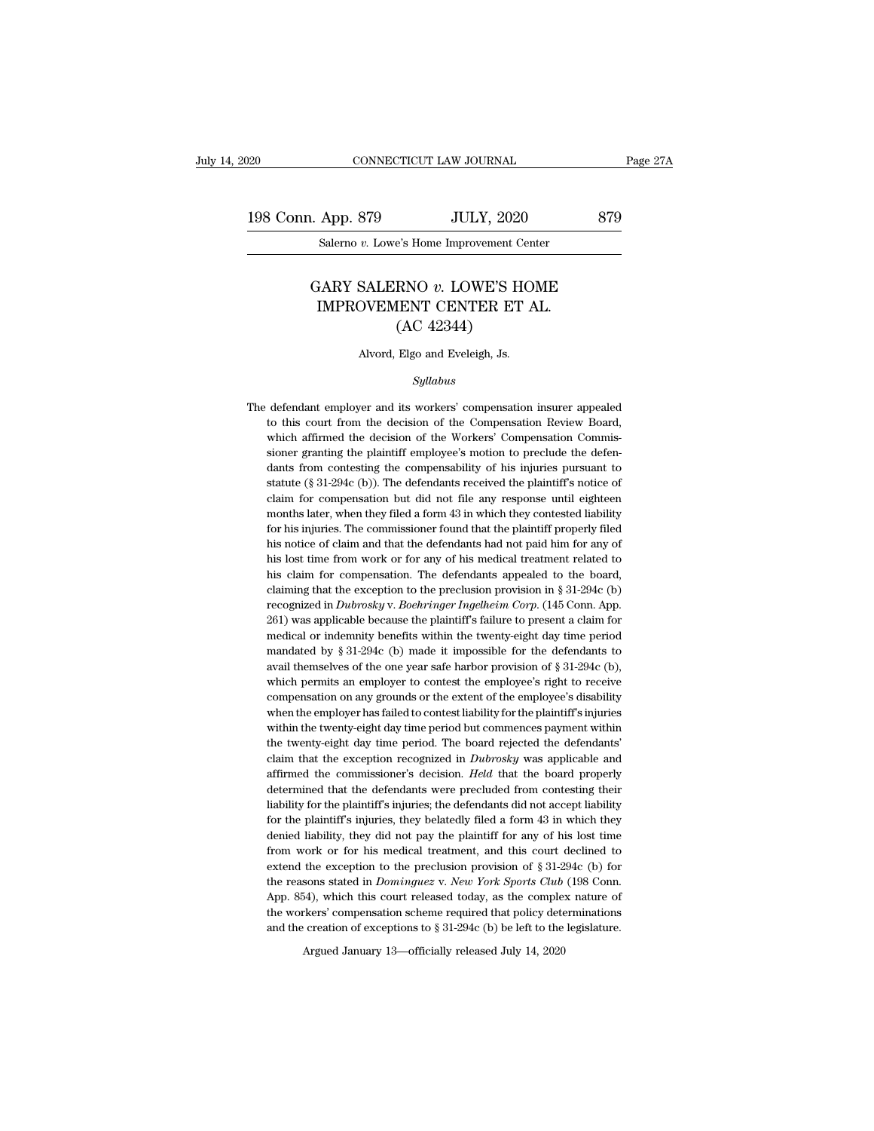20 CONNECTICUT LAW JOURNAL Page 27A<br>198 Conn. App. 879 JULY, 2020 879<br>Salerno v. Lowe's Home Improvement Center CONNECTICUT LAW JOURNAL<br>App. 879 JULY, 2020<br>Salerno *v*. Lowe's Home Improvement Center

# L. App. 879 JULY, 2020 879<br>Salerno *v.* Lowe's Home Improvement Center<br>GARY SALERNO *v.* LOWE'S HOME<br>IMPROVEMENT CENTER ET AL.  $\begin{tabular}{l l l} \multicolumn{1}{l}{{\bf Spp.~879}} & {\it JULY,~2020} \\ \hline \multicolumn{1}{l}{Salemo~v.~Lower's Home Important Center} \\ \multicolumn{1}{l}{\bf\ddot{H}} \multicolumn{1}{l}{\bf\ddot{H}} \multicolumn{1}{l}{\bf\ddot{H}} \multicolumn{1}{l}{\bf\ddot{H}} \multicolumn{1}{l}{\bf\ddot{H}} \multicolumn{1}{l}{\bf\ddot{H}} \multicolumn{1}{l}{\bf\ddot{H}} \multicolumn{1}{l}{\bf\ddot{H}} \multicolumn{1}{l}{\bf\ddot$ JULY, 2020<br>
e's Home Improvement Ce<br>
RNO v. LOWE'S HO<br>
IENT CENTER ET<br>
(AC 42344)<br>
Elgo and Eveleigh, Js. GARY SALERNO  $v$ . LOWE'S HOME<br>IMPROVEMENT CENTER ET AL.<br>(AC 42344)<br>Alvord, Elgo and Eveleigh, Js.

### *Syllabus*

 $(AC 42344)$ <br>Alvord, Elgo and Eveleigh, Js.<br> $Syllabus$ <br>The defendant employer and its workers' compensation insurer appealed<br>to this court from the decision of the Compensation Review Board, Alvord, Elgo and Eveleigh, Js.<br>
Syllabus<br>
defendant employer and its workers' compensation insurer appealed<br>
to this court from the decision of the Compensation Review Board,<br>
which affirmed the decision of the Workers' Co Alvord, Elgo and Eveleigh, Js.<br>
Syllabus<br>
defendant employer and its workers' compensation insurer appealed<br>
to this court from the decision of the Compensation Review Board,<br>
which affirmed the decision of the Workers' Co similar defendant employer and its workers' compensation insurer appealed<br>to this court from the decision of the Compensation Review Board,<br>which affirmed the decision of the Workers' Compensation Commis-<br>sioner granting t defendant employer and its workers' compensation insurer appealed<br>to this court from the decision of the Compensation Review Board,<br>which affirmed the decision of the Workers' Compensation Commis-<br>sioner granting the plain defendant employer and its workers' compensation insurer appealed<br>to this court from the decision of the Compensation Review Board,<br>which affirmed the decision of the Workers' Compensation Commis-<br>sioner granting the plain to this court from the decision of the Compensation Review Board, which affirmed the decision of the Workers' Compensation Commissioner granting the plaintiff employee's motion to preclude the defendants from contesting th which affirmed the decision of the Workers' Compensation Commissioner granting the plaintiff employee's motion to preclude the defendants from contesting the compensability of his injuries pursuant to statute (§ 31-294c (b sioner granting the plaintiff employee's motion to preclude the defendants from contesting the compensability of his injuries pursuant to statute (§ 31-294c (b)). The defendants received the plaintiff's notice of claim for dants from contesting the compensability of his injuries pursuant to statute (§ 31-294c (b)). The defendants received the plaintiff's notice of claim for compensation but did not file any response until eighteen months lat statute (§ 31-294c (b)). The defendants received the plaintiff's notice of claim for compensation but did not file any response until eighteen months later, when they filed a form 43 in which they contested liability for h claim for compensation but did not file any response until eighteen<br>months later, when they filed a form 43 in which they contested liability<br>for his injuries. The commissioner found that the plaintiff properly filed<br>his months later, when they filed a form  $43$  in which they contested liability for his injuries. The commissioner found that the plaintiff properly filed his notice of claim and that the defendants had not paid him for any o for his injuries. The commissioner found that the plaintiff properly filed<br>his notice of claim and that the defendants had not paid him for any of<br>his lost time from work or for any of his medical treatment related to<br>his his notice of claim and that the defendants had not paid him for any of<br>his lost time from work or for any of his medical treatment related to<br>his claim for compensation. The defendants appealed to the board,<br>claiming tha his lost time from work or for any of his medical treatment related to<br>his claim for compensation. The defendants appealed to the board,<br>claiming that the exception to the preclusion provision in § 31-294c (b)<br>recognized his claim for compensation. The defendants appealed to the board,<br>claiming that the exception to the preclusion provision in § 31-294c (b)<br>recognized in *Dubrosky* v. *Boehringer Ingelheim Corp.* (145 Conn. App.<br>261) was claiming that the exception to the preclusion provision in § 31-294c (b) recognized in *Dubrosky v. Boehringer Ingelheim Corp.* (145 Conn. App. 261) was applicable because the plaintiff's failure to present a claim for me recognized in *Dubrosky v. Boehringer Ingelheim Corp.* (145 Conn. App. 261) was applicable because the plaintiff's failure to present a claim for medical or indemnity benefits within the twenty-eight day time period manda 261) was applicable because the plaintiff's failure to present a claim for medical or indemnity benefits within the twenty-eight day time period mandated by § 31-294c (b) made it impossible for the defendants to avail the medical or indemnity benefits within the twenty-eight day time period<br>mandated by § 31-294c (b) made it impossible for the defendants to<br>avail themselves of the one year safe harbor provision of § 31-294c (b),<br>which permit mandated by  $\S 31-294c$  (b) made it impossible for the defendants to avail themselves of the one year safe harbor provision of  $\S 31-294c$  (b), which permits an employer to contest the employee's right to receive compensa mandated by § 31-294c (b) made it impossible for the defendants to avail themselves of the one year safe harbor provision of § 31-294c (b), which permits an employer to contest the employee's right to receive compensation which permits an employer to contest the employee's right to receive<br>compensation on any grounds or the extent of the employee's disability<br>when the employer has failed to contest liability for the plaintiff's injuries<br>wit compensation on any grounds or the extent of the employee's disability<br>when the employer has failed to contest liability for the plaintiff's injuries<br>within the twenty-eight day time period but commences payment within<br>the when the employer has failed to contest liability for the plaintiff's injuries<br>within the twenty-eight day time period but commences payment within<br>the twenty-eight day time period. The board rejected the defendants'<br>claim within the twenty-eight day time period but commences payment within<br>the twenty-eight day time period. The board rejected the defendants'<br>claim that the exception recognized in *Dubrosky* was applicable and<br>affirmed the co the twenty-eight day time period. The board rejected the defendants' claim that the exception recognized in *Dubrosky* was applicable and affirmed the commissioner's decision. *Held* that the board properly determined that claim that the exception recognized in *Dubrosky* was applicable and affirmed the commissioner's decision. *Held* that the board properly determined that the defendants were precluded from contesting their liability for th affirmed the commissioner's decision. *Held* that the board properly determined that the defendants were precluded from contesting their liability for the plaintiff's injuries; the defendants did not accept liability for determined that the defendants were precluded from contesting their liability for the plaintiff's injuries; the defendants did not accept liability for the plaintiff's injuries, they belatedly filed a form 43 in which the liability for the plaintiff's injuries; the defendants did not accept liability<br>for the plaintiff's injuries, they belatedly filed a form 43 in which they<br>denied liability, they did not pay the plaintiff for any of his los for the plaintiff's injuries, they belatedly filed a form 43 in which they denied liability, they did not pay the plaintiff for any of his lost time from work or for his medical treatment, and this court declined to exten denied liability, they did not pay the plaintiff for any of his lost time<br>from work or for his medical treatment, and this court declined to<br>extend the exception to the preclusion provision of § 31-294c (b) for<br>the reason from work or for his medical treatment, and this court declined to extend the exception to the preclusion provision of  $\S 31-294c$  (b) for the reasons stated in *Dominguez* v. *New York Sports Club* (198 Conn. App. 854), extend the exception to the preclusion provision of § 31-294c (b) for the reasons stated in *Dominguez v. New York Sports Club* (198 Conn. App. 854), which this court released today, as the complex nature of the workers'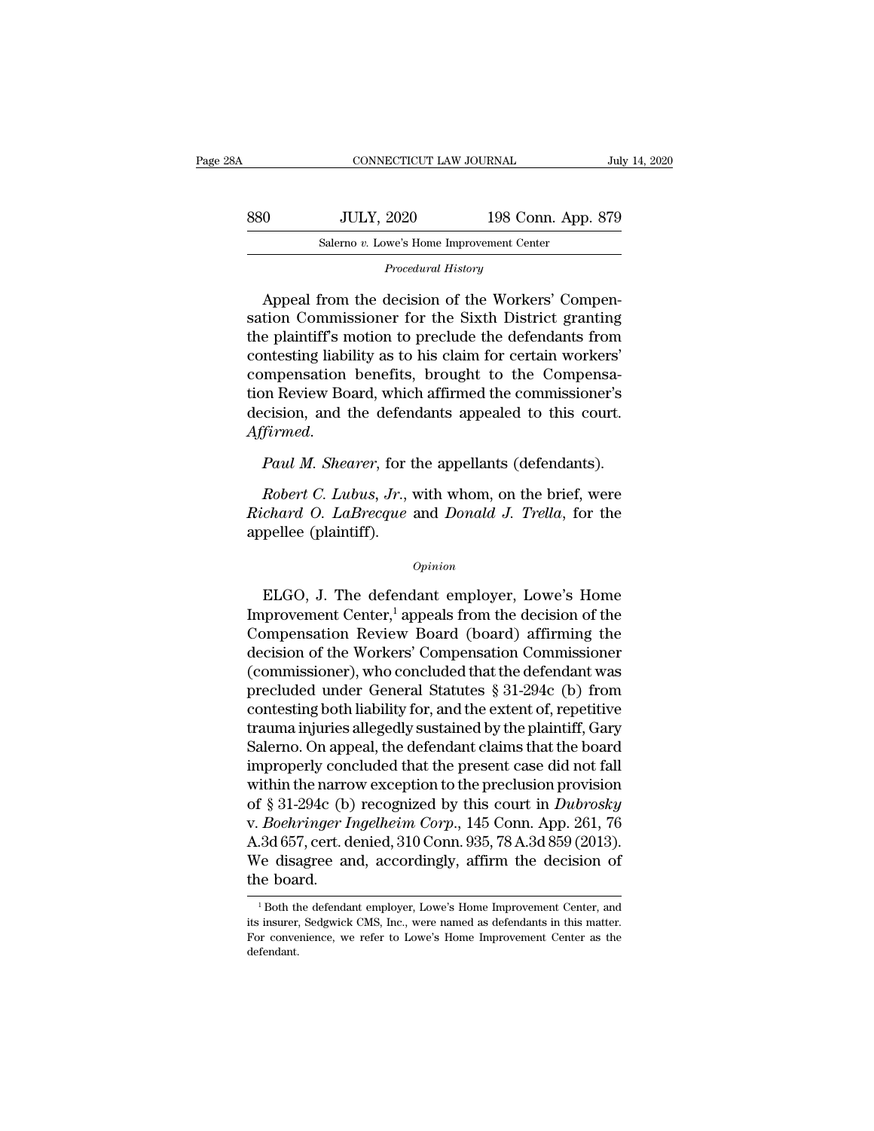| 880<br><b>JULY, 2020</b>                  | 198 Conn. App. 879 |
|-------------------------------------------|--------------------|
| Salerno v. Lowe's Home Improvement Center |                    |
| Procedural History                        |                    |

Satemo v. Lowe's Home Improvement Center<br>
Salemo v. Lowe's Home Improvement Center<br>
Procedural History<br>
Appeal from the decision of the Workers' Compensation<br>
Commissioner for the Sixth District granting<br>
the plaintiff's m Soluti, 2020 198 COIII. App. 819<br>
Salemo v. Lowe's Home Improvement Center<br>
Procedural History<br>
Appeal from the decision of the Workers' Compensation Commissioner for the Sixth District granting<br>
the plaintiff's motion to Salerno *v.* Lowe's Home Improvement Center<br>
Procedural History<br>
Appeal from the decision of the Workers' Compensation Commissioner for the Sixth District granting<br>
the plaintiff's motion to preclude the defendants from<br>
c *Procedural History*<br>Appeal from the decision of the Workers' Compensation Commissioner for the Sixth District granting<br>the plaintiff's motion to preclude the defendants from<br>contesting liability as to his claim for certai Appeal from the decision of the Workers' Compensation Commissioner for the Sixth District granting<br>the plaintiff's motion to preclude the defendants from<br>contesting liability as to his claim for certain workers'<br>compensati Appeal from the decision of the Workers' Compensation Commissioner for the Sixth District granting<br>the plaintiff's motion to preclude the defendants from<br>contesting liability as to his claim for certain workers'<br>compensati Franceoint Contesting liability as to his claim for certain workers'<br>
compensation Beview Board, which affirmed the commissioner's<br>
decision, and the defendants appealed to this court.<br>
Affirmed.<br> *Paul M. Shearer*, for th *Robert C. Lubus, Jr.*, with whom, on the brief, were related to this court.<br>*Firmed.*<br>*Robert C. Lubus, Jr.*, with whom, on the brief, were chard O. LaBrecque and Donald J. Trella, for the nellection (plentiff).

Franch Confidential Affirmed.<br> *Rifirmed.*<br> *Raul M. Shearer*, for the appellants (defendants).<br> *Robert C. Lubus, Jr.*, with whom, on the brief, were<br> *Richard O. LaBrecque* and *Donald J. Trella*, for the<br>
appellee (plai decision, and the defendent<br>Affirmed.<br>Paul M. Shearer, for t<br>Robert C. Lubus, Jr., Natchard O. LaBrecque<br>appellee (plaintiff). Robert C. Lubus, Jr., with whom, on the brief, were<br>chard O. LaBrecque and Donald J. Trella, for the<br>pellee (plaintiff).<br> $\frac{opinion}{opinion}$ <br>ELGO, J. The defendant employer, Lowe's Home<br>provement Center,<sup>1</sup> appeals from the decisi

# *Opinion*

Richard O. Labrecque and Donald J. Trella, for the<br>
Richard O. LaBrecque and Donald J. Trella, for the<br>
appellee (plaintiff).<br>
Opinion<br>
ELGO, J. The defendant employer, Lowe's Home<br>
Improvement Center,<sup>1</sup> appeals from the Compete the Workers and Bonda J. Tread, for the appellee (plaintiff).<br>
Opinion<br>
ELGO, J. The defendant employer, Lowe's Home<br>
Improvement Center,<sup>1</sup> appeals from the decision of the<br>
Compensation Review Board (board) affir  $opinion$ <br>ELGO, J. The defendant employer, Lowe's Home<br>Improvement Center,<sup>1</sup> appeals from the decision of the<br>Compensation Review Board (board) affirming the<br>decision of the Workers' Compensation Commissioner<br>(commissioner),  $\omega_{pinion}$ <br>
ELGO, J. The defendant employer, Lowe's Home<br>
Improvement Center,<sup>1</sup> appeals from the decision of the<br>
Compensation Review Board (board) affirming the<br>
decision of the Workers' Compensation Commissioner<br>
(commis ELGO, J. The defendant employer, Lowe's Home<br>Improvement Center,<sup>1</sup> appeals from the decision of the<br>Compensation Review Board (board) affirming the<br>decision of the Workers' Compensation Commissioner<br>(commissioner), who c ELGO, J. The defendant employer, Lowe's Home<br>Improvement Center,<sup>1</sup> appeals from the decision of the<br>Compensation Review Board (board) affirming the<br>decision of the Workers' Compensation Commissioner<br>(commissioner), who c Improvement Center,<sup>1</sup> appeals from the decision of the<br>Compensation Review Board (board) affirming the<br>decision of the Workers' Compensation Commissioner<br>(commissioner), who concluded that the defendant was<br>precluded unde Compensation Review Board (board) affirming the<br>decision of the Workers' Compensation Commissioner<br>(commissioner), who concluded that the defendant was<br>precluded under General Statutes § 31-294c (b) from<br>contesting both li decision of the Workers' Compensation Commissioner<br>(commissioner), who concluded that the defendant was<br>precluded under General Statutes  $\S 31-294c$  (b) from<br>contesting both liability for, and the extent of, repetitive<br>tr (commissioner), who concluded that the defendant was<br>precluded under General Statutes § 31-294c (b) from<br>contesting both liability for, and the extent of, repetitive<br>trauma injuries allegedly sustained by the plaintiff, G precluded under General Statutes § 31-294c (b) from<br>contesting both liability for, and the extent of, repetitive<br>trauma injuries allegedly sustained by the plaintiff, Gary<br>Salerno. On appeal, the defendant claims that the contesting both liability for, and the extent of, repetitive<br>trauma injuries allegedly sustained by the plaintiff, Gary<br>Salerno. On appeal, the defendant claims that the board<br>improperly concluded that the present case did trauma injuries allegedly sustained by the plaintiff, Gary<br>Salerno. On appeal, the defendant claims that the board<br>improperly concluded that the present case did not fall<br>within the narrow exception to the preclusion provi Salerno. On appeal, the defendant claims that the board<br>improperly concluded that the present case did not fall<br>within the narrow exception to the preclusion provision<br>of § 31-294c (b) recognized by this court in *Dubrosky* improperly con<br>within the narrc<br>of § 31-294c (b)<br>v. *Boehringer I*<br>A.3d 657, cert. d<br>We disagree ar<br>the board. Boenringer Ingelneim Corp., 145 Conn. App. 261, 76<br>
3d 657, cert. denied, 310 Conn. 935, 78 A.3d 859 (2013).<br>
7e disagree and, accordingly, affirm the decision of<br>
1 Both the defendant employer, Lowe's Home Improvement Cen A.3d 657, cert. denied, 310 Conn. 935, 78 A.3d 859 (2013).<br>We disagree and, accordingly, affirm the decision of<br>the board.<br><sup>1</sup>Both the defendant employer, Lowe's Home Improvement Center, and<br>its insurer, Sedgwick CMS, Inc.

We disagree and, accordingly, affirm the decision of<br>the board.<br><sup>1</sup>Both the defendant employer, Lowe's Home Improvement Center, and<br>its insurer, Sedgwick CMS, Inc., were named as defendants in this matter.<br>For convenience, defendant.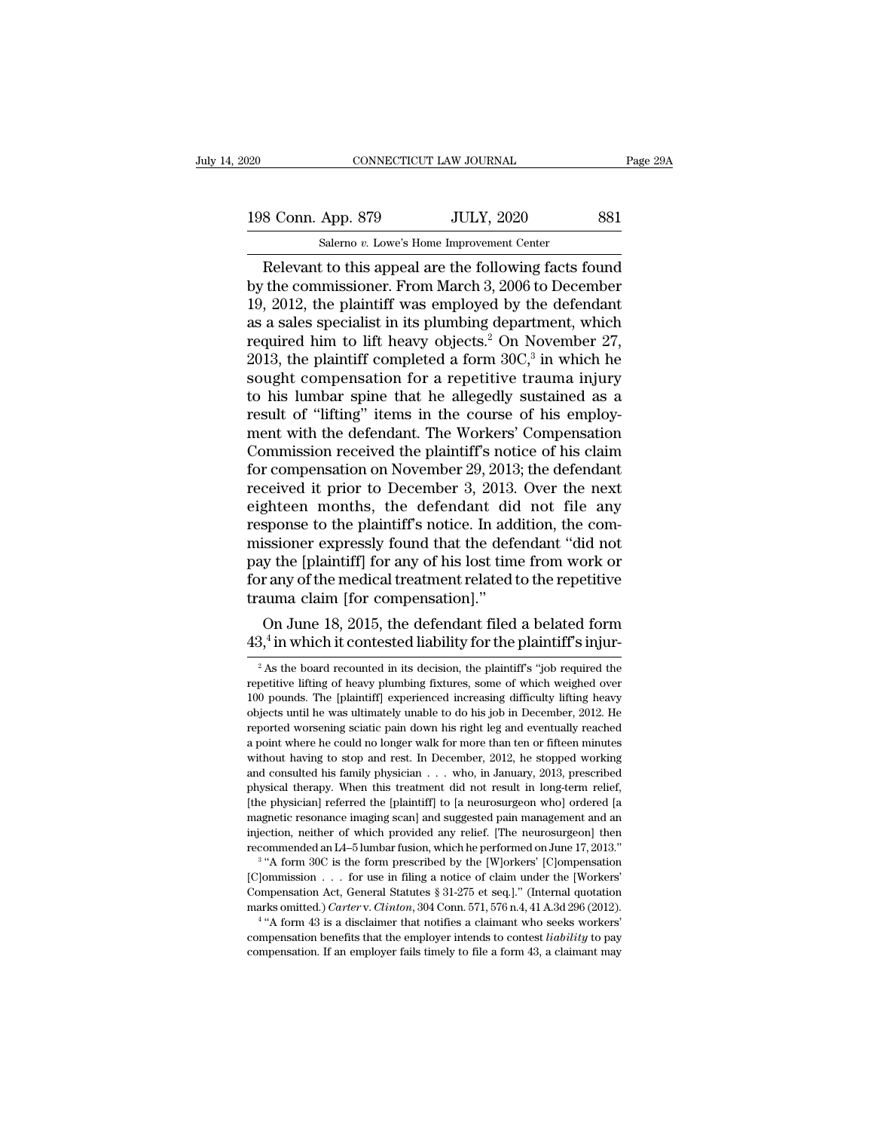20 CONNECTICUT LAW JOURNAL Page 29A<br>198 Conn. App. 879 JULY, 2020 881<br>Salerno v. Lowe's Home Improvement Center CONNECTICUT LAW JOURNAL<br>
198 Conn. App. 879 JULY, 2020 881<br>
Salerno *v.* Lowe's Home Improvement Center<br>
Relevant to this appeal are the following facts found

CONNECTICUT LAW JOURNAL Page 29A<br>
8 Conn. App. 879 JULY, 2020 881<br>
Salemo v. Lowe's Home Improvement Center<br>
Relevant to this appeal are the following facts found<br>
the commissioner. From March 3, 2006 to December<br>
2012, th 198 Conn. App. 879 JULY, 2020 881<br>Salemo v. Lowe's Home Improvement Center<br>Relevant to this appeal are the following facts found<br>by the commissioner. From March 3, 2006 to December<br>19, 2012, the plaintiff was employed by t 198 Conn. App. 879 JULY, 2020 881<br>
Salemo v. Lowe's Home Improvement Center<br>
Relevant to this appeal are the following facts found<br>
by the commissioner. From March 3, 2006 to December<br>
19, 2012, the plaintiff was employed 198 Conn. App. 879 JULY, 2020 881<br>
Salerno *v*. Lowe's Home Improvement Center<br>
Relevant to this appeal are the following facts found<br>
by the commissioner. From March 3, 2006 to December<br>
19, 2012, the plaintiff was emplo Salemo v. Lowe's Home Improvement Center<br>Relevant to this appeal are the following facts found<br>by the commissioner. From March 3, 2006 to December<br>19, 2012, the plaintiff was employed by the defendant<br>as a sales specialis Salemo v. Lowe's Home Improvement Center<br>
Relevant to this appeal are the following facts<br>
by the commissioner. From March 3, 2006 to Dec<br>
19, 2012, the plaintiff was employed by the defe<br>
as a sales specialist in its plu er<br>
facts found<br>
o December<br>
e defendant<br>
ment, which<br>
ovember 27,<br>
in which he<br>
uma injury<br>
tained as a Relevant to this appeal are the following facts found<br>by the commissioner. From March 3, 2006 to December<br>19, 2012, the plaintiff was employed by the defendant<br>as a sales specialist in its plumbing department, which<br>requi by the commissioner. From March 3, 2006 to December 19, 2012, the plaintiff was employed by the defendant as a sales specialist in its plumbing department, which required him to lift heavy objects.<sup>2</sup> On November 27, 2013, 19, 2012, the plaintiff was employed by the defendant<br>as a sales specialist in its plumbing department, which<br>required him to lift heavy objects.<sup>2</sup> On November 27,<br>2013, the plaintiff completed a form  $30C$ ,<sup>3</sup> in which as a sales specialist in its plumbing department, which<br>required him to lift heavy objects.<sup>2</sup> On November 27,<br>2013, the plaintiff completed a form  $30C$ ,<sup>3</sup> in which he<br>sought compensation for a repetitive trauma injury<br> required him to lift heavy objects.<sup>2</sup> On November 27,<br>2013, the plaintiff completed a form  $30C$ ,<sup>3</sup> in which he<br>sought compensation for a repetitive trauma injury<br>to his lumbar spine that he allegedly sustained as a<br>res 2013, the plaintiff completed a form  $30C$ ,<sup>3</sup> in which he sought compensation for a repetitive trauma injury to his lumbar spine that he allegedly sustained as a result of "lifting" items in the course of his employment sought compensation for a repetitive trauma injury<br>to his lumbar spine that he allegedly sustained as a<br>result of "lifting" items in the course of his employ-<br>ment with the defendant. The Workers' Compensation<br>Commission r to his lumbar spine that he allegedly sustained as a<br>result of "lifting" items in the course of his employ-<br>ment with the defendant. The Workers' Compensation<br>Commission received the plaintiff's notice of his claim<br>for com result of "lifting" items in the course of his employment with the defendant. The Workers' Compensation<br>Commission received the plaintiff's notice of his claim<br>for compensation on November 29, 2013; the defendant<br>received ment with the defendant. The Workers' Compensation<br>Commission received the plaintiff's notice of his claim<br>for compensation on November 29, 2013; the defendant<br>received it prior to December 3, 2013. Over the next<br>eighteen Commission received the plaintiff's notice of his claim<br>for compensation on November 29, 2013; the defendant<br>received it prior to December 3, 2013. Over the next<br>eighteen months, the defendant did not file any<br>response to for compensation on November 29, 2013; the defendant<br>received it prior to December 3, 2013. Over the next<br>eighteen months, the defendant did not file any<br>response to the plaintiff's notice. In addition, the com-<br>missioner received it prior to December 3, 2013.<br>
eighteen months, the defendant did<br>
response to the plaintiff's notice. In add<br>
missioner expressly found that the defe<br>
pay the [plaintiff] for any of his lost tim<br>
for any of the m gniteen months, the defendant did not file any<br>sponse to the plaintiff's notice. In addition, the com-<br>issioner expressly found that the defendant "did not<br>y the [plaintiff] for any of his lost time from work or<br>r any of t ionse to the plaintiff's notice. In addition, the com-<br>sioner expressly found that the defendant "did not<br>the [plaintiff] for any of his lost time from work or<br>my of the medical treatment related to the repetitive<br>ma claim

 $43<sup>4</sup>$  in which it contested liability for the plaintiff's injur-2 As the board recounted in its decision, the plaintiff's injured in its decision, the plaintiff's ''job required the petitive lifting of heavy plumbing fixtures, some of which weighed over

Frauma claim [for compensation].<br>
On June 18, 2015, the defendant filed a belated form<br>  $43,4$  in which it contested liability for the plaintiff's injur-<br>
<sup>2</sup> As the board recounted in its decision, the plaintiff's "job r On June 18, 2015, the defendant filed a belated form  $43,4$  in which it contested liability for the plaintiff's injure-<br><sup>2</sup> As the board recounted in its decision, the plaintiff's "job required the repetitive lifting of h  $43,4$  in which it contested liability for the plaintiff's injur-<br>
<sup>2</sup> As the board recounted in its decision, the plaintiff's "job required the<br>
repetitive lifting of heavy plumbing fixtures, some of which weighed over<br>  $45$ , In WHICH It CONTESTER HADINTY FOT THE PRAINTHES HIJULE  $^{2}$  As the board recounted in its decision, the plaintiff's "job required the repetitive lifting of heavy plumbing fixtures, some of which weighed over 100 po <sup>2</sup> As the board recounted in its decision, the plaintiff's "job required the repetitive lifting of heavy plumbing fixtures, some of which weighed over 100 pounds. The [plaintiff] experienced increasing difficulty lifting repetitive lifting of heavy plumbing fixtures, some of which weighed over<br>100 pounds. The [plaintiff] experienced increasing difficulty lifting heavy<br>objects until he was ultimately unable to do his job in December, 2012. reported more assign in experienced increasing difficulty lifting heavy objects until he was ultimately unable to do his job in December, 2012. He reported worsening sciatic pain down his right leg and eventually reached a polytocs until he was ultimately unable to do his job in December, 2012. He reported worsening sciatic pain down his right leg and eventually reached a point where he could no longer walk for more than ten or fifteen minut exported worsening sciatic pain down his right leg and eventually reached a point where he could no longer walk for more than ten or fifteen minutes without having to stop and rest. In December, 2012, he stopped working an magnetic where he could no longer walk for more than ten or fifteen minutes without having to stop and rest. In December, 2012, he stopped working and consulted his family physician . . . who, in January, 2013, prescribed in without having to stop and rest. In December, 2012, he stopped working<br>and consulted his family physician . . . who, in January, 2013, prescribed<br>physical therapy. When this treatment did not result in long-term relief, and consulted his family physician  $\ldots$  who, in January, 2013, prescribed physical therapy. When this treatment did not result in long-term relief, [the physician] referred the [plaintiff] to [a neurosurgeon who] ordered Since the form 30C is the form in the form and the form and supplemental of the physician] referred the [plaintiff] to [a neurosurgeon who] ordered [a gnetic resonance imaging scan] and suggested pain management and an ec Exposition and the physician referred the [plaintiff] to [a neurosurgeon who] ordered [a magnetic resonance imaging scan] and suggested pain management and an injection, neither of which provided any relief. [The neurosur

magnetic resonance imaging scan] and suggested pain management and an injection, neither of which provided any relief. [The neurosurgeon] then recommended an IA-5 lumbar fusion, which he performed on June 17, 2013."<br><sup>3</sup> " magnetic resonance imaging scan] and suggested pain management and an injection, neither of which provided any relief. [The neurosurgeon] then recommended an L4–5 lumbar fusion, which he performed on June 17, 2013."<br><sup>3</sup> " recommended an L4–5 lumbar fusion, which he performed on June 17, 2013."<br>
<sup>3</sup> "A form 30C is the form prescribed by the [W]orkers' [C]ompensation [C]ommission . . . for use in filing a notice of claim under the [Workers' <sup>2</sup> and form 30C is the form prescribed by the [W]orkers' [C]ompensation [C]ommission . . . for use in filing a notice of claim under the [Workers' Compensation Act, General Statutes § 31-275 et seq.]." (Internal quotation [C]ommission . . . for use in filing a notice of claim under the [Workers'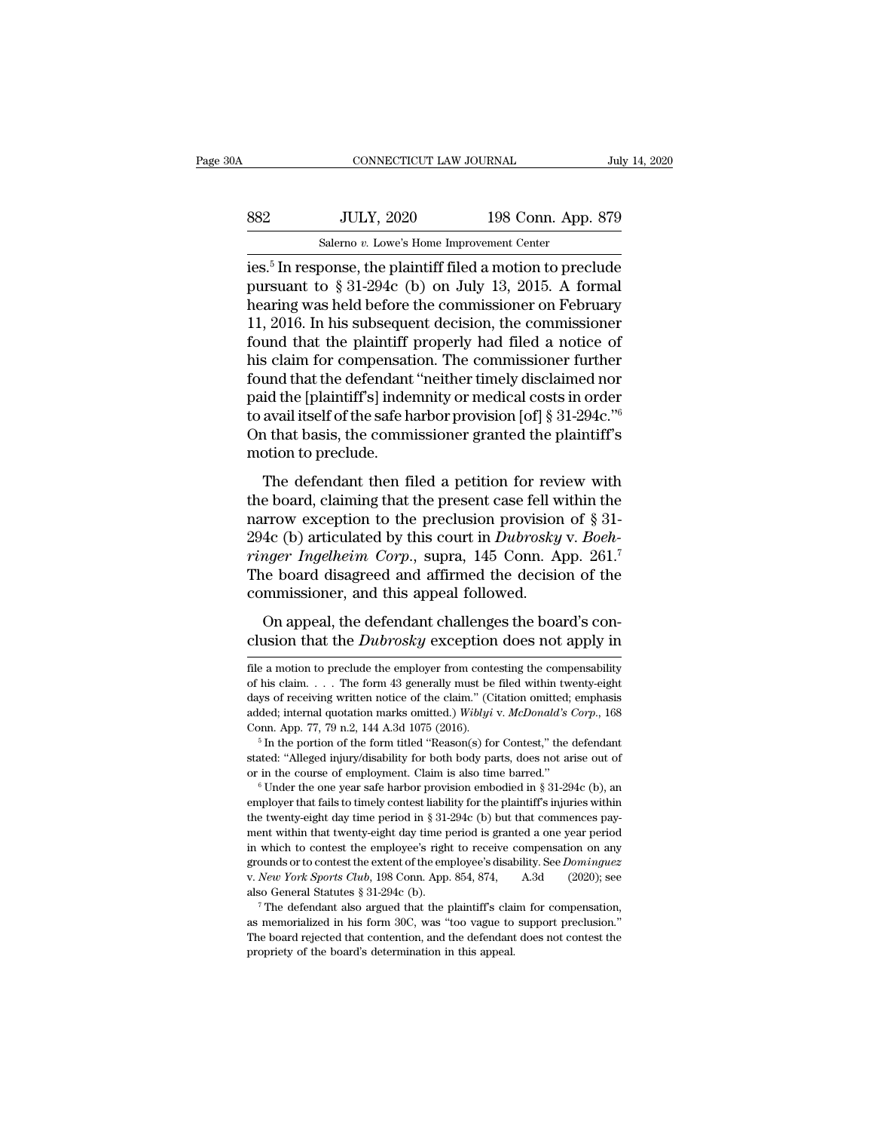| July 14, 2020                                                                        |
|--------------------------------------------------------------------------------------|
| 198 Conn. App. 879                                                                   |
|                                                                                      |
| $\frac{1}{2}$ ies $\frac{1}{2}$ In response the plaintiff filed a motion to preclude |

CONNECTICUT LAW JOURNAL July 14, 2020<br>
Salemo v. Lowe's Home Improvement Center<br>
ies.<sup>5</sup> In response, the plaintiff filed a motion to preclude<br>
pursuant to § 31-294c (b) on July 13, 2015. A formal<br>
bogring was hold before Secondary 198 Conn. App. 879<br>
Salemo v. Lowe's Home Improvement Center<br>
ies.<sup>5</sup> In response, the plaintiff filed a motion to preclude<br>
pursuant to § 31-294c (b) on July 13, 2015. A formal<br>
hearing was held before the commi  $\frac{\text{S32}}{\text{Salemo } v. \text{ Lowe's Home Important Center}}$ <br>
Salemo v. Lowe's Home Improvement Center<br>
ies.<sup>5</sup> In response, the plaintiff filed a motion to preclude<br>
pursuant to § 31-294c (b) on July 13, 2015. A formal<br>
hearing was held before the com  $198$  Conn. App. 879<br>
Salemo v. Lowe's Home Improvement Center<br>
ies.<sup>5</sup> In response, the plaintiff filed a motion to preclude<br>
pursuant to § 31-294c (b) on July 13, 2015. A formal<br>
hearing was held before the commissioner Salemo v. Lowe's Home Improvement Center<br>ies.<sup>5</sup> In response, the plaintiff filed a motion to preclude<br>pursuant to § 31-294c (b) on July 13, 2015. A formal<br>hearing was held before the commissioner on February<br>11, 2016. In salemo v. Lowe's Home Improvement Center<br>ies.<sup>5</sup> In response, the plaintiff filed a motion to preclude<br>pursuant to § 31-294c (b) on July 13, 2015. A formal<br>hearing was held before the commissioner on February<br>11, 2016. In ies.<sup>5</sup> In response, the plaintiff filed a motion to preclude<br>pursuant to § 31-294c (b) on July 13, 2015. A formal<br>hearing was held before the commissioner on February<br>11, 2016. In his subsequent decision, the commissione pursuant to § 31-294c (b) on July 13, 2015. A formal<br>hearing was held before the commissioner on February<br>11, 2016. In his subsequent decision, the commissioner<br>found that the plaintiff properly had filed a notice of<br>his hearing was held before the commissioner on February 11, 2016. In his subsequent decision, the commissioner found that the plaintiff properly had filed a notice of his claim for compensation. The commissioner further foun 11, 2016. In his subsequent decision, the commissioner<br>found that the plaintiff properly had filed a notice of<br>his claim for compensation. The commissioner further<br>found that the defendant "neither timely disclaimed nor<br>p found that the plaintiff<br>his claim for compensat<br>found that the defendant<br>paid the [plaintiff's] inder<br>to avail itself of the safe h<br>On that basis, the comm<br>motion to preclude.<br>The defendant then fi and that the defendant "neither timely disclaimed nor<br>id the [plaintiff's] indemnity or medical costs in order<br>avail itself of the safe harbor provision [of]  $\S$  31-294c."<br>a that basis, the commissioner granted the plaint paid the [plaintiff's] indemnity or medical costs in order<br>to avail itself of the safe harbor provision [of]  $\S$  31-294c."<br>On that basis, the commissioner granted the plaintiff's<br>motion to preclude.<br>The defendant then fil

para and phantant spin technicy of induced costs in order<br>to avail itself of the safe harbor provision [of] § 31-294c."<br>On that basis, the commissioner granted the plaintiff's<br>motion to preclude.<br>The defendant then filed by avan asched by the sace halost provision [or] s or 20 to.<br>On that basis, the commissioner granted the plaintiff's<br>motion to preclude.<br>The defendant then filed a petition for review with<br>the board, claiming that the pres on that basis, the commissioner granted the plantern s<br> *ringer Ingelheim Corporalistics* and the present case fell within the<br>
narrow exception to the preclusion provision of § 31-<br>
294c (b) articulated by this court in The defendant then filed a petition for review with<br>the board, claiming that the present case fell within the<br>narrow exception to the preclusion provision of § 31-<br>294c (b) articulated by this court in *Dubrosky* v. *Boeh* The defendant then filed a petition for revious the board, claiming that the present case fell we<br>narrow exception to the preclusion provision<br>294c (b) articulated by this court in *Dubrosky*<br>*ringer Ingelheim Corp.*, supr From exception to the present case for whall are<br>above exception to the preclusion provision of § 31-<br>4c (b) articulated by this court in *Dubrosky* v. *Boeh-<br>nger Ingelheim Corp.*, supra, 145 Conn. App. 261.<sup>7</sup><br>le board 294c (b) articulated by this court in *Dubrosky* v. *Boehringer Ingelheim Corp.*, supra, 145 Conn. App. 261.<sup>7</sup><br>The board disagreed and affirmed the decision of the commissioner, and this appeal followed.<br>On appeal, the d

commissioner, and this appeal followed.<br>
On appeal, the defendant challenges the board's conclusion that the *Dubrosky* exception does not apply in<br>
file a motion to preclude the employer from contesting the compensabilit

Conn. App. 77, 79 n.2, 144 A.3d 1075 (2016).<br>
<sup>5</sup> In the portion of the form titled "Reason(s) for Contest," the defendant stated: "Alleged injury/disability for both body parts, does not arise out of or in the course of employer that fails to timely contest liability for the plaintiff's injuries within<br>the twenty-eight day time period in § 31-294c (b) but that commences pay-<br>ment within that twenty-eight day time period is granted a one stated: "Alleged injury/disability for both body parts, does not arise out of or in the course of employment. Claim is also time barred."<br>
<sup>6</sup> Under the one year safe harbor provision embodied in § 31-294c (b), an employe or in the course of employment. Claim is also time barred."<br>  $\bullet$  Under the one year safe harbor provision embodied in § 31-294c (b), an<br>
employer that fails to timely contest liability for the plaintiff's injuries within <sup>6</sup> Under the one year safe harbor provision embodied in § 31-294c (b), an employer that fails to timely contest liability for the plaintiff's injuries within the twenty-eight day time period in § 31-294c (b) but that com employer that fails to timely contest liability for the plaintiff's injuries within<br>the twenty-eight day time period in § 31-294c (b) but that commences pay-<br>ment within that twenty-eight day time period is granted a one y also General Statutes § 31-294c (b) but that commences payment within that twenty-eight day time period is granted a one year period in which to contest the employee's right to receive compensation on any grounds or to co in which to contest the employee's right to receive compensation on any grounds or to contest the extent of the employee's disability. See *Dominguez* v. *New York Sports Club*, 198 Conn. App. 854, 874, A.3d (2020); see a v. New York Sports Club, 198 Conn. App. 854, 874,

m onder to contest the extent of the employee's disability. See *Dominguez* v. *New York Sports Club*, 198 Conn. App. 854, 874, A.3d (2020); see also General Statutes § 31-294c (b).<br>
<sup>7</sup> The defendant also argued that the

On appeal, the defendant challenges the board's conclusion that the *Dubrosky* exception does not apply in file a motion to preclude the employer from contesting the compensability of his claim.... The form 43 generally m On appeal, the defendant challenges the board's conclusion that the *Dubrosky* exception does not apply in  $\overline{f}$  file a motion to preclude the employer from contesting the compensability of his claim.... The form 43 ge clusion that the *Dubrosky* exception does not apply in<br>file a motion to preclude the employer from contesting the compensability<br>of his claim.... The form 43 generally must be filed within twenty-eight<br>days of receiving w CHISION THAT THE DUOTOSNY EXCEPTION TOES HOT APPTY IN<br>
file a motion to preclude the employer from contesting the compensability<br>
of his claim.... The form 43 generally must be filed within twenty-eight<br>
days of receiving file a motion to preclude the employer from contesting the compensability of his claim. . . . The form 43 generally must be filed within twenty-eight days of receiving written notice of the claim." (Citation omitted; emph days of receiving written notice of the claim." (Citation omitted; emphasis added; internal quotation marks omitted.) Wiblyi v. McDonald's Corp., 168 Conn. App. 77, 79 n.2, 144 A.3d 1075 (2016).<br>
<sup>5</sup> In the portion of the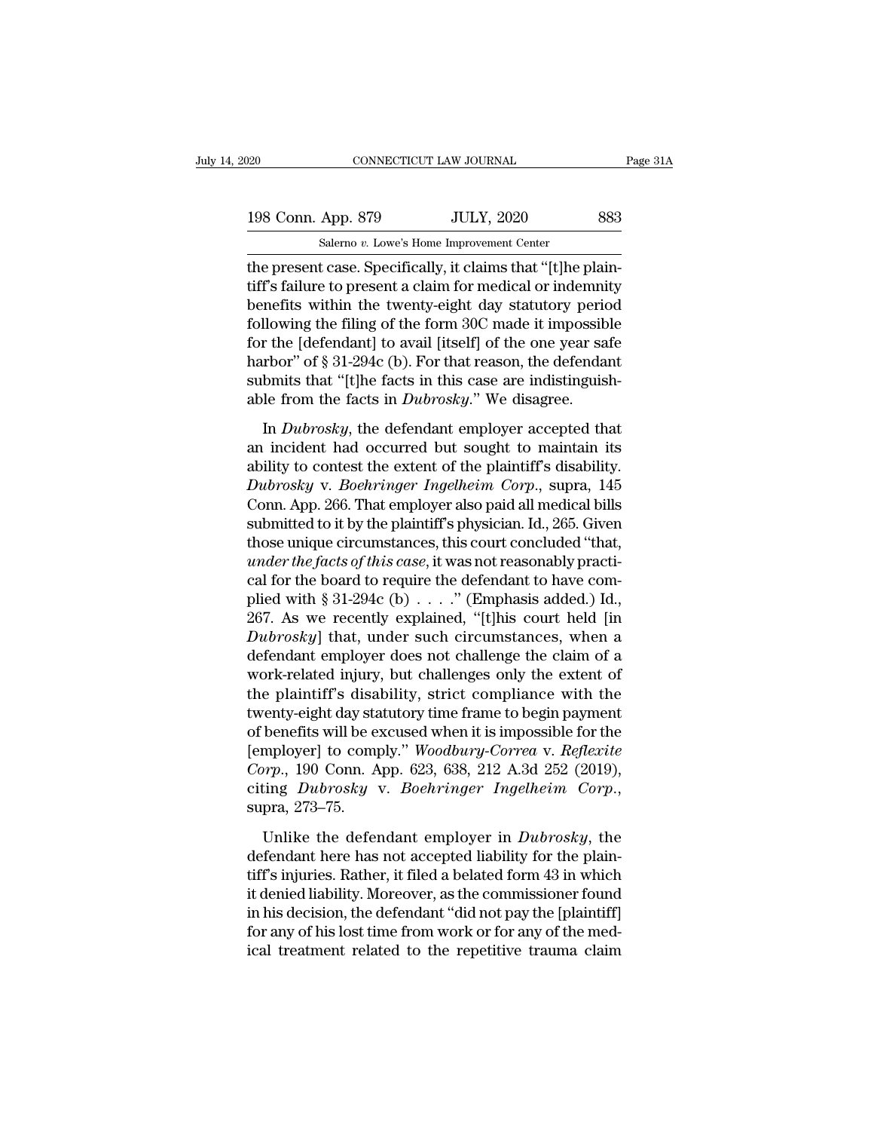20 CONNECTICUT LAW JOURNAL Page 31A<br>198 Conn. App. 879 JULY, 2020 883<br>Salerno v. Lowe's Home Improvement Center CONNECTICUT LAW JOURNAL<br>
198 Conn. App. 879 JULY, 2020 883<br>
Salerno *v.* Lowe's Home Improvement Center<br>
the present case. Specifically, it claims that "[t]he plain-

CONNECTICUT LAW JOURNAL<br>
198 Conn. App. 879 JULY, 2020 883<br>
Salemo v. Lowe's Home Improvement Center<br>
the present case. Specifically, it claims that "[t]he plain-<br>
tiff's failure to present a claim for medical or indemnity 198 Conn. App. 879 JULY, 2020 883<br>Salemo v. Lowe's Home Improvement Center<br>the present case. Specifically, it claims that "[t]he plain-<br>tiff's failure to present a claim for medical or indemnity<br>benefits within the twenty-198 Conn. App. 879 JULY, 2020 883<br>
Salemo v. Lowe's Home Improvement Center<br>
the present case. Specifically, it claims that "[t]he plain-<br>
tiff's failure to present a claim for medical or indemnity<br>
benefits within the tw 198 Conn. App. 879 JULY, 2020 883<br>
Salemo v. Lowe's Home Improvement Center<br>
the present case. Specifically, it claims that "[t]he plain-<br>
tiff's failure to present a claim for medical or indemnity<br>
benefits within the tw Salemo v. Lowe's Home Improvement Center<br>the present case. Specifically, it claims that "[t]he plain-<br>tiff's failure to present a claim for medical or indemnity<br>benefits within the twenty-eight day statutory period<br>follow saemo v. Lowes home improvement center<br>the present case. Specifically, it claims that "[t]he plain-<br>tiff's failure to present a claim for medical or indemnity<br>benefits within the twenty-eight day statutory period<br>following the present case. Specifically, it claims that "[t]he plaintiff's failure to present a claim for medical or indemnity<br>benefits within the twenty-eight day statutory period<br>following the filing of the form 30C made it impo tiff's failure to present a claim for medical or indemni<br>benefits within the twenty-eight day statutory perior<br>following the filing of the form 30C made it impossib<br>for the [defendant] to avail [itself] of the one year sa<br> Ilowing the filing of the form 30C made it impossible<br>
Ilowing the filing of the form 30C made it impossible<br>
r the [defendant] to avail [itself] of the one year safe<br>
rbor" of § 31-294c (b). For that reason, the defendan for the [defendant] to avail [itself] of the one year safe<br>harbor" of § 31-294c (b). For that reason, the defendant<br>submits that "[t]he facts in this case are indistinguish-<br>able from the facts in *Dubrosky*." We disagree

harbor" of § 31-294c (b). For that reason, the defendant<br>submits that "[t]he facts in this case are indistinguish-<br>able from the facts in *Dubrosky*." We disagree.<br>In *Dubrosky*, the defendant employer accepted that<br>an in *Dubrosky* v. *Boehringer* and the same indistinguish-<br> **Dubrosky**, the defendant employer accepted that<br>
an incident had occurred but sought to maintain its<br>
ability to contest the extent of the plaintiff's disability.<br> able from the facts in *Dubrosky*." We disagree.<br>
In *Dubrosky*, the defendant employer accepted that<br>
an incident had occurred but sought to maintain its<br>
ability to contest the extent of the plaintiff's disability.<br> *Du* In *Dubrosky*, the defendant employer accepted that<br>an incident had occurred but sought to maintain its<br>ability to contest the extent of the plaintiff's disability.<br>*Dubrosky* v. *Boehringer Ingelheim Corp.*, supra, 145<br>Co In *Dubrosky*, the defendant employer accepted that<br>an incident had occurred but sought to maintain its<br>ability to contest the extent of the plaintiff's disability.<br>*Dubrosky* v. *Boehringer Ingelheim Corp.*, supra, 145<br>Co an incident had occurred but sought to maintain its<br>ability to contest the extent of the plaintiff's disability.<br>*Dubrosky* v. *Boehringer Ingelheim Corp.*, supra, 145<br>Conn. App. 266. That employer also paid all medical bi ability to contest the extent of the plaintiff's disability.<br> *Dubrosky* v. *Boehringer Ingelheim Corp.*, supra, 145<br>
Conn. App. 266. That employer also paid all medical bills<br>
submitted to it by the plaintiff's physician Dubrosky v. Boehringer Ingelheim Corp., supra, 145<br>Conn. App. 266. That employer also paid all medical bills<br>submitted to it by the plaintiff's physician. Id., 265. Given<br>those unique circumstances, this court concluded " Conn. App. 266. That employer also paid all medical bills<br>submitted to it by the plaintiff's physician. Id., 265. Given<br>those unique circumstances, this court concluded "that,<br>*under the facts of this case*, it was not re submitted to it by the plaintiff's physician. Id., 265. Given<br>those unique circumstances, this court concluded "that,<br>*under the facts of this case*, it was not reasonably practi-<br>cal for the board to require the defendant those unique circumstances, this court concluded "that,<br> *under the facts of this case*, it was not reasonably practi-<br>
cal for the board to require the defendant to have com-<br>
plied with § 31-294c (b)  $\ldots$ ." (Emphasis a under the facts of this case, it was not reasonably practical for the board to require the defendant to have complied with § 31-294c (b)  $\ldots$ ." (Emphasis added.) Id., 267. As we recently explained, "[t]his court held [in cal for the board to require the defendant to have complied with § 31-294c (b)  $\ldots$ ." (Emphasis added.) Id., 267. As we recently explained, "[t]his court held [in *Dubrosky*] that, under such circumstances, when a defend plied with § 31-294c (b)  $\ldots$  ." (Emphasis added.) Id.,<br>267. As we recently explained, "[t]his court held [in<br>Dubrosky] that, under such circumstances, when a<br>defendant employer does not challenge the claim of a<br>work-rel 267. As we recently explained, "[t]his court held [in *Dubrosky*] that, under such circumstances, when a defendant employer does not challenge the claim of a work-related injury, but challenges only the extent of the plai Dubrosky] that, under such circumstances, when a<br>defendant employer does not challenge the claim of a<br>work-related injury, but challenges only the extent of<br>the plaintiff's disability, strict compliance with the<br>twenty-eig defendant employer does not challenge the claim of a<br>work-related injury, but challenges only the extent of<br>the plaintiff's disability, strict compliance with the<br>twenty-eight day statutory time frame to begin payment<br>of b work-related injury, but challenges only the extent of<br>the plaintiff's disability, strict compliance with the<br>twenty-eight day statutory time frame to begin payment<br>of benefits will be excused when it is impossible for the benefits will be excused when it is impossible for the<br>mployer] to comply." *Woodbury-Correa* v. *Reflexite*<br>prp., 190 Conn. App. 623, 638, 212 A.3d 252 (2019),<br>ting *Dubrosky* v. *Boehringer Ingelheim Corp.*,<br>pra, 273–75. [employer] to comply." *Woodbury-Correa v. Reflexite*<br>Corp., 190 Conn. App. 623, 638, 212 A.3d 252 (2019),<br>citing *Dubrosky* v. *Boehringer Ingelheim Corp.*,<br>supra, 273–75.<br>Unlike the defendant employer in *Dubrosky*, the<br>

Corp., 190 Conn. App. 623, 638, 212 A.3d 252 (2019),<br>
citing Dubrosky v. Boehringer Ingelheim Corp.,<br>
supra, 273–75.<br>
Unlike the defendant employer in Dubrosky, the<br>
defendant here has not accepted liability for the plain citing *Dubrosky* v. *Boehringer Ingelheim Corp.*,<br>supra, 273–75.<br>Unlike the defendant employer in *Dubrosky*, the<br>defendant here has not accepted liability for the plain-<br>tiff's injuries. Rather, it filed a belated form supra, 273–75.<br>
Unlike the defendant employer in *Dubrosky*, the<br>
defendant here has not accepted liability for the plain-<br>
tiff's injuries. Rather, it filed a belated form 43 in which<br>
it denied liability. Moreover, as t Unlike the defendant employer in *Dubrosky*, the defendant here has not accepted liability for the plaintiff's injuries. Rather, it filed a belated form 43 in which it denied liability. Moreover, as the commissioner found Unlike the defendant employer in *Dubrosky*, the defendant here has not accepted liability for the plaintiff's injuries. Rather, it filed a belated form 43 in which it denied liability. Moreover, as the commissioner found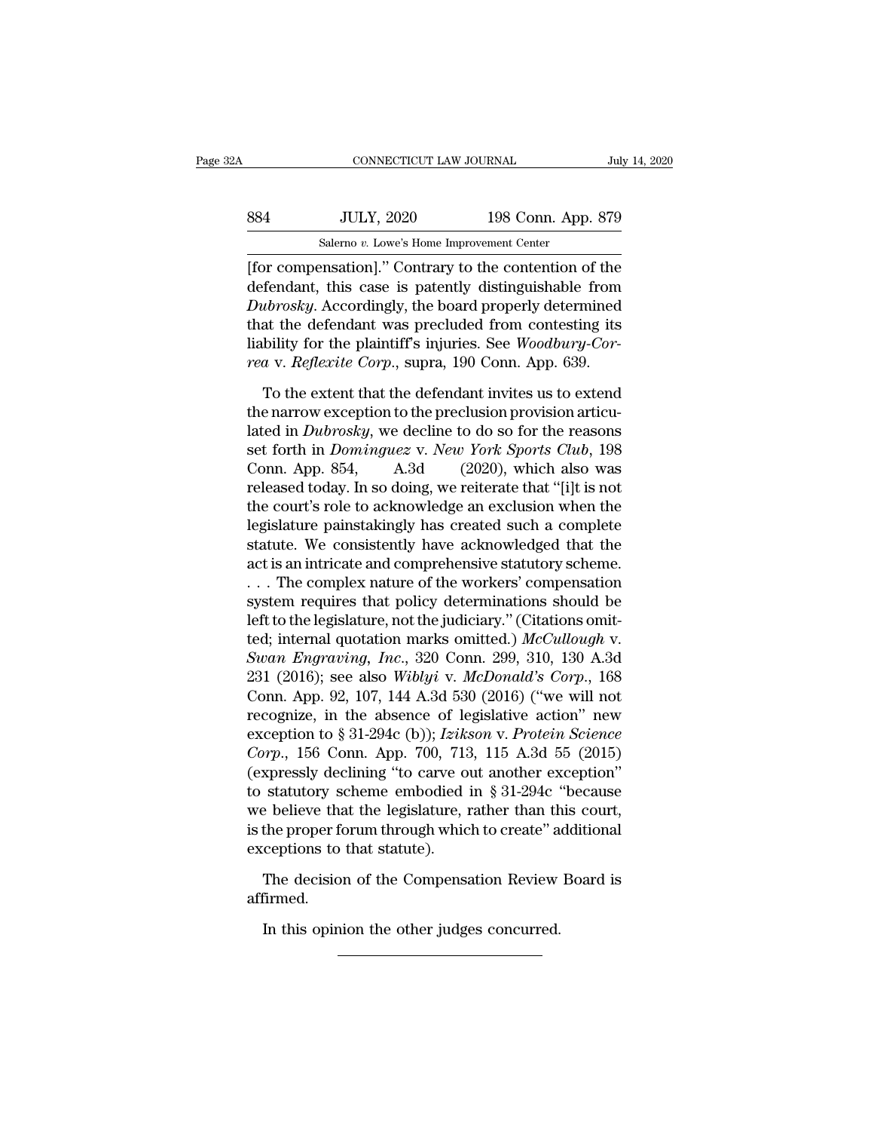| 2A  | CONNECTICUT LAW JOURNAL                                |                    | July 14, 2020 |
|-----|--------------------------------------------------------|--------------------|---------------|
| 884 | <b>JULY, 2020</b>                                      | 198 Conn. App. 879 |               |
|     | Salerno v. Lowe's Home Improvement Center              |                    |               |
|     | [for compensation]." Contrary to the contention of the |                    |               |

CONNECTICUT LAW JOURNAL July 14, 2020<br>
Salemo v. Lowe's Home Improvement Center<br>
[for compensation].'' Contrary to the contention of the<br>
defendant, this case is patently distinguishable from<br>
Dubrooku, Accordingly, the bo MULY, 2020 198 Conn. App. 879<br>
Salemo v. Lowe's Home Improvement Center<br>
[for compensation]." Contrary to the contention of the<br>
defendant, this case is patently distinguishable from<br> *Dubrosky*. Accordingly, the board pro <sup>284</sup><br>
<sup>2020</sup><br>
<sup>2020</sup><br>
<sup>2020</sup><br>
<sup>2020</sup><br>
<sup>2020</sup><br>
<sup>2020</sup><br>
<sup>2020</sup><br>
<sup>2020</sup><br>
<sup>2020</sup><br>
<sup>2020</sup><br>
<sup>2020</sup><br>
<sup>2020</sup><br>
<sup>2020</sup><br>
<sup>20</sup><br> **2020**<br> **2020**<br> **2020**<br> **2020**<br> **2020**<br> **2020**<br> **2020**<br> **2020**<br> **2020**<br> **2020**<br> **2020**<br> **2020**<br> **2020**<br>  $t = \frac{100 \text{ V L}}{3}$ <br>
Salerno *v*. Lowe's Home Improvement Center<br>
[for compensation]." Contrary to the contention of the<br>
defendant, this case is patently distinguishable from<br> *Dubrosky*. Accordingly, the board properly Salemo *v*. Lowe's Home Improvement Center<br>
[for compensation]." Contrary to the contention of the<br>
defendant, this case is patently distinguishable from<br> *Dubrosky*. Accordingly, the board properly determined<br>
that the de *reaching the Liowes Home improvement center*<br> *For compensation*]." Contrary to the contention of the<br>
defendant, this case is patently distinguishable from<br> *Dubrosky*. Accordingly, the board properly determined<br>
that th fendant, this case is patently distinguishable from<br> *ubrosky*. Accordingly, the board properly determined<br>
at the defendant was precluded from contesting its<br>
bility for the plaintiff's injuries. See *Woodbury-Cor-*<br> *a* Dubrosky. Accordingly, the board properly determined<br>that the defendant was precluded from contesting its<br>liability for the plaintiff's injuries. See *Woodbury-Cor-*<br>rea v. *Reflexite Corp.*, supra, 190 Conn. App. 639.<br>To

that the defendant was precluded from contesting its<br>liability for the plaintiff's injuries. See *Woodbury-Cor-*<br>rea v. *Reflexite Corp.*, supra, 190 Conn. App. 639.<br>To the extent that the defendant invites us to extend<br>t liability for the plaintiff's injuries. See *Woodbury-Cor-*<br>rea v. *Reflexite Corp.*, supra, 190 Conn. App. 639.<br>To the extent that the defendant invites us to extend<br>the narrow exception to the preclusion provision articu rea v. Reflexite Corp., supra, 190 Conn. App. 639.<br>To the extent that the defendant invites us to extend<br>the narrow exception to the preclusion provision articu-<br>lated in *Dubrosky*, we decline to do so for the reasons<br>set To the extent that the defendant invites us to extend<br>the narrow exception to the preclusion provision articu-<br>lated in *Dubrosky*, we decline to do so for the reasons<br>set forth in *Dominguez* v. *New York Sports Club*, 1 To the extent that the defendant invites us to extend<br>the narrow exception to the preclusion provision articu-<br>lated in *Dubrosky*, we decline to do so for the reasons<br>set forth in *Dominguez* v. *New York Sports Club*, 1 the narrow exception to the preclusion provision articulated in *Dubrosky*, we decline to do so for the reasons<br>set forth in *Dominguez* v. *New York Sports Club*, 198<br>Conn. App. 854, A.3d (2020), which also was<br>released lated in *Dubrosky*, we decline to do so for the reasons<br>set forth in *Dominguez* v. *New York Sports Club*, 198<br>Conn. App. 854, A.3d (2020), which also was<br>released today. In so doing, we reiterate that "[i]t is not<br>the c set forth in *Dominguez v. New York Sports Club*, 198<br>Conn. App. 854, A.3d (2020), which also was<br>released today. In so doing, we reiterate that "[i]t is not<br>the court's role to acknowledge an exclusion when the<br>legislatur Conn. App. 854, A.3d (2020), which also was<br>released today. In so doing, we reiterate that "[i]t is not<br>the court's role to acknowledge an exclusion when the<br>legislature painstakingly has created such a complete<br>statute. released today. In so doing, we reiterate that "[i]t is not<br>the court's role to acknowledge an exclusion when the<br>legislature painstakingly has created such a complete<br>statute. We consistently have acknowledged that the<br>ac the court's role to acknowledge an exclusion when the legislature painstakingly has created such a complete statute. We consistently have acknowledged that the act is an intricate and comprehensive statutory scheme.<br>  $\dots$ legislature painstakingly has created such a complete<br>statute. We consistently have acknowledged that the<br>act is an intricate and comprehensive statutory scheme.<br>... The complex nature of the workers' compensation<br>system r *Statute.* We consistently have acknowledged that the act is an intricate and comprehensive statutory scheme.<br>
... The complex nature of the workers' compensation<br>
system requires that policy determinations should be<br>
left act is an intricate and comprehensive statutory scheme.<br>
... The complex nature of the workers' compensation<br>
system requires that policy determinations should be<br>
left to the legislature, not the judiciary." (Citations om ... The complex nature of the workers' compensation<br>system requires that policy determinations should be<br>left to the legislature, not the judiciary." (Citations omit-<br>ted; internal quotation marks omitted.) McCullough v.<br> system requires that policy determinations should be<br>left to the legislature, not the judiciary." (Citations omit-<br>ted; internal quotation marks omitted.) McCullough v.<br>Swan Engraving, Inc., 320 Conn. 299, 310, 130 A.3d<br>2 left to the legislature, not the judiciary." (Citations omit-<br>ted; internal quotation marks omitted.) *McCullough* v.<br>*Swan Engraving*, *Inc.*, 320 Conn. 299, 310, 130 A.3d<br>231 (2016); see also *Wiblyi* v. *McDonald's Corp* red; internal quotation marks omitted.) *McCullough v.*<br> *Swan Engraving, Inc.*, 320 Conn. 299, 310, 130 A.3d<br>
231 (2016); see also *Wiblyi v. McDonald's Corp.*, 168<br>
Conn. App. 92, 107, 144 A.3d 530 (2016) ("we will not<br> Swan Engraving, Inc., 320 Conn. 299, 310, 130 A.3d<br>231 (2016); see also Wiblyi v. McDonald's Corp., 168<br>Conn. App. 92, 107, 144 A.3d 530 (2016) ("we will not<br>recognize, in the absence of legislative action" new<br>exception 231 (2016); see also *Wiblyi* v. *McDonald's Corp.*, 168<br>Conn. App. 92, 107, 144 A.3d 530 (2016) ("we will not<br>recognize, in the absence of legislative action" new<br>exception to § 31-294c (b)); *Izikson* v. *Protein Scienc* Conn. App. 92, 107, 144 A.3d 530 (2016) ("we will not<br>recognize, in the absence of legislative action" new<br>exception to § 31-294c (b)); *Izikson* v. Protein Science<br>*Corp.*, 156 Conn. App. 700, 713, 115 A.3d 55 (2015)<br>(ex recognize, in the absence of legislative action" new<br>exception to § 31-294c (b)); *Izikson* v. Protein Science<br>Corp., 156 Conn. App. 700, 713, 115 A.3d 55 (2015)<br>(expressly declining "to carve out another exception"<br>to st exception to § 31-294c (b)); *Izik*:<br>*Corp.*, 156 Conn. App. 700, 713<br>(expressly declining "to carve of<br>to statutory scheme embodied<br>we believe that the legislature, is<br>the proper forum through whice<br>exceptions to that st xpressly declining "to carve out another exception"<br>statutory scheme embodied in  $\S 31-294c$  "because<br>e believe that the legislature, rather than this court,<br>the proper forum through which to create" additional<br>ceptions t E beneve that the regislature, rather than the proper forum through which to create" a ceptions to that statute).<br>The decision of the Compensation Review firmed.<br>In this opinion the other judges concurred.

affirmed.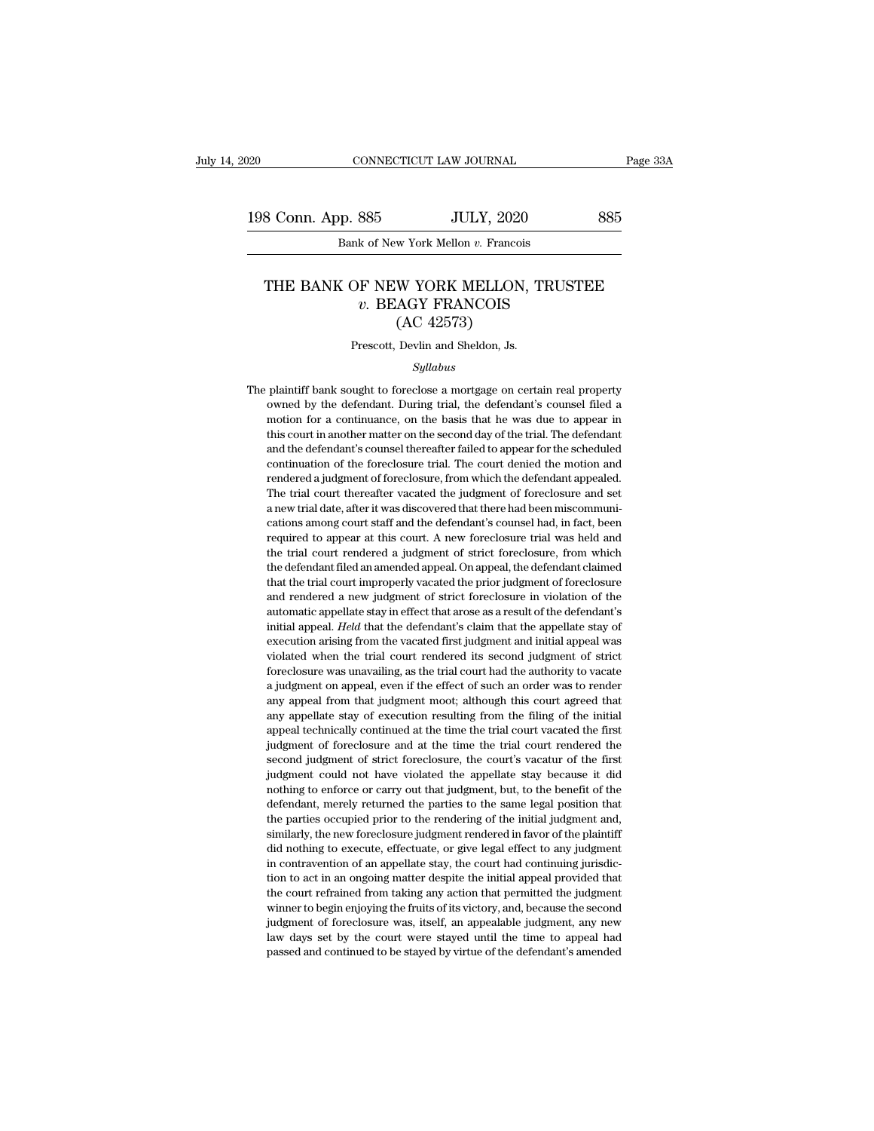CONNECTICUT LAW JOURNAL<br>P. 885 JULY, 2020<br>Bank of New York Mellon *v.* Francois

# 8 Conn. App. 885<br>
Bank of New York Mellon v. Francois<br>
THE BANK OF NEW YORK MELLON, TRUSTEE<br>
v. BEAGY FRANCOIS *v.* Beadler State State State State State State State State State State State State State State State State State State State State State State State State State State State State State State State State State State State JULY, 2020<br>
w York Mellon v. Francois<br>
W YORK MELLON,<br>
AGY FRANCOIS<br>
(AC 42573)<br>
Devlin and Sheldon, Js. THE BANK OF NEW YORK MELLON, TRUSTEE<br> $v.$  BEAGY FRANCOIS<br>(AC 42573)<br>Prescott, Devlin and Sheldon, Js.

### *Syllabus*

*V.* **DEAGT FRANCOIS**<br>  $(AC 42573)$ <br>
Prescott, Devlin and Sheldon, Js.<br> *Syllabus*<br>
The plaintiff bank sought to foreclose a mortgage on certain real property<br>
owned by the defendant. During trial, the defendant's counsel  $(AC 42573)$ <br>Prescott, Devlin and Sheldon, Js.<br> $Syllabus$ <br>plaintiff bank sought to foreclose a mortgage on certain real property<br>owned by the defendant. During trial, the defendant's counsel filed a<br>motion for a continuance, on Prescott, Devlin and Sheldon, Js.<br>Syllabus<br>plaintiff bank sought to foreclose a mortgage on certain real property<br>owned by the defendant. During trial, the defendant's counsel filed a<br>motion for a continuance, on the basis Syllabus<br>Syllabus<br>plaintiff bank sought to foreclose a mortgage on certain real property<br>owned by the defendant. During trial, the defendant's counsel filed a<br>motion for a continuance, on the basis that he was due to appea Syllabus<br>
Syllabus<br>
plaintiff bank sought to foreclose a mortgage on certain real property<br>
owned by the defendant. During trial, the defendant's counsel filed a<br>
motion for a continuance, on the basis that he was due to a plaintiff bank sought to foreclose a mortgage on certain real property<br>owned by the defendant. During trial, the defendant's counsel filed a<br>motion for a continuance, on the basis that he was due to appear in<br>this court in plantant bank solgin to foreclosure a mortgage on ecreative commed by the defendant. During trial, the defendant's counsel filed a motion for a continuance, on the basis that he was due to appear in this court in another m For a continuance, on the basis that he was due to appear in this court in another matter on the second day of the trial. The defendant and the defendant's coursel thereafter failed to appear for the scheduled continuation this court in another matter on the second day of the trial. The defendant and the defendant's counsel thereafter failed to appear for the scheduled continuation of the foreclosure trial. The court denied the motion and re and the defendant's counsel thereafter failed to appear for the scheduled continuation of the foreclosure trial. The court denied the motion and rendered a judgment of foreclosure, from which the defendant appealed. The tr required to appear at this court. A new foreclosure trial was held and and rendered a judgment of foreclosure, from which the defendant appealed. The trial court thereafter vacated the judgment of foreclosure and set a new rendered a judgment of foreclosure, from which the defendant appealed.<br>The trial court thereafter vacated the judgment of foreclosure and set<br>a new trial date, after it was discovered that there had been miscommuni-<br>cation The trial court thereafter vacated the judgment of foreclosure and set a new trial date, after it was discovered that there had been miscommunications among court staff and the defendant's counsel had, in fact, been requir The trial court increased that there had been miscommunications among court staff and the defendant's counsel had, in fact, been required to appear at this court. A new foreclosure trial was held and the trial court render and rendered a new judgment of strict foreclosure in violations and rendered to appear at this court. A new foreclosure trial was held and the trial court rendered a judgment of strict foreclosure, from which the defendant eductional anong coursel and are determined to appear at this court. A new foreclosure trial was held and the trial court rendered a judgment of strict foreclosure, from which the defendant filed an amended appeal. On appe increase that the trial court rendered a judgment of strict foreclosure, from which<br>the defendant filed an amended appeal. On appeal, the defendant claimed<br>that the trial court improperly vacated the prior judgment of fore the defendant filed an amended appeal. On appeal, the defendant claimed that the trial court improperly vacated the prior judgment of foreclosure and rendered a new judgment of strict foreclosure in violation of the automa that the trial court improperly vacated the prior judgment of foreclosure and rendered a new judgment of strict foreclosure in violation of the automatic appellate stay in effect that arose as a result of the defendant's i and rendered a new judgment of strict foreclosure in violation of the automatic appellate stay in effect that arose as a result of the defendant's initial appeal. *Held* that the defendant's claim that the appellate stay o and renacted a new jangue of state is bettered and the defendant's and atomatic appellate stay in effect that arose as a result of the defendant's initial appeal. *Held* that the defendant's claim that the appellate stay o any appear from the defendant's claim that the appellate stay of execution arising from the vacated first judgment and initial appeal was violated when the trial court rendered its second judgment of strict foreclosure was ready appear from the vacated first judgment and initial appeal was violated when the trial court rendered its second judgment of strict foreclosure was unavailing, as the trial court had the authority to vacate a judgment appear to the trial court rendered its second judgment of strict foreclosure was unavailing, as the trial court had the authority to vacate a judgment on appeal, even if the effect of such an order was to render any appeal Foreclosure was unavailing, as the trial court had the authority to vacate a judgment on appeal, even if the effect of such an order was to render any appeal from that judgment moot; although this court agreed that any app second in a maximity, as are unal court had are attacted, by collected any appeal from that judgment moot; although this court agreed that any appellate stay of execution resulting from the filing of the initial appeal tec a judgment on appear, oven it all externed the chief and of act was observed that any appellate stay of execution resulting from the filing of the initial appeal technically continued at the time the trial court vacated th any appear nont and judgment move, and digned and say any appellate stay of execution resulting from the filing of the initial appeal technically continued at the time the trial court vacated the first judgment of foreclos any appendie say of electron restaining from all limits of the first<br>appeal technically continued at the time the trial court vacated the first<br>judgment of foreclosure and at the time the trial court rendered the<br>second ju in the particular probability contained at the time the trial court vacated the instituted prior in the second judgment of strict foreclosure, the court's vacatur of the first judgment could not have violated the appellate second judgment of strict foreclosure, the court's vacatur of the first judgment could not have violated the appellate stay because it did nothing to enforce or carry out that judgment, but, to the benefit of the defendant did nothing to execute, effectuate, or give legal effect to any judgment could not have violated the appellate stay because it did nothing to enforce or carry out that judgment, but, to the benefit of the defendant, merely judgment could not have violated the appellate stay because it did<br>nothing to enforce or carry out that judgment, but, to the benefit of the<br>defendant, merely returned the parties to the same legal position that<br>the partie the parties of each of an ongoing matter despite the initial judgment and defendant, merely returned the parties to the same legal position that the parties occupied prior to the rendering of the initial judgment and, simi definality, increty retained are parties of the initial judgment and, similarly, the new foreclosure judgment rendered in favor of the plaintiff did nothing to execute, effectuate, or give legal effect to any judgment in c are parties occupied prior to the rendering or the final program and, similarly, the new foreclosure judgment rendered in favor of the plaintiff did nothing to execute, effectuate, or give legal effect to any judgment in c minary, an increases the graphical chatter of matter of the pathanid did nothing to execute, effectuate, or give legal effect to any judgment in contravention of an appellate stay, the court had continuing jurisdiction to in contravention of an appellate stay, the court had continuing jurisdiction to act in an ongoing matter despite the initial appeal provided that the court refrained from taking any action that permitted the judgment winne metric of an appenate stay, the court had containing junsale<br>tion to act in an ongoing matter despite the initial appeal provided that<br>the court refrained from taking any action that permitted the judgment<br>winner to begin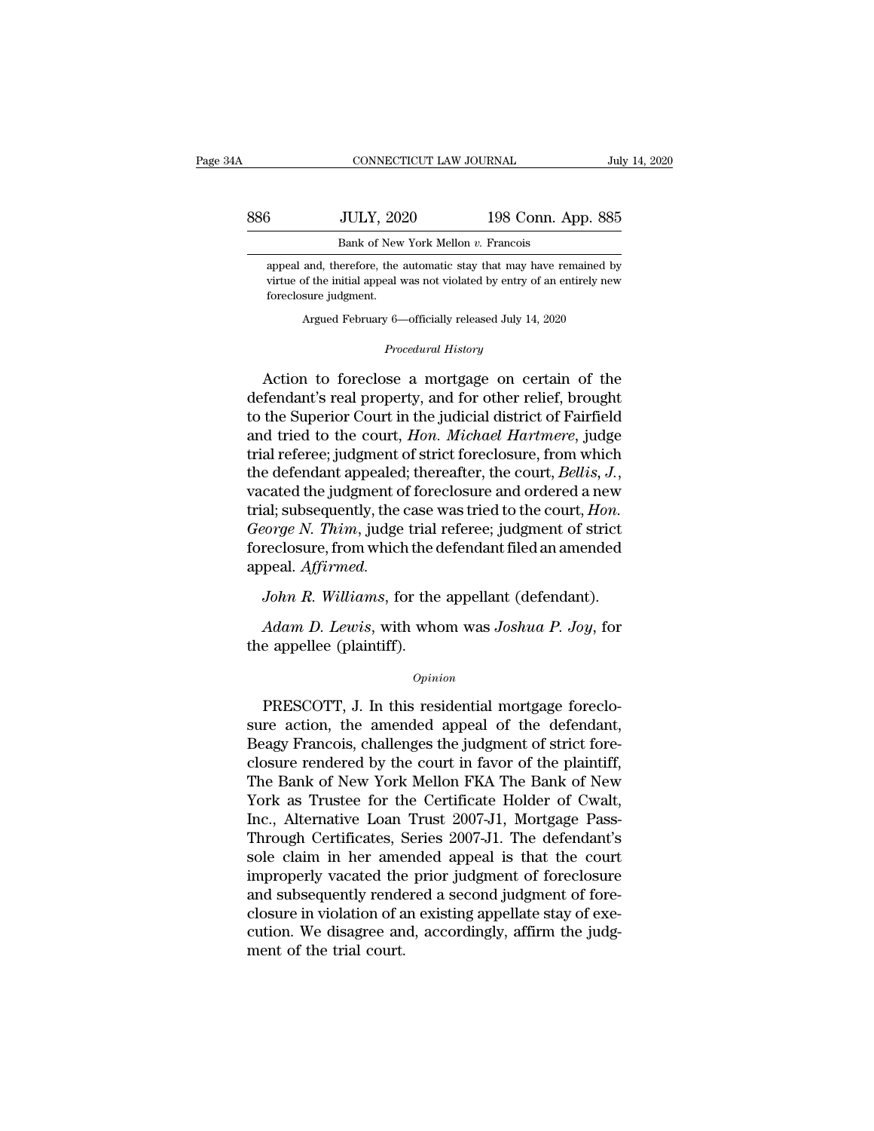|     | CONNECTICUT LAW JOURNAL                                                                                                                          |                    | July 14, 2020 |
|-----|--------------------------------------------------------------------------------------------------------------------------------------------------|--------------------|---------------|
| 886 | <b>JULY, 2020</b>                                                                                                                                | 198 Conn. App. 885 |               |
|     | Bank of New York Mellon v. Francois                                                                                                              |                    |               |
|     | appeal and, therefore, the automatic stay that may have remained by<br>virtue of the initial appeal was not violated by entry of an entirely new |                    |               |

virtue of New York Mellon v. Francois<br>
Sank of New York Mellon v. Francois<br>
Sappeal and, therefore, the automatic stay that may have remained by<br>
virtue of the initial appeal was not violated by entry of an entirely new<br>
f For all ULY, 20.<br>Bank of New<br>appeal and, therefore, the<br>virtue of the initial appeal<br>foreclosure judgment.<br>Argued February 6-Bank of New York Mellon v. Francois<br>and, therefore, the automatic stay that may have remained by<br>of the initial appeal was not violated by entry of an entirely nev<br>sure judgment.<br>Argued February 6—officially released July *Procedural Example automatic stay that may have all was not violated by entry of*  $\nu$  6—officially released July 14, *Procedural History* 

appeal and, therefore, the automatic stay that may have remained by<br>virtue of the initial appeal was not violated by entry of an entirely new<br>foreclosure judgment.<br>Argued February 6—officially released July 14, 2020<br>*Proce* Figure of the initial appeal was not violated by entry of an entirely new<br>foreclosure judgment.<br>Argued February 6—officially released July 14, 2020<br>*Procedural History*<br>Action to foreclose a mortgage on certain of the<br>defe Argued February 6—officially released July 14, 2020<br>
Procedural History<br>
Action to foreclose a mortgage on certain of the<br>
defendant's real property, and for other relief, brought<br>
to the Superior Court in the judicial dis Argued February 6—officially released July 14, 2020<br> *Procedural History*<br>
Action to foreclose a mortgage on certain of the<br>
defendant's real property, and for other relief, brought<br>
to the Superior Court in the judicial d *Procedural History*<br>Action to foreclose a mortgage on certain of the<br>defendant's real property, and for other relief, brought<br>to the Superior Court in the judicial district of Fairfield<br>and tried to the court, *Hon. Micha* Action to foreclose a mortgage on certain of the<br>defendant's real property, and for other relief, brought<br>to the Superior Court in the judicial district of Fairfield<br>and tried to the court, *Hon. Michael Hartmere*, judge<br>t defendant's real property, and for other relief, brought<br>to the Superior Court in the judicial district of Fairfield<br>and tried to the court, *Hon. Michael Hartmere*, judge<br>trial referee; judgment of strict foreclosure, fro to the Superior Court in the judicial district of Fairfield<br>and tried to the court, *Hon. Michael Hartmere*, judge<br>trial referee; judgment of strict foreclosure, from which<br>the defendant appealed; thereafter, the court, *B* and tried to the court, *Hon. Michael Hartmere*, judge trial referee; judgment of strict foreclosure, from which the defendant appealed; thereafter, the court, *Bellis*, *J*., vacated the judgment of foreclosure and ordere appeal. *Affirmed. John R. Williams*, for the appellant (defendant).<br>*John R. Williams*, for the appellant filed an amended<br>peal. Affirmed.<br>John R. Williams, for the appellant (defendant).<br>Adam D. Lewis, with whom was Joshua P. Joy, for *Ali*; subsequently, the case was tried to the court, *Hon.*<br> *Porge N. Thim*, judge trial referee; judgment of strict<br>
reclosure, from which the defendant filed an amended<br>
peal. *Affirmed.*<br> *Adam D. Lewis*, with whom wa George N. Thim, judge trial<br>foreclosure, from which the c<br>appeal. Affirmed.<br>John R. Williams, for the<br>Adam D. Lewis, with who<br>the appellee (plaintiff).<br> $\frac{1}{2}$ 

## *Opinion*

*John R. Williams*, for the appellant (defendant).<br> *Adam D. Lewis*, with whom was *Joshua P. Joy*, for<br>
e appellee (plaintiff).<br> *Opinion*<br>
PRESCOTT, J. In this residential mortgage foreclo-<br>
re action, the amended appeal Adam D. Lewis, with whom was Joshua P. Joy, for<br>the appellee (plaintiff).<br>Opinion<br>PRESCOTT, J. In this residential mortgage foreclo-<br>sure action, the amended appeal of the defendant,<br>Beagy Francois, challenges the judgment Adam D. Lewis, with whom was Joshua P. Joy, for<br>the appellee (plaintiff).<br>Opinion<br>PRESCOTT, J. In this residential mortgage foreclo-<br>sure action, the amended appeal of the defendant,<br>Beagy Francois, challenges the judgment opinion<br>
opinion<br>
opinion<br>
PRESCOTT, J. In this residential mortgage foreclo-<br>
sure action, the amended appeal of the defendant,<br>
Beagy Francois, challenges the judgment of strict fore-<br>
closure rendered by the court in fa Opinion<br>
PRESCOTT, J. In this residential mortgage foreclo-<br>
sure action, the amended appeal of the defendant,<br>
Beagy Francois, challenges the judgment of strict fore-<br>
closure rendered by the court in favor of the plainti PRESCOTT, J. In this residential mortgage foreclosure action, the amended appeal of the defendant, Beagy Francois, challenges the judgment of strict fore-<br>closure rendered by the court in favor of the plaintiff, The Bank o PRESCOTT, J. In this residential mortgage foreclo-<br>sure action, the amended appeal of the defendant,<br>Beagy Francois, challenges the judgment of strict fore-<br>closure rendered by the court in favor of the plaintiff,<br>The Bank sure action, the amended appeal of the defendant,<br>Beagy Francois, challenges the judgment of strict fore-<br>closure rendered by the court in favor of the plaintiff,<br>The Bank of New York Mellon FKA The Bank of New<br>York as Tru Beagy Francois, challenges the judgment of strict fore-<br>closure rendered by the court in favor of the plaintiff,<br>The Bank of New York Mellon FKA The Bank of New<br>York as Trustee for the Certificate Holder of Cwalt,<br>Inc., Al closure rendered by the court in favor of the plaintiff,<br>The Bank of New York Mellon FKA The Bank of New<br>York as Trustee for the Certificate Holder of Cwalt,<br>Inc., Alternative Loan Trust 2007-J1, Mortgage Pass-<br>Through Cer The Bank of New York Mellon FKA The Bank of New<br>York as Trustee for the Certificate Holder of Cwalt,<br>Inc., Alternative Loan Trust 2007-J1, Mortgage Pass-<br>Through Certificates, Series 2007-J1. The defendant's<br>sole claim in York as Trustee for the Certificate Holder of Cwalt,<br>Inc., Alternative Loan Trust 2007-J1, Mortgage Pass-<br>Through Certificates, Series 2007-J1. The defendant's<br>sole claim in her amended appeal is that the court<br>improperly Inc., Alternative Loan Trust 2007-J1, Mortgage Pass-<br>Through Certificates, Series 2007-J1. The defendant's<br>sole claim in her amended appeal is that the court<br>improperly vacated the prior judgment of foreclosure<br>and subsequ Through Certificates, Sole claim in her ame<br>improperly vacated the<br>and subsequently rende<br>closure in violation of a<br>cution. We disagree an<br>ment of the trial court.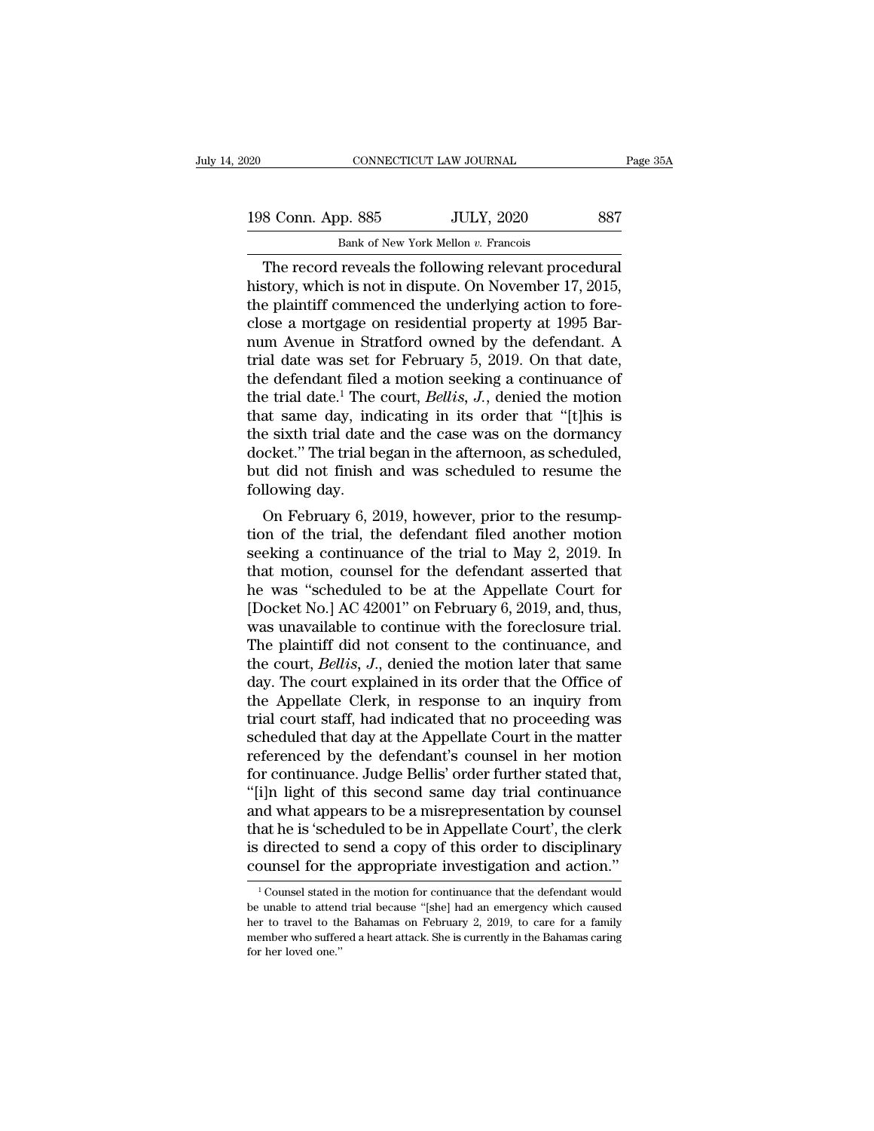| )20                | CONNECTICUT LAW JOURNAL                              | Page 35A |
|--------------------|------------------------------------------------------|----------|
| 198 Conn. App. 885 | <b>JULY, 2020</b>                                    | 887      |
|                    | Bank of New York Mellon v. Francois                  |          |
|                    | The record reveals the following relevant procedural |          |

CONNECTICUT LAW JOURNAL Page 3<br>
8 Conn. App. 885 JULY, 2020 887<br>
Bank of New York Mellon v. Francois<br>
The record reveals the following relevant procedural<br>
story, which is not in dispute. On November 17, 2015,<br>
a plaintiff 198 Conn. App. 885 JULY, 2020 887<br>Bank of New York Mellon v. Francois<br>The record reveals the following relevant procedural<br>history, which is not in dispute. On November 17, 2015,<br>the plaintiff commenced the underlying acti 198 Conn. App. 885 JULY, 2020 887<br>
Bank of New York Mellon v. Francois<br>
The record reveals the following relevant procedural<br>
history, which is not in dispute. On November 17, 2015,<br>
the plaintiff commenced the underlying 198 Conn. App. 885 JULY, 2020 887<br>Bank of New York Mellon v. Francois<br>The record reveals the following relevant procedural<br>history, which is not in dispute. On November 17, 2015,<br>the plaintiff commenced the underlying acti Bank of New York Mellon v. Francois<br>
The record reveals the following relevant procedural<br>
history, which is not in dispute. On November 17, 2015,<br>
the plaintiff commenced the underlying action to fore-<br>
close a mortgage o Bank of New York Mellon v. Francois<br>
The record reveals the following relevant procedural<br>
history, which is not in dispute. On November 17, 2015,<br>
the plaintiff commenced the underlying action to fore-<br>
close a mortgage The record reveals the following relevant procedural<br>history, which is not in dispute. On November 17, 2015,<br>the plaintiff commenced the underlying action to fore-<br>close a mortgage on residential property at 1995 Bar-<br>num history, which is not in dispute. On November 17, 2015,<br>the plaintiff commenced the underlying action to fore-<br>close a mortgage on residential property at 1995 Bar-<br>num Avenue in Stratford owned by the defendant. A<br>trial d the plaintiff commenced the underlying action to fore-<br>close a mortgage on residential property at 1995 Bar-<br>num Avenue in Stratford owned by the defendant. A<br>trial date was set for February 5, 2019. On that date,<br>the defe close a mortgage on residential property at 1995 Bar-<br>num Avenue in Stratford owned by the defendant. A<br>trial date was set for February 5, 2019. On that date,<br>the defendant filed a motion seeking a continuance of<br>the trial num Avenue in Stratford owned by the defendant. A<br>trial date was set for February 5, 2019. On that date,<br>the defendant filed a motion seeking a continuance of<br>the trial date.<sup>1</sup> The court, *Bellis, J.*, denied the motion<br>t trial date was set for February 5, 2019. On that date, the defendant filed a motion seeking a continuance of the trial date.<sup>1</sup> The court, *Bellis*, *J*., denied the motion that same day, indicating in its order that "[t] the defendant filed<br>the trial date.<sup>1</sup> The<br>that same day, ind<br>the sixth trial date<br>docket.'' The trial bo<br>but did not finish<br>following day.<br>On February 6, 2 E that date. The court, *Bettis*, *J.*, defined the inotion<br>at same day, indicating in its order that "[t]his is<br>e sixth trial date and the case was on the dormancy<br>ocket." The trial began in the afternoon, as scheduled,<br>i that same day, mulcaling in its order that  $\vert t \vert$  fils is<br>the sixth trial date and the case was on the dormancy<br>docket." The trial began in the afternoon, as scheduled,<br>but did not finish and was scheduled to resume the<br>

the sixth that date and the case was on the dormancy<br>docket." The trial began in the afternoon, as scheduled,<br>but did not finish and was scheduled to resume the<br>following day.<br>On February 6, 2019, however, prior to the res Figure 1. The trial began in the atternoon, as scheduled,<br>but did not finish and was scheduled to resume the<br>following day.<br>On February 6, 2019, however, prior to the resump-<br>tion of the trial, the defendant filed another but did not finish and was scheduled to resume the<br>following day.<br>On February 6, 2019, however, prior to the resump-<br>tion of the trial, the defendant filed another motion<br>seeking a continuance of the trial to May 2, 2019. following day.<br>
On February 6, 2019, however, prior to the resumption of the trial, the defendant filed another motion<br>
seeking a continuance of the trial to May 2, 2019. In<br>
that motion, counsel for the defendant asserted On February 6, 2019, however, prior to the resumption of the trial, the defendant filed another motion seeking a continuance of the trial to May 2, 2019. In that motion, counsel for the defendant asserted that he was "sch tion of the trial, the defendant filed another motion<br>seeking a continuance of the trial to May 2, 2019. In<br>that motion, counsel for the defendant asserted that<br>he was "scheduled to be at the Appellate Court for<br>[Docket No seeking a continuance of the trial to May 2, 2019. In<br>that motion, counsel for the defendant asserted that<br>he was "scheduled to be at the Appellate Court for<br>[Docket No.] AC 42001" on February 6, 2019, and, thus,<br>was unava that motion, counsel for the defendant asserted that<br>he was "scheduled to be at the Appellate Court for<br>[Docket No.] AC 42001" on February 6, 2019, and, thus,<br>was unavailable to continue with the foreclosure trial.<br>The pla he was "scheduled to be at the Appellate Court for<br>[Docket No.] AC 42001" on February 6, 2019, and, thus,<br>was unavailable to continue with the foreclosure trial.<br>The plaintiff did not consent to the continuance, and<br>the co [Docket No.] AC 42001" on February 6, 2019, and, thus,<br>was unavailable to continue with the foreclosure trial.<br>The plaintiff did not consent to the continuance, and<br>the court, *Bellis*, *J*., denied the motion later that s was unavailable to continue with the foreclosure trial.<br>The plaintiff did not consent to the continuance, and<br>the court, *Bellis*, *J*., denied the motion later that same<br>day. The court explained in its order that the Offi The plaintiff did not consent to the continuance, and<br>the court, *Bellis*, *J*., denied the motion later that same<br>day. The court explained in its order that the Office of<br>the Appellate Clerk, in response to an inquiry fro the court, *Bellis*, *J*., denied the motion later that same<br>day. The court explained in its order that the Office of<br>the Appellate Clerk, in response to an inquiry from<br>trial court staff, had indicated that no proceeding day. The court explained in its order that the Office of<br>the Appellate Clerk, in response to an inquiry from<br>trial court staff, had indicated that no proceeding was<br>scheduled that day at the Appellate Court in the matter<br>r the Appellate Clerk, in response to an inquiry from<br>trial court staff, had indicated that no proceeding was<br>scheduled that day at the Appellate Court in the matter<br>referenced by the defendant's counsel in her motion<br>for co trial court staff, had indicated that no proceeding was<br>scheduled that day at the Appellate Court in the matter<br>referenced by the defendant's counsel in her motion<br>for continuance. Judge Bellis' order further stated that,<br> scheduled that day at the Appellate Court in the matter<br>referenced by the defendant's counsel in her motion<br>for continuance. Judge Bellis' order further stated that,<br>"[i]n light of this second same day trial continuance<br>an referenced by the defendant's counsel in her motion<br>for continuance. Judge Bellis' order further stated that,<br>"[i]n light of this second same day trial continuance<br>and what appears to be a misrepresentation by counsel<br>that nd what appears to be a misrepresentation by counsel<br>tat he is 'scheduled to be in Appellate Court', the clerk<br>directed to send a copy of this order to disciplinary<br>pumsel for the appropriate investigation and action."<br><sup>1</sup> that he is 'scheduled to be in Appellate Court', the clerk<br>is directed to send a copy of this order to disciplinary<br>counsel for the appropriate investigation and action."<br> $\frac{1}{1}$  Counsel stated in the motion for continu

is directed to send a copy of this order to disciplinary counsel for the appropriate investigation and action."<br> $\frac{1}{1}$ Counsel stated in the motion for continuance that the defendant would be unable to attend trial beca member of the appropriate investigation and action."<br>  $\frac{1}{1}$  Counsel stated in the motion for continuance that the defendant would<br>
be unable to attend trial because "[she] had an emergency which caused<br>
her to travel counsel for the appropriate investigation and action."<br>  $\frac{1}{1}$  Counsel stated in the motion for continuance that the defendant would<br>
be unable to attend trial because "[she] had an emergency which caused<br>
her to trave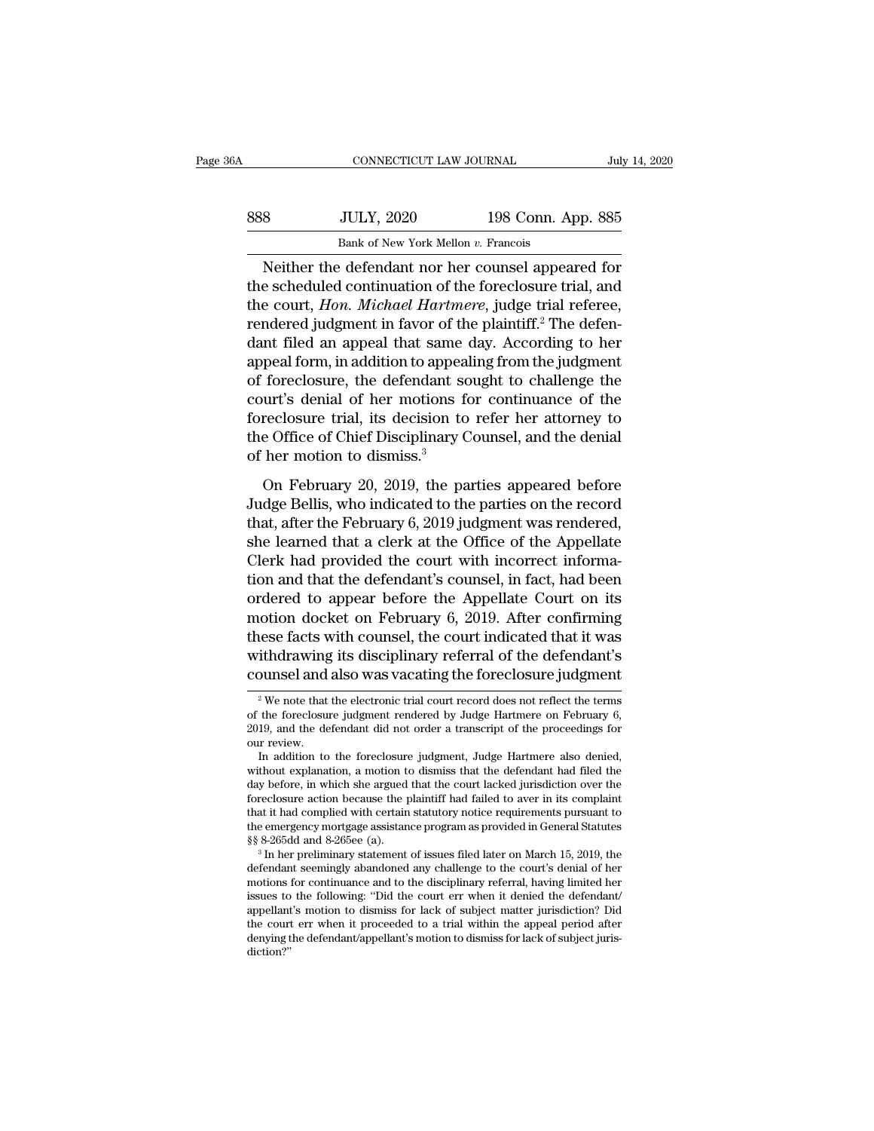| 6A  | CONNECTICUT LAW JOURNAL                            |                    | July 14, 2020 |
|-----|----------------------------------------------------|--------------------|---------------|
| 888 | <b>JULY, 2020</b>                                  | 198 Conn. App. 885 |               |
|     | Bank of New York Mellon v. Francois                |                    |               |
|     | Neither the defendant nor her counsel anneared for |                    |               |

CONNECTICUT LAW JOURNAL July 14, 2020<br>
Sulfat, 2020 198 Conn. App. 885<br>
Bank of New York Mellon v. Francois<br>
Neither the defendant nor her counsel appeared for<br>
e scheduled continuation of the foreclosure trial, and Samman Mark 2020 198 Conn. App. 885<br>
Bank of New York Mellon v. Francois<br>
Neither the defendant nor her counsel appeared for<br>
the scheduled continuation of the foreclosure trial, and<br>
the court, *Hon. Michael Hartmere*, ju Sample Court, 2020 198 Conn. App. 885<br>
Bank of New York Mellon v. Francois<br>
Neither the defendant nor her counsel appeared for<br>
the scheduled continuation of the foreclosure trial, and<br>
the court, *Hon. Michael Hartmere*,  $\begin{tabular}{l} \bf 888 & \tt JULY, 2020 & \tt 198 Conn. App. 885 \\ \hline \textbf{Bank of New York Melon } v. Francis \\ \hline \end{tabular} \vspace{0.1cm} \begin{tabular}{l} \bf 885 \\ \bf 198 Conn. App. 885 \\ \hline \end{tabular} \vspace{0.1cm} \begin{tabular}{l} \bf 198 Conn. App. 885 \\ \hline \end{tabular} \vspace{0.1cm} \begin{tabular}{l} \bf 198 Conn. App. 885 \\ \hline \end{tabular} \vspace{0.1cm} \begin{tabular}{l} \$ Bank of New York Mellon v. Francois<br>Neither the defendant nor her counsel appeared for<br>the scheduled continuation of the foreclosure trial, and<br>the court, *Hon. Michael Hartmere*, judge trial referee,<br>rendered judgment in Bank of New York Mellon *v*. Francois<br>Neither the defendant nor her counsel appeared for<br>the scheduled continuation of the foreclosure trial, and<br>the court, *Hon. Michael Hartmere*, judge trial referee,<br>rendered judgment Neither the defendant nor her counsel appeared for<br>the scheduled continuation of the foreclosure trial, and<br>the court, *Hon. Michael Hartmere*, judge trial referee,<br>rendered judgment in favor of the plaintiff.<sup>2</sup> The defen the scheduled continuation of the foreclosure trial, and<br>the court, *Hon. Michael Hartmere*, judge trial referee,<br>rendered judgment in favor of the plaintiff.<sup>2</sup> The defen-<br>dant filed an appeal that same day. According to the court, *Hon. Michael Hartmere*, judge trial referee,<br>rendered judgment in favor of the plaintiff.<sup>2</sup> The defen-<br>dant filed an appeal that same day. According to her<br>appeal form, in addition to appealing from the judgme rendered judgment in favor of the plaintiff.<sup>2</sup> The defen-<br>dant filed an appeal that same day. According to her<br>appeal form, in addition to appealing from the judgment<br>of foreclosure, the defendant sought to challenge the<br> dant filed an appeal that same<br>appeal form, in addition to appea<br>of foreclosure, the defendant sc<br>court's denial of her motions f<br>foreclosure trial, its decision to<br>the Office of Chief Disciplinary C<br>of her motion to dismi foreclosure, the defendant sought to challenge the<br>urt's denial of her motions for continuance of the<br>reclosure trial, its decision to refer her attorney to<br>e Office of Chief Disciplinary Counsel, and the denial<br>her motio Fractional of her motions for continuance of the<br>foreclosure trial, its decision to refer her attorney to<br>the Office of Chief Disciplinary Counsel, and the denial<br>of her motion to dismiss.<sup>3</sup><br>On February 20, 2019, the part

foreclosure trial, its decision to refer her attorney to<br>the Office of Chief Disciplinary Counsel, and the denial<br>of her motion to dismiss.<sup>3</sup><br>On February 20, 2019, the parties appeared before<br>Judge Bellis, who indicated t she office of Chief Disciplinary Counsel, and the denial<br>of her motion to dismiss.<sup>3</sup><br>On February 20, 2019, the parties appeared before<br>Judge Bellis, who indicated to the parties on the record<br>that, after the February 6, 2 of her motion to dismiss.<sup>3</sup><br>On February 20, 2019, the parties appeared before<br>Judge Bellis, who indicated to the parties on the record<br>that, after the February 6, 2019 judgment was rendered,<br>she learned that a clerk at th On February 20, 2019, the parties appeared before<br>Judge Bellis, who indicated to the parties on the record<br>that, after the February 6, 2019 judgment was rendered,<br>she learned that a clerk at the Office of the Appellate<br>Cl On February 20, 2019, the parties appeared before<br>Judge Bellis, who indicated to the parties on the record<br>that, after the February 6, 2019 judgment was rendered,<br>she learned that a clerk at the Office of the Appellate<br>Cle Judge Bellis, who indicated to the parties on the record<br>that, after the February 6, 2019 judgment was rendered,<br>she learned that a clerk at the Office of the Appellate<br>Clerk had provided the court with incorrect informa-<br> that, after the February 6, 2019 judgment was rendered,<br>she learned that a clerk at the Office of the Appellate<br>Clerk had provided the court with incorrect informa-<br>tion and that the defendant's counsel, in fact, had been<br> she learned that a clerk at the Office of the Appellate<br>Clerk had provided the court with incorrect informa-<br>tion and that the defendant's counsel, in fact, had been<br>ordered to appear before the Appellate Court on its<br>moti Clerk had provided the court with incorrect information and that the defendant's counsel, in fact, had been ordered to appear before the Appellate Court on its motion docket on February 6, 2019. After confirming these fac 1 Metal of the court indicated that it was<br>
2019. After confirming<br>
1 Alter and the court indicated that it was<br>
2 We note that the electronic trial court record does not reflect the terms<br>
2 We note that the electronic t these facts with counsel, the court indicated that it was<br>withdrawing its disciplinary referral of the defendant's<br>counsel and also was vacating the foreclosure judgment<br> $\frac{1}{2}$  We note that the electronic trial court r

withdrawing its disciplinary referral of the defendant's<br>
counsel and also was vacating the foreclosure judgment<br>  $\frac{1}{2}$  We note that the electronic trial court record does not reflect the terms<br>
of the foreclosure jud **COUNSEE and**<br>
<sup>2</sup> We note that<br>
of the foreclosure<br>
2019, and the de<br>
our review.<br>
In addition to  $^2$  We note that the electronic trial court record does not reflect the terms of the foreclosure judgment rendered by Judge Hartmere on February 6, 2019, and the defendant did not order a transcript of the proceedings fo <sup>2</sup> We note that the electronic trial court record does not reflect the terms of the foreclosure judgment rendered by Judge Hartmere on February 6, 2019, and the defendant did not order a transcript of the proceedings for

For the foreclosure in the electronic trial court record does not reflect the terms of the foreclosure judgment rendered by Judge Hartmere on February 6, 2019, and the defendant did not order a transcript of the proceedin of the foreclosure judgment rendered by Judge Hartmere on February 6, 2019, and the defendant did not order a transcript of the proceedings for our review.<br>In addition to the foreclosure judgment, Judge Hartmere also denie 2019, and the defendant did not order a transcript of the proceedings for<br>our review.<br>In addition to the foreclosure judgment, Judge Hartmere also denied,<br>without explanation, a motion to dismiss that the defendant had fil our review.<br>
In addition to the foreclosure judgment, Judge Hartmere also denied,<br>
without explanation, a motion to dismiss that the defendant had filed the<br>
day before, in which she argued that the court lacked jurisdicti In addition to the foreclosure judgment, Judge Hartmere also denied,<br>without explanation, a motion to dismiss that the defendant had filed the<br>day before, in which she argued that the court lacked jurisdiction over the<br>for day before, in which she argued that the court lacked jurisdiction over the foreclosure action because the plaintiff had failed to aver in its complaint that it had complied with certain statutory notice requirements pursu

foreclosure action because the plaintiff had failed to aver in its complaint<br>that it had complied with certain statutory notice requirements pursuant to<br>the emergency mortgage assistance program as provided in General Sta that it had complied with certain statutory notice requirements pursuant to<br>the emergency mortgage assistance program as provided in General Statutes<br>§§ 8-265dd and 8-265ee (a).<br><sup>3</sup> In her preliminary statement of issues f the emergency mortgage assistance program as provided in General Statutes \$\$ 8-265dd and 8-265ee (a).<br><sup>3</sup> In her preliminary statement of issues filed later on March 15, 2019, the defendant seemingly abandoned any challeng  $\S$ § 8-265dd and 8-265ee (a).<br><sup>3</sup> In her preliminary statement of issues filed later on March 15, 2019, the defendant seemingly abandoned any challenge to the court's denial of her motions for continuance and to the disci  $^3$ In her preliminary statement of issues filed later on March 15, 2019, the defendant seemingly abandoned any challenge to the court's denial of her motions for continuance and to the disciplinary referral, having limit diction?''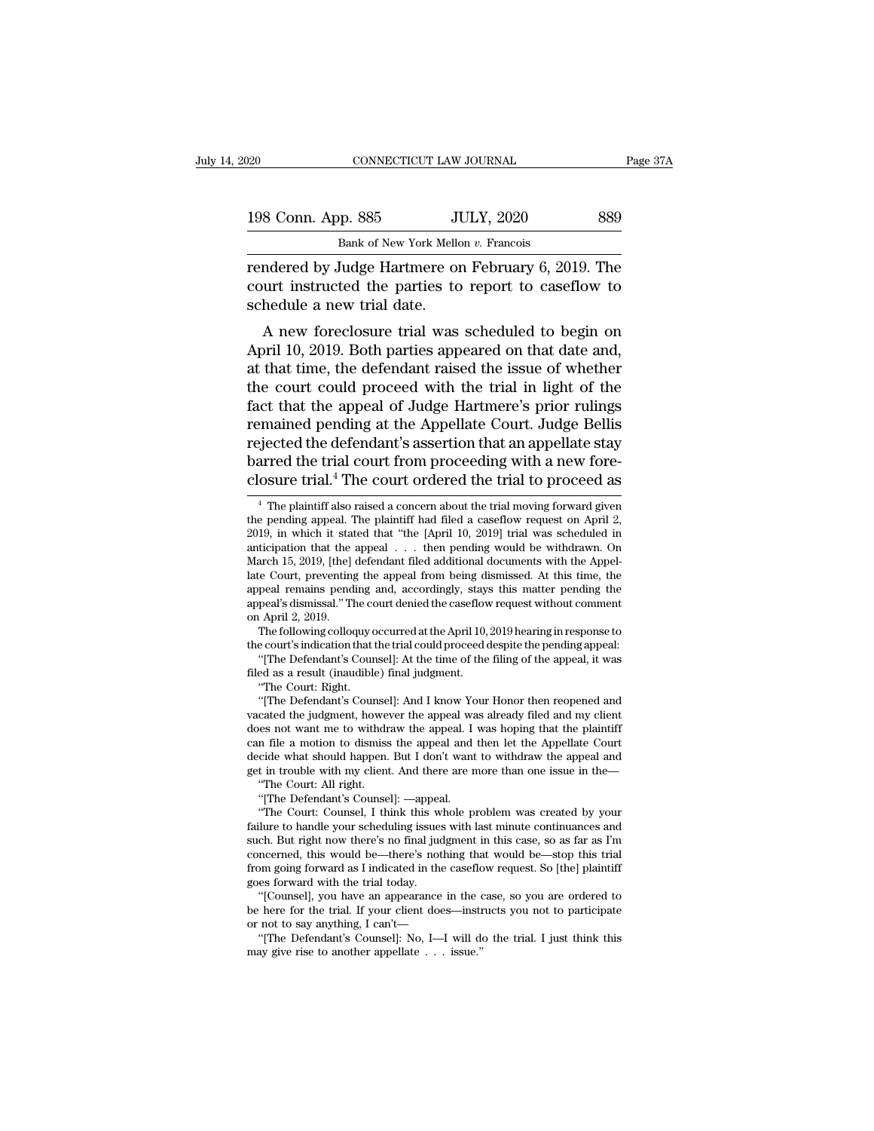| 020                | CONNECTICUT LAW JOURNAL                             | Page 37A |
|--------------------|-----------------------------------------------------|----------|
| 198 Conn. App. 885 | <b>JULY, 2020</b>                                   | 889      |
|                    | Bank of New York Mellon v. Francois                 |          |
|                    | rendered by Judge Hartmere on February 6, 2019. The |          |

rendered by Judge Hartmere on February 6, 2019. The<br>
rendered by Judge Hartmere on February 6, 2019. The<br>
court instructed the parties to report to caseflow to<br>
rendered by Judge Hartmere on February 6, 2019. The<br>
court in 198 Conn. App. 885 JULY, 2020 889<br>Bank of New York Mellon v. Francois<br>Frendered by Judge Hartmere on February 6, 2019. The<br>court instructed the parties to report to caseflow to<br>schedule a new trial date. 198 Conn. App. 885<br>Bank of New York Mellow<br>Tendered by Judge Hartmere on<br>court instructed the parties to<br>schedule a new trial date.<br>A new foreclosure trial was  $\frac{100 \text{ Npc}}{1000 \text{ B}}$  885  $\frac{100 \text{ Npc}}{1000 \text{ Npc}}$  889  $\frac{1000 \text{ Npc}}{1000 \text{ Npc}}$   $\frac{1000 \text{ Npc}}{1000 \text{ Npc}}$  and  $\frac{1000 \text{ Npc}}{1000 \text{ Npc}}$  and  $\frac{1000 \text{ Npc}}{1000 \text{ Npc}}$  and  $\frac{1000 \text{ Npc}}{1000 \text{ Npc}}$  and  $\frac{1000 \text{$ 

Bank of New York Mellon v. Francois<br>
Fendered by Judge Hartmere on February 6, 2019. The<br>
court instructed the parties to report to caseflow to<br>
schedule a new trial date.<br>
A new foreclosure trial was scheduled to begin on rendered by Judge Hartmere on February 6, 2019. The<br>court instructed the parties to report to caseflow to<br>schedule a new trial date.<br>A new foreclosure trial was scheduled to begin on<br>April 10, 2019. Both parties appeared o rendered by Judge Hartinere on February 0, 2019. The<br>court instructed the parties to report to caseflow to<br>schedule a new trial date.<br>A new foreclosure trial was scheduled to begin on<br>April 10, 2019. Both parties appeared facture the parties to report to casenow to<br>schedule a new trial date.<br>A new foreclosure trial was scheduled to begin on<br>April 10, 2019. Both parties appeared on that date and,<br>at that time, the defendant raised the issue schedule a new that date.<br>
A new foreclosure trial was scheduled to begin on<br>
April 10, 2019. Both parties appeared on that date and,<br>
at that time, the defendant raised the issue of whether<br>
the court could proceed with t A new foreclosure trial was scheduled to begin on<br>April 10, 2019. Both parties appeared on that date and,<br>at that time, the defendant raised the issue of whether<br>the court could proceed with the trial in light of the<br>fact April 10, 2019. Both parties appeared on that date and,<br>at that time, the defendant raised the issue of whether<br>the court could proceed with the trial in light of the<br>fact that the appeal of Judge Hartmere's prior rulings<br> at that time, the defendant raised the issue of whether<br>the court could proceed with the trial in light of the<br>fact that the appeal of Judge Hartmere's prior rulings<br>remained pending at the Appellate Court. Judge Bellis<br>re % percept the defendant's assertion that an appellate stay<br>giected the defendant's assertion that an appellate stay<br>arred the trial court from proceeding with a new fore-<br>osure trial.<sup>4</sup> The court ordered the trial to pro rejected the defendant's assertion that an appellate stay<br>barred the trial court from proceeding with a new fore-<br>closure trial.<sup>4</sup> The court ordered the trial to proceed as<br><sup>4</sup> The plaintiff also raised a concern about th

peal's dismissal." The cc<br>
1 April 2, 2019.<br>
The following colloquy c<br>
e court's indication that<br>
"[The Defendant's Court<br>
ed as a result (inaudible<br>
"The Court: Right.<br>"[The Defendant's Court

(April 2, 2019).<br>The following colloquy occurred at the April 10, 2019 hearing in response to<br>e court's indication that the trial could proceed despite the pending appeal:<br>"[The Defendant's Counsel]: At the time of the fil The following colloquy occurred at the April 10, 2019 hearing in response to the court's indication that the trial could proceed despite the pending appeal: "[The Defendant's Counsel]: At the time of the filing of the appe the court's indication that the trial could proceed despite the pending appeal:<br>
"[The Defendant's Counsel]: At the time of the filing of the appeal, it was<br>
filed as a result (inaudible) final judgment.<br>
"The Court: Right filed as a result (inaudible) final judgment.<br>
"The Court: Right.<br>
"[The Defendant's Counsel]: And I know Your Honor then reopened and<br>
vacated the judgment, however the appeal was already filed and my client<br>
does not wan filed as a result (inaudible) final judgment.<br>
"The Court: Right.<br>
"[The Defendant's Counsel]: And I know Your Honor then reopened and<br>
vacated the judgment, however the appeal was already filed and my client<br>
does not wan "The Court: Right.<br>
"[The Defendant's Counsel]: And I know Your Honor then reopened and<br>
vacated the judgment, however the appeal was already filed and my client<br>
does not want me to withdraw the appeal. I was hoping that cated the judgment, however the appeal was not want me to withdraw the appeal. I<br>
n file a motion to dismiss the appeal and<br>
cide what should happen. But I don't want<br>
in trouble with my client. And there are n<br>
"The Court es not want me to withdraw the appeal. I was hoping that the plaintiff<br>
in file a motion to dismiss the appeal and then let the Appellate Court<br>
cide what should happen. But I don't want to withdraw the appeal and<br>
in trou

"The Court: All right.<br>"|The Defendant's Counsel]: —appeal.

can file a motion to dismiss the appeal and then let the Appellate Court<br>decide what should happen. But I don't want to withdraw the appeal and<br>get in trouble with my client. And there are more than one issue in the—<br>"The decide what should happen. But I don't want to withdraw the appeal and<br>get in trouble with my client. And there are more than one issue in the—<br>"The Court: All right.<br>"[The Defendant's Counsel]: —appeal.<br>"The Court: Counse get in trouble with my client. And there are more than one issue in the—<br>
"The Court: All right.<br>
"[The Defendant's Counsel]: —appeal.<br>
"The Court: Counsel, I think this whole problem was created by your<br>
failure to handle "The Court: All right.<br>
"[The Defendant's Counsel]: —appeal.<br>
"The Court: Counsel, I think this whole problem was created by your<br>
failure to handle your scheduling issues with last minute continuances and<br>
such. But right "[The Defendant's Counsel]: —appear<br>"The Court: Counsel, I think this w<br>failure to handle your scheduling issues<br>such. But right now there's no final juc<br>concerned, this would be—there's not<br>from going forward as I indicat "The Court: Counsel, 1 think this whole problem was created by your<br>lure to handle your scheduling issues with last minute continuances and<br>ch. But right now there's no final judgment in this case, so as far as I'm<br>ncerned failure to handle your scheduling issues with last minute continuances and<br>such. But right now there's no final judgment in this case, so as far as I'm<br>concerned, this would be—there's nothing that would be—stop this tria such. But right now there's no final judgment in this case, so as far as I'm concerned, this would be—there's nothing that would be—stop this trial from going forward as I indicated in the caseflow request. So [the] plain

ncerned, this would be—there's nothing that would be—stop this trial<br>om going forward as I indicated in the caseflow request. So [the] plaintiff<br>es forward with the trial today.<br>"[Counsel], you have an appearance in the ca be here for the trial. If your client does—instructs you not to participate

barred the trial court from proceeding with a new fore-<br>closure trial.<sup>4</sup> The court ordered the trial to proceed as<br> $\frac{4}{1}$  The plaintiff also raised a concern about the trial moving forward given<br>the pending appeal. Th closure trial.<sup>4</sup> The court ordered the trial to proceed as  $\frac{4}{1}$  The plaintiff also raised a concern about the trial moving forward given the pending appeal. The plaintiff had filed a caseflow request on April 2, 201 the pending appeal. The plaintiff had filed a caseflow request on April 2, <sup>4</sup> The plaintiff also raised a concern about the trial moving forward given the pending appeal. The plaintiff had filed a caseflow request on April 2, 2019, in which it stated that "the [April 10, 2019] trial was schedul <sup>4</sup> The plaintiff also raised a concern about the trial moving forward given<br>the pending appeal. The plaintiff had filed a caseflow request on April 2,<br>2019, in which it stated that "the [April 10, 2019] trial was schedul appeal remains pending and, accordingly, stays this matter pending the appeal's dismissal." The court denied the caseflow request without comment on April 2, 2019. 2019, in which it stat<br>anticipation that the<br>March 15, 2019, [the]<br>late Court, preventing<br>appeal's dismissal." The<br>appeal's dismissal." The<br>march 2, 2019.<br>The following colloc ticipation that the appeal . . . then pending would be withdrawn. On<br>arch 15, 2019, [the] defendant filed additional documents with the Appel-<br>e Court, preventing the appeal from being dismissed. At this time, the<br>peal rem March 15, 2019, [the] defendant filed additional documents with the Appellate Court, preventing the appeal from being dismissed. At this time, the appeal remains pending and, accordingly, stays this matter pending the appe The Court, preventing the appeal from being dismissed. At this time, the peal remains pending and, accordingly, stays this matter pending the peal's dismissal." The court denied the caseflow request without comment April 2 appeal remains pending and, accordingly, stay.<br>appeal's dismissal." The court denied the caseflov<br>on April 2, 2019.<br>The following colloquy occurred at the April 10,<br>the court's indication that the trial could proceed of<br>"[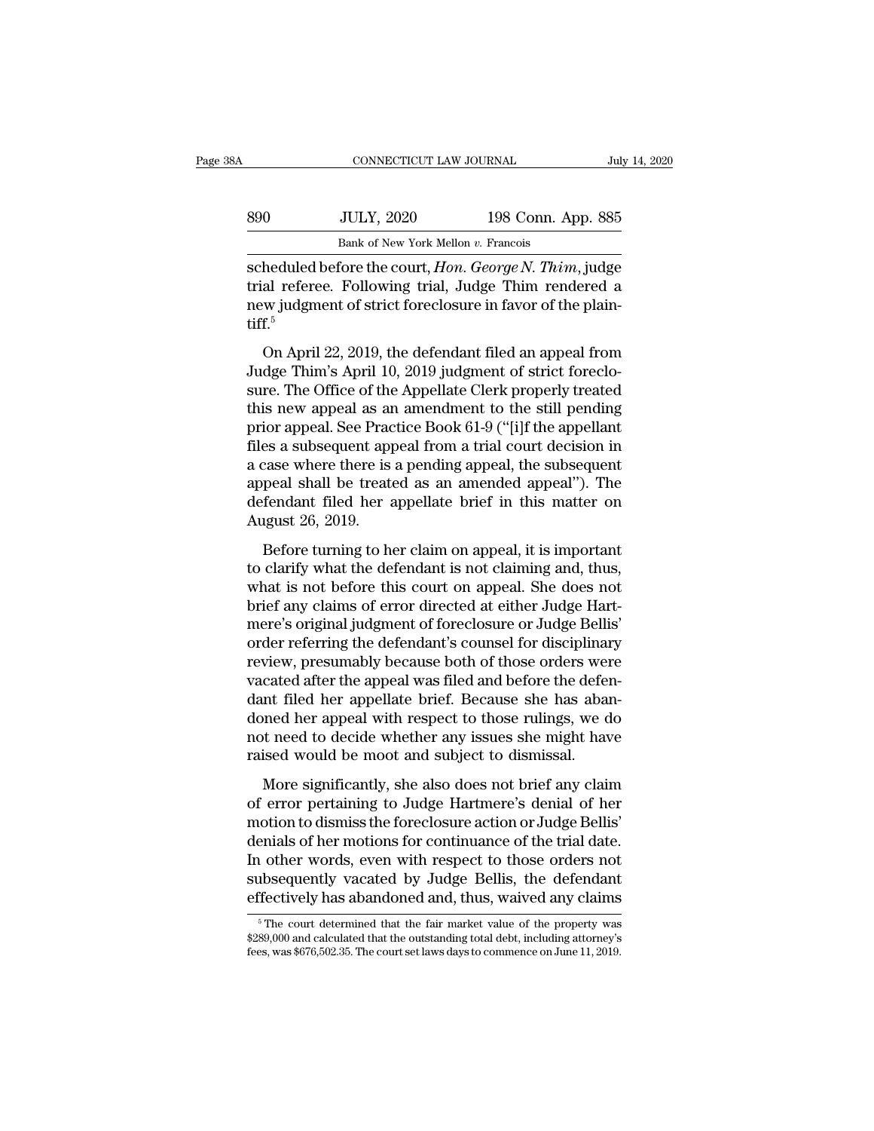| A   | CONNECTICUT LAW JOURNAL             |                    | July 14, 2020 |
|-----|-------------------------------------|--------------------|---------------|
| 890 | <b>JULY, 2020</b>                   | 198 Conn. App. 885 |               |
|     | Bank of New York Mellon v. Francois |                    |               |

SPO CONNECTICUT LAW JOURNAL July 14, 2020<br>
SPO JULY, 2020 198 Conn. App. 885<br>
Bank of New York Mellon v. Francois<br>
Scheduled before the court, *Hon. George N. Thim*, judge<br>
trial referee. Following trial, Judge Thim render Samment Hotel Term (198 Conn. App. 885<br>
Bank of New York Mellon v. Francois<br>
Scheduled before the court, *Hon. George N. Thim*, judge<br>
trial referee. Following trial, Judge Thim rendered a<br>
new judgment of strict foreclosu new 1988 Conn. App. 885<br>
198 Conn. App. 885<br>
198 Conn. App. 885<br>
198 Conn. App. 885<br>
198 Conn. App. 885<br>
198 Conn. App. 885<br>
198 Conn. App. 885<br>
198 Conn. The plain-<br>
198 Conn. The plain-<br>
198 Conn. The plain-<br>
199 Connew tiff.<sup>5</sup> Bank of New York Mellon v. Francois<br>
heduled before the court, *Hon. George N. Thim*, judge<br>
al referee. Following trial, Judge Thim rendered a<br>
w judgment of strict foreclosure in favor of the plain-<br>
f.<sup>5</sup><br>
On April 22, scheduled before the court, *Hon. George N. Thim*, judge<br>trial referee. Following trial, Judge Thim rendered a<br>new judgment of strict foreclosure in favor of the plain-<br>tiff.<sup>5</sup><br>On April 22, 2019, the defendant filed an ap

senculated service and estimal referee. Following trial, Judge Thim rendered a<br>new judgment of strict foreclosure in favor of the plain-<br>tiff.<sup>5</sup><br>On April 22, 2019, the defendant filed an appeal from<br>Judge Thim's April 10, that referees a showing analysing and the relative and the plain-<br>tiff.<sup>5</sup><br>On April 22, 2019, the defendant filed an appeal from<br>Judge Thim's April 10, 2019 judgment of strict foreclo-<br>sure. The Office of the Appellate Cl tiff.<sup>5</sup><br>
On April 22, 2019, the defendant filed an appeal from<br>
Judge Thim's April 10, 2019 judgment of strict foreclo-<br>
sure. The Office of the Appellate Clerk properly treated<br>
this new appeal as an amendment to the sti on April 22, 2019, the defendant filed an appeal from<br>Judge Thim's April 10, 2019 judgment of strict foreclo-<br>sure. The Office of the Appellate Clerk properly treated<br>this new appeal as an amendment to the still pending<br>pr On April 22, 2019, the defendant filed an appeal from<br>Judge Thim's April 10, 2019 judgment of strict foreclo-<br>sure. The Office of the Appellate Clerk properly treated<br>this new appeal as an amendment to the still pending<br>pr Judge Thim's April 10, 2019 judgment of strict foreclo-<br>sure. The Office of the Appellate Clerk properly treated<br>this new appeal as an amendment to the still pending<br>prior appeal. See Practice Book 61-9 ("[i]f the appellan sure. The Office of the Appellate Clerk properly treated<br>this new appeal as an amendment to the still pending<br>prior appeal. See Practice Book 61-9 ("[i]f the appellant<br>files a subsequent appeal from a trial court decision this new appeal as are<br>prior appeal. See Prace<br>files a subsequent appeal shall be treate<br>appeal shall be treate<br>defendant filed her a<br>August 26, 2019.<br>Before turning to he Before the is a pending appeal, the subsequent<br>peak a subsequent appeal from a trial court decision in<br>case where there is a pending appeal, the subsequent<br>peal shall be treated as an amended appeal"). The<br>fendant filed h thes a sassequent appear from a trial coald accision in<br>a case where there is a pending appeal, the subsequent<br>appeal shall be treated as an amended appeal"). The<br>defendant filed her appellate brief in this matter on<br>Augus

a case where altre is a penally appear, are sassed and<br>appeal shall be treated as an amended appeal"). The<br>defendant filed her appellate brief in this matter on<br>August 26, 2019.<br>Before turning to her claim on appeal, it is defendant filed her appellate brief in this matter on<br>August 26, 2019.<br>Before turning to her claim on appeal, it is important<br>to clarify what the defendant is not claiming and, thus,<br>what is not before this court on appeal August 26, 2019.<br>
August 26, 2019.<br>
Before turning to her claim on appeal, it is important<br>
to clarify what the defendant is not claiming and, thus,<br>
what is not before this court on appeal. She does not<br>
brief any claims Refore turning to her claim on appeal, it is important<br>to clarify what the defendant is not claiming and, thus,<br>what is not before this court on appeal. She does not<br>brief any claims of error directed at either Judge Hart-Before turning to her claim on appeal, it is important<br>to clarify what the defendant is not claiming and, thus,<br>what is not before this court on appeal. She does not<br>brief any claims of error directed at either Judge Hartto clarify what the defendant is not claiming and, thus,<br>what is not before this court on appeal. She does not<br>brief any claims of error directed at either Judge Hart-<br>mere's original judgment of foreclosure or Judge Belli what is not before this court on appeal. She does not<br>brief any claims of error directed at either Judge Hart-<br>mere's original judgment of foreclosure or Judge Bellis'<br>order referring the defendant's counsel for disciplina brief any claims of error directed at either Judge Hart-<br>mere's original judgment of foreclosure or Judge Bellis'<br>order referring the defendant's counsel for disciplinary<br>review, presumably because both of those orders wer mere's original judgment of foreclosure or Judge Bellis'<br>order referring the defendant's counsel for disciplinary<br>review, presumably because both of those orders were<br>vacated after the appeal was filed and before the defen order referring the defendant's counsel for disciplinan<br>review, presumably because both of those orders were<br>vacated after the appeal was filed and before the defered<br>ant filed her appeal with respect to those rulings, we More significantly, she also does not brief and before the defen-<br>atted after the appeal was filed and before the defen-<br>and her appeal with respect to those rulings, we do<br>to the med to decide whether any issues she might Find the appellate brief. Because she has abandoned her appellate brief. Because she has abandoned her appeal with respect to those rulings, we do not need to decide whether any issues she might have raised would be moot a

motion to dismiss the foreclosure and mass we do<br>not need to decide whether any issues she might have<br>raised would be moot and subject to dismissal.<br>More significantly, she also does not brief any claim<br>of error pertaining not need to decide whether any issues she might have<br>raised would be moot and subject to dismissal.<br>More significantly, she also does not brief any claim<br>of error pertaining to Judge Hartmere's denial of her<br>motion to dism raised would be moot and subject to dismissal.<br>More significantly, she also does not brief any claim<br>of error pertaining to Judge Hartmere's denial of her<br>motion to dismiss the foreclosure action or Judge Bellis'<br>denials o More significantly, she also does not brief any claim<br>of error pertaining to Judge Hartmere's denial of her<br>motion to dismiss the foreclosure action or Judge Bellis'<br>denials of her motions for continuance of the trial date More significantly, she also does not brief any claim<br>of error pertaining to Judge Hartmere's denial of her<br>motion to dismiss the foreclosure action or Judge Bellis'<br>denials of her motions for continuance of the trial dat emials of her motions for continuance of the trial date.<br>
1 other words, even with respect to those orders not<br>
1bsequently vacated by Judge Bellis, the defendant<br>
Tectively has abandoned and, thus, waived any claims<br>  $\frac$ In other words, even with respect to those orders not subsequently vacated by Judge Bellis, the defendant effectively has abandoned and, thus, waived any claims  $*$ The court determined that the fair market value of the pr subsequently vacated by Judge Bellis, the defendant<br>effectively has abandoned and, thus, waived any claims<br><sup>5</sup>The court determined that the fair market value of the property was<br>\$289,000 and calculated that the outstanding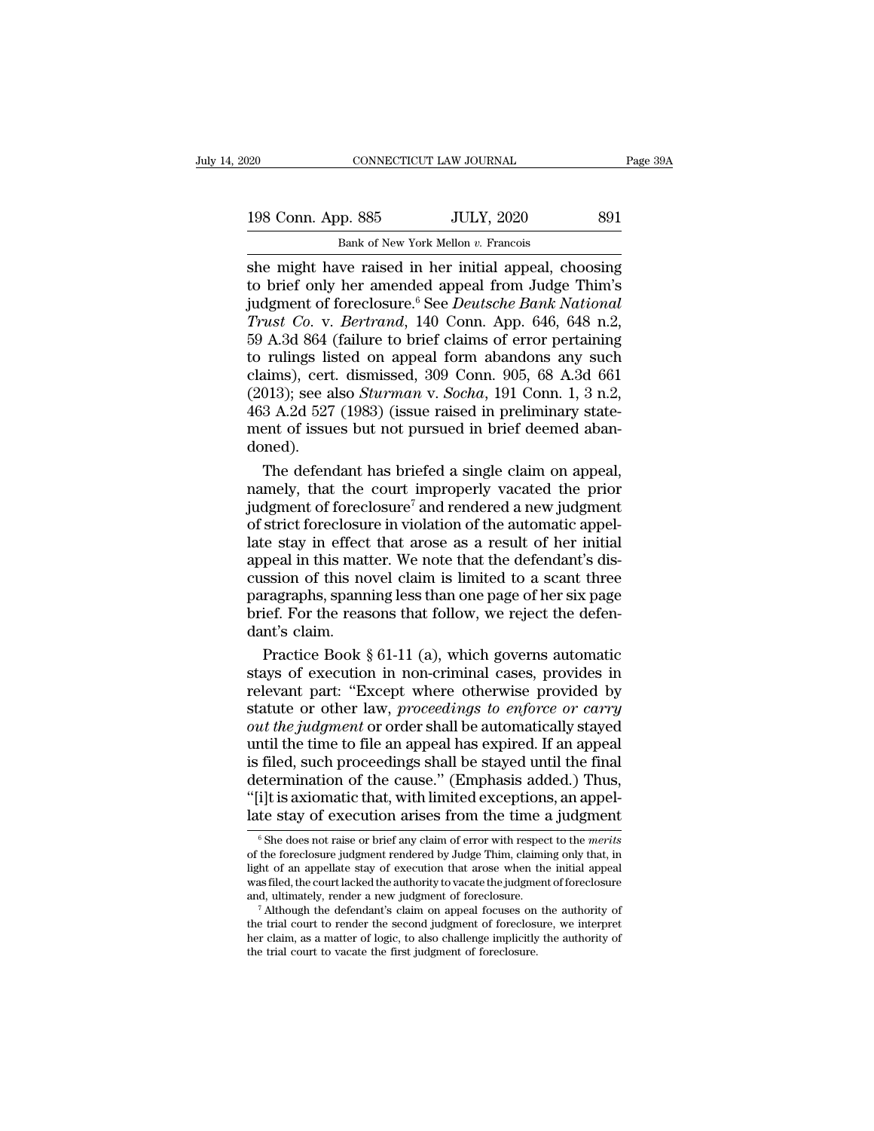198 Conn. App. 885 JULY, 2020 891<br>Bank of New York Mellon v. Francois

EXECUTE DAN JOURNAL<br>
Bank of New York Mellon *v.* Francois<br>
She might have raised in her initial appeal, choosing she might have raised in her initial appeal, choosing<br>in the might have raised in her initial appeal, choosing<br>to brief only her amended appeal from Judge Thim's<br>indement of foreclosure  $\frac{6}{10}$  See *Deutsche Bank Natio* 198 Conn. App. 885 JULY, 2020 891<br>Bank of New York Mellon v. Francois<br>She might have raised in her initial appeal, choosing<br>to brief only her amended appeal from Judge Thim's<br>judgment of foreclosure.<sup>6</sup> See *Deutsche Bank* 198 Conn. App. 885 JULY, 2020 891<br>
Bank of New York Mellon v. Francois<br>
she might have raised in her initial appeal, choosing<br>
to brief only her amended appeal from Judge Thim's<br>
judgment of foreclosure.<sup>6</sup> See *Deutsche B True Co. App.* 885 *True Wew York Mellon v. Francois*<br> *True Bank of New York Mellon v. Francois*<br> *Trust Co.* v. *Bertrand*, 140 Conn. App. 646, 648 n.2,<br> *Trust Co.* v. *Bertrand*, 140 Conn. App. 646, 648 n.2,<br> *Trust C* **EXECUTE:** SO BOLL, 2020<br>
Bank of New York Mellon v. Francois<br>
She might have raised in her initial appeal, choosing<br>
to brief only her amended appeal from Judge Thim's<br>
judgment of foreclosure.<sup>6</sup> See *Deutsche Bank Nati* Bank of New York Mellon v. Francois<br>
she might have raised in her initial appeal, choosing<br>
to brief only her amended appeal from Judge Thim's<br>
judgment of foreclosure.<sup>6</sup> See *Deutsche Bank National*<br> *Trust Co.* v. *Ber* she might have raised in her initial appeal, choosing<br>to brief only her amended appeal from Judge Thim's<br>judgment of foreclosure.<sup>6</sup> See *Deutsche Bank National*<br>Trust Co. v. *Bertrand*, 140 Conn. App. 646, 648 n.2,<br>59 A.3 to brief only her amended appeal from Judge Thim's<br>judgment of foreclosure.<sup>6</sup> See *Deutsche Bank National*<br>*Trust Co.* v. *Bertrand*, 140 Conn. App. 646, 648 n.2,<br>59 A.3d 864 (failure to brief claims of error pertaining<br>t judgment of foreclosure.<sup>6</sup> See *Deutsche Bank National*<br>Trust Co. v. Bertrand, 140 Conn. App. 646, 648 n.2,<br>59 A.3d 864 (failure to brief claims of error pertaining<br>to rulings listed on appeal form abandons any such<br>claim Trust Co. v. Bertrand, 140 Conn. App. 646, 648 n.2, 59 A.3d 864 (failure to brief claims of error pertaining to rulings listed on appeal form abandons any such claims), cert. dismissed, 309 Conn. 905, 68 A.3d 661 (2013); s doned). rulings listed on appeal form abandons any such<br>aims), cert. dismissed, 309 Conn. 905, 68 A.3d 661<br>013); see also *Sturman* v. *Socha*, 191 Conn. 1, 3 n.2,<br>3 A.2d 527 (1983) (issue raised in preliminary state-<br>ent of issu claims), cert. dismissed, 309 Conn. 905, 68 A.3d 661<br>(2013); see also *Sturman v. Socha*, 191 Conn. 1, 3 n.2,<br>463 A.2d 527 (1983) (issue raised in preliminary state-<br>ment of issues but not pursued in brief deemed aban-<br>do

(2013); see also *Sturman v. Socha*, 191 Conn. 1, 3 n.2,<br>463 A.2d 527 (1983) (issue raised in preliminary statement of issues but not pursued in brief deemed abandoned).<br>The defendant has briefed a single claim on appeal, 463 A.2d 527 (1983) (issue raised in preliminary statement of issues but not pursued in brief deemed abandoned).<br>The defendant has briefed a single claim on appeal, namely, that the court improperly vacated the prior judg ment of issues but not pursued in brief deemed aban-<br>doned).<br>The defendant has briefed a single claim on appeal,<br>namely, that the court improperly vacated the prior<br>judgment of foreclosure<sup>7</sup> and rendered a new judgment<br>of doned).<br>The defendant has briefed a single claim on appeal,<br>namely, that the court improperly vacated the prior<br>judgment of foreclosure<sup>7</sup> and rendered a new judgment<br>of strict foreclosure in violation of the automatic app The defendant has briefed a single claim on appeal,<br>namely, that the court improperly vacated the prior<br>judgment of foreclosure<sup>7</sup> and rendered a new judgment<br>of strict foreclosure in violation of the automatic appel-<br>lat namely, that the court improperly vacated the prior<br>judgment of foreclosure<sup>7</sup> and rendered a new judgment<br>of strict foreclosure in violation of the automatic appel-<br>late stay in effect that arose as a result of her initi judgment of foreclosure<sup>7</sup> and rendered a new judgment<br>of strict foreclosure in violation of the automatic appel-<br>late stay in effect that arose as a result of her initial<br>appeal in this matter. We note that the defendant' of strict foreclosure<br>late stay in effect<br>appeal in this mat<br>cussion of this no<br>paragraphs, spann<br>brief. For the reas<br>dant's claim.<br>Practice Book ! is estay in effect that arose as a result of her initial<br>peal in this matter. We note that the defendant's dis-<br>ssion of this novel claim is limited to a scant three<br>ragraphs, spanning less than one page of her six page<br>ie appeal in this matter. We note that the defendant's discussion of this novel claim is limited to a scant three<br>paragraphs, spanning less than one page of her six page<br>brief. For the reasons that follow, we reject the defen

cussion of this novel claim is limited to a scant three<br>paragraphs, spanning less than one page of her six page<br>brief. For the reasons that follow, we reject the defen-<br>dant's claim.<br>Practice Book § 61-11 (a), which gover paragraphs, spanning less than one page of her six page<br>brief. For the reasons that follow, we reject the defen-<br>dant's claim.<br>Practice Book § 61-11 (a), which governs automatic<br>stays of execution in non-criminal cases, pr brief. For the reasons that follow, we reject the defen-<br>dant's claim.<br>Practice Book § 61-11 (a), which governs automatic<br>stays of execution in non-criminal cases, provides in<br>relevant part: "Except where otherwise provide dant's claim.<br>
Practice Book § 61-11 (a), which governs automatic<br>
stays of execution in non-criminal cases, provides in<br>
relevant part: "Except where otherwise provided by<br>
statute or other law, *proceedings to enforce o* Practice Book § 61-11 (a), which governs automatic<br>stays of execution in non-criminal cases, provides in<br>relevant part: "Except where otherwise provided by<br>statute or other law, *proceedings to enforce or carry*<br>*out the* stays of execution in non-criminal cases, provides in<br>relevant part: "Except where otherwise provided by<br>statute or other law, *proceedings to enforce or carry*<br>*out the judgment* or order shall be automatically stayed<br>unt relevant part: "Except where otherwise provided by<br>statute or other law, *proceedings to enforce or carry*<br>*out the judgment* or order shall be automatically stayed<br>until the time to file an appeal has expired. If an appea statute or other law, *proceedings to enforce or carry*<br>out the judgment or order shall be automatically stayed<br>until the time to file an appeal has expired. If an appeal<br>is filed, such proceedings shall be stayed until th filed, such proceedings shall be stayed until the final<br>etermination of the cause." (Emphasis added.) Thus,<br>i]t is axiomatic that, with limited exceptions, an appel-<br>te stay of execution arises from the time a judgment<br><sup>6</sup> determination of the cause." (Emphasis added.) Thus,<br>"[i]t is axiomatic that, with limited exceptions, an appel-<br>late stay of execution arises from the time a judgment<br><sup>6</sup> She does not raise or brief any claim of error wit

<sup>&</sup>quot;[i]t is axiomatic that, with limited exceptions, an appel-<br>atte stay of execution arises from the time a judgment<br>"She does not raise or brief any claim of error with respect to the *merits*<br>of the foreclosure judgment re late stay of execution arises from the time a judgment  $\frac{1}{\epsilon}$  of the does not raise or brief any claim of error with respect to the *merits* of the foreclosure judgment rendered by Judge Thim, claiming only that, in l Late stay of execution arises from the time a judgment  $\frac{1}{6}$  She does not raise or brief any claim of error with respect to the *merits* of the foreclosure judgment rendered by Judge Thim, claiming only that, in light <sup>o</sup> She does not raise or brief any claim of error with respect to the *merits* of the foreclosure judgment rendered by Judge Thim, claiming only that, in light of an appellate stay of execution that arose when the initia

of the foreclosure judgment rendered by Judge Thim, claiming only that, in light of an appellate stay of execution that arose when the initial appeal was filed, the court lacked the authority to vacate the judgment of fore was filed, the court lacked the authority to vacate the judgment of foreclosure and, ultimately, render a new judgment of foreclosure.<br>
<sup>7</sup> Although the defendant's claim on appeal focuses on the authority of the trial co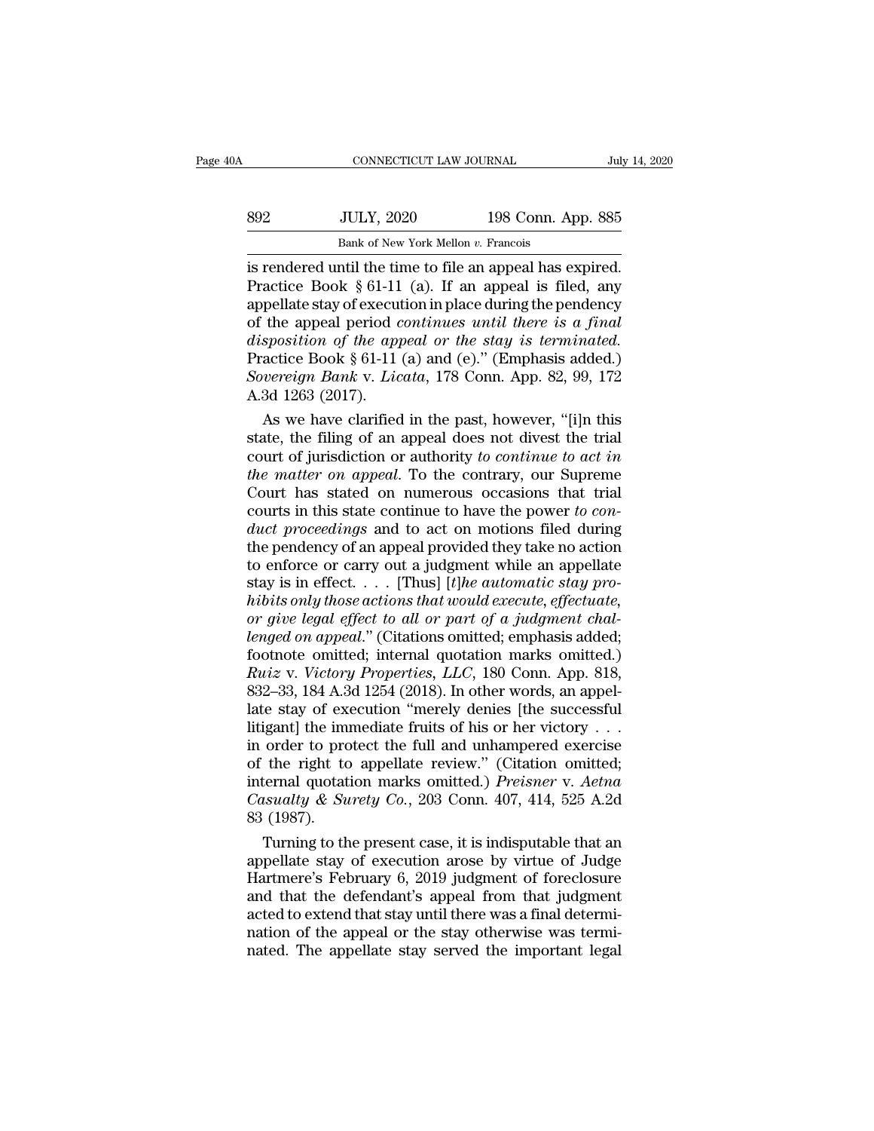| 0A  | CONNECTICUT LAW JOURNAL                                  |                    | July 14, 2020 |
|-----|----------------------------------------------------------|--------------------|---------------|
| 892 | <b>JULY, 2020</b>                                        | 198 Conn. App. 885 |               |
|     | Bank of New York Mellon v. Francois                      |                    |               |
|     | is rendered until the time to file an anneal has expired |                    |               |

CONNECTICUT LAW JOURNAL July 14, 2<br>
SO 198 Conn. App. 885<br>
Bank of New York Mellon v. Francois<br>
is rendered until the time to file an appeal has expired.<br>
Practice Book § 61-11 (a). If an appeal is filed, any<br>
propellate s Practice Book § 61-11 (a). If an appeal is filed, any<br>experience Book § 61-11 (a). If an appeal is filed, any<br>appellate stay of execution in place during the pendency<br>of the appeal period *continues* until there is a final 892 JULY, 2020 198 Conn. App. 885<br>
Bank of New York Mellon v. Francois<br>
is rendered until the time to file an appeal has expired.<br>
Practice Book § 61-11 (a). If an appeal is filed, any<br>
appellate stay of execution in plac **of the appearation in the appearation of the appearation of the appearation of the appearation of the appearation of the appearation of the appearation of the appearation of the stay is terminated.<br>Practice Book § 61-11 ( Bank of New York Mellon v. Francois**<br> **is rendered until the time to file an appeal has expired.**<br> **Practice Book § 61-11 (a). If an appeal is filed, any**<br> **appellate stay of execution in place during the pendency**<br>
of th Bank of New York Mellon v. Francois<br>
is rendered until the time to file an appeal has expired.<br>
Practice Book § 61-11 (a). If an appeal is filed, any<br>
appellate stay of execution in place during the pendency<br>
of the appea is rendered until the time to file an appeal has expired.<br>Practice Book § 61-11 (a). If an appeal is filed, any<br>appellate stay of execution in place during the pendency<br>of the appeal period *continues until there is a fina* Practice Book § 61-11<br>appellate stay of execut<br>of the appeal period *c*<br>disposition of the app<br>Practice Book § 61-11<br>Sovereign Bank v. Lic<br>A.3d 1263 (2017).<br>As we have clarified pellate stay of execution in place during the pendency<br>the appeal period *continues until there is a final*<br>sposition of the appeal or the stay is terminated.<br>actice Book § 61-11 (a) and (e)." (Emphasis added.)<br>vereign Ba of the appeal period *continues until there is a final*<br>disposition of the appeal or the stay is terminated.<br>Practice Book § 61-11 (a) and (e)." (Emphasis added.)<br>Sovereign Bank v. Licata, 178 Conn. App. 82, 99, 172<br>A.3d

disposition of the appeal or the stay is terminated.<br>Practice Book § 61-11 (a) and (e)." (Emphasis added.)<br>Sovereign Bank v. Licata, 178 Conn. App. 82, 99, 172<br>A.3d 1263 (2017).<br>As we have clarified in the past, however, " *Practice Book § 61-11 (a) and (e)." (Emphasis added.)*<br> *Sovereign Bank v. Licata*, 178 Conn. App. 82, 99, 172<br> *A.3d 1263 (2017).*<br> *As we have clarified in the past, however, "[i]n this*<br> *state, the filing of an appeal* Sovereign Bank v. Licata, 178 Conn. App. 82, 99, 172<br>A.3d 1263 (2017).<br>So we have clarified in the past, however, "[i]n this<br>state, the filing of an appeal does not divest the trial<br>court of jurisdiction or authority to c A.3d 1263 (2017).<br>
As we have clarified in the past, however, "[i]n this<br>
state, the filing of an appeal does not divest the trial<br>
court of jurisdiction or authority to continue to act in<br>
the matter on appeal. To the con As we have clarified in the past, however, "[i]n this<br>state, the filing of an appeal does not divest the trial<br>court of jurisdiction or authority to continue to act in<br>the matter on appeal. To the contrary, our Supreme<br>Cou state, the filing of an appeal does not divest the trial<br>court of jurisdiction or authority to continue to act in<br>the matter on appeal. To the contrary, our Supreme<br>Court has stated on numerous occasions that trial<br>courts court of jurisdiction or authority to continue to act in<br>the matter on appeal. To the contrary, our Supreme<br>Court has stated on numerous occasions that trial<br>courts in this state continue to have the power to con-<br>duct pr the matter on appeal. To the contrary, our Supreme<br>Court has stated on numerous occasions that trial<br>courts in this state continue to have the power to con-<br>duct proceedings and to act on motions filed during<br>the pendency Court has stated on numerous occasions that trial<br>courts in this state continue to have the power to con-<br>*duct proceedings* and to act on motions filed during<br>the pendency of an appeal provided they take no action<br>to enfo *courts in this state continue to have the power to conduct proceedings and to act on motions filed during the pendency of an appeal provided they take no action to enforce or carry out a judgment while an appellate stay i duct proceedings* and to act on motions filed during<br>the pendency of an appeal provided they take no action<br>to enforce or carry out a judgment while an appellate<br>stay is in effect.... [Thus] [*t]he automatic stay pro-*<br>hi the pendency of an appeal provided they take no action<br>to enforce or carry out a judgment while an appellate<br>stay is in effect. . . . . [Thus] [*t]he automatic stay pro-*<br>hibits only those actions that would execute, effe *Ruiz* is in effect. . . . [Thus] [*t*]*he automatic stay prohibits only those actions that would execute, effectuate, or give legal effect to all or part of a judgment challenged on appeal." (Citations omitted; emphasis a* stay is in effect. . . . . [Thus] [*t]he automatic stay prohibits only those actions that would execute, effectuate,*<br>*or give legal effect to all or part of a judgment chal-lenged on appeal.* "(Citations omitted; emphasis hibits only those actions that would execute, effectuate,<br>or give legal effect to all or part of a judgment chal-<br>lenged on appeal." (Citations omitted; emphasis added;<br>footnote omitted; internal quotation marks omitted.) or give legal effect to all or part of a judgment chal-<br>lenged on appeal." (Citations omitted; emphasis added;<br>footnote omitted; internal quotation marks omitted.)<br> $Ruiz$  v. Victory Properties, LLC, 180 Conn. App. 818,<br>832– lenged on appeal." (Citations omitted; emphasis added;<br>footnote omitted; internal quotation marks omitted.)<br>*Ruiz v. Victory Properties, LLC*, 180 Conn. App. 818,<br>832–33, 184 A.3d 1254 (2018). In other words, an appel-<br>la footnote omitted; internal quotation marks omitted.)<br>
Ruiz v. Victory Properties, LLC, 180 Conn. App. 818,<br>
832–33, 184 A.3d 1254 (2018). In other words, an appel-<br>
late stay of execution "merely denies [the successful<br>
l Ruiz v. *Victory Properties*, *LLC*, 180 Conn. App. 818,<br>832–33, 184 A.3d 1254 (2018). In other words, an appel-<br>late stay of execution "merely denies [the successful<br>litigant] the immediate fruits of his or her victory . 832–33, 184 A.3d 1254 (2018). In other words, an appel-<br>late stay of execution "merely denies [the successful<br>litigant] the immediate fruits of his or her victory . . .<br>in order to protect the full and unhampered exercise<br> late stay of exity of exity of exity in moder to prove of the right to internal quotational probability of the right of the stay of 1987).<br>Turning to the right of the state of the state of the state of the state of the Tur igant] the immediate fruits of his or her victory . . .<br>
order to protect the full and unhampered exercise<br>
the right to appellate review." (Citation omitted;<br>
ternal quotation marks omitted.) *Preisner* v. *Aetna*<br>
sualt in order to protect the full and unhampered exercise<br>of the right to appellate review." (Citation omitted;<br>internal quotation marks omitted.) *Preisner* v. Aetna<br>Casualty & Surety Co., 203 Conn. 407, 414, 525 A.2d<br>83 (198

of the right to appellate review." (Citation omitted;<br>internal quotation marks omitted.) *Preisner* v. *Aetna*<br>Casualty & Surety Co., 203 Conn. 407, 414, 525 A.2d<br>83 (1987).<br>Turning to the present case, it is indisputable internal quotation marks omitted.) *Preisner v. Aetna*<br>Casualty & Surety Co., 203 Conn. 407, 414, 525 A.2d<br>83 (1987).<br>Turning to the present case, it is indisputable that an<br>appellate stay of execution arose by virtue of J Casualty & Surety Co., 203 Conn. 407, 414, 525 A.2d<br>
83 (1987).<br>
Turning to the present case, it is indisputable that an<br>
appellate stay of execution arose by virtue of Judge<br>
Hartmere's February 6, 2019 judgment of forec 83 (1987).<br>Turning to the present case, it is indisputable that an<br>appellate stay of execution arose by virtue of Judge<br>Hartmere's February 6, 2019 judgment of foreclosure<br>and that the defendant's appeal from that judgment Turning to the present case, it is indisputable that an appellate stay of execution arose by virtue of Judge Hartmere's February 6, 2019 judgment of foreclosure and that the defendant's appeal from that judgment acted to e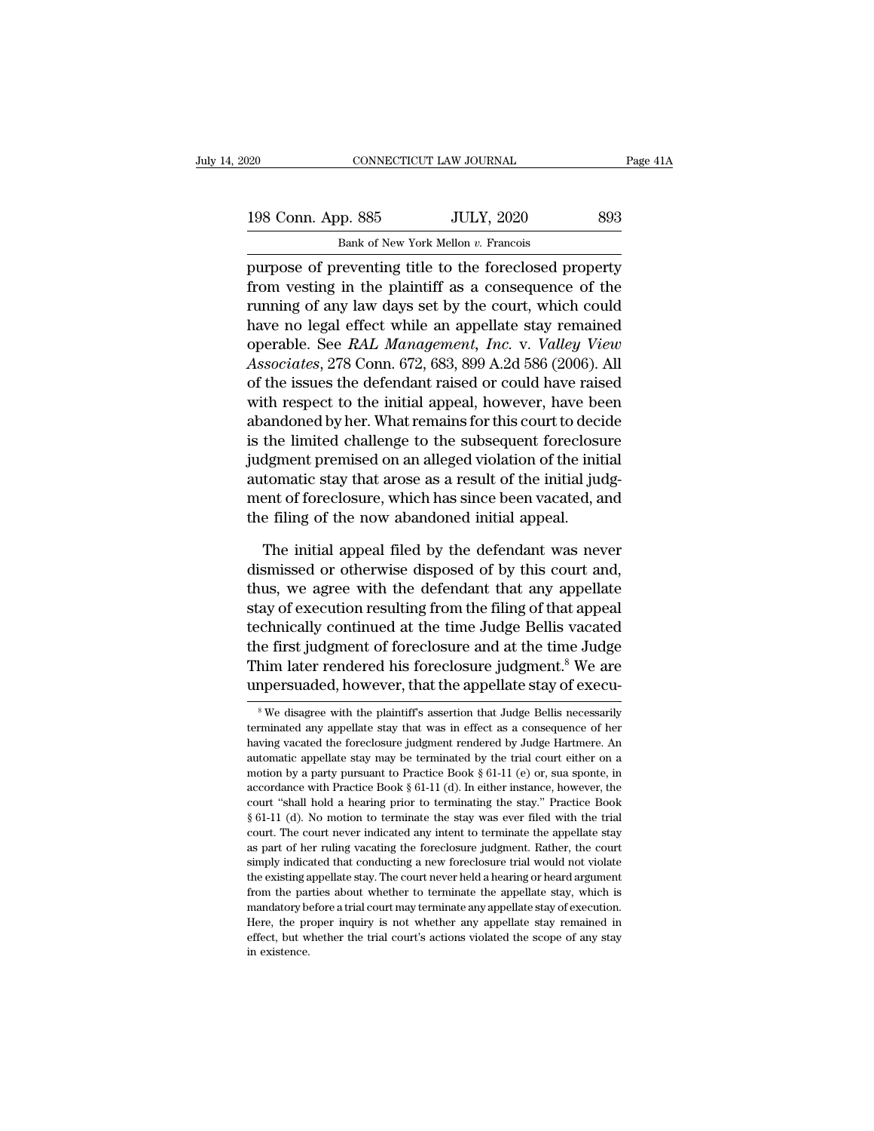| 020                | CONNECTICUT LAW JOURNAL                                | Page 41A |
|--------------------|--------------------------------------------------------|----------|
| 198 Conn. App. 885 | <b>JULY, 2020</b>                                      | 893      |
|                    | Bank of New York Mellon v. Francois                    |          |
|                    | purpose of preventing title to the foreclosed property |          |

purpose of preventing title to the foreclosed property<br>
purpose of preventing title to the foreclosed property<br>
from vesting in the plaintiff as a consequence of the<br>
purpose of preventing title to the foreclosed property<br> 198 Conn. App. 885 JULY, 2020 893<br>Bank of New York Mellon v. Francois<br>purpose of preventing title to the foreclosed property<br>from vesting in the plaintiff as a consequence of the<br>running of any law days set by the court, w 198 Conn. App. 885 JULY, 2020 893<br>Bank of New York Mellon v. Francois<br>purpose of preventing title to the foreclosed property<br>from vesting in the plaintiff as a consequence of the<br>running of any law days set by the court, w 198 Conn. App. 885 JULY, 2020 893<br>
Bank of New York Mellon v. Francois<br>
purpose of preventing title to the foreclosed property<br>
from vesting in the plaintiff as a consequence of the<br>
running of any law days set by the cou Bank of New York Mellon v. Francois<br>purpose of preventing title to the foreclosed property<br>from vesting in the plaintiff as a consequence of the<br>running of any law days set by the court, which could<br>have no legal effect wh *Associates* of preventing title to the foreclosed property<br>from vesting in the plaintiff as a consequence of the<br>running of any law days set by the court, which could<br>have no legal effect while an appellate stay remained<br> purpose of preventing title to the foreclosed property<br>from vesting in the plaintiff as a consequence of the<br>running of any law days set by the court, which could<br>have no legal effect while an appellate stay remained<br>opera from vesting in the plaintiff as a consequence of the<br>running of any law days set by the court, which could<br>have no legal effect while an appellate stay remained<br>operable. See *RAL Management, Inc.* v. *Valley View*<br>Associ running of any law days set by the court, which could<br>have no legal effect while an appellate stay remained<br>operable. See *RAL Management, Inc.* v. *Valley View*<br>Associates, 278 Conn. 672, 683, 899 A.2d 586 (2006). All<br>of have no legal effect while an appellate stay remained<br>operable. See *RAL Management, Inc.* v. *Valley View*<br>Associates, 278 Conn. 672, 683, 899 A.2d 586 (2006). All<br>of the issues the defendant raised or could have raised<br>w operable. See *RAL Management, Inc.* v. *Valley View*<br>Associates, 278 Conn. 672, 683, 899 A.2d 586 (2006). All<br>of the issues the defendant raised or could have raised<br>with respect to the initial appeal, however, have been<br> Associates, 278 Conn. 672, 683, 899 A.2d 586 (2006). All<br>of the issues the defendant raised or could have raised<br>with respect to the initial appeal, however, have been<br>abandoned by her. What remains for this court to decid of the issues the defendant raised or could have raised<br>with respect to the initial appeal, however, have been<br>abandoned by her. What remains for this court to decide<br>is the limited challenge to the subsequent foreclosure<br> with respect to the initial appeal, however, have be<br>abandoned by her. What remains for this court to deci<br>is the limited challenge to the subsequent foreclosu<br>judgment premised on an alleged violation of the initial<br>autom the limited challenge to the subsequent foreclosure<br>dgment premised on an alleged violation of the initial<br>tomatic stay that arose as a result of the initial judg-<br>ent of foreclosure, which has since been vacated, and<br>e fi judgment premised on an alleged violation of the initial automatic stay that arose as a result of the initial judgment of foreclosure, which has since been vacated, and the filing of the now abandoned initial appeal.<br>The i

automatic stay that arose as a result of the initial judgment of foreclosure, which has since been vacated, and<br>the filing of the now abandoned initial appeal.<br>The initial appeal filed by the defendant was never<br>dismissed ment of foreclosure, which has since been vacated, and<br>the filing of the now abandoned initial appeal.<br>The initial appeal filed by the defendant was never<br>dismissed or otherwise disposed of by this court and,<br>thus, we agre the filing of the now abandoned initial appeal.<br>The initial appeal filed by the defendant was never<br>dismissed or otherwise disposed of by this court and,<br>thus, we agree with the defendant that any appellate<br>stay of executi The initial appeal filed by the defendant was never<br>dismissed or otherwise disposed of by this court and,<br>thus, we agree with the defendant that any appellate<br>stay of execution resulting from the filing of that appeal<br>tech The initial appeal filed by the defendant was never<br>dismissed or otherwise disposed of by this court and,<br>thus, we agree with the defendant that any appellate<br>stay of execution resulting from the filing of that appeal<br>tech dismissed or otherwise disposed of by this court and,<br>thus, we agree with the defendant that any appellate<br>stay of execution resulting from the filing of that appeal<br>technically continued at the time Judge Bellis vacated<br>t technically continued at the time Judge Bellis vacated<br>the first judgment of foreclosure and at the time Judge<br>Thim later rendered his foreclosure judgment.<sup>8</sup> We are<br>unpersuaded, however, that the appellate stay of executhe first judgment of foreclosure and at the time Judge<br>Thim later rendered his foreclosure judgment.<sup>8</sup> We are<br>unpersuaded, however, that the appellate stay of execu-<br><sup>8</sup>We disagree with the plaintiff's assertion that Jud

Thim later rendered his foreclosure judgment.<sup>8</sup> We are unpersuaded, however, that the appellate stay of execusive with the plaintiff's assertion that Judge Bellis necessarily terminated any appellate stay that was in effe **unpersuaded, however, that the appellate stay of execu-**<br><sup>8</sup>We disagree with the plaintiff's assertion that Judge Bellis necessarily<br>terminated any appellate stay that was in effect as a consequence of her<br>having vacated motion by a party pursuant to Practice Book § 61-11 (e) or, sua spontance with the property of  $\mathbb{R}^n$  and  $\mathbb{R}^n$  are  $\mathbb{R}^n$  and  $\mathbb{R}^n$  and  $\mathbb{R}^n$  are  $\mathbb{R}^n$  and  $\mathbb{R}^n$  are  $\mathbb{R}^n$  and  $\mathbb{R$ <sup>8</sup> We disagree with the plaintiff's assertion that Judge Bellis necessarily terminated any appellate stay that was in effect as a consequence of her having vacated the foreclosure judgment rendered by Judge Hartmere. An terminated any appellate stay that was in effect as a consequence of her thaving vacated the foreclosure judgment rendered by Judge Hartmere. An automatic appellate stay may be terminated by the trial court either on a mo From the present of the force of the force of the stay may be terminated by Judge Hartmere. An automatic appellate stay may be terminated by the trial court either on a motion by a party pursuant to Practice Book  $\S 61-11$ automatic appellate stay may be terminated by the trial court either on a motion by a party pursuant to Practice Book § 61-11 (e) or, sua sponte, in accordance with Practice Book § 61-11 (d). In either instance, however, motion by a party pursuant to Practice Book  $\S 61-11$  (e) or, sua sponte, in accordance with Practice Book  $\S 61-11$  (d). In either instance, however, the court "shall hold a hearing prior to terminating the stay." Practi accordance with Practice Book § 61-11 (d). In either instance, however, the court "shall hold a hearing prior to terminating the stay." Practice Book § 61-11 (d). No motion to terminate the stay was ever filed with the tr court "shall hold a hearing prior to terminating the stay." Practice Book § 61-11 (d). No motion to terminate the stay was ever filed with the trial court. The court never indicated any intent to terminate the appellate s  $^8$  61-11 (d). No motion to terminate the stay, was ever filed with the trial court. The court never indicated any intent to terminate the appellate stay as part of her ruling vacating the foreclosure judgment. Rather, t court. The court never indicated any intent to terminate the appellate stay as part of her ruling vacating the foreclosure judgment. Rather, the court simply indicated that conducting a new foreclosure trial would not viol as part of her ruling vacating the foreclosure judgment. Rather, the court<br>simply indicated that conducting a new foreclosure trial would not violate<br>the existing appellate stay. The court never held a hearing or heard arg effect, but whether the trial conducting a new foreclosure trial would not violate the existing appellate stay. The court never held a hearing or heard argument from the parties about whether to terminate the appellate sta the existing appellate stay. The court never held a hearing or heard argument from the parties about whether to terminate the appellate stay, which is mandatory before a trial court may terminate any appellate stay of exec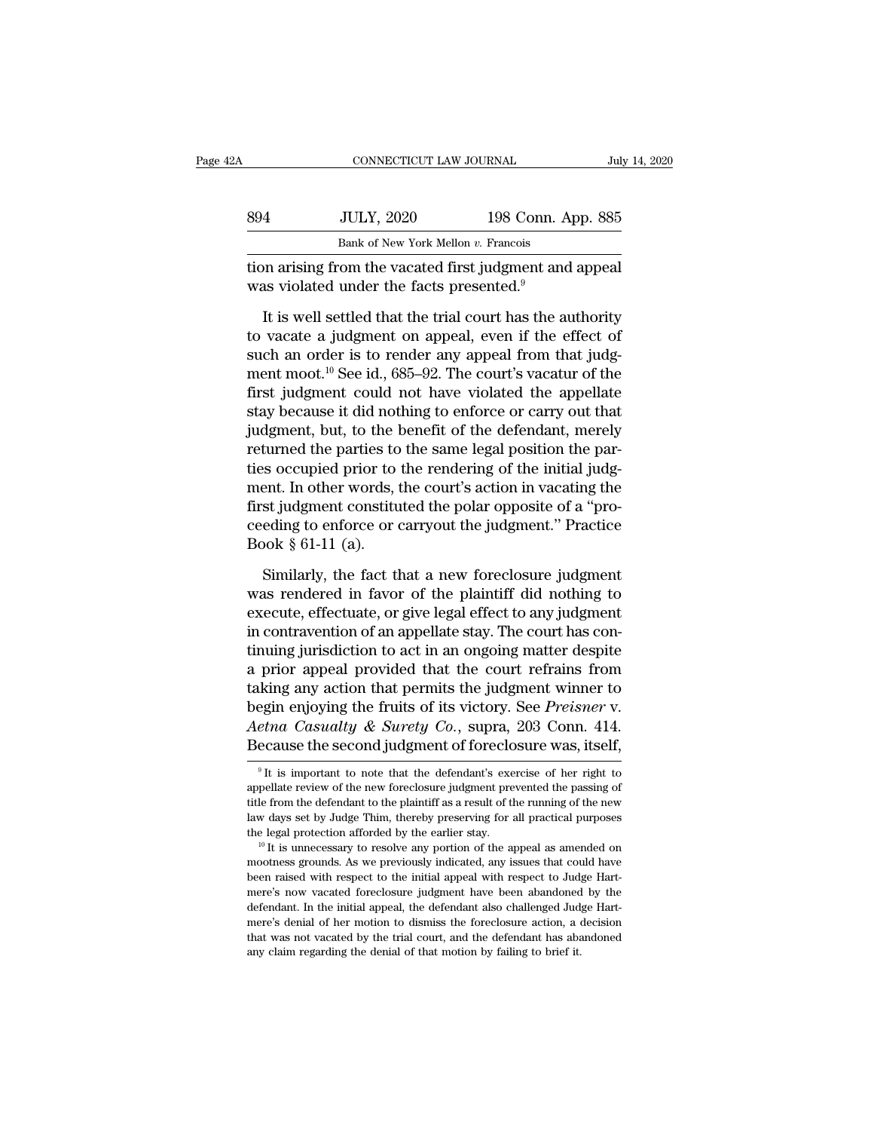| 2A  | CONNECTICUT LAW JOURNAL                                                                                         |                    | July 14, 2020 |
|-----|-----------------------------------------------------------------------------------------------------------------|--------------------|---------------|
|     |                                                                                                                 |                    |               |
| 894 | <b>JULY, 2020</b>                                                                                               | 198 Conn. App. 885 |               |
|     | Bank of New York Mellon v. Francois                                                                             |                    |               |
|     | tion arising from the vacated first judgment and appeal<br>was violated under the facts presented. <sup>9</sup> |                    |               |

IULY, 2020 198 Conn. App. 885<br>
Bank of New York Mellon v. Francois<br>
Dian arising from the vacated first judgment and appeal<br>
It is well settled that the trial court has the authority<br>
vacate a judgment on appeal, even if t Bank of New York Mellon v. Francois<br>Bank of New York Mellon v. Francois<br>tion arising from the vacated first judgment and appeal<br>was violated under the facts presented.<sup>9</sup><br>It is well settled that the trial court has the au Bank of New York Mellon  $v$ . Francois<br>tion arising from the vacated first judgment and appeal<br>was violated under the facts presented.<sup>9</sup><br>It is well settled that the trial court has the authority<br>to vacate a judgment on ap tion arising from the vacated first judgment and appeal<br>was violated under the facts presented.<sup>9</sup><br>It is well settled that the trial court has the authority<br>to vacate a judgment on appeal, even if the effect of<br>such an or was violated under the facts presented.<sup>9</sup><br>It is well settled that the trial court has the authority<br>to vacate a judgment on appeal, even if the effect of<br>such an order is to render any appeal from that judg-<br>ment moot.<sup>1</sup> It is well settled that the trial court has the authority<br>to vacate a judgment on appeal, even if the effect of<br>such an order is to render any appeal from that judg-<br>ment moot.<sup>10</sup> See id., 685–92. The court's vacatur of It is well settled that the trial court has the authority<br>to vacate a judgment on appeal, even if the effect of<br>such an order is to render any appeal from that judg-<br>ment moot.<sup>10</sup> See id., 685–92. The court's vacatur of to vacate a judgment on appeal, even if the effect of<br>such an order is to render any appeal from that judg-<br>ment moot.<sup>10</sup> See id., 685–92. The court's vacatur of the<br>first judgment could not have violated the appellate<br>s such an order is to render any appeal from that judg-<br>ment moot.<sup>10</sup> See id., 685–92. The court's vacatur of the<br>first judgment could not have violated the appellate<br>stay because it did nothing to enforce or carry out that ment moot.<sup>10</sup> See id., 685–92. The court's vacatur of the<br>first judgment could not have violated the appellate<br>stay because it did nothing to enforce or carry out that<br>judgment, but, to the benefit of the defendant, merel first judgment could not have violated the appellate<br>stay because it did nothing to enforce or carry out that<br>judgment, but, to the benefit of the defendant, merely<br>returned the parties to the same legal position the parstay because it did nothing to enforce or carry out that<br>judgment, but, to the benefit of the defendant, merely<br>returned the parties to the same legal position the par-<br>ties occupied prior to the rendering of the initial j judgment, but, to the l<br>returned the parties to<br>ties occupied prior to<br>ment. In other words, t<br>first judgment constitu<br>ceeding to enforce or e<br>Book § 61-11 (a).<br>Similarly, the fact tl s occupied prior to the rendering of the initial judgent. In other words, the court's action in vacating the<br>st judgment constituted the polar opposite of a "pro-<br>eding to enforce or carryout the judgment." Practice<br>pok § ment. In other words, the court's action in vacating the<br>first judgment constituted the polar opposite of a "pro-<br>ceeding to enforce or carryout the judgment." Practice<br>Book § 61-11 (a).<br>Similarly, the fact that a new fore

first judgment constituted the polar opposite of a "proceeding to enforce or carryout the judgment." Practice<br>Book § 61-11 (a).<br>Similarly, the fact that a new foreclosure judgment<br>was rendered in favor of the plaintiff di ceeding to enforce or carryout the judgment." Practice<br>Book  $\S$  61-11 (a).<br>Similarly, the fact that a new foreclosure judgment<br>was rendered in favor of the plaintiff did nothing to<br>execute, effectuate, or give legal effec Book  $\S$  61-11 (a).<br>
Similarly, the fact that a new foreclosure judgment<br>
was rendered in favor of the plaintiff did nothing to<br>
execute, effectuate, or give legal effect to any judgment<br>
in contravention of an appellate Similarly, the fact that a new foreclosure judgment<br>was rendered in favor of the plaintiff did nothing to<br>execute, effectuate, or give legal effect to any judgment<br>in contravention of an appellate stay. The court has con-<br> Similarly, the fact that a new foreclosure judgment<br>was rendered in favor of the plaintiff did nothing to<br>execute, effectuate, or give legal effect to any judgment<br>in contravention of an appellate stay. The court has conwas rendered in favor of the plaintiff did nothing to<br>execute, effectuate, or give legal effect to any judgment<br>in contravention of an appellate stay. The court has con-<br>tinuing jurisdiction to act in an ongoing matter des execute, effectuate, or give legal effect to any judgment<br>in contravention of an appellate stay. The court has con-<br>tinuing jurisdiction to act in an ongoing matter despite<br>a prior appeal provided that the court refrains f in contravention of an appellate stay. The court has continuing jurisdiction to act in an ongoing matter despite<br>a prior appeal provided that the court refrains from<br>taking any action that permits the judgment winner to<br>b taking any action that permits the judgment winner to begin enjoying the fruits of its victory. See *Preisner* v.<br>Aetna Casualty & Surety Co., supra, 203 Conn. 414.<br>Because the second judgment of foreclosure was, itself,<br> begin enjoying the fruits of its victory. See *Preisner* v.<br>
Aetna Casualty & Surety Co., supra, 203 Conn. 414.<br>
Because the second judgment of foreclosure was, itself,<br>
<sup>9</sup>It is important to note that the defendant's exe

Aetna Casualty & Surety Co., supra, 203 Conn. 414.<br>Because the second judgment of foreclosure was, itself,<br><sup>9</sup>It is important to note that the defendant's exercise of her right to<br>appellate review of the new foreclosure ju Because the second judgment of foreclosure was, itself,<br> $\frac{1}{2}$  it is important to note that the defendant's exercise of her right to<br>appellate review of the new foreclosure judgment prevented the passing of<br>title from The legal protection afforded by the earlier stay. The end of the protection appellate review of the new foreclosure judgment prevented the passing of title from the defendant to the plaintiff as a result of the running o appellate review of the new foreclosure judgment prevented the passing of title from the defendant to the plaintiff as a result of the running of the new law days set by Judge Thim, thereby preserving for all practical pu

title from the defendant to the plaintiff as a result of the running of the new law days set by Judge Thim, thereby preserving for all practical purposes the legal protection afforded by the earlier stay.<br>  $\frac{10}{10}$  It law days set by Judge Thim, thereby preserving for all practical purposes<br>the legal protection afforded by the earlier stay.<br><sup>10</sup> It is unnecessary to resolve any portion of the appeal as amended on<br>mootness grounds. As we mootness grounds. As we previously indicated, any issues that could have been raised with respect to the initial appeal with respect to Judge Hart-<br>mere's now vacated foreclosure judgment have been abandoned by the defenda mere is denial of her motion of the appeal as amended on mootness grounds. As we previously indicated, any issues that could have been raised with respect to the initial appeal with respect to Judge Hartmere's now vacated mootness grounds. As we previously indicated, any issues that could have<br>been raised with respect to the initial appeal with respect to Judge Hart-<br>mere's now vacated foreclosure judgment have been abandoned by the<br>defenda been raised with respect to the initial appeal with respect to Judge Hart-<br>mere's now vacated foreclosure judgment have been abandoned by the<br>defendant. In the initial appeal, the defendant also challenged Judge Hart-<br>mere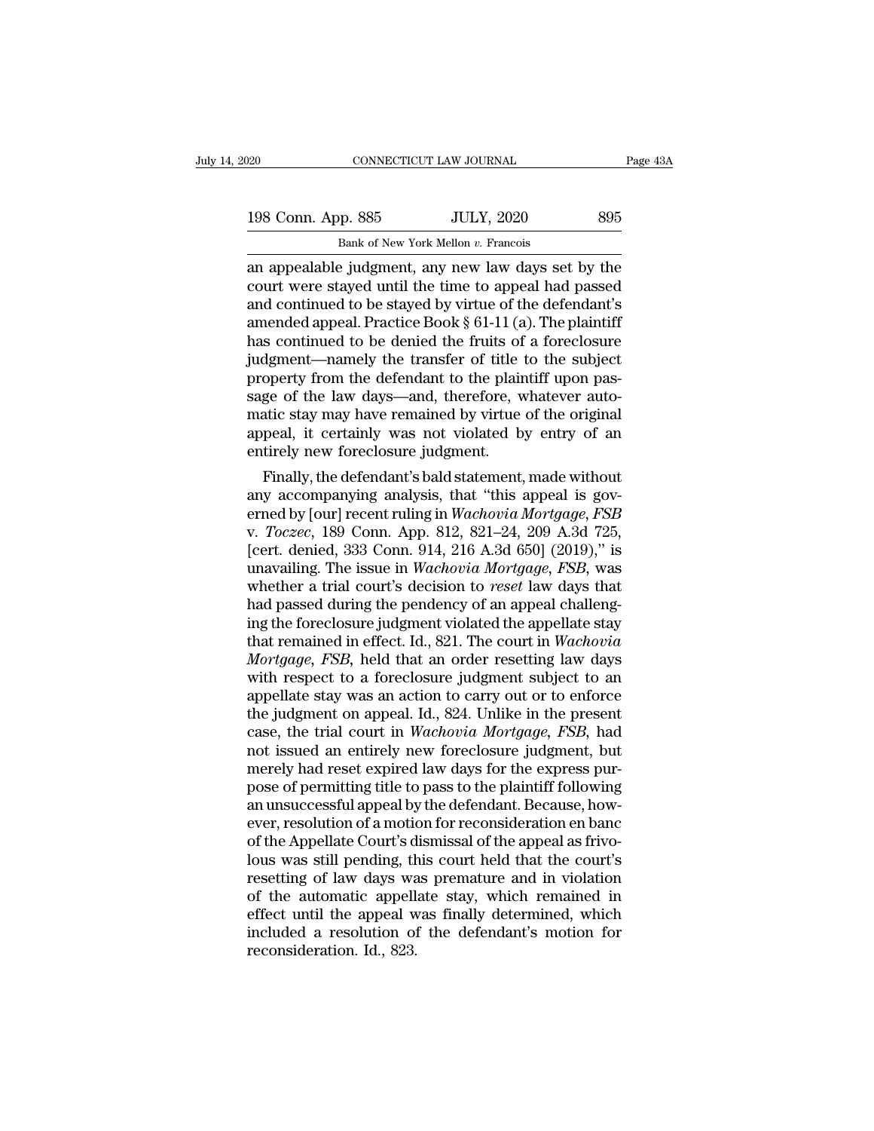| 120 |                    | CONNECTICUT LAW JOURNAL                             | Page 43A |
|-----|--------------------|-----------------------------------------------------|----------|
|     |                    |                                                     |          |
|     | 198 Conn. App. 885 | <b>JULY, 2020</b>                                   | 895      |
|     |                    | Bank of New York Mellon v. Francois                 |          |
|     |                    | an annealable judgment, any new law days set by the |          |

connectricut LAW JOURNAL Page 43A<br>
198 Conn. App. 885 JULY, 2020 895<br>
Bank of New York Mellon v. Francois<br>
an appealable judgment, any new law days set by the<br>
court were stayed until the time to appeal had passed<br>
and con 198 Conn. App. 885 JULY, 2020 895<br>Bank of New York Mellon v. Francois<br>an appealable judgment, any new law days set by the<br>court were stayed until the time to appeal had passed<br>and continued to be stayed by virtue of the de 198 Conn. App. 885 JULY, 2020 895<br>Bank of New York Mellon v. Francois<br>an appealable judgment, any new law days set by the<br>court were stayed until the time to appeal had passed<br>and continued to be stayed by virtue of the d 198 Conn. App. 885 JULY, 2020 895<br>Bank of New York Mellon v. Francois<br>an appealable judgment, any new law days set by the<br>court were stayed until the time to appeal had passed<br>and continued to be stayed by virtue of the d Bank of New York Mellon v. Francois<br>an appealable judgment, any new law days set by the<br>court were stayed until the time to appeal had passed<br>and continued to be stayed by virtue of the defendant's<br>amended appeal. Practic Bank of New York Mellon v. Francois<br>an appealable judgment, any new law days set by the<br>court were stayed until the time to appeal had passed<br>and continued to be stayed by virtue of the defendant's<br>amended appeal. Practic an appealable judgment, any new law days set by the<br>court were stayed until the time to appeal had passed<br>and continued to be stayed by virtue of the defendant's<br>amended appeal. Practice Book § 61-11 (a). The plaintiff<br>has court were stayed until the time to appeal had passed<br>and continued to be stayed by virtue of the defendant's<br>amended appeal. Practice Book § 61-11 (a). The plaintiff<br>has continued to be denied the fruits of a foreclosure<br> and continued to be stayed by virtue of the defendant's<br>amended appeal. Practice Book § 61-11 (a). The plaintiff<br>has continued to be denied the fruits of a foreclosure<br>judgment—namely the transfer of title to the subject<br>p amended appeal. Practice Book  $\S$  61-11 (a). The plaintiff<br>has continued to be denied the fruits of a foreclosure<br>judgment—namely the transfer of title to the subject<br>property from the defendant to the plaintiff upon pashas continued to be denied the fruits of<br>judgment—namely the transfer of title<br>property from the defendant to the plair<br>sage of the law days—and, therefore, w<br>matic stay may have remained by virtue<br>appeal, it certainly was depend to the building of the subject<br>operty from the defendant to the plaintiff upon pas-<br>ge of the law days—and, therefore, whatever auto-<br>atic stay may have remained by virtue of the original<br>peal, it certainly was not property from the defendant to the plaintiff upon passage of the law days—and, therefore, whatever automatic stay may have remained by virtue of the original appeal, it certainly was not violated by entry of an entirely ne

sage of the law days—and, therefore, whatever auto-<br>matic stay may have remained by virtue of the original<br>appeal, it certainly was not violated by entry of an<br>entirely new foreclosure judgment.<br>Finally, the defendant's ba matic stay may nave remained by virtue of the original<br>appeal, it certainly was not violated by entry of an<br>entirely new foreclosure judgment.<br>Finally, the defendant's bald statement, made without<br>any accompanying analysis appeal, it certainly was not violated by entry or an<br>entirely new foreclosure judgment.<br>Finally, the defendant's bald statement, made without<br>any accompanying analysis, that "this appeal is gov-<br>erned by [our] recent rulin entirely new foreclosure judgment.<br>
Finally, the defendant's bald statement, made without<br>
any accompanying analysis, that "this appeal is gov-<br>
erned by [our] recent ruling in *Wachovia Mortgage, FSB*<br>
v. *Toczec*, 189 Co Finally, the defendant's bald statement, made without<br>any accompanying analysis, that "this appeal is gov-<br>erned by [our] recent ruling in *Wachovia Mortgage, FSB*<br>v. *Toczec*, 189 Conn. App. 812, 821–24, 209 A.3d 725,<br>[ce any accompanying analysis, that "this appeal is governed by [our] recent ruling in *Wachovia Mortgage, FSB* v. *Toczec*, 189 Conn. App. 812, 821–24, 209 A.3d 725, [cert. denied, 333 Conn. 914, 216 A.3d 650] (2019)," is una erned by [our] recent ruling in *Wachovia Mortgage*, *FSB*<br>v. *Toczec*, 189 Conn. App. 812, 821–24, 209 A.3d 725,<br>[cert. denied, 333 Conn. 914, 216 A.3d 650] (2019)," is<br>unavailing. The issue in *Wachovia Mortgage*, *FSB*, v. *Toczec*, 189 Conn. App. 812, 821–24, 209 A.3d 725,<br>[cert. denied, 333 Conn. 914, 216 A.3d 650] (2019)," is<br>unavailing. The issue in *Wachovia Mortgage, FSB*, was<br>whether a trial court's decision to *reset* law days tha [cert. denied, 333 Conn. 914, 216 A.3d 650] (2019)," is<br>unavailing. The issue in *Wachovia Mortgage, FSB*, was<br>whether a trial court's decision to *reset* law days that<br>had passed during the pendency of an appeal challengunavailing. The issue in *Wachovia Mortgage*, *FSB*, was<br>whether a trial court's decision to *reset* law days that<br>had passed during the pendency of an appeal challeng-<br>ing the foreclosure judgment violated the appellate s whether a trial court's decision to *reset* law days that<br>had passed during the pendency of an appeal challeng-<br>ing the foreclosure judgment violated the appellate stay<br>that remained in effect. Id., 821. The court in *Wac* had passed during the pendency of an appeal challeng-<br>ing the foreclosure judgment violated the appellate stay<br>that remained in effect. Id., 821. The court in *Wachovia*<br>*Mortgage, FSB*, held that an order resetting law da ing the foreclosure judgment violated the appellate stay<br>that remained in effect. Id., 821. The court in *Wachovia*<br>*Mortgage, FSB*, held that an order resetting law days<br>with respect to a foreclosure judgment subject to a that remained in effect. Id., 821. The court in *Wachovia Mortgage, FSB*, held that an order resetting law days with respect to a foreclosure judgment subject to an appellate stay was an action to carry out or to enforce *Mortgage, FSB*, held that an order resetting law days<br>with respect to a foreclosure judgment subject to an<br>appellate stay was an action to carry out or to enforce<br>the judgment on appeal. Id., 824. Unlike in the present<br>ca with respect to a foreclosure judgment subject to an appellate stay was an action to carry out or to enforce the judgment on appeal. Id., 824. Unlike in the present case, the trial court in *Wachovia Mortgage, FSB*, had no appellate stay was an action to carry out or to enforce<br>the judgment on appeal. Id., 824. Unlike in the present<br>case, the trial court in *Wachovia Mortgage, FSB*, had<br>not issued an entirely new foreclosure judgment, but<br>me the judgment on appeal. Id., 824. Unlike in the present case, the trial court in *Wachovia Mortgage, FSB*, had not issued an entirely new foreclosure judgment, but merely had reset expired law days for the express purpose case, the trial court in *Wachovia Mortgage, FSB*, had<br>not issued an entirely new foreclosure judgment, but<br>merely had reset expired law days for the express pur-<br>pose of permitting title to pass to the plaintiff following not issued an entirely new foreclosure judgment, but<br>merely had reset expired law days for the express pur-<br>pose of permitting title to pass to the plaintiff following<br>an unsuccessful appeal by the defendant. Because, howmerely had reset expired law days for the express pur-<br>pose of permitting title to pass to the plaintiff following<br>an unsuccessful appeal by the defendant. Because, how-<br>ever, resolution of a motion for reconsideration en pose of permitting title to pass to the plaintiff following<br>an unsuccessful appeal by the defendant. Because, how-<br>ever, resolution of a motion for reconsideration en banc<br>of the Appellate Court's dismissal of the appeal a an unsuccessful appeal by the defendant. Because, how-<br>ever, resolution of a motion for reconsideration en banc<br>of the Appellate Court's dismissal of the appeal as frivo-<br>lous was still pending, this court held that the co ever, resolution of a motion for reconsideration en banc<br>of the Appellate Court's dismissal of the appeal as frivo-<br>lous was still pending, this court held that the court's<br>resetting of law days was premature and in violat of the Appellate Court's d<br>lous was still pending, th<br>resetting of law days was<br>of the automatic appell<br>effect until the appeal w<br>included a resolution of<br>reconsideration. Id., 823.